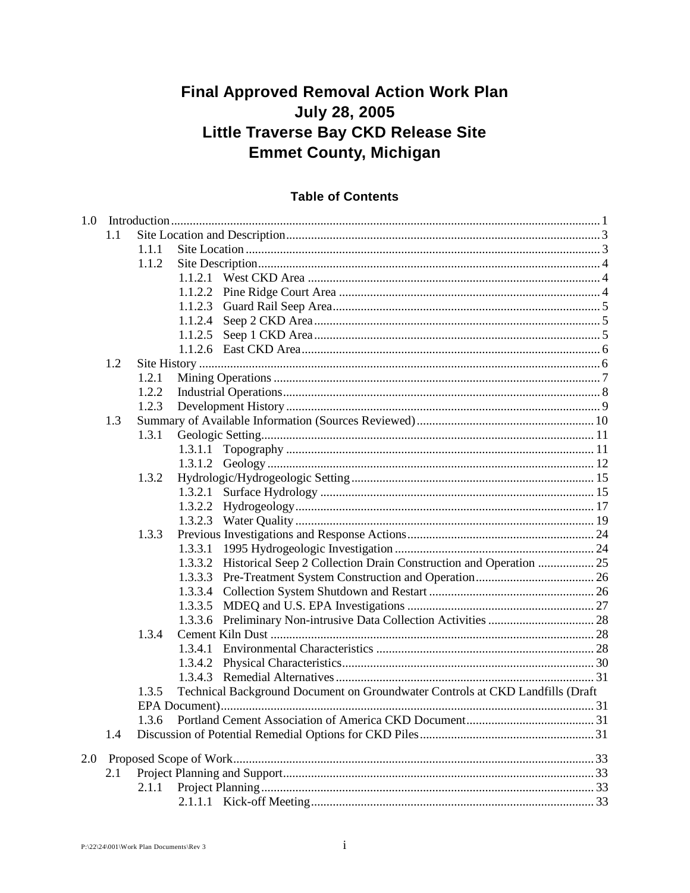# **Final Approved Removal Action Work Plan July 28, 2005** Little Traverse Bay CKD Release Site **Emmet County, Michigan**

# **Table of Contents**

| 1.0 |         |                                                                               |  |
|-----|---------|-------------------------------------------------------------------------------|--|
| 1.1 |         |                                                                               |  |
|     | 1.1.1   |                                                                               |  |
|     | 1.1.2   |                                                                               |  |
|     |         |                                                                               |  |
|     |         |                                                                               |  |
|     | 1.1.2.3 |                                                                               |  |
|     | 1.1.2.4 |                                                                               |  |
|     | 1.1.2.5 |                                                                               |  |
|     |         |                                                                               |  |
| 1.2 |         |                                                                               |  |
|     | 1.2.1   |                                                                               |  |
|     | 1.2.2   |                                                                               |  |
|     | 1.2.3   |                                                                               |  |
| 1.3 |         |                                                                               |  |
|     | 1.3.1   |                                                                               |  |
|     |         |                                                                               |  |
|     |         |                                                                               |  |
|     | 1.3.2   |                                                                               |  |
|     | 1.3.2.1 |                                                                               |  |
|     |         |                                                                               |  |
|     |         |                                                                               |  |
|     | 1.3.3   |                                                                               |  |
|     |         |                                                                               |  |
|     |         | 1.3.3.2 Historical Seep 2 Collection Drain Construction and Operation  25     |  |
|     | 1.3.3.3 |                                                                               |  |
|     | 1.3.3.4 |                                                                               |  |
|     | 1.3.3.5 |                                                                               |  |
|     |         |                                                                               |  |
|     | 1.3.4   |                                                                               |  |
|     | 1.3.4.1 |                                                                               |  |
|     |         |                                                                               |  |
|     |         |                                                                               |  |
|     | 1.3.5   | Technical Background Document on Groundwater Controls at CKD Landfills (Draft |  |
|     |         |                                                                               |  |
|     | 1.3.6   |                                                                               |  |
| 1.4 |         |                                                                               |  |
| 2.0 |         |                                                                               |  |
| 2.1 |         |                                                                               |  |
|     | 2.1.1   |                                                                               |  |
|     |         |                                                                               |  |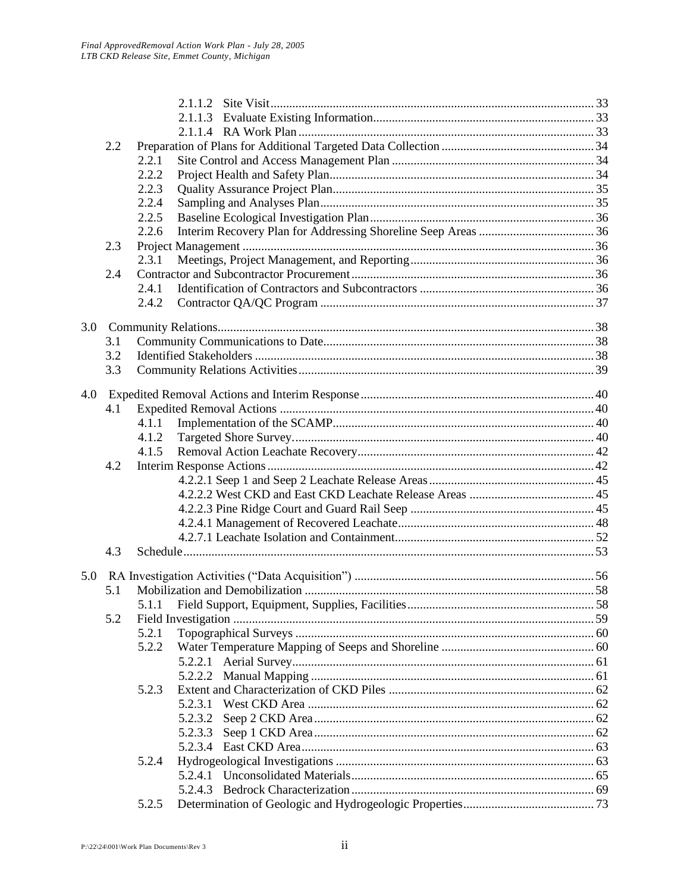|     |     |       | 2.1.1.3 |  |
|-----|-----|-------|---------|--|
|     |     |       |         |  |
| 2.2 |     |       |         |  |
|     |     | 2.2.1 |         |  |
|     |     | 2.2.2 |         |  |
|     |     | 2.2.3 |         |  |
|     |     | 2.2.4 |         |  |
|     |     | 2.2.5 |         |  |
|     |     | 2.2.6 |         |  |
|     | 2.3 |       |         |  |
|     |     | 2.3.1 |         |  |
|     | 2.4 |       |         |  |
|     |     | 2.4.1 |         |  |
|     |     | 2.4.2 |         |  |
| 3.0 |     |       |         |  |
|     | 3.1 |       |         |  |
|     | 3.2 |       |         |  |
|     | 3.3 |       |         |  |
|     |     |       |         |  |
| 4.0 |     |       |         |  |
|     | 4.1 |       |         |  |
|     |     | 4.1.1 |         |  |
|     |     | 4.1.2 |         |  |
|     |     | 4.1.5 |         |  |
|     | 4.2 |       |         |  |
|     |     |       |         |  |
|     |     |       |         |  |
|     |     |       |         |  |
|     |     |       |         |  |
|     |     |       |         |  |
|     | 4.3 |       |         |  |
| 5.0 |     |       |         |  |
|     | 5.1 |       |         |  |
|     |     |       |         |  |
|     | 5.2 |       |         |  |
|     |     | 5.2.1 |         |  |
|     |     | 5.2.2 |         |  |
|     |     |       |         |  |
|     |     |       |         |  |
|     |     | 5.2.3 |         |  |
|     |     |       | 5.2.3.1 |  |
|     |     |       | 5.2.3.2 |  |
|     |     |       | 5.2.3.3 |  |
|     |     |       |         |  |
|     |     | 5.2.4 |         |  |
|     |     |       |         |  |
|     |     |       |         |  |
|     |     | 5.2.5 |         |  |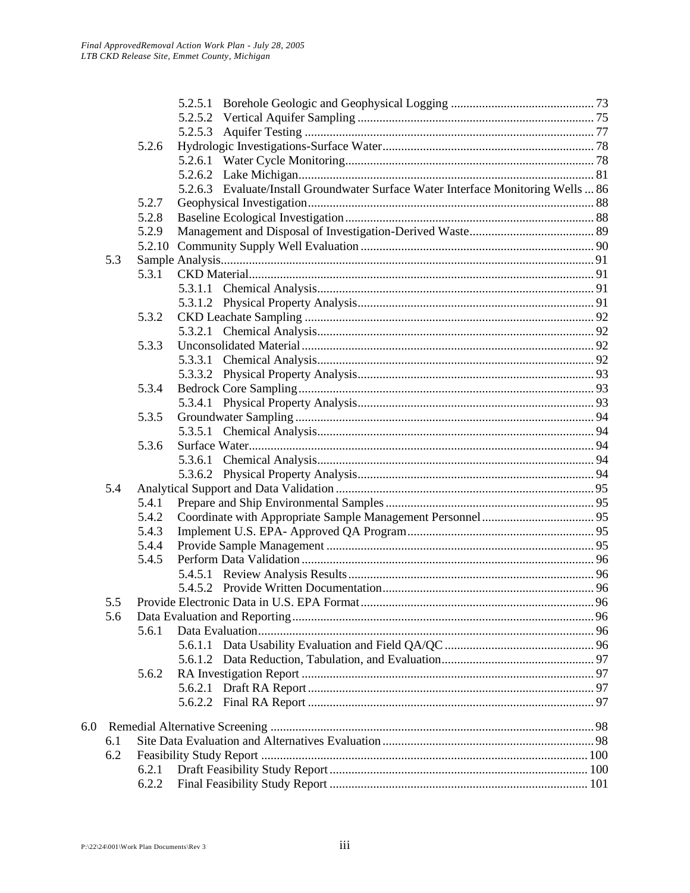|     |     |       | 5.2.5.1                                                                           |  |
|-----|-----|-------|-----------------------------------------------------------------------------------|--|
|     |     |       | 5.2.5.2                                                                           |  |
|     |     |       | 5.2.5.3                                                                           |  |
|     |     | 5.2.6 |                                                                                   |  |
|     |     |       |                                                                                   |  |
|     |     |       |                                                                                   |  |
|     |     |       | 5.2.6.3 Evaluate/Install Groundwater Surface Water Interface Monitoring Wells  86 |  |
|     |     | 5.2.7 |                                                                                   |  |
|     |     | 5.2.8 |                                                                                   |  |
|     |     | 5.2.9 |                                                                                   |  |
|     |     |       |                                                                                   |  |
|     | 5.3 |       |                                                                                   |  |
|     |     | 5.3.1 |                                                                                   |  |
|     |     |       |                                                                                   |  |
|     |     |       |                                                                                   |  |
|     |     | 5.3.2 |                                                                                   |  |
|     |     |       |                                                                                   |  |
|     |     | 5.3.3 |                                                                                   |  |
|     |     |       | 5.3.3.1                                                                           |  |
|     |     |       |                                                                                   |  |
|     |     | 5.3.4 |                                                                                   |  |
|     |     |       |                                                                                   |  |
|     |     | 5.3.5 |                                                                                   |  |
|     |     |       |                                                                                   |  |
|     |     | 5.3.6 |                                                                                   |  |
|     |     |       |                                                                                   |  |
|     |     |       |                                                                                   |  |
|     | 5.4 |       |                                                                                   |  |
|     |     | 5.4.1 |                                                                                   |  |
|     |     | 5.4.2 |                                                                                   |  |
|     |     | 5.4.3 |                                                                                   |  |
|     |     | 5.4.4 |                                                                                   |  |
|     |     | 5.4.5 |                                                                                   |  |
|     |     |       |                                                                                   |  |
|     |     |       |                                                                                   |  |
|     |     |       |                                                                                   |  |
|     | 5.6 |       |                                                                                   |  |
|     |     | 5.6.1 |                                                                                   |  |
|     |     |       | 5.6.1.1                                                                           |  |
|     |     |       |                                                                                   |  |
|     |     | 5.6.2 |                                                                                   |  |
|     |     |       |                                                                                   |  |
|     |     |       |                                                                                   |  |
| 6.0 |     |       |                                                                                   |  |
|     | 6.1 |       |                                                                                   |  |
|     | 6.2 |       |                                                                                   |  |
|     |     | 6.2.1 |                                                                                   |  |
|     |     | 6.2.2 |                                                                                   |  |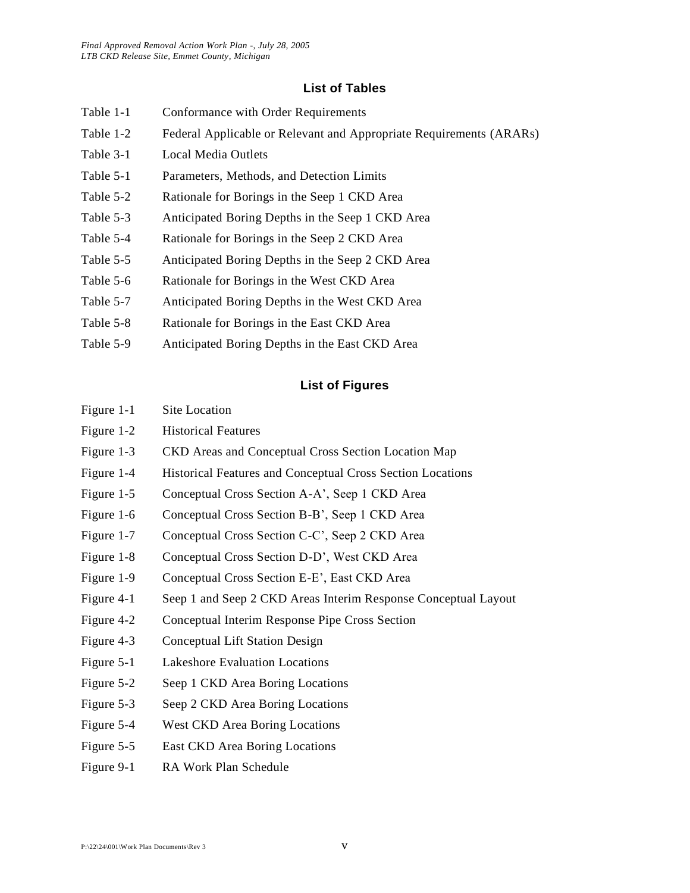#### **List of Tables**

- Table 1-1 Conformance with Order Requirements
- Table 1-2 Federal Applicable or Relevant and Appropriate Requirements (ARARs)
- Table 3-1 Local Media Outlets
- Table 5-1 Parameters, Methods, and Detection Limits
- Table 5-2 Rationale for Borings in the Seep 1 CKD Area
- Table 5-3 Anticipated Boring Depths in the Seep 1 CKD Area
- Table 5-4 Rationale for Borings in the Seep 2 CKD Area
- Table 5-5 Anticipated Boring Depths in the Seep 2 CKD Area
- Table 5-6 Rationale for Borings in the West CKD Area
- Table 5-7 Anticipated Boring Depths in the West CKD Area
- Table 5-8 Rationale for Borings in the East CKD Area
- Table 5-9 Anticipated Boring Depths in the East CKD Area

### **List of Figures**

| Figure 1-2 | <b>Historical Features</b> |  |
|------------|----------------------------|--|

Figure 1-1 Site Location

- Figure 1-3 CKD Areas and Conceptual Cross Section Location Map
- Figure 1-4 Historical Features and Conceptual Cross Section Locations
- Figure 1-5 Conceptual Cross Section A-A', Seep 1 CKD Area
- Figure 1-6 Conceptual Cross Section B-B', Seep 1 CKD Area
- Figure 1-7 Conceptual Cross Section C-C', Seep 2 CKD Area
- Figure 1-8 Conceptual Cross Section D-D', West CKD Area
- Figure 1-9 Conceptual Cross Section E-E', East CKD Area
- Figure 4-1 Seep 1 and Seep 2 CKD Areas Interim Response Conceptual Layout
- Figure 4-2 Conceptual Interim Response Pipe Cross Section
- Figure 4-3 Conceptual Lift Station Design
- Figure 5-1 Lakeshore Evaluation Locations
- Figure 5-2 Seep 1 CKD Area Boring Locations
- Figure 5-3 Seep 2 CKD Area Boring Locations
- Figure 5-4 West CKD Area Boring Locations
- Figure 5-5 East CKD Area Boring Locations
- Figure 9-1 RA Work Plan Schedule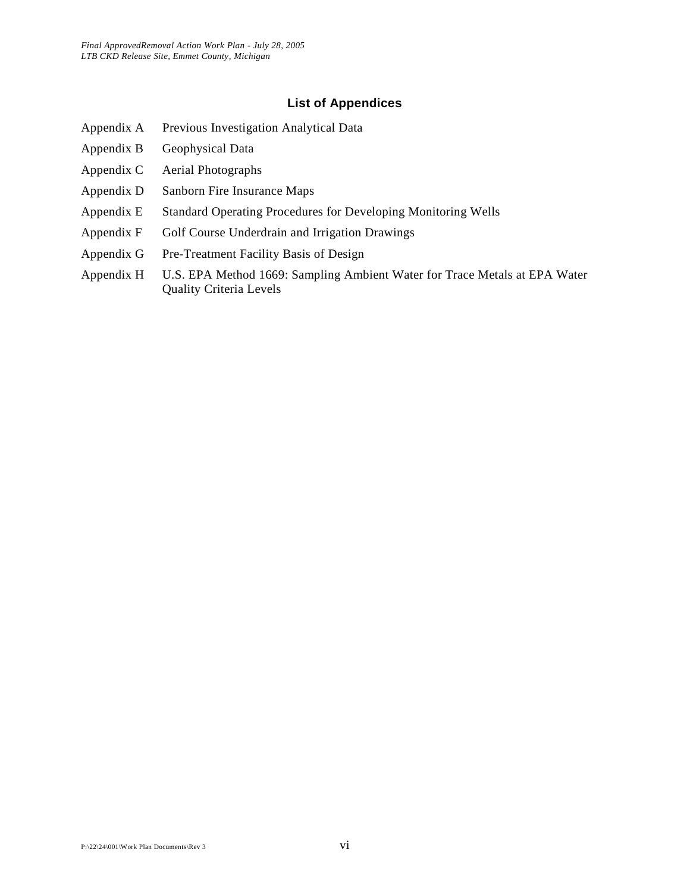#### **List of Appendices**

- Appendix A Previous Investigation Analytical Data
- Appendix B Geophysical Data
- Appendix C Aerial Photographs
- Appendix D Sanborn Fire Insurance Maps
- Appendix E Standard Operating Procedures for Developing Monitoring Wells
- Appendix F Golf Course Underdrain and Irrigation Drawings
- Appendix G Pre-Treatment Facility Basis of Design
- Appendix H U.S. EPA Method 1669: Sampling Ambient Water for Trace Metals at EPA Water Quality Criteria Levels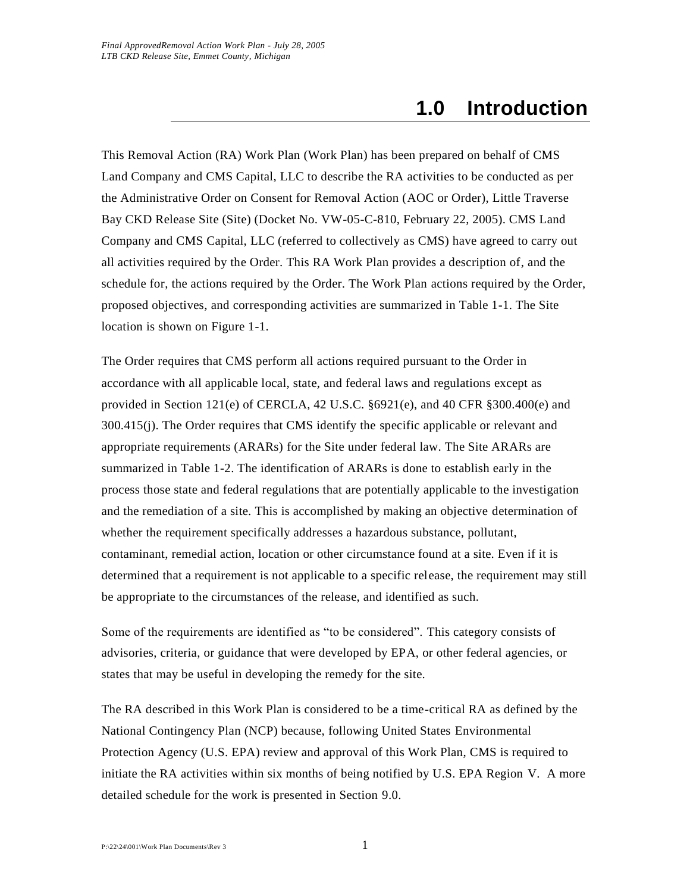# **1.0 Introduction**

This Removal Action (RA) Work Plan (Work Plan) has been prepared on behalf of CMS Land Company and CMS Capital, LLC to describe the RA activities to be conducted as per the Administrative Order on Consent for Removal Action (AOC or Order), Little Traverse Bay CKD Release Site (Site) (Docket No. VW-05-C-810, February 22, 2005). CMS Land Company and CMS Capital, LLC (referred to collectively as CMS) have agreed to carry out all activities required by the Order. This RA Work Plan provides a description of, and the schedule for, the actions required by the Order. The Work Plan actions required by the Order, proposed objectives, and corresponding activities are summarized in Table 1-1. The Site location is shown on Figure 1-1.

The Order requires that CMS perform all actions required pursuant to the Order in accordance with all applicable local, state, and federal laws and regulations except as provided in Section 121(e) of CERCLA,  $42$  U.S.C.  $§6921(e)$ , and  $40$  CFR  $§300.400(e)$  and 300.415(j). The Order requires that CMS identify the specific applicable or relevant and appropriate requirements (ARARs) for the Site under federal law. The Site ARARs are summarized in Table 1-2. The identification of ARARs is done to establish early in the process those state and federal regulations that are potentially applicable to the investigation and the remediation of a site. This is accomplished by making an objective determination of whether the requirement specifically addresses a hazardous substance, pollutant, contaminant, remedial action, location or other circumstance found at a site. Even if it is determined that a requirement is not applicable to a specific release, the requirement may still be appropriate to the circumstances of the release, and identified as such.

Some of the requirements are identified as "to be considered". This category consists of advisories, criteria, or guidance that were developed by EPA, or other federal agencies, or states that may be useful in developing the remedy for the site.

The RA described in this Work Plan is considered to be a time-critical RA as defined by the National Contingency Plan (NCP) because, following United States Environmental Protection Agency (U.S. EPA) review and approval of this Work Plan, CMS is required to initiate the RA activities within six months of being notified by U.S. EPA Region V. A more detailed schedule for the work is presented in Section 9.0.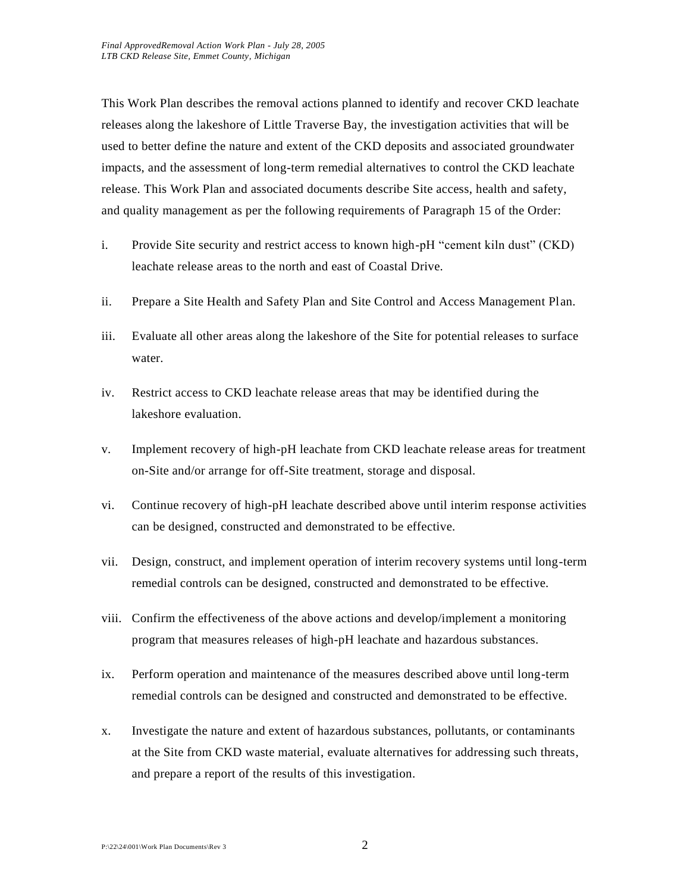This Work Plan describes the removal actions planned to identify and recover CKD leachate releases along the lakeshore of Little Traverse Bay, the investigation activities that will be used to better define the nature and extent of the CKD deposits and associated groundwater impacts, and the assessment of long-term remedial alternatives to control the CKD leachate release. This Work Plan and associated documents describe Site access, health and safety, and quality management as per the following requirements of Paragraph 15 of the Order:

- i. Provide Site security and restrict access to known high-pH "cement kiln dust" (CKD) leachate release areas to the north and east of Coastal Drive.
- ii. Prepare a Site Health and Safety Plan and Site Control and Access Management Plan.
- iii. Evaluate all other areas along the lakeshore of the Site for potential releases to surface water.
- iv. Restrict access to CKD leachate release areas that may be identified during the lakeshore evaluation.
- v. Implement recovery of high-pH leachate from CKD leachate release areas for treatment on-Site and/or arrange for off-Site treatment, storage and disposal.
- vi. Continue recovery of high-pH leachate described above until interim response activities can be designed, constructed and demonstrated to be effective.
- vii. Design, construct, and implement operation of interim recovery systems until long-term remedial controls can be designed, constructed and demonstrated to be effective.
- viii. Confirm the effectiveness of the above actions and develop/implement a monitoring program that measures releases of high-pH leachate and hazardous substances.
- ix. Perform operation and maintenance of the measures described above until long-term remedial controls can be designed and constructed and demonstrated to be effective.
- x. Investigate the nature and extent of hazardous substances, pollutants, or contaminants at the Site from CKD waste material, evaluate alternatives for addressing such threats, and prepare a report of the results of this investigation.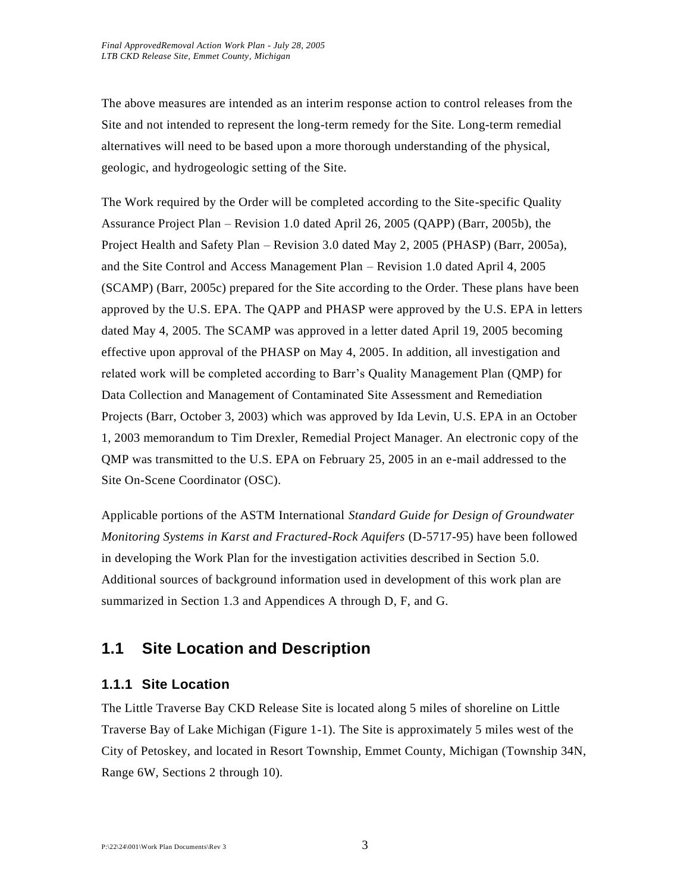The above measures are intended as an interim response action to control releases from the Site and not intended to represent the long-term remedy for the Site. Long-term remedial alternatives will need to be based upon a more thorough understanding of the physical, geologic, and hydrogeologic setting of the Site.

The Work required by the Order will be completed according to the Site-specific Quality Assurance Project Plan – Revision 1.0 dated April 26, 2005 (QAPP) (Barr, 2005b), the Project Health and Safety Plan – Revision 3.0 dated May 2, 2005 (PHASP) (Barr, 2005a), and the Site Control and Access Management Plan – Revision 1.0 dated April 4, 2005 (SCAMP) (Barr, 2005c) prepared for the Site according to the Order. These plans have been approved by the U.S. EPA. The QAPP and PHASP were approved by the U.S. EPA in letters dated May 4, 2005. The SCAMP was approved in a letter dated April 19, 2005 becoming effective upon approval of the PHASP on May 4, 2005. In addition, all investigation and related work will be completed according to Barr's Quality Management Plan (QMP) for Data Collection and Management of Contaminated Site Assessment and Remediation Projects (Barr, October 3, 2003) which was approved by Ida Levin, U.S. EPA in an October 1, 2003 memorandum to Tim Drexler, Remedial Project Manager. An electronic copy of the QMP was transmitted to the U.S. EPA on February 25, 2005 in an e-mail addressed to the Site On-Scene Coordinator (OSC).

Applicable portions of the ASTM International *Standard Guide for Design of Groundwater Monitoring Systems in Karst and Fractured-Rock Aquifers* (D-5717-95) have been followed in developing the Work Plan for the investigation activities described in Section 5.0. Additional sources of background information used in development of this work plan are summarized in Section 1.3 and Appendices A through D, F, and G.

# **1.1 Site Location and Description**

# **1.1.1 Site Location**

The Little Traverse Bay CKD Release Site is located along 5 miles of shoreline on Little Traverse Bay of Lake Michigan (Figure 1-1). The Site is approximately 5 miles west of the City of Petoskey, and located in Resort Township, Emmet County, Michigan (Township 34N, Range 6W, Sections 2 through 10).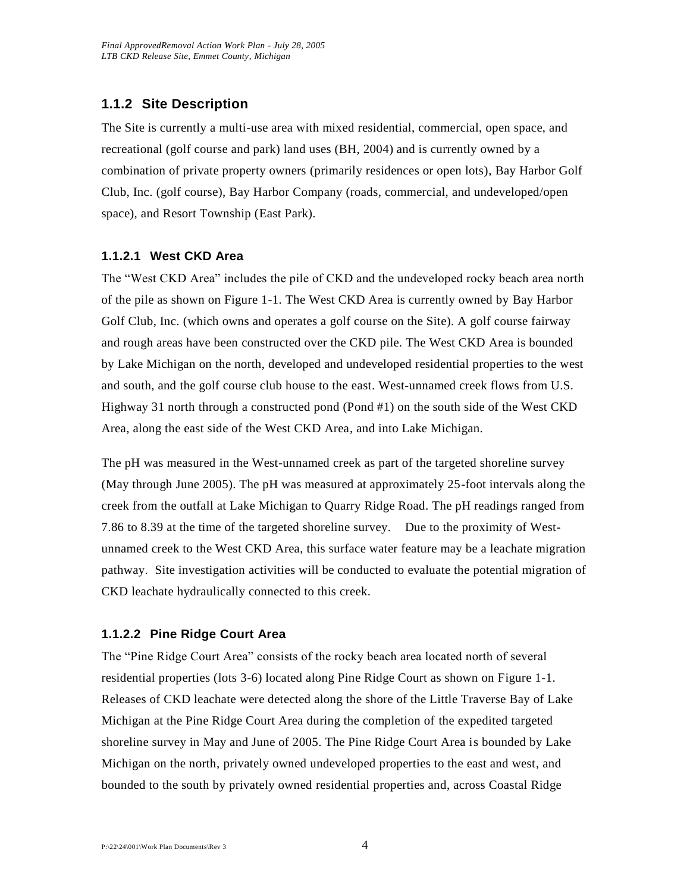# **1.1.2 Site Description**

The Site is currently a multi-use area with mixed residential, commercial, open space, and recreational (golf course and park) land uses (BH, 2004) and is currently owned by a combination of private property owners (primarily residences or open lots), Bay Harbor Golf Club, Inc. (golf course), Bay Harbor Company (roads, commercial, and undeveloped/open space), and Resort Township (East Park).

# **1.1.2.1 West CKD Area**

The "West CKD Area" includes the pile of CKD and the undeveloped rocky beach area north of the pile as shown on Figure 1-1. The West CKD Area is currently owned by Bay Harbor Golf Club, Inc. (which owns and operates a golf course on the Site). A golf course fairway and rough areas have been constructed over the CKD pile. The West CKD Area is bounded by Lake Michigan on the north, developed and undeveloped residential properties to the west and south, and the golf course club house to the east. West-unnamed creek flows from U.S. Highway 31 north through a constructed pond (Pond #1) on the south side of the West CKD Area, along the east side of the West CKD Area, and into Lake Michigan.

The pH was measured in the West-unnamed creek as part of the targeted shoreline survey (May through June 2005). The pH was measured at approximately 25-foot intervals along the creek from the outfall at Lake Michigan to Quarry Ridge Road. The pH readings ranged from 7.86 to 8.39 at the time of the targeted shoreline survey. Due to the proximity of Westunnamed creek to the West CKD Area, this surface water feature may be a leachate migration pathway. Site investigation activities will be conducted to evaluate the potential migration of CKD leachate hydraulically connected to this creek.

### **1.1.2.2 Pine Ridge Court Area**

The "Pine Ridge Court Area" consists of the rocky beach area located north of several residential properties (lots 3-6) located along Pine Ridge Court as shown on Figure 1-1. Releases of CKD leachate were detected along the shore of the Little Traverse Bay of Lake Michigan at the Pine Ridge Court Area during the completion of the expedited targeted shoreline survey in May and June of 2005. The Pine Ridge Court Area is bounded by Lake Michigan on the north, privately owned undeveloped properties to the east and west, and bounded to the south by privately owned residential properties and, across Coastal Ridge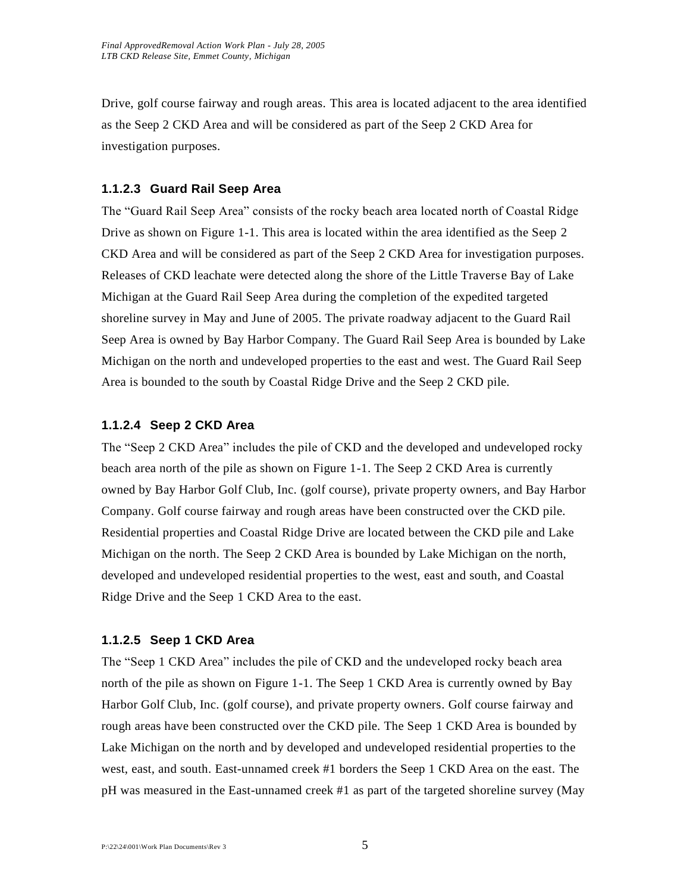Drive, golf course fairway and rough areas. This area is located adjacent to the area identified as the Seep 2 CKD Area and will be considered as part of the Seep 2 CKD Area for investigation purposes.

### **1.1.2.3 Guard Rail Seep Area**

The "Guard Rail Seep Area" consists of the rocky beach area located north of Coastal Ridge Drive as shown on Figure 1-1. This area is located within the area identified as the Seep 2 CKD Area and will be considered as part of the Seep 2 CKD Area for investigation purposes. Releases of CKD leachate were detected along the shore of the Little Traverse Bay of Lake Michigan at the Guard Rail Seep Area during the completion of the expedited targeted shoreline survey in May and June of 2005. The private roadway adjacent to the Guard Rail Seep Area is owned by Bay Harbor Company. The Guard Rail Seep Area is bounded by Lake Michigan on the north and undeveloped properties to the east and west. The Guard Rail Seep Area is bounded to the south by Coastal Ridge Drive and the Seep 2 CKD pile.

### **1.1.2.4 Seep 2 CKD Area**

The "Seep 2 CKD Area" includes the pile of CKD and the developed and undeveloped rocky beach area north of the pile as shown on Figure 1-1. The Seep 2 CKD Area is currently owned by Bay Harbor Golf Club, Inc. (golf course), private property owners, and Bay Harbor Company. Golf course fairway and rough areas have been constructed over the CKD pile. Residential properties and Coastal Ridge Drive are located between the CKD pile and Lake Michigan on the north. The Seep 2 CKD Area is bounded by Lake Michigan on the north, developed and undeveloped residential properties to the west, east and south, and Coastal Ridge Drive and the Seep 1 CKD Area to the east.

#### **1.1.2.5 Seep 1 CKD Area**

The "Seep 1 CKD Area" includes the pile of CKD and the undeveloped rocky beach area north of the pile as shown on Figure 1-1. The Seep 1 CKD Area is currently owned by Bay Harbor Golf Club, Inc. (golf course), and private property owners. Golf course fairway and rough areas have been constructed over the CKD pile. The Seep 1 CKD Area is bounded by Lake Michigan on the north and by developed and undeveloped residential properties to the west, east, and south. East-unnamed creek #1 borders the Seep 1 CKD Area on the east. The pH was measured in the East-unnamed creek #1 as part of the targeted shoreline survey (May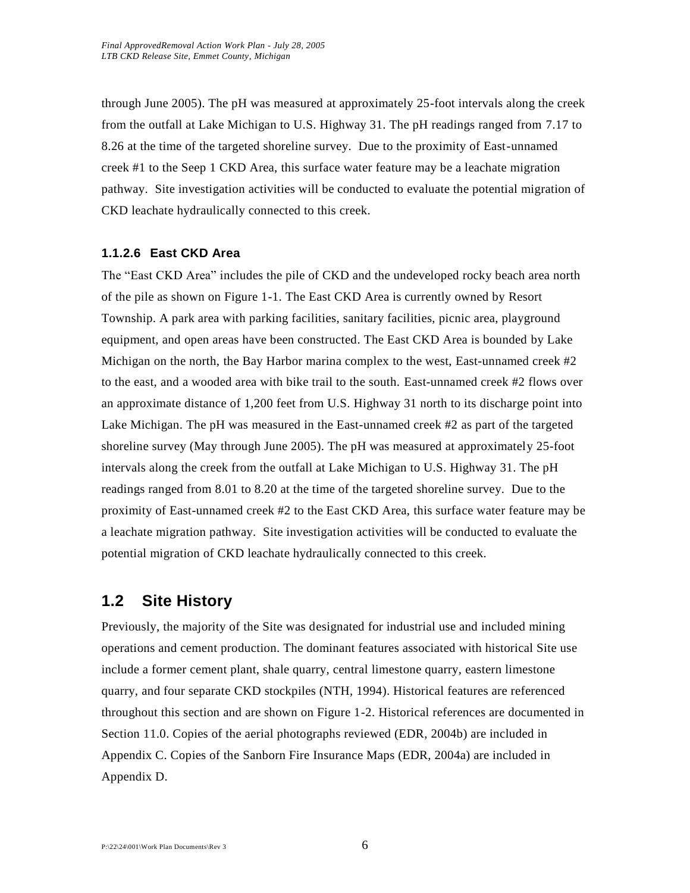through June 2005). The pH was measured at approximately 25-foot intervals along the creek from the outfall at Lake Michigan to U.S. Highway 31. The pH readings ranged from 7.17 to 8.26 at the time of the targeted shoreline survey. Due to the proximity of East-unnamed creek #1 to the Seep 1 CKD Area, this surface water feature may be a leachate migration pathway. Site investigation activities will be conducted to evaluate the potential migration of CKD leachate hydraulically connected to this creek.

#### **1.1.2.6 East CKD Area**

The "East CKD Area" includes the pile of CKD and the undeveloped rocky beach area north of the pile as shown on Figure 1-1. The East CKD Area is currently owned by Resort Township. A park area with parking facilities, sanitary facilities, picnic area, playground equipment, and open areas have been constructed. The East CKD Area is bounded by Lake Michigan on the north, the Bay Harbor marina complex to the west, East-unnamed creek  $\#2$ to the east, and a wooded area with bike trail to the south. East-unnamed creek #2 flows over an approximate distance of 1,200 feet from U.S. Highway 31 north to its discharge point into Lake Michigan. The pH was measured in the East-unnamed creek #2 as part of the targeted shoreline survey (May through June 2005). The pH was measured at approximately 25-foot intervals along the creek from the outfall at Lake Michigan to U.S. Highway 31. The pH readings ranged from 8.01 to 8.20 at the time of the targeted shoreline survey. Due to the proximity of East-unnamed creek #2 to the East CKD Area, this surface water feature may be a leachate migration pathway. Site investigation activities will be conducted to evaluate the potential migration of CKD leachate hydraulically connected to this creek.

# **1.2 Site History**

Previously, the majority of the Site was designated for industrial use and included mining operations and cement production. The dominant features associated with historical Site use include a former cement plant, shale quarry, central limestone quarry, eastern limestone quarry, and four separate CKD stockpiles (NTH, 1994). Historical features are referenced throughout this section and are shown on Figure 1-2. Historical references are documented in Section 11.0. Copies of the aerial photographs reviewed (EDR, 2004b) are included in Appendix C. Copies of the Sanborn Fire Insurance Maps (EDR, 2004a) are included in Appendix D.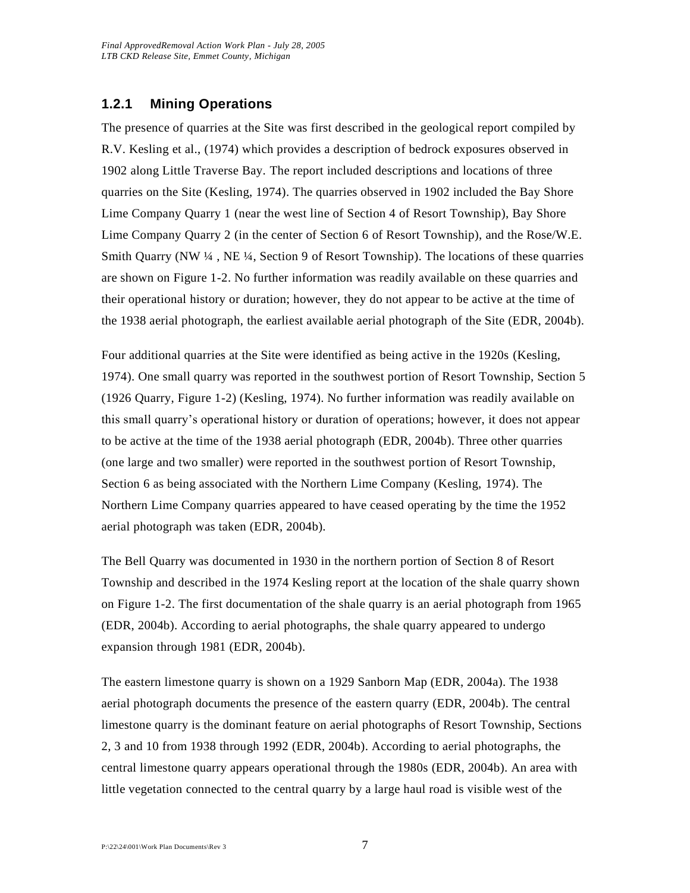# **1.2.1 Mining Operations**

The presence of quarries at the Site was first described in the geological report compiled by R.V. Kesling et al., (1974) which provides a description of bedrock exposures observed in 1902 along Little Traverse Bay. The report included descriptions and locations of three quarries on the Site (Kesling, 1974). The quarries observed in 1902 included the Bay Shore Lime Company Quarry 1 (near the west line of Section 4 of Resort Township), Bay Shore Lime Company Quarry 2 (in the center of Section 6 of Resort Township), and the Rose/W.E. Smith Quarry (NW ¼ , NE ¼, Section 9 of Resort Township). The locations of these quarries are shown on Figure 1-2. No further information was readily available on these quarries and their operational history or duration; however, they do not appear to be active at the time of the 1938 aerial photograph, the earliest available aerial photograph of the Site (EDR, 2004b).

Four additional quarries at the Site were identified as being active in the 1920s (Kesling, 1974). One small quarry was reported in the southwest portion of Resort Township, Section 5 (1926 Quarry, Figure 1-2) (Kesling, 1974). No further information was readily available on this small quarry's operational history or duration of operations; however, it does not appear to be active at the time of the 1938 aerial photograph (EDR, 2004b). Three other quarries (one large and two smaller) were reported in the southwest portion of Resort Township, Section 6 as being associated with the Northern Lime Company (Kesling, 1974). The Northern Lime Company quarries appeared to have ceased operating by the time the 1952 aerial photograph was taken (EDR, 2004b).

The Bell Quarry was documented in 1930 in the northern portion of Section 8 of Resort Township and described in the 1974 Kesling report at the location of the shale quarry shown on Figure 1-2. The first documentation of the shale quarry is an aerial photograph from 1965 (EDR, 2004b). According to aerial photographs, the shale quarry appeared to undergo expansion through 1981 (EDR, 2004b).

The eastern limestone quarry is shown on a 1929 Sanborn Map (EDR, 2004a). The 1938 aerial photograph documents the presence of the eastern quarry (EDR, 2004b). The central limestone quarry is the dominant feature on aerial photographs of Resort Township, Sections 2, 3 and 10 from 1938 through 1992 (EDR, 2004b). According to aerial photographs, the central limestone quarry appears operational through the 1980s (EDR, 2004b). An area with little vegetation connected to the central quarry by a large haul road is visible west of the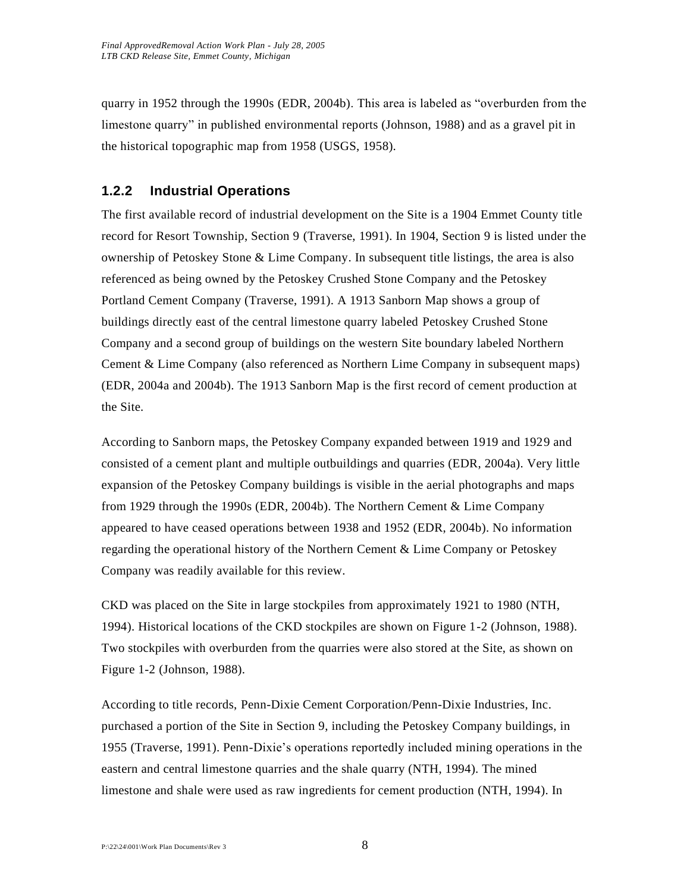quarry in 1952 through the 1990s (EDR, 2004b). This area is labeled as "overburden from the limestone quarry" in published environmental reports (Johnson, 1988) and as a gravel pit in the historical topographic map from 1958 (USGS, 1958).

# **1.2.2 Industrial Operations**

The first available record of industrial development on the Site is a 1904 Emmet County title record for Resort Township, Section 9 (Traverse, 1991). In 1904, Section 9 is listed under the ownership of Petoskey Stone & Lime Company. In subsequent title listings, the area is also referenced as being owned by the Petoskey Crushed Stone Company and the Petoskey Portland Cement Company (Traverse, 1991). A 1913 Sanborn Map shows a group of buildings directly east of the central limestone quarry labeled Petoskey Crushed Stone Company and a second group of buildings on the western Site boundary labeled Northern Cement & Lime Company (also referenced as Northern Lime Company in subsequent maps) (EDR, 2004a and 2004b). The 1913 Sanborn Map is the first record of cement production at the Site.

According to Sanborn maps, the Petoskey Company expanded between 1919 and 1929 and consisted of a cement plant and multiple outbuildings and quarries (EDR, 2004a). Very little expansion of the Petoskey Company buildings is visible in the aerial photographs and maps from 1929 through the 1990s (EDR, 2004b). The Northern Cement & Lime Company appeared to have ceased operations between 1938 and 1952 (EDR, 2004b). No information regarding the operational history of the Northern Cement & Lime Company or Petoskey Company was readily available for this review.

CKD was placed on the Site in large stockpiles from approximately 1921 to 1980 (NTH, 1994). Historical locations of the CKD stockpiles are shown on Figure 1-2 (Johnson, 1988). Two stockpiles with overburden from the quarries were also stored at the Site, as shown on Figure 1-2 (Johnson, 1988).

According to title records, Penn-Dixie Cement Corporation/Penn-Dixie Industries, Inc. purchased a portion of the Site in Section 9, including the Petoskey Company buildings, in 1955 (Traverse, 1991). Penn-Dixie's operations reportedly included mining operations in the eastern and central limestone quarries and the shale quarry (NTH, 1994). The mined limestone and shale were used as raw ingredients for cement production (NTH, 1994). In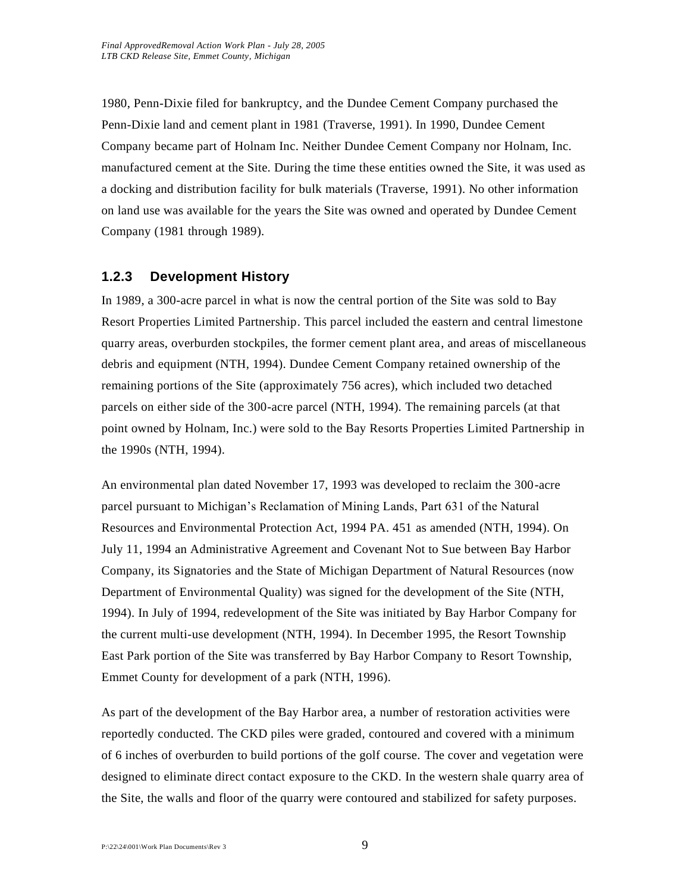1980, Penn-Dixie filed for bankruptcy, and the Dundee Cement Company purchased the Penn-Dixie land and cement plant in 1981 (Traverse, 1991). In 1990, Dundee Cement Company became part of Holnam Inc. Neither Dundee Cement Company nor Holnam, Inc. manufactured cement at the Site. During the time these entities owned the Site, it was used as a docking and distribution facility for bulk materials (Traverse, 1991). No other information on land use was available for the years the Site was owned and operated by Dundee Cement Company (1981 through 1989).

# **1.2.3 Development History**

In 1989, a 300-acre parcel in what is now the central portion of the Site was sold to Bay Resort Properties Limited Partnership. This parcel included the eastern and central limestone quarry areas, overburden stockpiles, the former cement plant area, and areas of miscellaneous debris and equipment (NTH, 1994). Dundee Cement Company retained ownership of the remaining portions of the Site (approximately 756 acres), which included two detached parcels on either side of the 300-acre parcel (NTH, 1994). The remaining parcels (at that point owned by Holnam, Inc.) were sold to the Bay Resorts Properties Limited Partnership in the 1990s (NTH, 1994).

An environmental plan dated November 17, 1993 was developed to reclaim the 300-acre parcel pursuant to Michigan's Reclamation of Mining Lands, Part 631 of the Natural Resources and Environmental Protection Act, 1994 PA. 451 as amended (NTH, 1994). On July 11, 1994 an Administrative Agreement and Covenant Not to Sue between Bay Harbor Company, its Signatories and the State of Michigan Department of Natural Resources (now Department of Environmental Quality) was signed for the development of the Site (NTH, 1994). In July of 1994, redevelopment of the Site was initiated by Bay Harbor Company for the current multi-use development (NTH, 1994). In December 1995, the Resort Township East Park portion of the Site was transferred by Bay Harbor Company to Resort Township, Emmet County for development of a park (NTH, 1996).

As part of the development of the Bay Harbor area, a number of restoration activities were reportedly conducted. The CKD piles were graded, contoured and covered with a minimum of 6 inches of overburden to build portions of the golf course. The cover and vegetation were designed to eliminate direct contact exposure to the CKD. In the western shale quarry area of the Site, the walls and floor of the quarry were contoured and stabilized for safety purposes.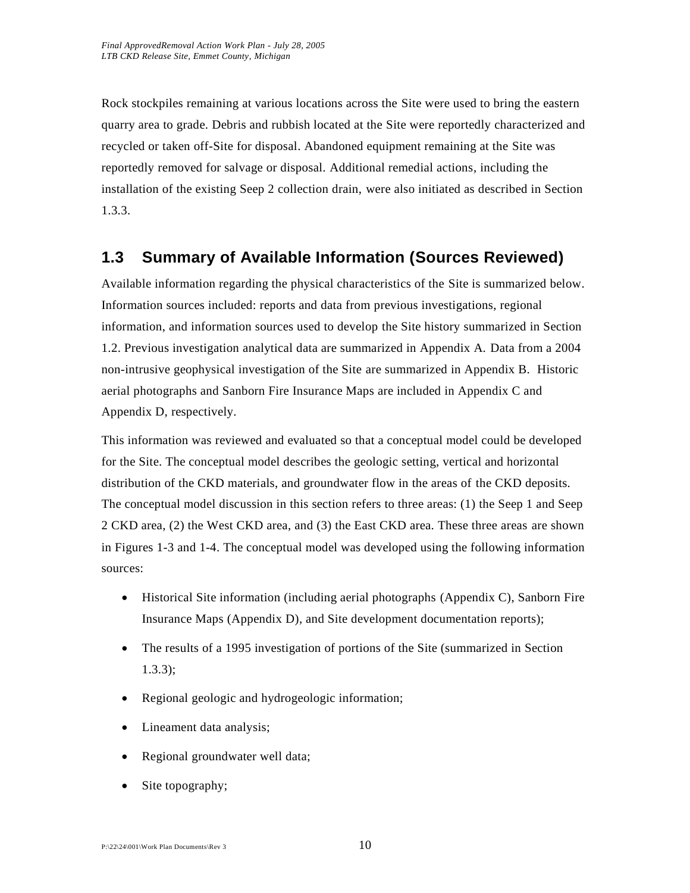Rock stockpiles remaining at various locations across the Site were used to bring the eastern quarry area to grade. Debris and rubbish located at the Site were reportedly characterized and recycled or taken off-Site for disposal. Abandoned equipment remaining at the Site was reportedly removed for salvage or disposal. Additional remedial actions, including the installation of the existing Seep 2 collection drain, were also initiated as described in Section 1.3.3.

# **1.3 Summary of Available Information (Sources Reviewed)**

Available information regarding the physical characteristics of the Site is summarized below. Information sources included: reports and data from previous investigations, regional information, and information sources used to develop the Site history summarized in Section 1.2. Previous investigation analytical data are summarized in Appendix A. Data from a 2004 non-intrusive geophysical investigation of the Site are summarized in Appendix B. Historic aerial photographs and Sanborn Fire Insurance Maps are included in Appendix C and Appendix D, respectively.

This information was reviewed and evaluated so that a conceptual model could be developed for the Site. The conceptual model describes the geologic setting, vertical and horizontal distribution of the CKD materials, and groundwater flow in the areas of the CKD deposits. The conceptual model discussion in this section refers to three areas: (1) the Seep 1 and Seep 2 CKD area, (2) the West CKD area, and (3) the East CKD area. These three areas are shown in Figures 1-3 and 1-4. The conceptual model was developed using the following information sources:

- Historical Site information (including aerial photographs (Appendix C), Sanborn Fire Insurance Maps (Appendix D), and Site development documentation reports);
- The results of a 1995 investigation of portions of the Site (summarized in Section 1.3.3);
- Regional geologic and hydrogeologic information;
- Lineament data analysis;
- Regional groundwater well data;
- Site topography;

#### $P:\22\sqrt{24}\sqrt{01}\text{Work Plan Documents}$  Rev 3 10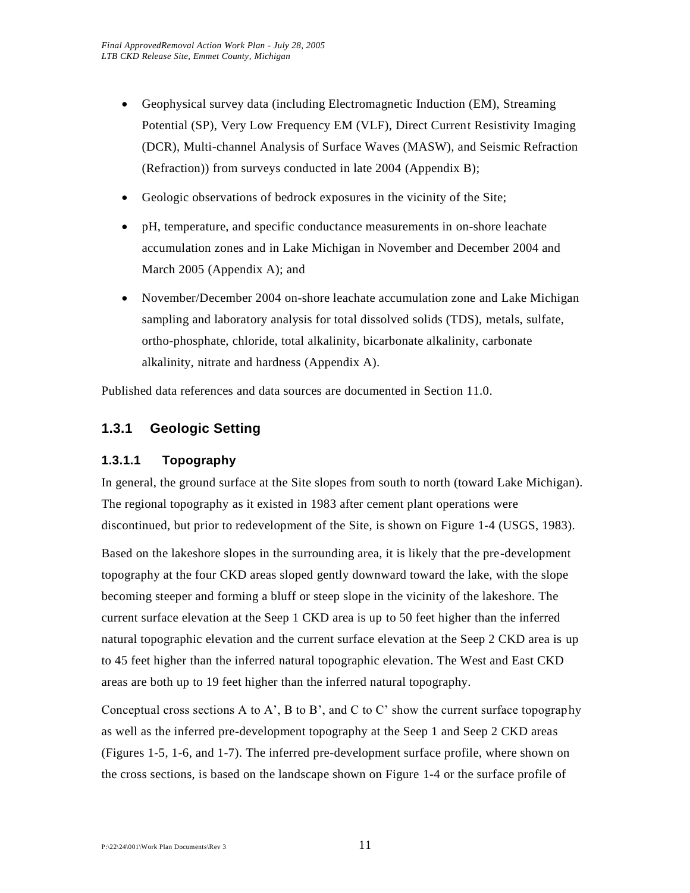- Geophysical survey data (including Electromagnetic Induction (EM), Streaming Potential (SP), Very Low Frequency EM (VLF), Direct Current Resistivity Imaging (DCR), Multi-channel Analysis of Surface Waves (MASW), and Seismic Refraction (Refraction)) from surveys conducted in late 2004 (Appendix B);
- Geologic observations of bedrock exposures in the vicinity of the Site;
- pH, temperature, and specific conductance measurements in on-shore leachate accumulation zones and in Lake Michigan in November and December 2004 and March 2005 (Appendix A); and
- November/December 2004 on-shore leachate accumulation zone and Lake Michigan sampling and laboratory analysis for total dissolved solids (TDS), metals, sulfate, ortho-phosphate, chloride, total alkalinity, bicarbonate alkalinity, carbonate alkalinity, nitrate and hardness (Appendix A).

Published data references and data sources are documented in Section 11.0.

# **1.3.1 Geologic Setting**

### **1.3.1.1 Topography**

In general, the ground surface at the Site slopes from south to north (toward Lake Michigan). The regional topography as it existed in 1983 after cement plant operations were discontinued, but prior to redevelopment of the Site, is shown on Figure 1-4 (USGS, 1983).

Based on the lakeshore slopes in the surrounding area, it is likely that the pre-development topography at the four CKD areas sloped gently downward toward the lake, with the slope becoming steeper and forming a bluff or steep slope in the vicinity of the lakeshore. The current surface elevation at the Seep 1 CKD area is up to 50 feet higher than the inferred natural topographic elevation and the current surface elevation at the Seep 2 CKD area is up to 45 feet higher than the inferred natural topographic elevation. The West and East CKD areas are both up to 19 feet higher than the inferred natural topography.

Conceptual cross sections A to A', B to B', and C to C' show the current surface topography as well as the inferred pre-development topography at the Seep 1 and Seep 2 CKD areas (Figures 1-5, 1-6, and 1-7). The inferred pre-development surface profile, where shown on the cross sections, is based on the landscape shown on Figure 1-4 or the surface profile of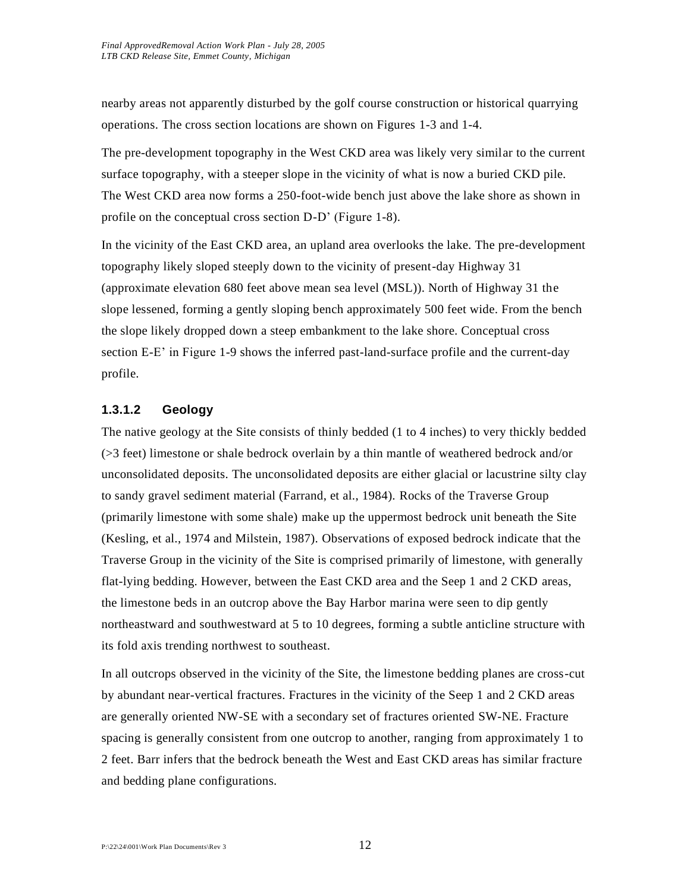nearby areas not apparently disturbed by the golf course construction or historical quarrying operations. The cross section locations are shown on Figures 1-3 and 1-4.

The pre-development topography in the West CKD area was likely very similar to the current surface topography, with a steeper slope in the vicinity of what is now a buried CKD pile. The West CKD area now forms a 250-foot-wide bench just above the lake shore as shown in profile on the conceptual cross section D-D' (Figure 1-8).

In the vicinity of the East CKD area, an upland area overlooks the lake. The pre-development topography likely sloped steeply down to the vicinity of present-day Highway 31 (approximate elevation 680 feet above mean sea level (MSL)). North of Highway 31 the slope lessened, forming a gently sloping bench approximately 500 feet wide. From the bench the slope likely dropped down a steep embankment to the lake shore. Conceptual cross section E-E' in Figure 1-9 shows the inferred past-land-surface profile and the current-day profile.

# **1.3.1.2 Geology**

The native geology at the Site consists of thinly bedded (1 to 4 inches) to very thickly bedded (>3 feet) limestone or shale bedrock overlain by a thin mantle of weathered bedrock and/or unconsolidated deposits. The unconsolidated deposits are either glacial or lacustrine silty clay to sandy gravel sediment material (Farrand, et al., 1984). Rocks of the Traverse Group (primarily limestone with some shale) make up the uppermost bedrock unit beneath the Site (Kesling, et al., 1974 and Milstein, 1987). Observations of exposed bedrock indicate that the Traverse Group in the vicinity of the Site is comprised primarily of limestone, with generally flat-lying bedding. However, between the East CKD area and the Seep 1 and 2 CKD areas, the limestone beds in an outcrop above the Bay Harbor marina were seen to dip gently northeastward and southwestward at 5 to 10 degrees, forming a subtle anticline structure with its fold axis trending northwest to southeast.

In all outcrops observed in the vicinity of the Site, the limestone bedding planes are cross-cut by abundant near-vertical fractures. Fractures in the vicinity of the Seep 1 and 2 CKD areas are generally oriented NW-SE with a secondary set of fractures oriented SW-NE. Fracture spacing is generally consistent from one outcrop to another, ranging from approximately 1 to 2 feet. Barr infers that the bedrock beneath the West and East CKD areas has similar fracture and bedding plane configurations.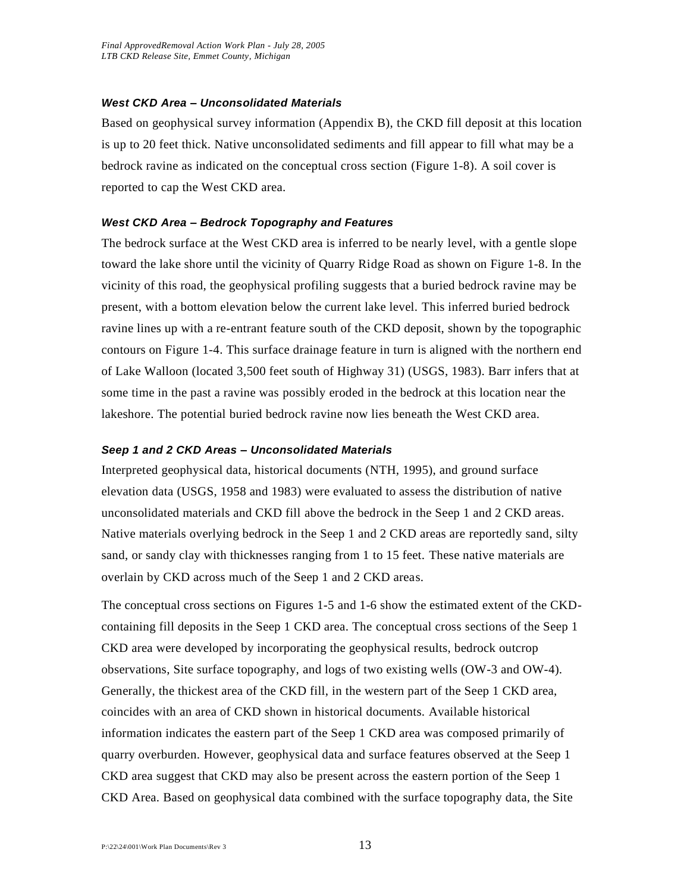#### *West CKD Area – Unconsolidated Materials*

Based on geophysical survey information (Appendix B), the CKD fill deposit at this location is up to 20 feet thick. Native unconsolidated sediments and fill appear to fill what may be a bedrock ravine as indicated on the conceptual cross section (Figure 1-8). A soil cover is reported to cap the West CKD area.

#### *West CKD Area – Bedrock Topography and Features*

The bedrock surface at the West CKD area is inferred to be nearly level, with a gentle slope toward the lake shore until the vicinity of Quarry Ridge Road as shown on Figure 1-8. In the vicinity of this road, the geophysical profiling suggests that a buried bedrock ravine may be present, with a bottom elevation below the current lake level. This inferred buried bedrock ravine lines up with a re-entrant feature south of the CKD deposit, shown by the topographic contours on Figure 1-4. This surface drainage feature in turn is aligned with the northern end of Lake Walloon (located 3,500 feet south of Highway 31) (USGS, 1983). Barr infers that at some time in the past a ravine was possibly eroded in the bedrock at this location near the lakeshore. The potential buried bedrock ravine now lies beneath the West CKD area.

#### *Seep 1 and 2 CKD Areas – Unconsolidated Materials*

Interpreted geophysical data, historical documents (NTH, 1995), and ground surface elevation data (USGS, 1958 and 1983) were evaluated to assess the distribution of native unconsolidated materials and CKD fill above the bedrock in the Seep 1 and 2 CKD areas. Native materials overlying bedrock in the Seep 1 and 2 CKD areas are reportedly sand, silty sand, or sandy clay with thicknesses ranging from 1 to 15 feet. These native materials are overlain by CKD across much of the Seep 1 and 2 CKD areas.

The conceptual cross sections on Figures 1-5 and 1-6 show the estimated extent of the CKDcontaining fill deposits in the Seep 1 CKD area. The conceptual cross sections of the Seep 1 CKD area were developed by incorporating the geophysical results, bedrock outcrop observations, Site surface topography, and logs of two existing wells (OW-3 and OW-4). Generally, the thickest area of the CKD fill, in the western part of the Seep 1 CKD area, coincides with an area of CKD shown in historical documents. Available historical information indicates the eastern part of the Seep 1 CKD area was composed primarily of quarry overburden. However, geophysical data and surface features observed at the Seep 1 CKD area suggest that CKD may also be present across the eastern portion of the Seep 1 CKD Area. Based on geophysical data combined with the surface topography data, the Site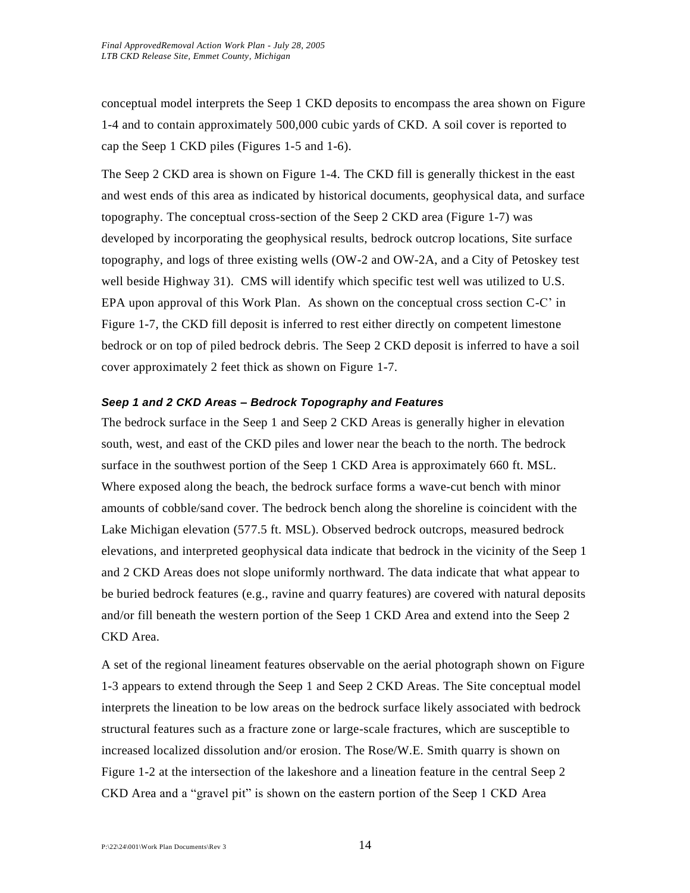conceptual model interprets the Seep 1 CKD deposits to encompass the area shown on Figure 1-4 and to contain approximately 500,000 cubic yards of CKD. A soil cover is reported to cap the Seep 1 CKD piles (Figures 1-5 and 1-6).

The Seep 2 CKD area is shown on Figure 1-4. The CKD fill is generally thickest in the east and west ends of this area as indicated by historical documents, geophysical data, and surface topography. The conceptual cross-section of the Seep 2 CKD area (Figure 1-7) was developed by incorporating the geophysical results, bedrock outcrop locations, Site surface topography, and logs of three existing wells (OW-2 and OW-2A, and a City of Petoskey test well beside Highway 31). CMS will identify which specific test well was utilized to U.S. EPA upon approval of this Work Plan. As shown on the conceptual cross section C-C' in Figure 1-7, the CKD fill deposit is inferred to rest either directly on competent limestone bedrock or on top of piled bedrock debris. The Seep 2 CKD deposit is inferred to have a soil cover approximately 2 feet thick as shown on Figure 1-7.

#### *Seep 1 and 2 CKD Areas – Bedrock Topography and Features*

The bedrock surface in the Seep 1 and Seep 2 CKD Areas is generally higher in elevation south, west, and east of the CKD piles and lower near the beach to the north. The bedrock surface in the southwest portion of the Seep 1 CKD Area is approximately 660 ft. MSL. Where exposed along the beach, the bedrock surface forms a wave-cut bench with minor amounts of cobble/sand cover. The bedrock bench along the shoreline is coincident with the Lake Michigan elevation (577.5 ft. MSL). Observed bedrock outcrops, measured bedrock elevations, and interpreted geophysical data indicate that bedrock in the vicinity of the Seep 1 and 2 CKD Areas does not slope uniformly northward. The data indicate that what appear to be buried bedrock features (e.g., ravine and quarry features) are covered with natural deposits and/or fill beneath the western portion of the Seep 1 CKD Area and extend into the Seep 2 CKD Area.

A set of the regional lineament features observable on the aerial photograph shown on Figure 1-3 appears to extend through the Seep 1 and Seep 2 CKD Areas. The Site conceptual model interprets the lineation to be low areas on the bedrock surface likely associated with bedrock structural features such as a fracture zone or large-scale fractures, which are susceptible to increased localized dissolution and/or erosion. The Rose/W.E. Smith quarry is shown on Figure 1-2 at the intersection of the lakeshore and a lineation feature in the central Seep 2 CKD Area and a "gravel pit" is shown on the eastern portion of the Seep 1 CKD Area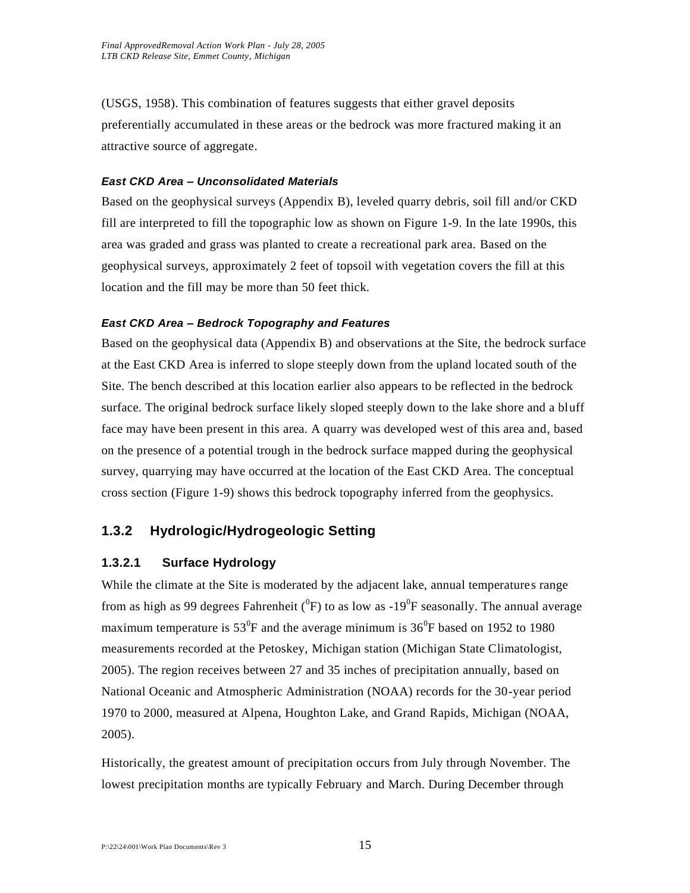(USGS, 1958). This combination of features suggests that either gravel deposits preferentially accumulated in these areas or the bedrock was more fractured making it an attractive source of aggregate.

#### *East CKD Area – Unconsolidated Materials*

Based on the geophysical surveys (Appendix B), leveled quarry debris, soil fill and/or CKD fill are interpreted to fill the topographic low as shown on Figure 1-9. In the late 1990s, this area was graded and grass was planted to create a recreational park area. Based on the geophysical surveys, approximately 2 feet of topsoil with vegetation covers the fill at this location and the fill may be more than 50 feet thick.

#### *East CKD Area – Bedrock Topography and Features*

Based on the geophysical data (Appendix B) and observations at the Site, the bedrock surface at the East CKD Area is inferred to slope steeply down from the upland located south of the Site. The bench described at this location earlier also appears to be reflected in the bedrock surface. The original bedrock surface likely sloped steeply down to the lake shore and a bluff face may have been present in this area. A quarry was developed west of this area and, based on the presence of a potential trough in the bedrock surface mapped during the geophysical survey, quarrying may have occurred at the location of the East CKD Area. The conceptual cross section (Figure 1-9) shows this bedrock topography inferred from the geophysics.

# **1.3.2 Hydrologic/Hydrogeologic Setting**

# **1.3.2.1 Surface Hydrology**

While the climate at the Site is moderated by the adjacent lake, annual temperatures range from as high as 99 degrees Fahrenheit ( $^{0}$ F) to as low as -19 $^{0}$ F seasonally. The annual average maximum temperature is  $53^0$ F and the average minimum is  $36^0$ F based on 1952 to 1980 measurements recorded at the Petoskey, Michigan station (Michigan State Climatologist, 2005). The region receives between 27 and 35 inches of precipitation annually, based on National Oceanic and Atmospheric Administration (NOAA) records for the 30-year period 1970 to 2000, measured at Alpena, Houghton Lake, and Grand Rapids, Michigan (NOAA, 2005).

Historically, the greatest amount of precipitation occurs from July through November. The lowest precipitation months are typically February and March. During December through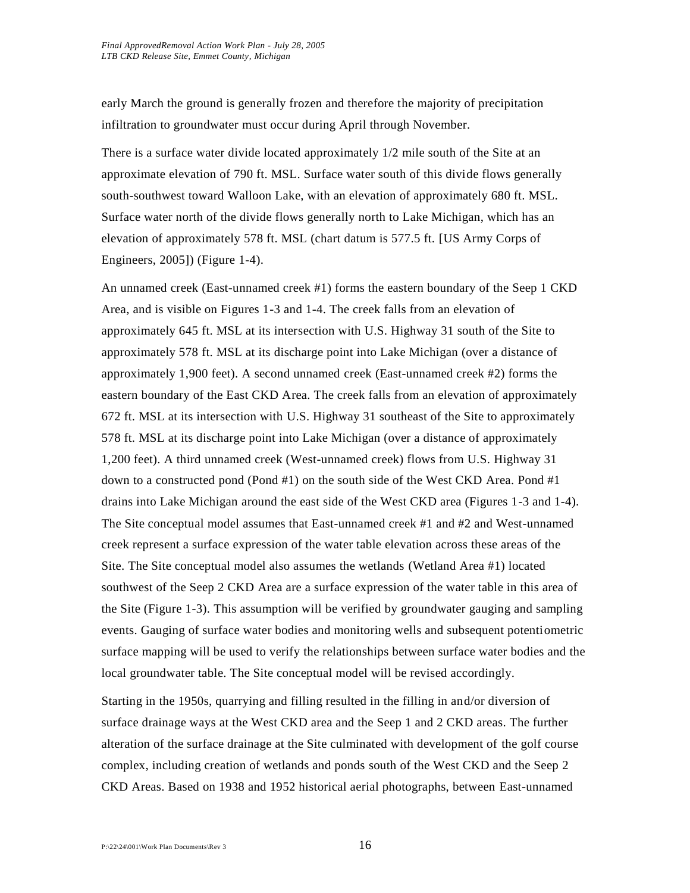early March the ground is generally frozen and therefore the majority of precipitation infiltration to groundwater must occur during April through November.

There is a surface water divide located approximately 1/2 mile south of the Site at an approximate elevation of 790 ft. MSL. Surface water south of this divide flows generally south-southwest toward Walloon Lake, with an elevation of approximately 680 ft. MSL. Surface water north of the divide flows generally north to Lake Michigan, which has an elevation of approximately 578 ft. MSL (chart datum is 577.5 ft. [US Army Corps of Engineers, 2005]) (Figure 1-4).

An unnamed creek (East-unnamed creek #1) forms the eastern boundary of the Seep 1 CKD Area, and is visible on Figures 1-3 and 1-4. The creek falls from an elevation of approximately 645 ft. MSL at its intersection with U.S. Highway 31 south of the Site to approximately 578 ft. MSL at its discharge point into Lake Michigan (over a distance of approximately 1,900 feet). A second unnamed creek (East-unnamed creek #2) forms the eastern boundary of the East CKD Area. The creek falls from an elevation of approximately 672 ft. MSL at its intersection with U.S. Highway 31 southeast of the Site to approximately 578 ft. MSL at its discharge point into Lake Michigan (over a distance of approximately 1,200 feet). A third unnamed creek (West-unnamed creek) flows from U.S. Highway 31 down to a constructed pond (Pond #1) on the south side of the West CKD Area. Pond #1 drains into Lake Michigan around the east side of the West CKD area (Figures 1-3 and 1-4). The Site conceptual model assumes that East-unnamed creek #1 and #2 and West-unnamed creek represent a surface expression of the water table elevation across these areas of the Site. The Site conceptual model also assumes the wetlands (Wetland Area #1) located southwest of the Seep 2 CKD Area are a surface expression of the water table in this area of the Site (Figure 1-3). This assumption will be verified by groundwater gauging and sampling events. Gauging of surface water bodies and monitoring wells and subsequent potentiometric surface mapping will be used to verify the relationships between surface water bodies and the local groundwater table. The Site conceptual model will be revised accordingly.

Starting in the 1950s, quarrying and filling resulted in the filling in and/or diversion of surface drainage ways at the West CKD area and the Seep 1 and 2 CKD areas. The further alteration of the surface drainage at the Site culminated with development of the golf course complex, including creation of wetlands and ponds south of the West CKD and the Seep 2 CKD Areas. Based on 1938 and 1952 historical aerial photographs, between East-unnamed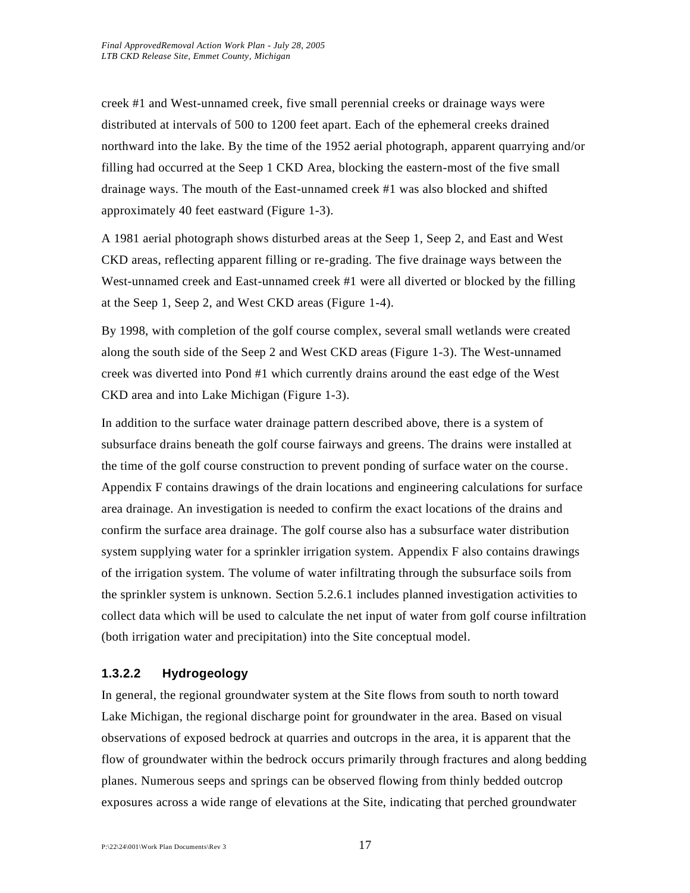creek #1 and West-unnamed creek, five small perennial creeks or drainage ways were distributed at intervals of 500 to 1200 feet apart. Each of the ephemeral creeks drained northward into the lake. By the time of the 1952 aerial photograph, apparent quarrying and/or filling had occurred at the Seep 1 CKD Area, blocking the eastern-most of the five small drainage ways. The mouth of the East-unnamed creek #1 was also blocked and shifted approximately 40 feet eastward (Figure 1-3).

A 1981 aerial photograph shows disturbed areas at the Seep 1, Seep 2, and East and West CKD areas, reflecting apparent filling or re-grading. The five drainage ways between the West-unnamed creek and East-unnamed creek #1 were all diverted or blocked by the filling at the Seep 1, Seep 2, and West CKD areas (Figure 1-4).

By 1998, with completion of the golf course complex, several small wetlands were created along the south side of the Seep 2 and West CKD areas (Figure 1-3). The West-unnamed creek was diverted into Pond #1 which currently drains around the east edge of the West CKD area and into Lake Michigan (Figure 1-3).

In addition to the surface water drainage pattern described above, there is a system of subsurface drains beneath the golf course fairways and greens. The drains were installed at the time of the golf course construction to prevent ponding of surface water on the course. Appendix F contains drawings of the drain locations and engineering calculations for surface area drainage. An investigation is needed to confirm the exact locations of the drains and confirm the surface area drainage. The golf course also has a subsurface water distribution system supplying water for a sprinkler irrigation system. Appendix F also contains drawings of the irrigation system. The volume of water infiltrating through the subsurface soils from the sprinkler system is unknown. Section 5.2.6.1 includes planned investigation activities to collect data which will be used to calculate the net input of water from golf course infiltration (both irrigation water and precipitation) into the Site conceptual model.

### **1.3.2.2 Hydrogeology**

In general, the regional groundwater system at the Site flows from south to north toward Lake Michigan, the regional discharge point for groundwater in the area. Based on visual observations of exposed bedrock at quarries and outcrops in the area, it is apparent that the flow of groundwater within the bedrock occurs primarily through fractures and along bedding planes. Numerous seeps and springs can be observed flowing from thinly bedded outcrop exposures across a wide range of elevations at the Site, indicating that perched groundwater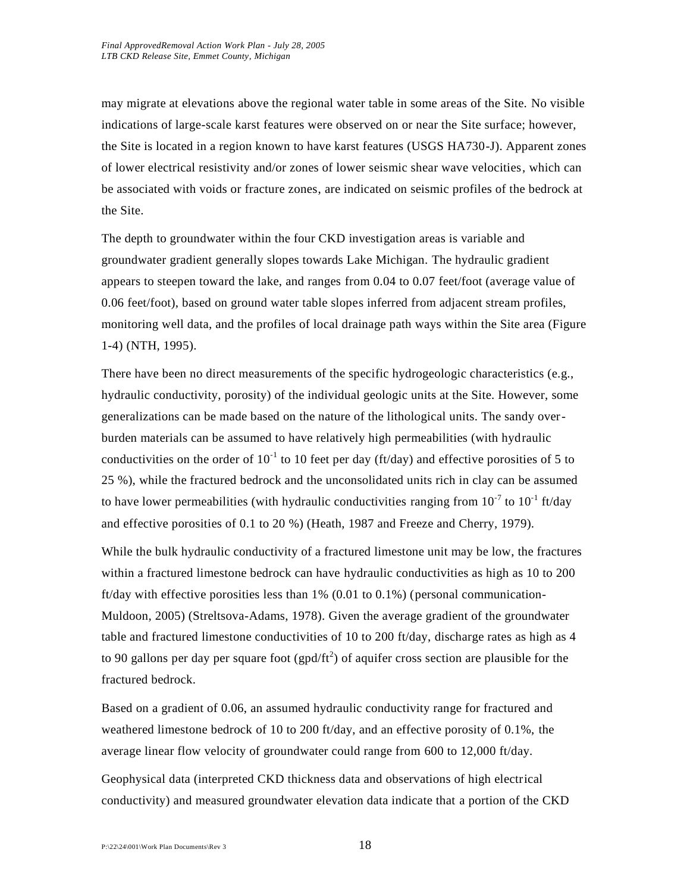may migrate at elevations above the regional water table in some areas of the Site. No visible indications of large-scale karst features were observed on or near the Site surface; however, the Site is located in a region known to have karst features (USGS HA730-J). Apparent zones of lower electrical resistivity and/or zones of lower seismic shear wave velocities, which can be associated with voids or fracture zones, are indicated on seismic profiles of the bedrock at the Site.

The depth to groundwater within the four CKD investigation areas is variable and groundwater gradient generally slopes towards Lake Michigan. The hydraulic gradient appears to steepen toward the lake, and ranges from 0.04 to 0.07 feet/foot (average value of 0.06 feet/foot), based on ground water table slopes inferred from adjacent stream profiles, monitoring well data, and the profiles of local drainage path ways within the Site area (Figure 1-4) (NTH, 1995).

There have been no direct measurements of the specific hydrogeologic characteristics (e.g., hydraulic conductivity, porosity) of the individual geologic units at the Site. However, some generalizations can be made based on the nature of the lithological units. The sandy overburden materials can be assumed to have relatively high permeabilities (with hydraulic conductivities on the order of  $10^{-1}$  to 10 feet per day (ft/day) and effective porosities of 5 to 25 %), while the fractured bedrock and the unconsolidated units rich in clay can be assumed to have lower permeabilities (with hydraulic conductivities ranging from  $10^{-7}$  to  $10^{-1}$  ft/day and effective porosities of 0.1 to 20 %) (Heath, 1987 and Freeze and Cherry, 1979).

While the bulk hydraulic conductivity of a fractured limestone unit may be low, the fractures within a fractured limestone bedrock can have hydraulic conductivities as high as 10 to 200 ft/day with effective porosities less than  $1\%$  (0.01 to 0.1%) (personal communication-Muldoon, 2005) (Streltsova-Adams, 1978). Given the average gradient of the groundwater table and fractured limestone conductivities of 10 to 200 ft/day, discharge rates as high as 4 to 90 gallons per day per square foot (gpd/ft<sup>2</sup>) of aquifer cross section are plausible for the fractured bedrock.

Based on a gradient of 0.06, an assumed hydraulic conductivity range for fractured and weathered limestone bedrock of 10 to 200 ft/day, and an effective porosity of 0.1%, the average linear flow velocity of groundwater could range from 600 to 12,000 ft/day.

Geophysical data (interpreted CKD thickness data and observations of high electrical conductivity) and measured groundwater elevation data indicate that a portion of the CKD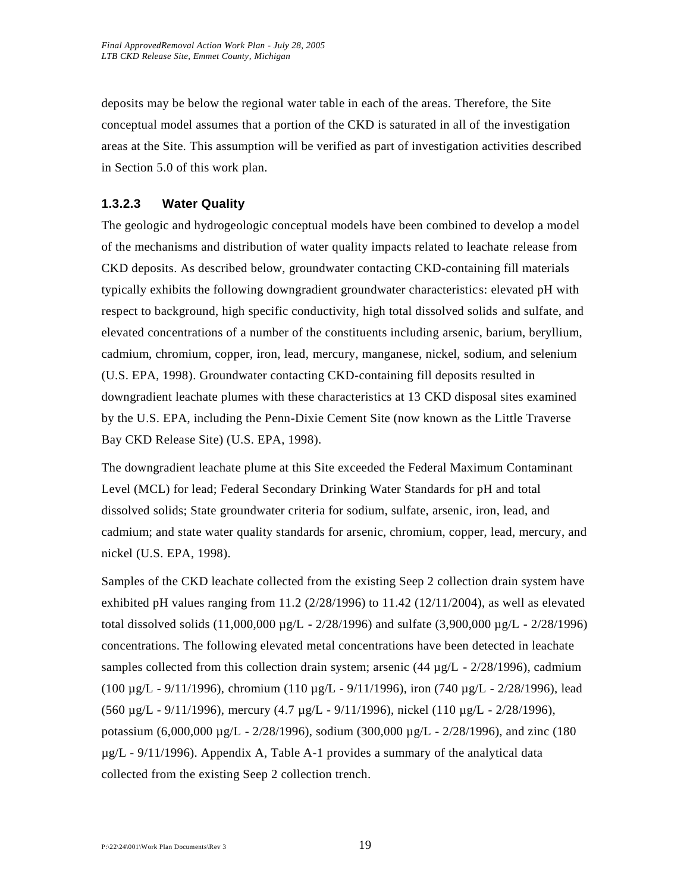deposits may be below the regional water table in each of the areas. Therefore, the Site conceptual model assumes that a portion of the CKD is saturated in all of the investigation areas at the Site. This assumption will be verified as part of investigation activities described in Section 5.0 of this work plan.

### **1.3.2.3 Water Quality**

The geologic and hydrogeologic conceptual models have been combined to develop a model of the mechanisms and distribution of water quality impacts related to leachate release from CKD deposits. As described below, groundwater contacting CKD-containing fill materials typically exhibits the following downgradient groundwater characteristics: elevated pH with respect to background, high specific conductivity, high total dissolved solids and sulfate, and elevated concentrations of a number of the constituents including arsenic, barium, beryllium, cadmium, chromium, copper, iron, lead, mercury, manganese, nickel, sodium, and selenium (U.S. EPA, 1998). Groundwater contacting CKD-containing fill deposits resulted in downgradient leachate plumes with these characteristics at 13 CKD disposal sites examined by the U.S. EPA, including the Penn-Dixie Cement Site (now known as the Little Traverse Bay CKD Release Site) (U.S. EPA, 1998).

The downgradient leachate plume at this Site exceeded the Federal Maximum Contaminant Level (MCL) for lead; Federal Secondary Drinking Water Standards for pH and total dissolved solids; State groundwater criteria for sodium, sulfate, arsenic, iron, lead, and cadmium; and state water quality standards for arsenic, chromium, copper, lead, mercury, and nickel (U.S. EPA, 1998).

Samples of the CKD leachate collected from the existing Seep 2 collection drain system have exhibited pH values ranging from  $11.2$  ( $2/28/1996$ ) to  $11.42$  ( $12/11/2004$ ), as well as elevated total dissolved solids  $(11,000,000 \mu g/L - 2/28/1996)$  and sulfate  $(3,900,000 \mu g/L - 2/28/1996)$ concentrations. The following elevated metal concentrations have been detected in leachate samples collected from this collection drain system; arsenic  $(44 \mu g/L - 2/28/1996)$ , cadmium (100 µg/L - 9/11/1996), chromium (110 µg/L - 9/11/1996), iron (740 µg/L - 2/28/1996), lead (560 µg/L - 9/11/1996), mercury (4.7 µg/L - 9/11/1996), nickel (110 µg/L - 2/28/1996), potassium (6,000,000 µg/L - 2/28/1996), sodium (300,000 µg/L - 2/28/1996), and zinc (180  $\mu$ g/L - 9/11/1996). Appendix A, Table A-1 provides a summary of the analytical data collected from the existing Seep 2 collection trench.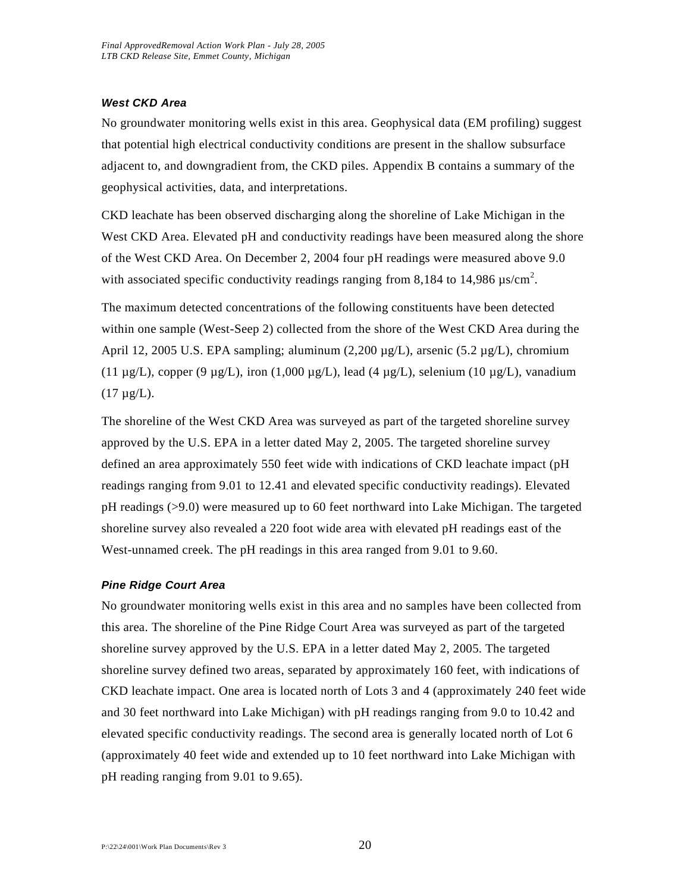#### *West CKD Area*

No groundwater monitoring wells exist in this area. Geophysical data (EM profiling) suggest that potential high electrical conductivity conditions are present in the shallow subsurface adjacent to, and downgradient from, the CKD piles. Appendix B contains a summary of the geophysical activities, data, and interpretations.

CKD leachate has been observed discharging along the shoreline of Lake Michigan in the West CKD Area. Elevated pH and conductivity readings have been measured along the shore of the West CKD Area. On December 2, 2004 four pH readings were measured above 9.0 with associated specific conductivity readings ranging from 8,184 to 14,986  $\mu$ s/cm<sup>2</sup>.

The maximum detected concentrations of the following constituents have been detected within one sample (West-Seep 2) collected from the shore of the West CKD Area during the April 12, 2005 U.S. EPA sampling; aluminum  $(2,200 \mu g/L)$ , arsenic  $(5.2 \mu g/L)$ , chromium (11 µg/L), copper (9 µg/L), iron (1,000 µg/L), lead (4 µg/L), selenium (10 µg/L), vanadium  $(17 \mu g/L)$ .

The shoreline of the West CKD Area was surveyed as part of the targeted shoreline survey approved by the U.S. EPA in a letter dated May 2, 2005. The targeted shoreline survey defined an area approximately 550 feet wide with indications of CKD leachate impact (pH readings ranging from 9.01 to 12.41 and elevated specific conductivity readings). Elevated pH readings (>9.0) were measured up to 60 feet northward into Lake Michigan. The targeted shoreline survey also revealed a 220 foot wide area with elevated pH readings east of the West-unnamed creek. The pH readings in this area ranged from 9.01 to 9.60.

#### *Pine Ridge Court Area*

No groundwater monitoring wells exist in this area and no samples have been collected from this area. The shoreline of the Pine Ridge Court Area was surveyed as part of the targeted shoreline survey approved by the U.S. EPA in a letter dated May 2, 2005. The targeted shoreline survey defined two areas, separated by approximately 160 feet, with indications of CKD leachate impact. One area is located north of Lots 3 and 4 (approximately 240 feet wide and 30 feet northward into Lake Michigan) with pH readings ranging from 9.0 to 10.42 and elevated specific conductivity readings. The second area is generally located north of Lot 6 (approximately 40 feet wide and extended up to 10 feet northward into Lake Michigan with pH reading ranging from 9.01 to 9.65).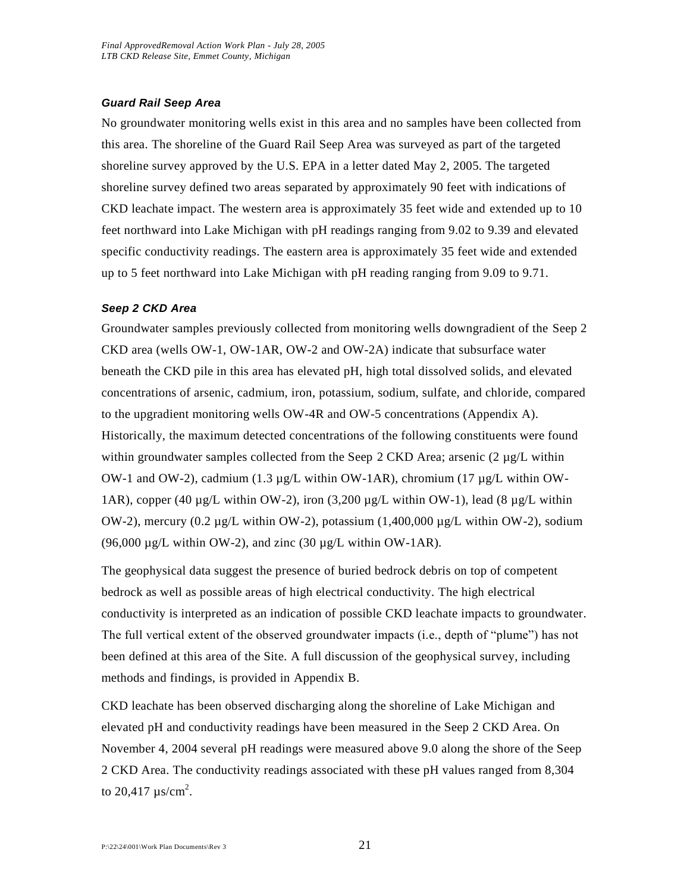#### *Guard Rail Seep Area*

No groundwater monitoring wells exist in this area and no samples have been collected from this area. The shoreline of the Guard Rail Seep Area was surveyed as part of the targeted shoreline survey approved by the U.S. EPA in a letter dated May 2, 2005. The targeted shoreline survey defined two areas separated by approximately 90 feet with indications of CKD leachate impact. The western area is approximately 35 feet wide and extended up to 10 feet northward into Lake Michigan with pH readings ranging from 9.02 to 9.39 and elevated specific conductivity readings. The eastern area is approximately 35 feet wide and extended up to 5 feet northward into Lake Michigan with pH reading ranging from 9.09 to 9.71.

#### *Seep 2 CKD Area*

Groundwater samples previously collected from monitoring wells downgradient of the Seep 2 CKD area (wells OW-1, OW-1AR, OW-2 and OW-2A) indicate that subsurface water beneath the CKD pile in this area has elevated pH, high total dissolved solids, and elevated concentrations of arsenic, cadmium, iron, potassium, sodium, sulfate, and chloride, compared to the upgradient monitoring wells OW-4R and OW-5 concentrations (Appendix A). Historically, the maximum detected concentrations of the following constituents were found within groundwater samples collected from the Seep 2 CKD Area; arsenic  $(2 \mu g/L)$  within OW-1 and OW-2), cadmium (1.3 µg/L within OW-1AR), chromium (17 µg/L within OW-1AR), copper (40  $\mu$ g/L within OW-2), iron (3,200  $\mu$ g/L within OW-1), lead (8  $\mu$ g/L within OW-2), mercury (0.2 µg/L within OW-2), potassium (1,400,000 µg/L within OW-2), sodium (96,000  $\mu$ g/L within OW-2), and zinc (30  $\mu$ g/L within OW-1AR).

The geophysical data suggest the presence of buried bedrock debris on top of competent bedrock as well as possible areas of high electrical conductivity. The high electrical conductivity is interpreted as an indication of possible CKD leachate impacts to groundwater. The full vertical extent of the observed groundwater impacts (i.e., depth of "plume") has not been defined at this area of the Site. A full discussion of the geophysical survey, including methods and findings, is provided in Appendix B.

CKD leachate has been observed discharging along the shoreline of Lake Michigan and elevated pH and conductivity readings have been measured in the Seep 2 CKD Area. On November 4, 2004 several pH readings were measured above 9.0 along the shore of the Seep 2 CKD Area. The conductivity readings associated with these pH values ranged from 8,304 to 20,417  $\mu$ s/cm<sup>2</sup>.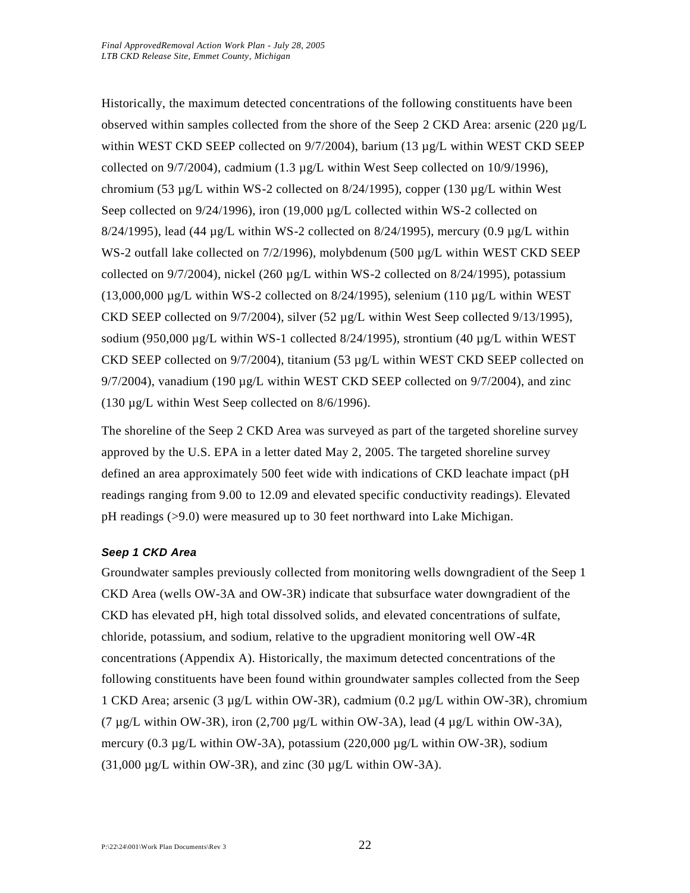Historically, the maximum detected concentrations of the following constituents have been observed within samples collected from the shore of the Seep 2 CKD Area: arsenic (220 µg/L within WEST CKD SEEP collected on 9/7/2004), barium (13 µg/L within WEST CKD SEEP collected on  $9/7/2004$ ), cadmium (1.3 µg/L within West Seep collected on 10/9/1996), chromium (53  $\mu$ g/L within WS-2 collected on 8/24/1995), copper (130  $\mu$ g/L within West Seep collected on  $9/24/1996$ ), iron (19,000 µg/L collected within WS-2 collected on  $8/24/1995$ ), lead (44 µg/L within WS-2 collected on  $8/24/1995$ ), mercury (0.9 µg/L within WS-2 outfall lake collected on 7/2/1996), molybdenum (500 µg/L within WEST CKD SEEP collected on  $9/7/2004$ ), nickel (260 µg/L within WS-2 collected on  $8/24/1995$ ), potassium  $(13,000,000 \mu g/L)$  within WS-2 collected on 8/24/1995), selenium  $(110 \mu g/L)$  within WEST CKD SEEP collected on  $9/7/2004$ ), silver (52 µg/L within West Seep collected  $9/13/1995$ ), sodium (950,000  $\mu$ g/L within WS-1 collected 8/24/1995), strontium (40  $\mu$ g/L within WEST CKD SEEP collected on  $9/7/2004$ ), titanium (53 µg/L within WEST CKD SEEP collected on  $9/7/2004$ ), vanadium (190  $\mu$ g/L within WEST CKD SEEP collected on  $9/7/2004$ ), and zinc (130 µg/L within West Seep collected on 8/6/1996).

The shoreline of the Seep 2 CKD Area was surveyed as part of the targeted shoreline survey approved by the U.S. EPA in a letter dated May 2, 2005. The targeted shoreline survey defined an area approximately 500 feet wide with indications of CKD leachate impact (pH readings ranging from 9.00 to 12.09 and elevated specific conductivity readings). Elevated pH readings (>9.0) were measured up to 30 feet northward into Lake Michigan.

#### *Seep 1 CKD Area*

Groundwater samples previously collected from monitoring wells downgradient of the Seep 1 CKD Area (wells OW-3A and OW-3R) indicate that subsurface water downgradient of the CKD has elevated pH, high total dissolved solids, and elevated concentrations of sulfate, chloride, potassium, and sodium, relative to the upgradient monitoring well OW-4R concentrations (Appendix A). Historically, the maximum detected concentrations of the following constituents have been found within groundwater samples collected from the Seep 1 CKD Area; arsenic (3 µg/L within OW-3R), cadmium (0.2 µg/L within OW-3R), chromium (7  $\mu$ g/L within OW-3R), iron (2,700  $\mu$ g/L within OW-3A), lead (4  $\mu$ g/L within OW-3A), mercury (0.3  $\mu$ g/L within OW-3A), potassium (220,000  $\mu$ g/L within OW-3R), sodium  $(31,000 \mu g/L$  within OW-3R), and zinc  $(30 \mu g/L)$  within OW-3A).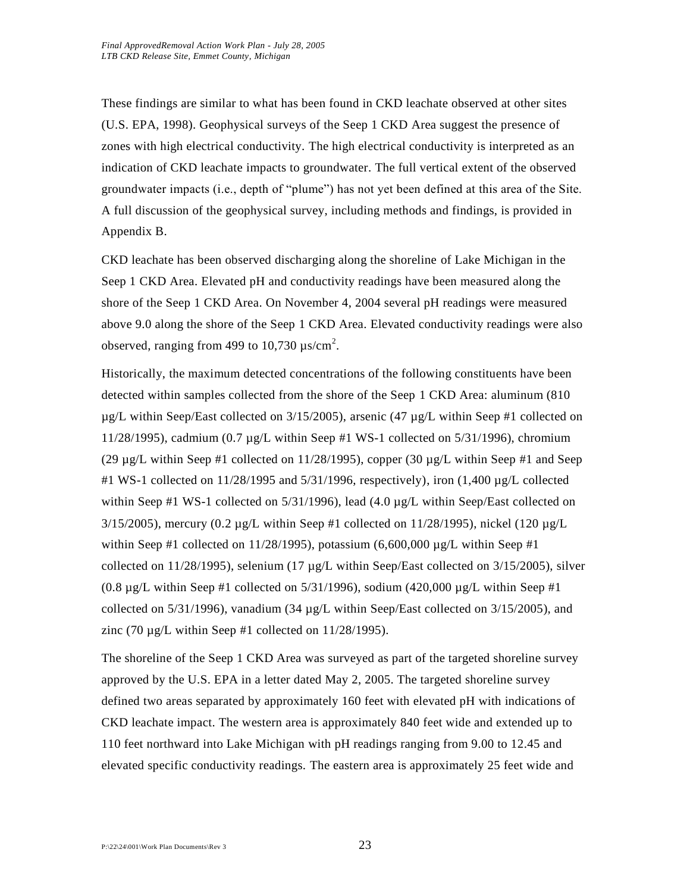These findings are similar to what has been found in CKD leachate observed at other sites (U.S. EPA, 1998). Geophysical surveys of the Seep 1 CKD Area suggest the presence of zones with high electrical conductivity. The high electrical conductivity is interpreted as an indication of CKD leachate impacts to groundwater. The full vertical extent of the observed groundwater impacts (i.e., depth of "plume") has not yet been defined at this area of the Site. A full discussion of the geophysical survey, including methods and findings, is provided in Appendix B.

CKD leachate has been observed discharging along the shoreline of Lake Michigan in the Seep 1 CKD Area. Elevated pH and conductivity readings have been measured along the shore of the Seep 1 CKD Area. On November 4, 2004 several pH readings were measured above 9.0 along the shore of the Seep 1 CKD Area. Elevated conductivity readings were also observed, ranging from 499 to 10,730  $\mu$ s/cm<sup>2</sup>.

Historically, the maximum detected concentrations of the following constituents have been detected within samples collected from the shore of the Seep 1 CKD Area: aluminum (810  $\mu$ g/L within Seep/East collected on 3/15/2005), arsenic (47  $\mu$ g/L within Seep #1 collected on 11/28/1995), cadmium  $(0.7 \mu g/L$  within Seep #1 WS-1 collected on 5/31/1996), chromium (29 µg/L within Seep #1 collected on 11/28/1995), copper (30 µg/L within Seep #1 and Seep  $\#1$  WS-1 collected on  $11/28/1995$  and  $5/31/1996$ , respectively), iron  $(1,400 \mu g/L)$  collected within Seep #1 WS-1 collected on 5/31/1996), lead (4.0  $\mu$ g/L within Seep/East collected on  $3/15/2005$ ), mercury  $(0.2 \mu g/L)$  within Seep #1 collected on 11/28/1995), nickel (120  $\mu g/L$ within Seep #1 collected on  $11/28/1995$ ), potassium (6,600,000 µg/L within Seep #1 collected on  $11/28/1995$ ), selenium (17 µg/L within Seep/East collected on  $3/15/2005$ ), silver  $(0.8 \mu g/L)$  within Seep #1 collected on 5/31/1996), sodium (420,000  $\mu g/L$  within Seep #1 collected on  $5/31/1996$ , vanadium  $(34 \mu g/L)$  within Seep/East collected on  $3/15/2005$ ), and zinc (70  $\mu$ g/L within Seep #1 collected on 11/28/1995).

The shoreline of the Seep 1 CKD Area was surveyed as part of the targeted shoreline survey approved by the U.S. EPA in a letter dated May 2, 2005. The targeted shoreline survey defined two areas separated by approximately 160 feet with elevated pH with indications of CKD leachate impact. The western area is approximately 840 feet wide and extended up to 110 feet northward into Lake Michigan with pH readings ranging from 9.00 to 12.45 and elevated specific conductivity readings. The eastern area is approximately 25 feet wide and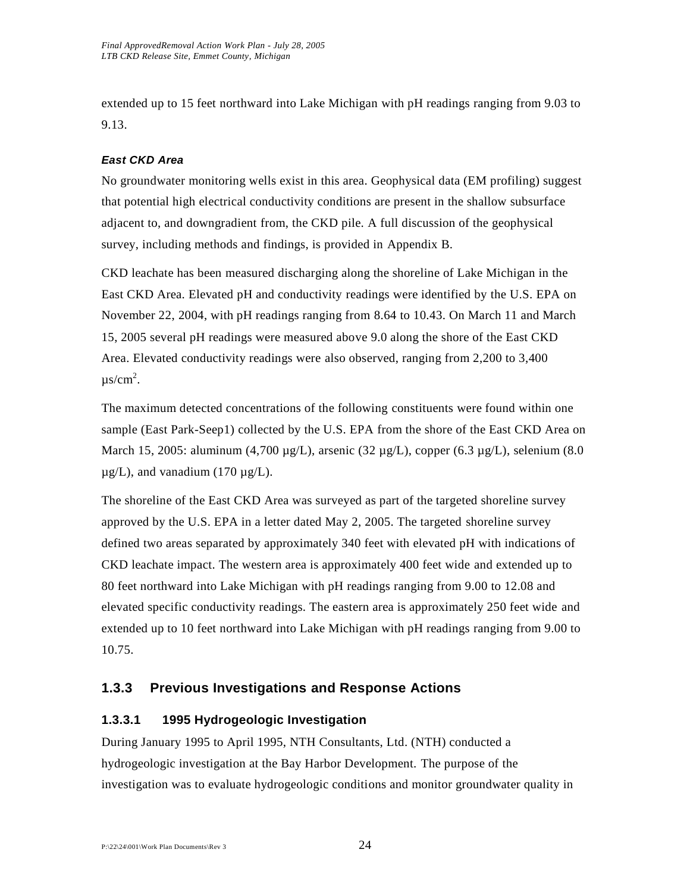extended up to 15 feet northward into Lake Michigan with pH readings ranging from 9.03 to 9.13.

# *East CKD Area*

No groundwater monitoring wells exist in this area. Geophysical data (EM profiling) suggest that potential high electrical conductivity conditions are present in the shallow subsurface adjacent to, and downgradient from, the CKD pile. A full discussion of the geophysical survey, including methods and findings, is provided in Appendix B.

CKD leachate has been measured discharging along the shoreline of Lake Michigan in the East CKD Area. Elevated pH and conductivity readings were identified by the U.S. EPA on November 22, 2004, with pH readings ranging from 8.64 to 10.43. On March 11 and March 15, 2005 several pH readings were measured above 9.0 along the shore of the East CKD Area. Elevated conductivity readings were also observed, ranging from 2,200 to 3,400  $\mu$ s/cm<sup>2</sup>.

The maximum detected concentrations of the following constituents were found within one sample (East Park-Seep1) collected by the U.S. EPA from the shore of the East CKD Area on March 15, 2005: aluminum (4,700  $\mu$ g/L), arsenic (32  $\mu$ g/L), copper (6.3  $\mu$ g/L), selenium (8.0  $\mu$ g/L), and vanadium (170  $\mu$ g/L).

The shoreline of the East CKD Area was surveyed as part of the targeted shoreline survey approved by the U.S. EPA in a letter dated May 2, 2005. The targeted shoreline survey defined two areas separated by approximately 340 feet with elevated pH with indications of CKD leachate impact. The western area is approximately 400 feet wide and extended up to 80 feet northward into Lake Michigan with pH readings ranging from 9.00 to 12.08 and elevated specific conductivity readings. The eastern area is approximately 250 feet wide and extended up to 10 feet northward into Lake Michigan with pH readings ranging from 9.00 to 10.75.

# **1.3.3 Previous Investigations and Response Actions**

# **1.3.3.1 1995 Hydrogeologic Investigation**

During January 1995 to April 1995, NTH Consultants, Ltd. (NTH) conducted a hydrogeologic investigation at the Bay Harbor Development. The purpose of the investigation was to evaluate hydrogeologic conditions and monitor groundwater quality in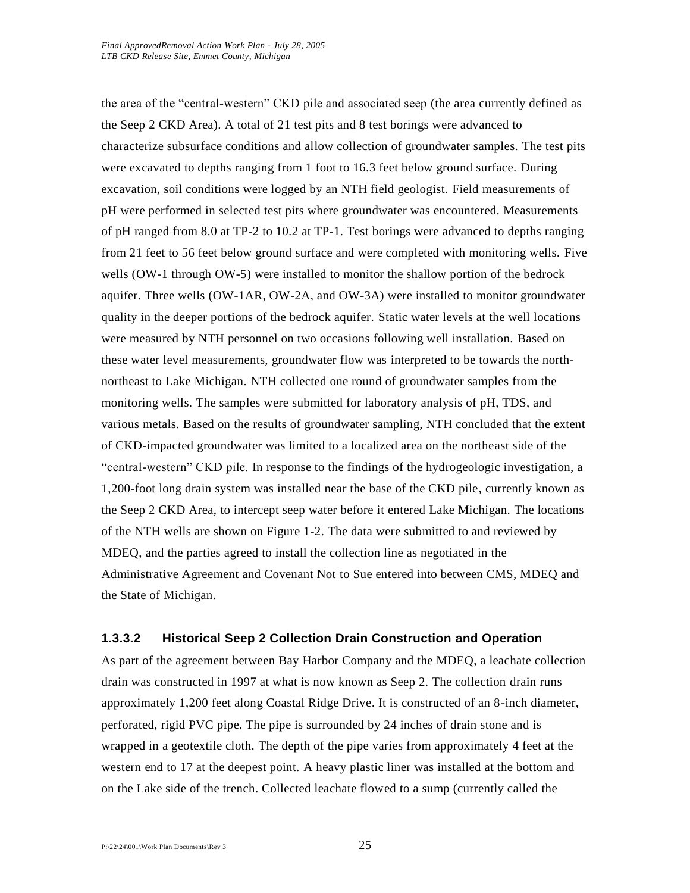the area of the "central-western" CKD pile and associated seep (the area currently defined as the Seep 2 CKD Area). A total of 21 test pits and 8 test borings were advanced to characterize subsurface conditions and allow collection of groundwater samples. The test pits were excavated to depths ranging from 1 foot to 16.3 feet below ground surface. During excavation, soil conditions were logged by an NTH field geologist. Field measurements of pH were performed in selected test pits where groundwater was encountered. Measurements of pH ranged from 8.0 at TP-2 to 10.2 at TP-1. Test borings were advanced to depths ranging from 21 feet to 56 feet below ground surface and were completed with monitoring wells. Five wells (OW-1 through OW-5) were installed to monitor the shallow portion of the bedrock aquifer. Three wells (OW-1AR, OW-2A, and OW-3A) were installed to monitor groundwater quality in the deeper portions of the bedrock aquifer. Static water levels at the well locations were measured by NTH personnel on two occasions following well installation. Based on these water level measurements, groundwater flow was interpreted to be towards the northnortheast to Lake Michigan. NTH collected one round of groundwater samples from the monitoring wells. The samples were submitted for laboratory analysis of pH, TDS, and various metals. Based on the results of groundwater sampling, NTH concluded that the extent of CKD-impacted groundwater was limited to a localized area on the northeast side of the "central-western" CKD pile. In response to the findings of the hydrogeologic investigation, a 1,200-foot long drain system was installed near the base of the CKD pile, currently known as the Seep 2 CKD Area, to intercept seep water before it entered Lake Michigan. The locations of the NTH wells are shown on Figure 1-2. The data were submitted to and reviewed by MDEQ, and the parties agreed to install the collection line as negotiated in the Administrative Agreement and Covenant Not to Sue entered into between CMS, MDEQ and the State of Michigan.

#### **1.3.3.2 Historical Seep 2 Collection Drain Construction and Operation**

As part of the agreement between Bay Harbor Company and the MDEQ, a leachate collection drain was constructed in 1997 at what is now known as Seep 2. The collection drain runs approximately 1,200 feet along Coastal Ridge Drive. It is constructed of an 8-inch diameter, perforated, rigid PVC pipe. The pipe is surrounded by 24 inches of drain stone and is wrapped in a geotextile cloth. The depth of the pipe varies from approximately 4 feet at the western end to 17 at the deepest point. A heavy plastic liner was installed at the bottom and on the Lake side of the trench. Collected leachate flowed to a sump (currently called the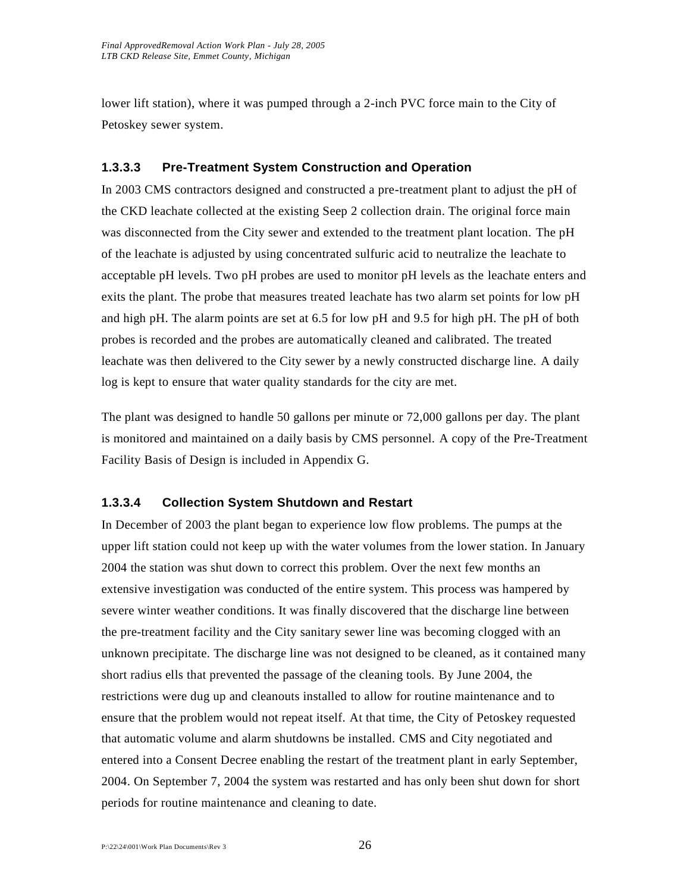lower lift station), where it was pumped through a 2-inch PVC force main to the City of Petoskey sewer system.

#### **1.3.3.3 Pre-Treatment System Construction and Operation**

In 2003 CMS contractors designed and constructed a pre-treatment plant to adjust the pH of the CKD leachate collected at the existing Seep 2 collection drain. The original force main was disconnected from the City sewer and extended to the treatment plant location. The pH of the leachate is adjusted by using concentrated sulfuric acid to neutralize the leachate to acceptable pH levels. Two pH probes are used to monitor pH levels as the leachate enters and exits the plant. The probe that measures treated leachate has two alarm set points for low pH and high pH. The alarm points are set at 6.5 for low pH and 9.5 for high pH. The pH of both probes is recorded and the probes are automatically cleaned and calibrated. The treated leachate was then delivered to the City sewer by a newly constructed discharge line. A daily log is kept to ensure that water quality standards for the city are met.

The plant was designed to handle 50 gallons per minute or 72,000 gallons per day. The plant is monitored and maintained on a daily basis by CMS personnel. A copy of the Pre-Treatment Facility Basis of Design is included in Appendix G.

### **1.3.3.4 Collection System Shutdown and Restart**

In December of 2003 the plant began to experience low flow problems. The pumps at the upper lift station could not keep up with the water volumes from the lower station. In January 2004 the station was shut down to correct this problem. Over the next few months an extensive investigation was conducted of the entire system. This process was hampered by severe winter weather conditions. It was finally discovered that the discharge line between the pre-treatment facility and the City sanitary sewer line was becoming clogged with an unknown precipitate. The discharge line was not designed to be cleaned, as it contained many short radius ells that prevented the passage of the cleaning tools. By June 2004, the restrictions were dug up and cleanouts installed to allow for routine maintenance and to ensure that the problem would not repeat itself. At that time, the City of Petoskey requested that automatic volume and alarm shutdowns be installed. CMS and City negotiated and entered into a Consent Decree enabling the restart of the treatment plant in early September, 2004. On September 7, 2004 the system was restarted and has only been shut down for short periods for routine maintenance and cleaning to date.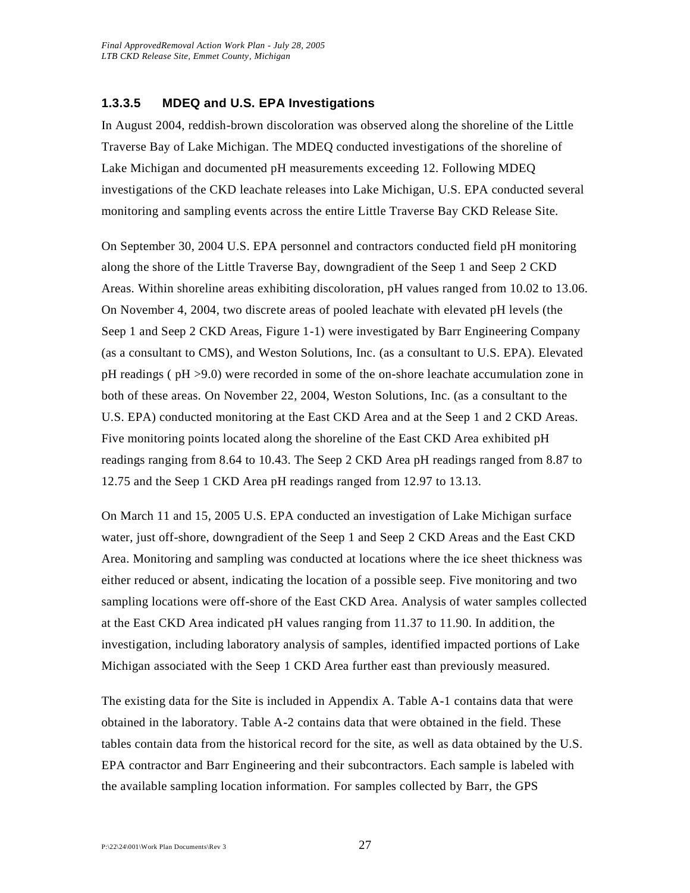### **1.3.3.5 MDEQ and U.S. EPA Investigations**

In August 2004, reddish-brown discoloration was observed along the shoreline of the Little Traverse Bay of Lake Michigan. The MDEQ conducted investigations of the shoreline of Lake Michigan and documented pH measurements exceeding 12. Following MDEQ investigations of the CKD leachate releases into Lake Michigan, U.S. EPA conducted several monitoring and sampling events across the entire Little Traverse Bay CKD Release Site.

On September 30, 2004 U.S. EPA personnel and contractors conducted field pH monitoring along the shore of the Little Traverse Bay, downgradient of the Seep 1 and Seep 2 CKD Areas. Within shoreline areas exhibiting discoloration, pH values ranged from 10.02 to 13.06. On November 4, 2004, two discrete areas of pooled leachate with elevated pH levels (the Seep 1 and Seep 2 CKD Areas, Figure 1-1) were investigated by Barr Engineering Company (as a consultant to CMS), and Weston Solutions, Inc. (as a consultant to U.S. EPA). Elevated pH readings ( pH >9.0) were recorded in some of the on-shore leachate accumulation zone in both of these areas. On November 22, 2004, Weston Solutions, Inc. (as a consultant to the U.S. EPA) conducted monitoring at the East CKD Area and at the Seep 1 and 2 CKD Areas. Five monitoring points located along the shoreline of the East CKD Area exhibited pH readings ranging from 8.64 to 10.43. The Seep 2 CKD Area pH readings ranged from 8.87 to 12.75 and the Seep 1 CKD Area pH readings ranged from 12.97 to 13.13.

On March 11 and 15, 2005 U.S. EPA conducted an investigation of Lake Michigan surface water, just off-shore, downgradient of the Seep 1 and Seep 2 CKD Areas and the East CKD Area. Monitoring and sampling was conducted at locations where the ice sheet thickness was either reduced or absent, indicating the location of a possible seep. Five monitoring and two sampling locations were off-shore of the East CKD Area. Analysis of water samples collected at the East CKD Area indicated pH values ranging from 11.37 to 11.90. In addition, the investigation, including laboratory analysis of samples, identified impacted portions of Lake Michigan associated with the Seep 1 CKD Area further east than previously measured.

The existing data for the Site is included in Appendix A. Table A-1 contains data that were obtained in the laboratory. Table A-2 contains data that were obtained in the field. These tables contain data from the historical record for the site, as well as data obtained by the U.S. EPA contractor and Barr Engineering and their subcontractors. Each sample is labeled with the available sampling location information. For samples collected by Barr, the GPS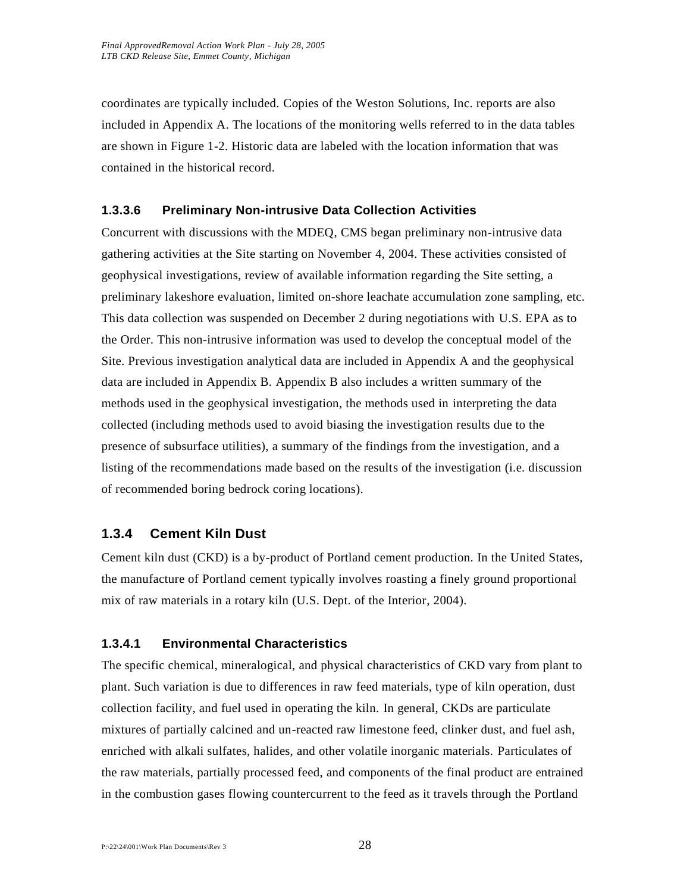coordinates are typically included. Copies of the Weston Solutions, Inc. reports are also included in Appendix A. The locations of the monitoring wells referred to in the data tables are shown in Figure 1-2. Historic data are labeled with the location information that was contained in the historical record.

#### **1.3.3.6 Preliminary Non-intrusive Data Collection Activities**

Concurrent with discussions with the MDEQ, CMS began preliminary non-intrusive data gathering activities at the Site starting on November 4, 2004. These activities consisted of geophysical investigations, review of available information regarding the Site setting, a preliminary lakeshore evaluation, limited on-shore leachate accumulation zone sampling, etc. This data collection was suspended on December 2 during negotiations with U.S. EPA as to the Order. This non-intrusive information was used to develop the conceptual model of the Site. Previous investigation analytical data are included in Appendix A and the geophysical data are included in Appendix B. Appendix B also includes a written summary of the methods used in the geophysical investigation, the methods used in interpreting the data collected (including methods used to avoid biasing the investigation results due to the presence of subsurface utilities), a summary of the findings from the investigation, and a listing of the recommendations made based on the results of the investigation (i.e. discussion of recommended boring bedrock coring locations).

### **1.3.4 Cement Kiln Dust**

Cement kiln dust (CKD) is a by-product of Portland cement production. In the United States, the manufacture of Portland cement typically involves roasting a finely ground proportional mix of raw materials in a rotary kiln (U.S. Dept. of the Interior, 2004).

#### **1.3.4.1 Environmental Characteristics**

The specific chemical, mineralogical, and physical characteristics of CKD vary from plant to plant. Such variation is due to differences in raw feed materials, type of kiln operation, dust collection facility, and fuel used in operating the kiln. In general, CKDs are particulate mixtures of partially calcined and un-reacted raw limestone feed, clinker dust, and fuel ash, enriched with alkali sulfates, halides, and other volatile inorganic materials. Particulates of the raw materials, partially processed feed, and components of the final product are entrained in the combustion gases flowing countercurrent to the feed as it travels through the Portland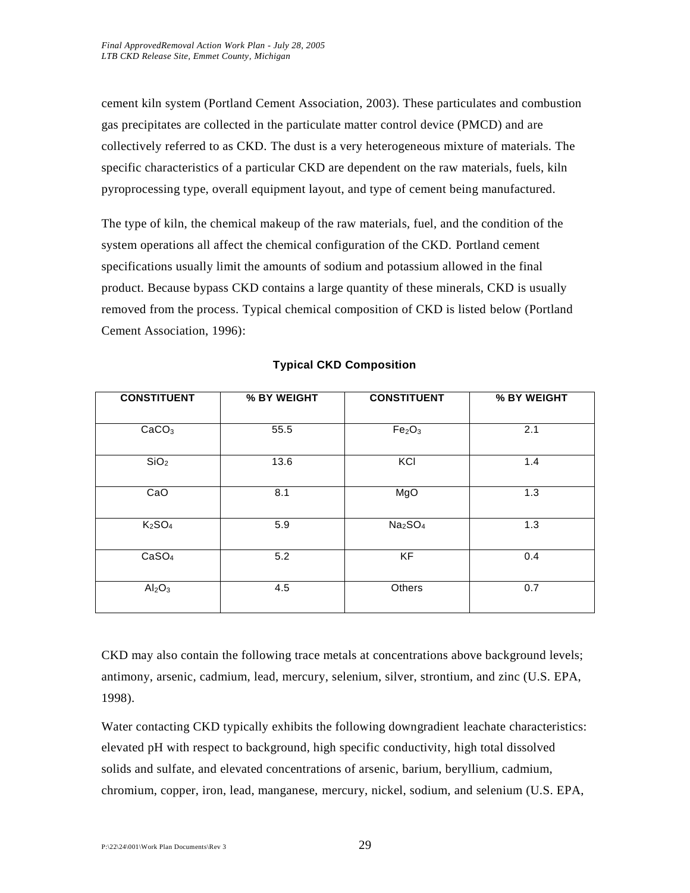cement kiln system (Portland Cement Association, 2003). These particulates and combustion gas precipitates are collected in the particulate matter control device (PMCD) and are collectively referred to as CKD. The dust is a very heterogeneous mixture of materials. The specific characteristics of a particular CKD are dependent on the raw materials, fuels, kiln pyroprocessing type, overall equipment layout, and type of cement being manufactured.

The type of kiln, the chemical makeup of the raw materials, fuel, and the condition of the system operations all affect the chemical configuration of the CKD. Portland cement specifications usually limit the amounts of sodium and potassium allowed in the final product. Because bypass CKD contains a large quantity of these minerals, CKD is usually removed from the process. Typical chemical composition of CKD is listed below (Portland Cement Association, 1996):

| <b>CONSTITUENT</b>             | % BY WEIGHT | <b>CONSTITUENT</b>              | % BY WEIGHT |
|--------------------------------|-------------|---------------------------------|-------------|
| CaCO <sub>3</sub>              | 55.5        | Fe <sub>2</sub> O <sub>3</sub>  | 2.1         |
| SiO <sub>2</sub>               | 13.6        | KCI                             | 1.4         |
| CaO                            | 8.1         | MgO                             | 1.3         |
| K <sub>2</sub> SO <sub>4</sub> | 5.9         | Na <sub>2</sub> SO <sub>4</sub> | 1.3         |
| CaSO <sub>4</sub>              | 5.2         | KF                              | 0.4         |
| Al <sub>2</sub> O <sub>3</sub> | 4.5         | Others                          | 0.7         |

#### **Typical CKD Composition**

CKD may also contain the following trace metals at concentrations above background levels; antimony, arsenic, cadmium, lead, mercury, selenium, silver, strontium, and zinc (U.S. EPA, 1998).

Water contacting CKD typically exhibits the following downgradient leachate characteristics: elevated pH with respect to background, high specific conductivity, high total dissolved solids and sulfate, and elevated concentrations of arsenic, barium, beryllium, cadmium, chromium, copper, iron, lead, manganese, mercury, nickel, sodium, and selenium (U.S. EPA,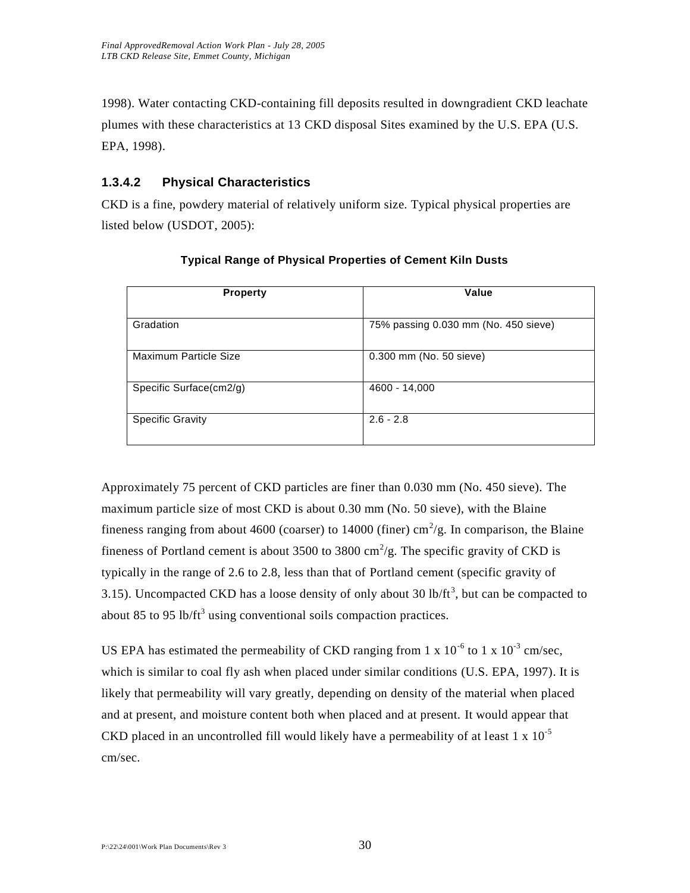1998). Water contacting CKD-containing fill deposits resulted in downgradient CKD leachate plumes with these characteristics at 13 CKD disposal Sites examined by the U.S. EPA (U.S. EPA, 1998).

# **1.3.4.2 Physical Characteristics**

CKD is a fine, powdery material of relatively uniform size. Typical physical properties are listed below (USDOT, 2005):

| <b>Property</b>         | Value                                |
|-------------------------|--------------------------------------|
| Gradation               | 75% passing 0.030 mm (No. 450 sieve) |
| Maximum Particle Size   | 0.300 mm (No. 50 sieve)              |
| Specific Surface(cm2/g) | 4600 - 14,000                        |
| <b>Specific Gravity</b> | $2.6 - 2.8$                          |

#### **Typical Range of Physical Properties of Cement Kiln Dusts**

Approximately 75 percent of CKD particles are finer than 0.030 mm (No. 450 sieve). The maximum particle size of most CKD is about 0.30 mm (No. 50 sieve), with the Blaine fineness ranging from about 4600 (coarser) to 14000 (finer) cm<sup>2</sup>/g. In comparison, the Blaine fineness of Portland cement is about 3500 to 3800  $\text{cm}^2/\text{g}$ . The specific gravity of CKD is typically in the range of 2.6 to 2.8, less than that of Portland cement (specific gravity of 3.15). Uncompacted CKD has a loose density of only about 30 lb/ft<sup>3</sup>, but can be compacted to about 85 to 95 lb/ $ft^3$  using conventional soils compaction practices.

US EPA has estimated the permeability of CKD ranging from 1 x  $10^{-6}$  to 1 x  $10^{-3}$  cm/sec, which is similar to coal fly ash when placed under similar conditions (U.S. EPA, 1997). It is likely that permeability will vary greatly, depending on density of the material when placed and at present, and moisture content both when placed and at present. It would appear that CKD placed in an uncontrolled fill would likely have a permeability of at least 1 x  $10^{-5}$ cm/sec.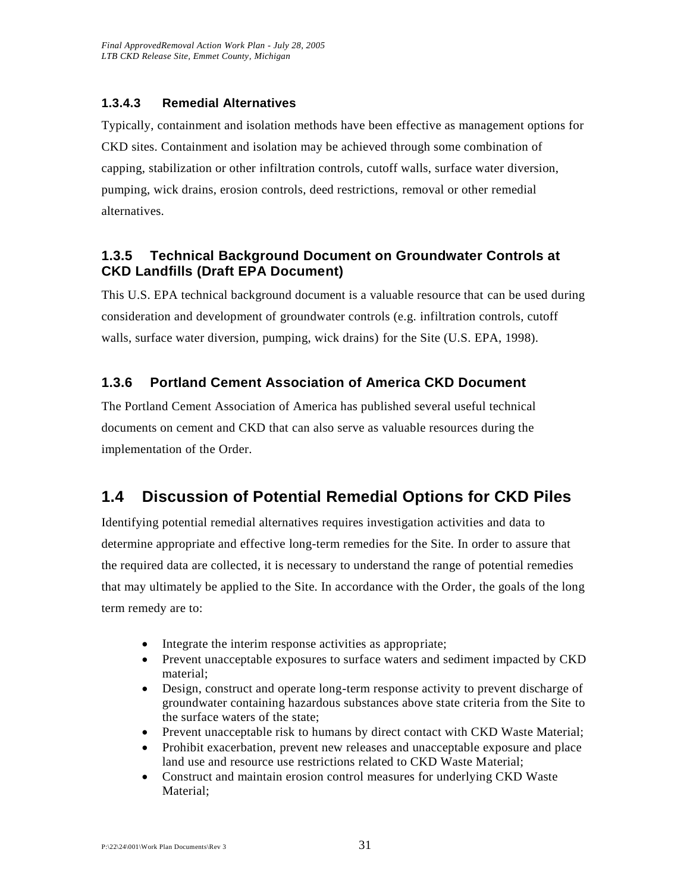### **1.3.4.3 Remedial Alternatives**

Typically, containment and isolation methods have been effective as management options for CKD sites. Containment and isolation may be achieved through some combination of capping, stabilization or other infiltration controls, cutoff walls, surface water diversion, pumping, wick drains, erosion controls, deed restrictions, removal or other remedial alternatives.

# **1.3.5 Technical Background Document on Groundwater Controls at CKD Landfills (Draft EPA Document)**

This U.S. EPA technical background document is a valuable resource that can be used during consideration and development of groundwater controls (e.g. infiltration controls, cutoff walls, surface water diversion, pumping, wick drains) for the Site (U.S. EPA, 1998).

# **1.3.6 Portland Cement Association of America CKD Document**

The Portland Cement Association of America has published several useful technical documents on cement and CKD that can also serve as valuable resources during the implementation of the Order.

# **1.4 Discussion of Potential Remedial Options for CKD Piles**

Identifying potential remedial alternatives requires investigation activities and data to determine appropriate and effective long-term remedies for the Site. In order to assure that the required data are collected, it is necessary to understand the range of potential remedies that may ultimately be applied to the Site. In accordance with the Order, the goals of the long term remedy are to:

- Integrate the interim response activities as appropriate;
- Prevent unacceptable exposures to surface waters and sediment impacted by CKD material;
- Design, construct and operate long-term response activity to prevent discharge of groundwater containing hazardous substances above state criteria from the Site to the surface waters of the state;
- Prevent unacceptable risk to humans by direct contact with CKD Waste Material;
- Prohibit exacerbation, prevent new releases and unacceptable exposure and place land use and resource use restrictions related to CKD Waste Material;
- Construct and maintain erosion control measures for underlying CKD Waste Material;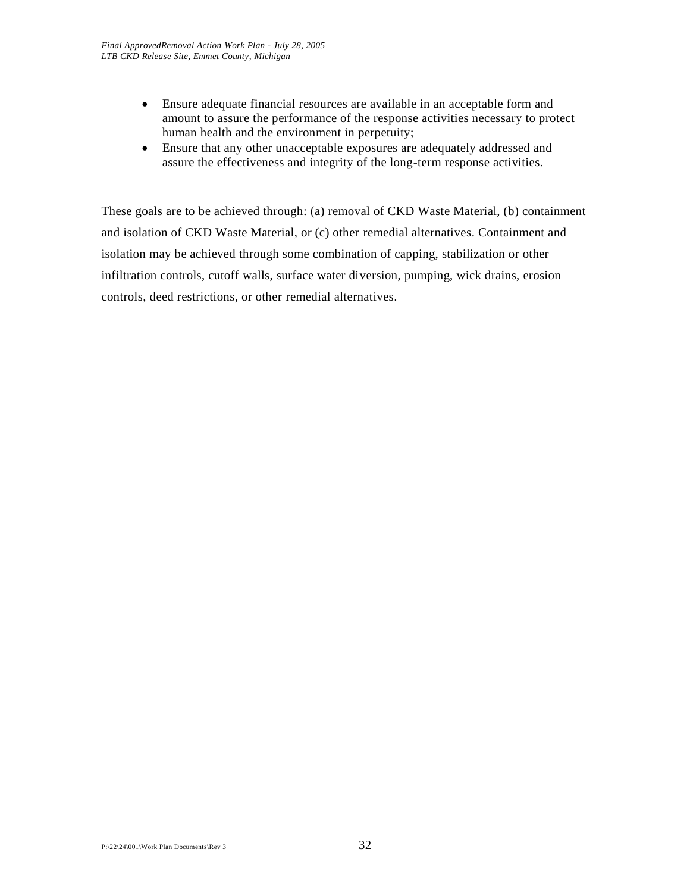- Ensure adequate financial resources are available in an acceptable form and amount to assure the performance of the response activities necessary to protect human health and the environment in perpetuity;
- Ensure that any other unacceptable exposures are adequately addressed and assure the effectiveness and integrity of the long-term response activities.

These goals are to be achieved through: (a) removal of CKD Waste Material, (b) containment and isolation of CKD Waste Material, or (c) other remedial alternatives. Containment and isolation may be achieved through some combination of capping, stabilization or other infiltration controls, cutoff walls, surface water diversion, pumping, wick drains, erosion controls, deed restrictions, or other remedial alternatives.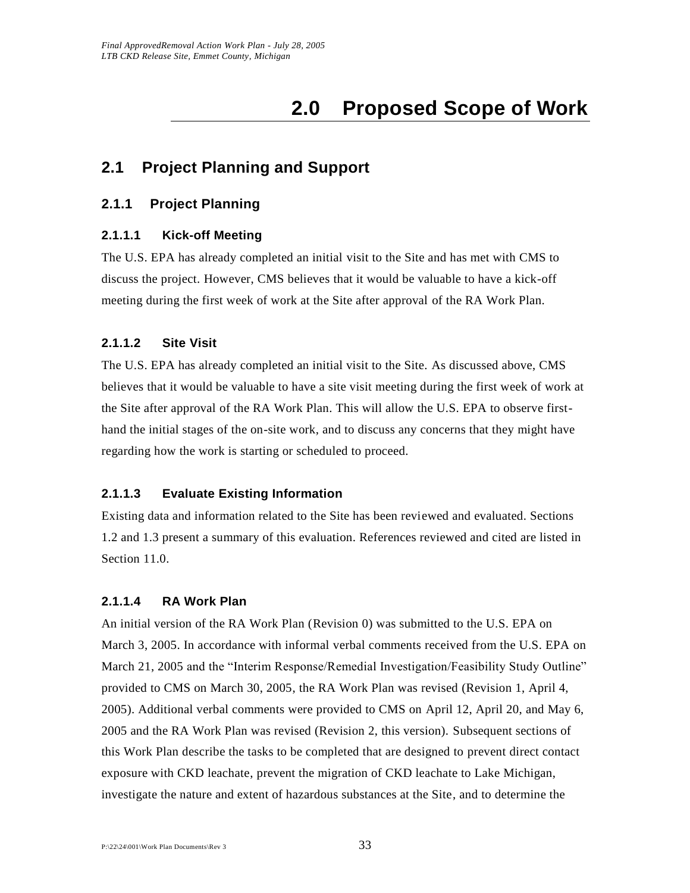# **2.0 Proposed Scope of Work**

# **2.1 Project Planning and Support**

# **2.1.1 Project Planning**

### **2.1.1.1 Kick-off Meeting**

The U.S. EPA has already completed an initial visit to the Site and has met with CMS to discuss the project. However, CMS believes that it would be valuable to have a kick-off meeting during the first week of work at the Site after approval of the RA Work Plan.

#### **2.1.1.2 Site Visit**

The U.S. EPA has already completed an initial visit to the Site. As discussed above, CMS believes that it would be valuable to have a site visit meeting during the first week of work at the Site after approval of the RA Work Plan. This will allow the U.S. EPA to observe firsthand the initial stages of the on-site work, and to discuss any concerns that they might have regarding how the work is starting or scheduled to proceed.

#### **2.1.1.3 Evaluate Existing Information**

Existing data and information related to the Site has been reviewed and evaluated. Sections 1.2 and 1.3 present a summary of this evaluation. References reviewed and cited are listed in Section 11.0.

#### **2.1.1.4 RA Work Plan**

An initial version of the RA Work Plan (Revision 0) was submitted to the U.S. EPA on March 3, 2005. In accordance with informal verbal comments received from the U.S. EPA on March 21, 2005 and the "Interim Response/Remedial Investigation/Feasibility Study Outline" provided to CMS on March 30, 2005, the RA Work Plan was revised (Revision 1, April 4, 2005). Additional verbal comments were provided to CMS on April 12, April 20, and May 6, 2005 and the RA Work Plan was revised (Revision 2, this version). Subsequent sections of this Work Plan describe the tasks to be completed that are designed to prevent direct contact exposure with CKD leachate, prevent the migration of CKD leachate to Lake Michigan, investigate the nature and extent of hazardous substances at the Site, and to determine the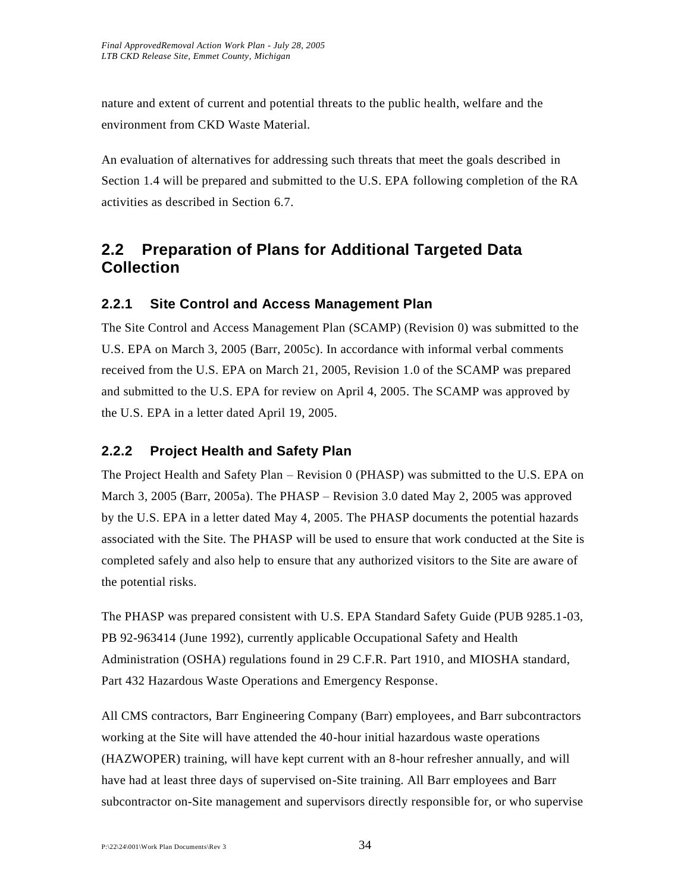nature and extent of current and potential threats to the public health, welfare and the environment from CKD Waste Material.

An evaluation of alternatives for addressing such threats that meet the goals described in Section 1.4 will be prepared and submitted to the U.S. EPA following completion of the RA activities as described in Section 6.7.

# **2.2 Preparation of Plans for Additional Targeted Data Collection**

# **2.2.1 Site Control and Access Management Plan**

The Site Control and Access Management Plan (SCAMP) (Revision 0) was submitted to the U.S. EPA on March 3, 2005 (Barr, 2005c). In accordance with informal verbal comments received from the U.S. EPA on March 21, 2005, Revision 1.0 of the SCAMP was prepared and submitted to the U.S. EPA for review on April 4, 2005. The SCAMP was approved by the U.S. EPA in a letter dated April 19, 2005.

# **2.2.2 Project Health and Safety Plan**

The Project Health and Safety Plan – Revision 0 (PHASP) was submitted to the U.S. EPA on March 3, 2005 (Barr, 2005a). The PHASP – Revision 3.0 dated May 2, 2005 was approved by the U.S. EPA in a letter dated May 4, 2005. The PHASP documents the potential hazards associated with the Site. The PHASP will be used to ensure that work conducted at the Site is completed safely and also help to ensure that any authorized visitors to the Site are aware of the potential risks.

The PHASP was prepared consistent with U.S. EPA Standard Safety Guide (PUB 9285.1-03, PB 92-963414 (June 1992), currently applicable Occupational Safety and Health Administration (OSHA) regulations found in 29 C.F.R. Part 1910, and MIOSHA standard, Part 432 Hazardous Waste Operations and Emergency Response.

All CMS contractors, Barr Engineering Company (Barr) employees, and Barr subcontractors working at the Site will have attended the 40-hour initial hazardous waste operations (HAZWOPER) training, will have kept current with an 8-hour refresher annually, and will have had at least three days of supervised on-Site training. All Barr employees and Barr subcontractor on-Site management and supervisors directly responsible for, or who supervise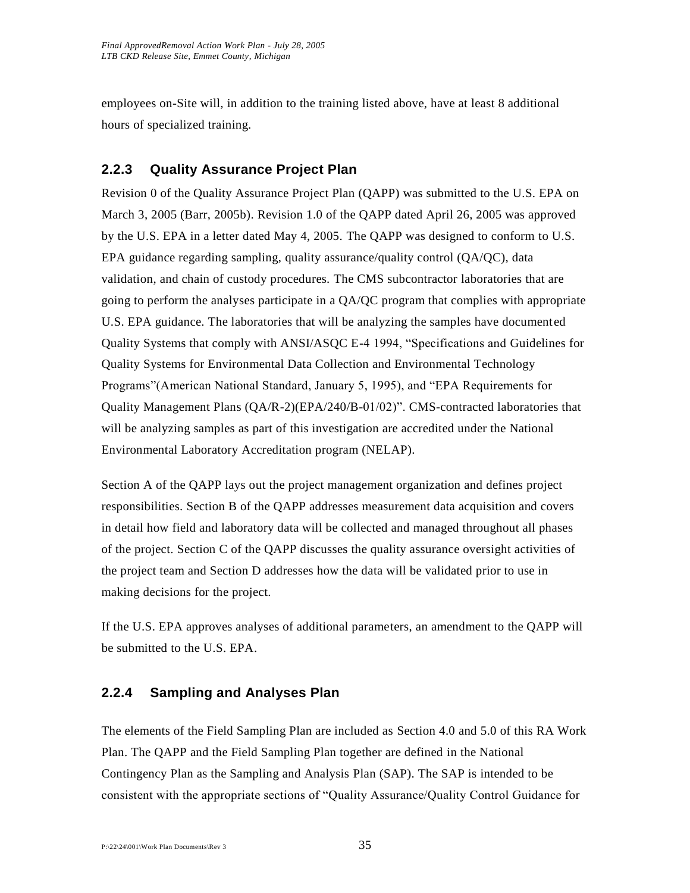employees on-Site will, in addition to the training listed above, have at least 8 additional hours of specialized training.

# **2.2.3 Quality Assurance Project Plan**

Revision 0 of the Quality Assurance Project Plan (QAPP) was submitted to the U.S. EPA on March 3, 2005 (Barr, 2005b). Revision 1.0 of the QAPP dated April 26, 2005 was approved by the U.S. EPA in a letter dated May 4, 2005. The QAPP was designed to conform to U.S. EPA guidance regarding sampling, quality assurance/quality control (QA/QC), data validation, and chain of custody procedures. The CMS subcontractor laboratories that are going to perform the analyses participate in a QA/QC program that complies with appropriate U.S. EPA guidance. The laboratories that will be analyzing the samples have documented Quality Systems that comply with ANSI/ASQC E-4 1994, "Specifications and Guidelines for Quality Systems for Environmental Data Collection and Environmental Technology Programs"(American National Standard, January 5, 1995), and "EPA Requirements for Quality Management Plans (QA/R-2)(EPA/240/B-01/02)". CMS-contracted laboratories that will be analyzing samples as part of this investigation are accredited under the National Environmental Laboratory Accreditation program (NELAP).

Section A of the QAPP lays out the project management organization and defines project responsibilities. Section B of the QAPP addresses measurement data acquisition and covers in detail how field and laboratory data will be collected and managed throughout all phases of the project. Section C of the QAPP discusses the quality assurance oversight activities of the project team and Section D addresses how the data will be validated prior to use in making decisions for the project.

If the U.S. EPA approves analyses of additional parameters, an amendment to the QAPP will be submitted to the U.S. EPA.

# **2.2.4 Sampling and Analyses Plan**

The elements of the Field Sampling Plan are included as Section 4.0 and 5.0 of this RA Work Plan. The QAPP and the Field Sampling Plan together are defined in the National Contingency Plan as the Sampling and Analysis Plan (SAP). The SAP is intended to be consistent with the appropriate sections of "Quality Assurance/Quality Control Guidance for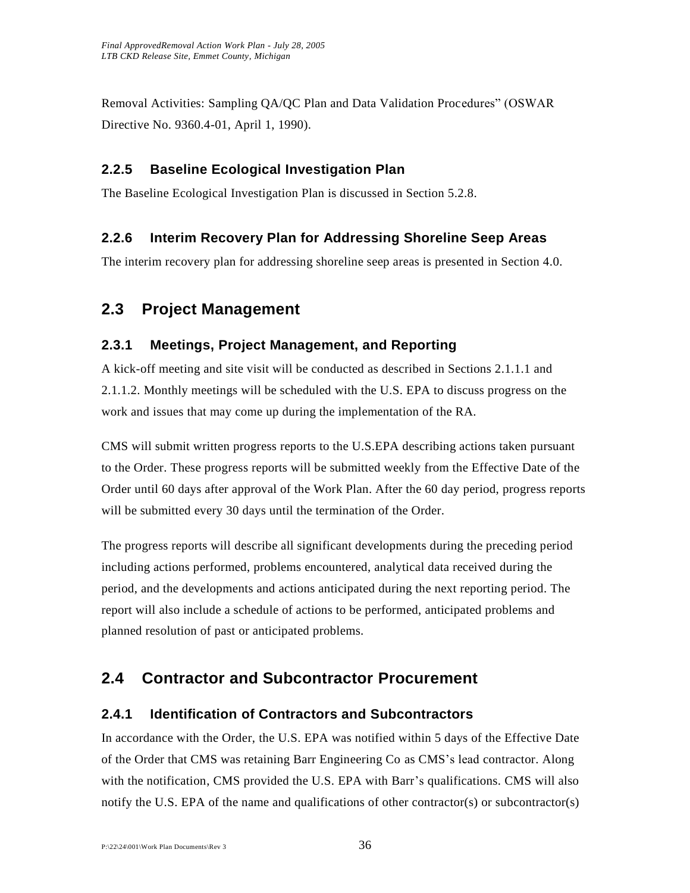Removal Activities: Sampling QA/QC Plan and Data Validation Procedures" (OSWAR Directive No. 9360.4-01, April 1, 1990).

# **2.2.5 Baseline Ecological Investigation Plan**

The Baseline Ecological Investigation Plan is discussed in Section 5.2.8.

# **2.2.6 Interim Recovery Plan for Addressing Shoreline Seep Areas**

The interim recovery plan for addressing shoreline seep areas is presented in Section 4.0.

# **2.3 Project Management**

# **2.3.1 Meetings, Project Management, and Reporting**

A kick-off meeting and site visit will be conducted as described in Sections 2.1.1.1 and 2.1.1.2. Monthly meetings will be scheduled with the U.S. EPA to discuss progress on the work and issues that may come up during the implementation of the RA.

CMS will submit written progress reports to the U.S.EPA describing actions taken pursuant to the Order. These progress reports will be submitted weekly from the Effective Date of the Order until 60 days after approval of the Work Plan. After the 60 day period, progress reports will be submitted every 30 days until the termination of the Order.

The progress reports will describe all significant developments during the preceding period including actions performed, problems encountered, analytical data received during the period, and the developments and actions anticipated during the next reporting period. The report will also include a schedule of actions to be performed, anticipated problems and planned resolution of past or anticipated problems.

# **2.4 Contractor and Subcontractor Procurement**

# **2.4.1 Identification of Contractors and Subcontractors**

In accordance with the Order, the U.S. EPA was notified within 5 days of the Effective Date of the Order that CMS was retaining Barr Engineering Co as CMS's lead contractor. Along with the notification, CMS provided the U.S. EPA with Barr's qualifications. CMS will also notify the U.S. EPA of the name and qualifications of other contractor(s) or subcontractor(s)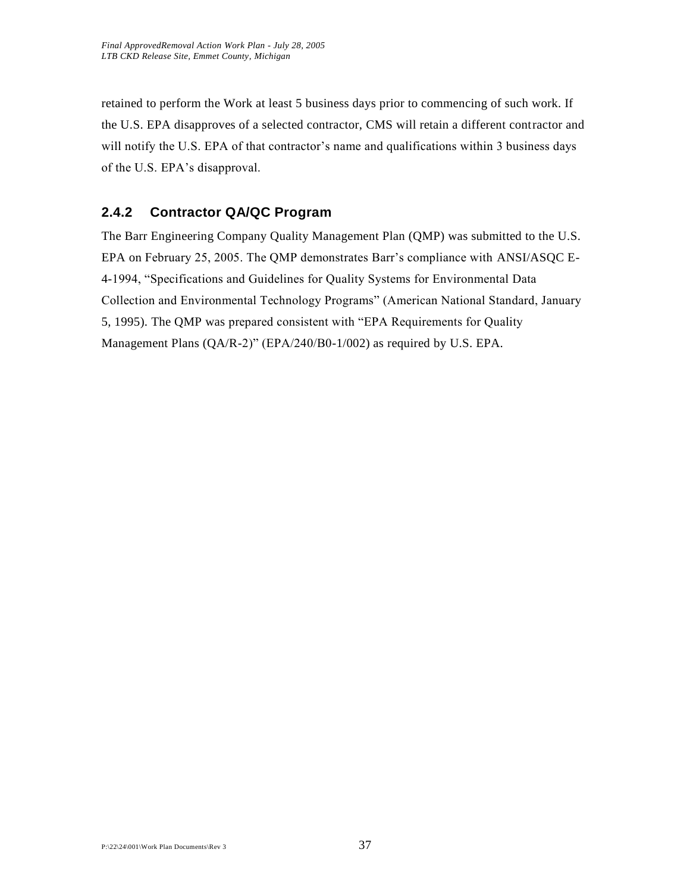retained to perform the Work at least 5 business days prior to commencing of such work. If the U.S. EPA disapproves of a selected contractor, CMS will retain a different contractor and will notify the U.S. EPA of that contractor's name and qualifications within 3 business days of the U.S. EPA's disapproval.

# **2.4.2 Contractor QA/QC Program**

The Barr Engineering Company Quality Management Plan (QMP) was submitted to the U.S. EPA on February 25, 2005. The QMP demonstrates Barr's compliance with ANSI/ASQC E-4-1994, "Specifications and Guidelines for Quality Systems for Environmental Data Collection and Environmental Technology Programs" (American National Standard, January 5, 1995). The QMP was prepared consistent with "EPA Requirements for Quality Management Plans (QA/R-2)" (EPA/240/B0-1/002) as required by U.S. EPA.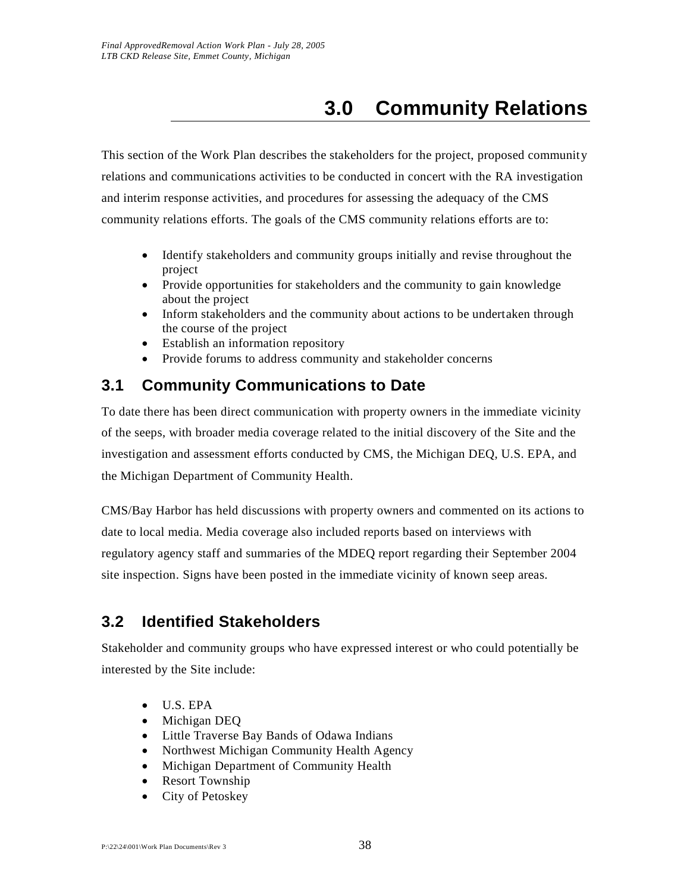# **3.0 Community Relations**

This section of the Work Plan describes the stakeholders for the project, proposed community relations and communications activities to be conducted in concert with the RA investigation and interim response activities, and procedures for assessing the adequacy of the CMS community relations efforts. The goals of the CMS community relations efforts are to:

- Identify stakeholders and community groups initially and revise throughout the project
- Provide opportunities for stakeholders and the community to gain knowledge about the project
- Inform stakeholders and the community about actions to be undertaken through the course of the project
- Establish an information repository
- Provide forums to address community and stakeholder concerns

# **3.1 Community Communications to Date**

To date there has been direct communication with property owners in the immediate vicinity of the seeps, with broader media coverage related to the initial discovery of the Site and the investigation and assessment efforts conducted by CMS, the Michigan DEQ, U.S. EPA, and the Michigan Department of Community Health.

CMS/Bay Harbor has held discussions with property owners and commented on its actions to date to local media. Media coverage also included reports based on interviews with regulatory agency staff and summaries of the MDEQ report regarding their September 2004 site inspection. Signs have been posted in the immediate vicinity of known seep areas.

# **3.2 Identified Stakeholders**

Stakeholder and community groups who have expressed interest or who could potentially be interested by the Site include:

- U.S. EPA
- Michigan DEQ
- Little Traverse Bay Bands of Odawa Indians
- Northwest Michigan Community Health Agency
- Michigan Department of Community Health
- Resort Township
- City of Petoskey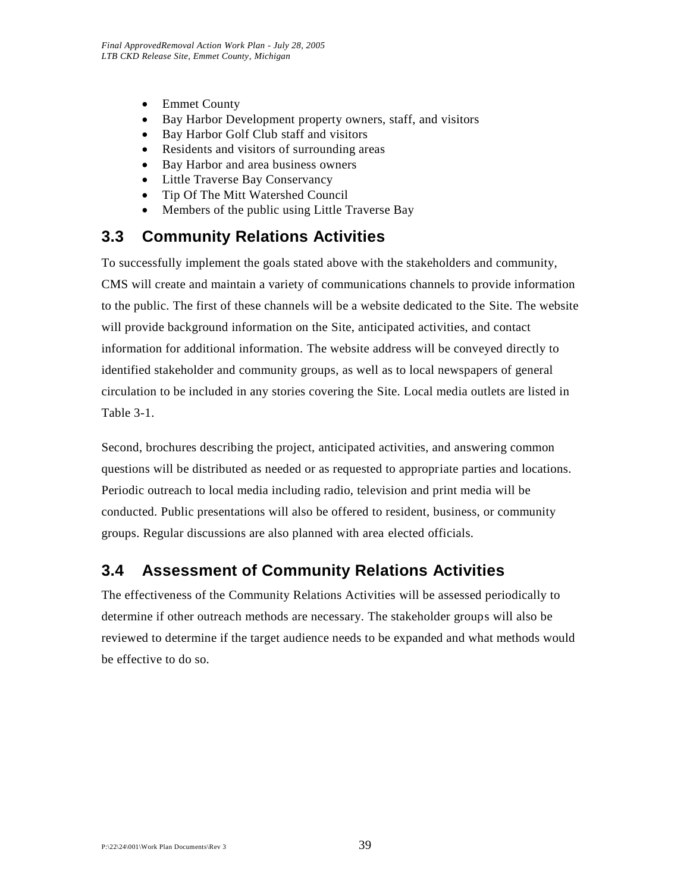- Emmet County
- Bay Harbor Development property owners, staff, and visitors
- Bay Harbor Golf Club staff and visitors
- Residents and visitors of surrounding areas
- Bay Harbor and area business owners
- Little Traverse Bay Conservancy
- Tip Of The Mitt Watershed Council
- Members of the public using Little Traverse Bay

# **3.3 Community Relations Activities**

To successfully implement the goals stated above with the stakeholders and community, CMS will create and maintain a variety of communications channels to provide information to the public. The first of these channels will be a website dedicated to the Site. The website will provide background information on the Site, anticipated activities, and contact information for additional information. The website address will be conveyed directly to identified stakeholder and community groups, as well as to local newspapers of general circulation to be included in any stories covering the Site. Local media outlets are listed in Table 3-1.

Second, brochures describing the project, anticipated activities, and answering common questions will be distributed as needed or as requested to appropriate parties and locations. Periodic outreach to local media including radio, television and print media will be conducted. Public presentations will also be offered to resident, business, or community groups. Regular discussions are also planned with area elected officials.

# **3.4 Assessment of Community Relations Activities**

The effectiveness of the Community Relations Activities will be assessed periodically to determine if other outreach methods are necessary. The stakeholder groups will also be reviewed to determine if the target audience needs to be expanded and what methods would be effective to do so.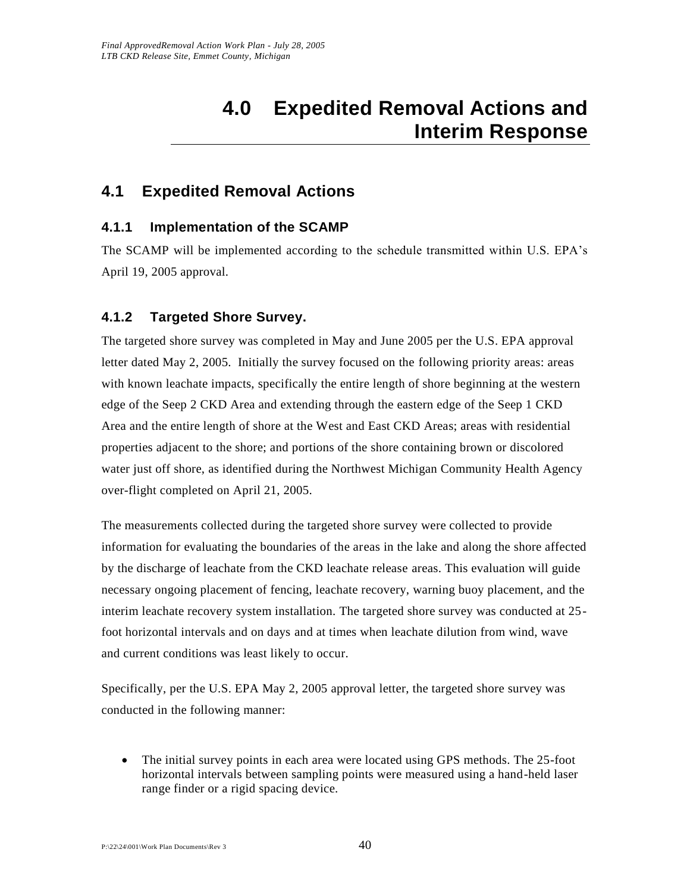# **4.0 Expedited Removal Actions and Interim Response**

# **4.1 Expedited Removal Actions**

# **4.1.1 Implementation of the SCAMP**

The SCAMP will be implemented according to the schedule transmitted within U.S. EPA's April 19, 2005 approval.

# **4.1.2 Targeted Shore Survey.**

The targeted shore survey was completed in May and June 2005 per the U.S. EPA approval letter dated May 2, 2005. Initially the survey focused on the following priority areas: areas with known leachate impacts, specifically the entire length of shore beginning at the western edge of the Seep 2 CKD Area and extending through the eastern edge of the Seep 1 CKD Area and the entire length of shore at the West and East CKD Areas; areas with residential properties adjacent to the shore; and portions of the shore containing brown or discolored water just off shore, as identified during the Northwest Michigan Community Health Agency over-flight completed on April 21, 2005.

The measurements collected during the targeted shore survey were collected to provide information for evaluating the boundaries of the areas in the lake and along the shore affected by the discharge of leachate from the CKD leachate release areas. This evaluation will guide necessary ongoing placement of fencing, leachate recovery, warning buoy placement, and the interim leachate recovery system installation. The targeted shore survey was conducted at 25 foot horizontal intervals and on days and at times when leachate dilution from wind, wave and current conditions was least likely to occur.

Specifically, per the U.S. EPA May 2, 2005 approval letter, the targeted shore survey was conducted in the following manner:

 The initial survey points in each area were located using GPS methods. The 25-foot horizontal intervals between sampling points were measured using a hand-held laser range finder or a rigid spacing device.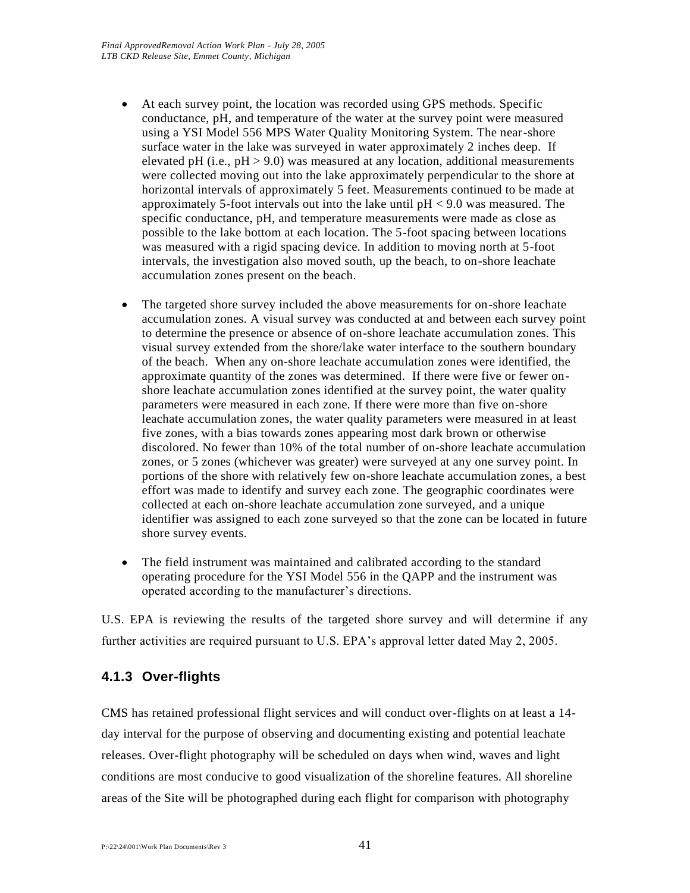- At each survey point, the location was recorded using GPS methods. Specific conductance, pH, and temperature of the water at the survey point were measured using a YSI Model 556 MPS Water Quality Monitoring System. The near-shore surface water in the lake was surveyed in water approximately 2 inches deep. If elevated pH (i.e.,  $pH > 9.0$ ) was measured at any location, additional measurements were collected moving out into the lake approximately perpendicular to the shore at horizontal intervals of approximately 5 feet. Measurements continued to be made at approximately 5-foot intervals out into the lake until  $pH < 9.0$  was measured. The specific conductance, pH, and temperature measurements were made as close as possible to the lake bottom at each location. The 5-foot spacing between locations was measured with a rigid spacing device. In addition to moving north at 5-foot intervals, the investigation also moved south, up the beach, to on-shore leachate accumulation zones present on the beach.
- The targeted shore survey included the above measurements for on-shore leachate accumulation zones. A visual survey was conducted at and between each survey point to determine the presence or absence of on-shore leachate accumulation zones. This visual survey extended from the shore/lake water interface to the southern boundary of the beach. When any on-shore leachate accumulation zones were identified, the approximate quantity of the zones was determined. If there were five or fewer onshore leachate accumulation zones identified at the survey point, the water quality parameters were measured in each zone. If there were more than five on-shore leachate accumulation zones, the water quality parameters were measured in at least five zones, with a bias towards zones appearing most dark brown or otherwise discolored. No fewer than 10% of the total number of on-shore leachate accumulation zones, or 5 zones (whichever was greater) were surveyed at any one survey point. In portions of the shore with relatively few on-shore leachate accumulation zones, a best effort was made to identify and survey each zone. The geographic coordinates were collected at each on-shore leachate accumulation zone surveyed, and a unique identifier was assigned to each zone surveyed so that the zone can be located in future shore survey events.
- The field instrument was maintained and calibrated according to the standard operating procedure for the YSI Model 556 in the QAPP and the instrument was operated according to the manufacturer's directions.

U.S. EPA is reviewing the results of the targeted shore survey and will determine if any further activities are required pursuant to U.S. EPA's approval letter dated May 2, 2005.

# **4.1.3 Over-flights**

CMS has retained professional flight services and will conduct over-flights on at least a 14 day interval for the purpose of observing and documenting existing and potential leachate releases. Over-flight photography will be scheduled on days when wind, waves and light conditions are most conducive to good visualization of the shoreline features. All shoreline areas of the Site will be photographed during each flight for comparison with photography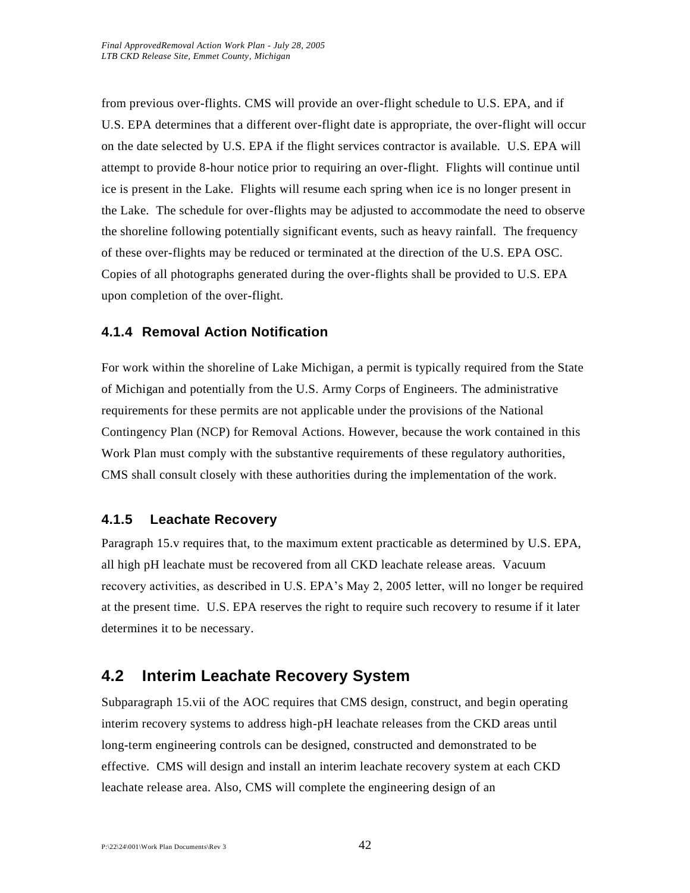from previous over-flights. CMS will provide an over-flight schedule to U.S. EPA, and if U.S. EPA determines that a different over-flight date is appropriate, the over-flight will occur on the date selected by U.S. EPA if the flight services contractor is available. U.S. EPA will attempt to provide 8-hour notice prior to requiring an over-flight. Flights will continue until ice is present in the Lake. Flights will resume each spring when ice is no longer present in the Lake. The schedule for over-flights may be adjusted to accommodate the need to observe the shoreline following potentially significant events, such as heavy rainfall. The frequency of these over-flights may be reduced or terminated at the direction of the U.S. EPA OSC. Copies of all photographs generated during the over-flights shall be provided to U.S. EPA upon completion of the over-flight.

# **4.1.4 Removal Action Notification**

For work within the shoreline of Lake Michigan, a permit is typically required from the State of Michigan and potentially from the U.S. Army Corps of Engineers. The administrative requirements for these permits are not applicable under the provisions of the National Contingency Plan (NCP) for Removal Actions. However, because the work contained in this Work Plan must comply with the substantive requirements of these regulatory authorities, CMS shall consult closely with these authorities during the implementation of the work.

# **4.1.5 Leachate Recovery**

Paragraph 15.v requires that, to the maximum extent practicable as determined by U.S. EPA, all high pH leachate must be recovered from all CKD leachate release areas. Vacuum recovery activities, as described in U.S. EPA's May 2, 2005 letter, will no longer be required at the present time. U.S. EPA reserves the right to require such recovery to resume if it later determines it to be necessary.

# **4.2 Interim Leachate Recovery System**

Subparagraph 15.vii of the AOC requires that CMS design, construct, and begin operating interim recovery systems to address high-pH leachate releases from the CKD areas until long-term engineering controls can be designed, constructed and demonstrated to be effective. CMS will design and install an interim leachate recovery system at each CKD leachate release area. Also, CMS will complete the engineering design of an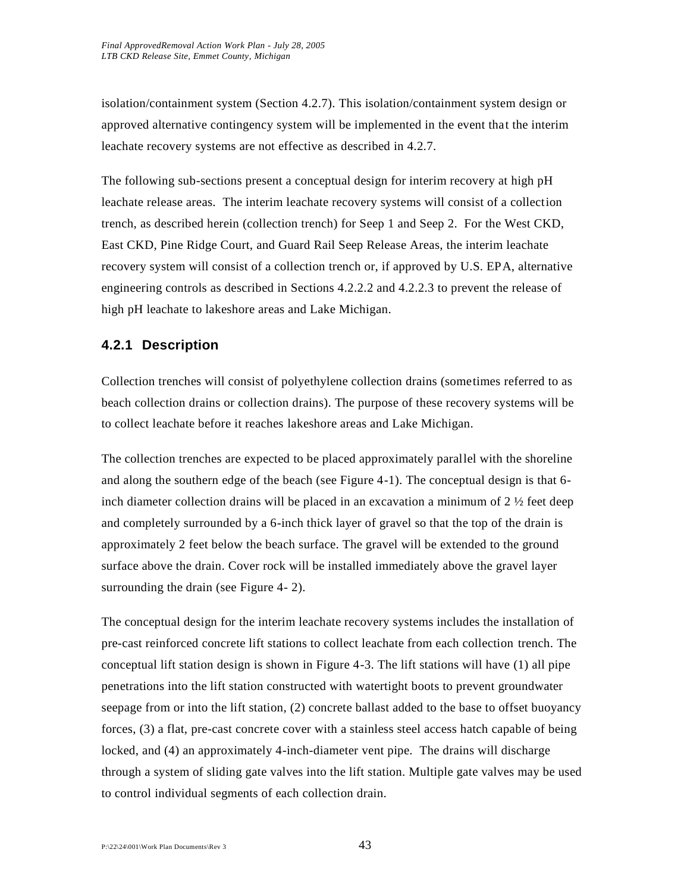isolation/containment system (Section 4.2.7). This isolation/containment system design or approved alternative contingency system will be implemented in the event that the interim leachate recovery systems are not effective as described in 4.2.7.

The following sub-sections present a conceptual design for interim recovery at high pH leachate release areas. The interim leachate recovery systems will consist of a collection trench, as described herein (collection trench) for Seep 1 and Seep 2. For the West CKD, East CKD, Pine Ridge Court, and Guard Rail Seep Release Areas, the interim leachate recovery system will consist of a collection trench or, if approved by U.S. EPA, alternative engineering controls as described in Sections 4.2.2.2 and 4.2.2.3 to prevent the release of high pH leachate to lakeshore areas and Lake Michigan.

### **4.2.1 Description**

Collection trenches will consist of polyethylene collection drains (sometimes referred to as beach collection drains or collection drains). The purpose of these recovery systems will be to collect leachate before it reaches lakeshore areas and Lake Michigan.

The collection trenches are expected to be placed approximately parallel with the shoreline and along the southern edge of the beach (see Figure 4-1). The conceptual design is that 6 inch diameter collection drains will be placed in an excavation a minimum of  $2 \frac{1}{2}$  feet deep and completely surrounded by a 6-inch thick layer of gravel so that the top of the drain is approximately 2 feet below the beach surface. The gravel will be extended to the ground surface above the drain. Cover rock will be installed immediately above the gravel layer surrounding the drain (see Figure 4- 2).

The conceptual design for the interim leachate recovery systems includes the installation of pre-cast reinforced concrete lift stations to collect leachate from each collection trench. The conceptual lift station design is shown in Figure 4-3. The lift stations will have (1) all pipe penetrations into the lift station constructed with watertight boots to prevent groundwater seepage from or into the lift station, (2) concrete ballast added to the base to offset buoyancy forces, (3) a flat, pre-cast concrete cover with a stainless steel access hatch capable of being locked, and (4) an approximately 4-inch-diameter vent pipe. The drains will discharge through a system of sliding gate valves into the lift station. Multiple gate valves may be used to control individual segments of each collection drain.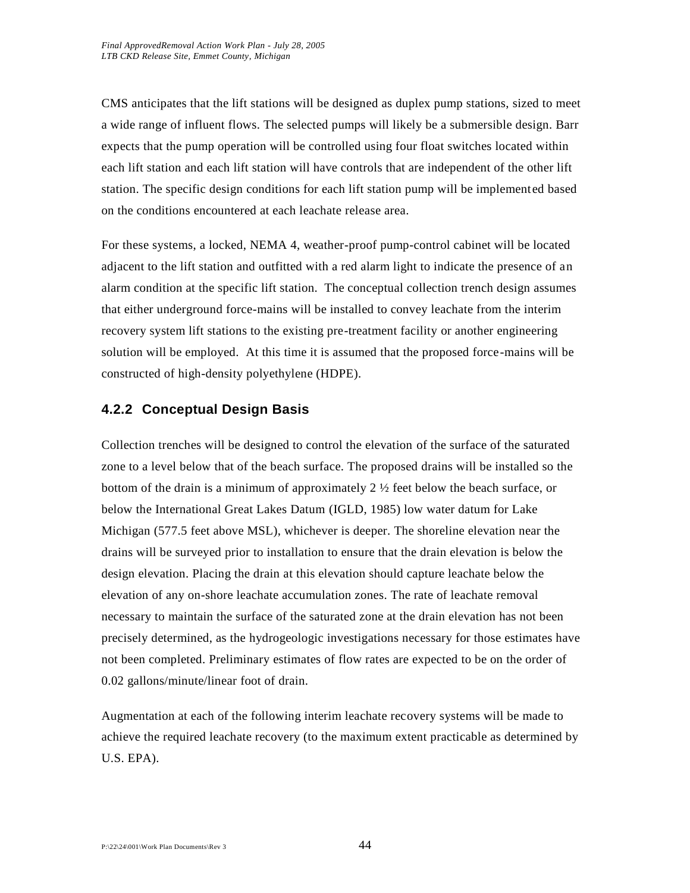CMS anticipates that the lift stations will be designed as duplex pump stations, sized to meet a wide range of influent flows. The selected pumps will likely be a submersible design. Barr expects that the pump operation will be controlled using four float switches located within each lift station and each lift station will have controls that are independent of the other lift station. The specific design conditions for each lift station pump will be implemented based on the conditions encountered at each leachate release area.

For these systems, a locked, NEMA 4, weather-proof pump-control cabinet will be located adjacent to the lift station and outfitted with a red alarm light to indicate the presence of an alarm condition at the specific lift station. The conceptual collection trench design assumes that either underground force-mains will be installed to convey leachate from the interim recovery system lift stations to the existing pre-treatment facility or another engineering solution will be employed. At this time it is assumed that the proposed force-mains will be constructed of high-density polyethylene (HDPE).

# **4.2.2 Conceptual Design Basis**

Collection trenches will be designed to control the elevation of the surface of the saturated zone to a level below that of the beach surface. The proposed drains will be installed so the bottom of the drain is a minimum of approximately  $2\frac{1}{2}$  feet below the beach surface, or below the International Great Lakes Datum (IGLD, 1985) low water datum for Lake Michigan (577.5 feet above MSL), whichever is deeper. The shoreline elevation near the drains will be surveyed prior to installation to ensure that the drain elevation is below the design elevation. Placing the drain at this elevation should capture leachate below the elevation of any on-shore leachate accumulation zones. The rate of leachate removal necessary to maintain the surface of the saturated zone at the drain elevation has not been precisely determined, as the hydrogeologic investigations necessary for those estimates have not been completed. Preliminary estimates of flow rates are expected to be on the order of 0.02 gallons/minute/linear foot of drain.

Augmentation at each of the following interim leachate recovery systems will be made to achieve the required leachate recovery (to the maximum extent practicable as determined by U.S. EPA).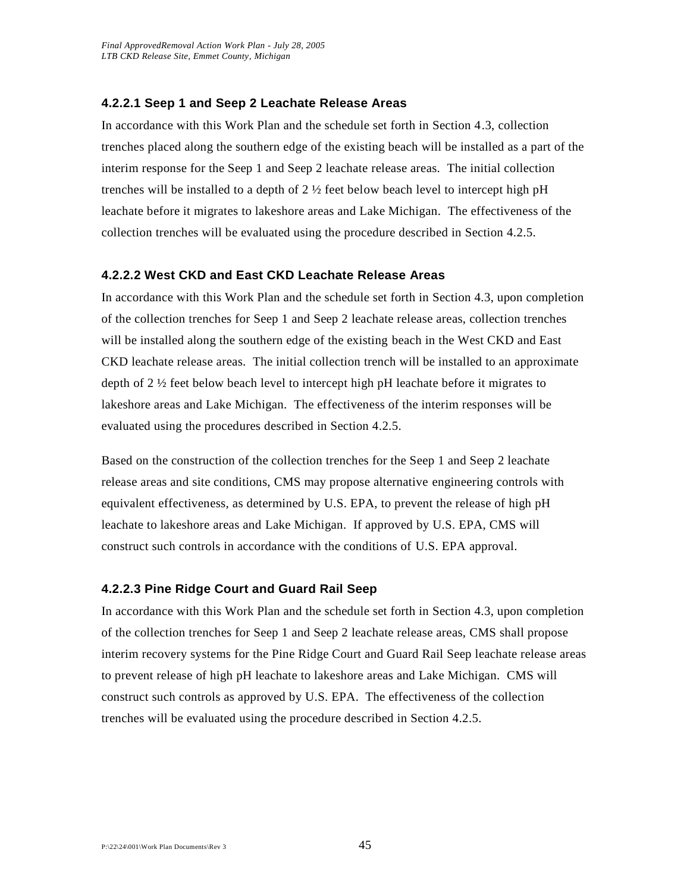#### **4.2.2.1 Seep 1 and Seep 2 Leachate Release Areas**

In accordance with this Work Plan and the schedule set forth in Section 4.3, collection trenches placed along the southern edge of the existing beach will be installed as a part of the interim response for the Seep 1 and Seep 2 leachate release areas. The initial collection trenches will be installed to a depth of  $2\frac{1}{2}$  feet below beach level to intercept high pH leachate before it migrates to lakeshore areas and Lake Michigan. The effectiveness of the collection trenches will be evaluated using the procedure described in Section 4.2.5.

#### **4.2.2.2 West CKD and East CKD Leachate Release Areas**

In accordance with this Work Plan and the schedule set forth in Section 4.3, upon completion of the collection trenches for Seep 1 and Seep 2 leachate release areas, collection trenches will be installed along the southern edge of the existing beach in the West CKD and East CKD leachate release areas. The initial collection trench will be installed to an approximate depth of 2 ½ feet below beach level to intercept high pH leachate before it migrates to lakeshore areas and Lake Michigan. The effectiveness of the interim responses will be evaluated using the procedures described in Section 4.2.5.

Based on the construction of the collection trenches for the Seep 1 and Seep 2 leachate release areas and site conditions, CMS may propose alternative engineering controls with equivalent effectiveness, as determined by U.S. EPA, to prevent the release of high pH leachate to lakeshore areas and Lake Michigan. If approved by U.S. EPA, CMS will construct such controls in accordance with the conditions of U.S. EPA approval.

#### **4.2.2.3 Pine Ridge Court and Guard Rail Seep**

In accordance with this Work Plan and the schedule set forth in Section 4.3, upon completion of the collection trenches for Seep 1 and Seep 2 leachate release areas, CMS shall propose interim recovery systems for the Pine Ridge Court and Guard Rail Seep leachate release areas to prevent release of high pH leachate to lakeshore areas and Lake Michigan. CMS will construct such controls as approved by U.S. EPA. The effectiveness of the collection trenches will be evaluated using the procedure described in Section 4.2.5.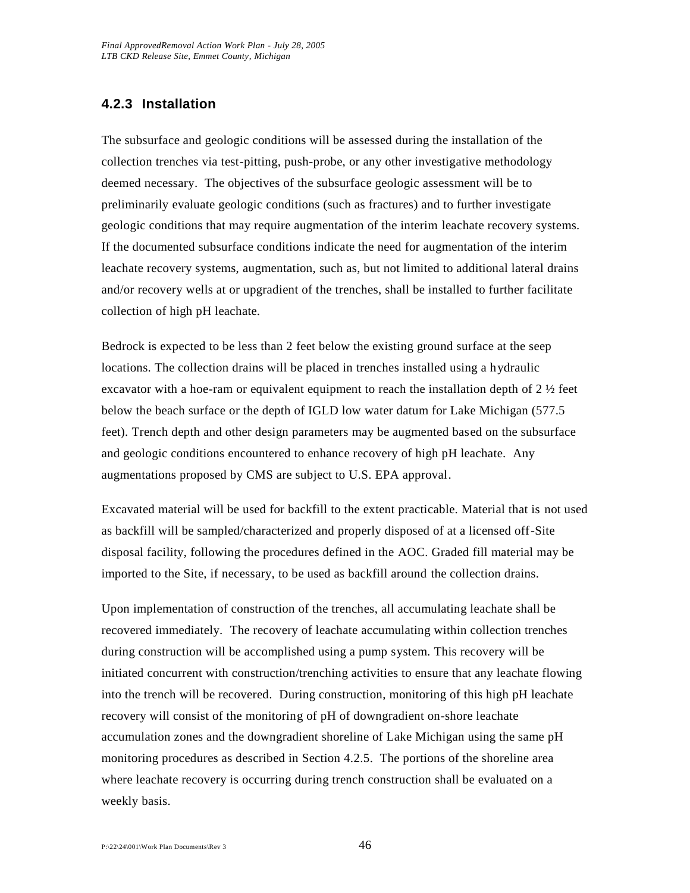# **4.2.3 Installation**

The subsurface and geologic conditions will be assessed during the installation of the collection trenches via test-pitting, push-probe, or any other investigative methodology deemed necessary. The objectives of the subsurface geologic assessment will be to preliminarily evaluate geologic conditions (such as fractures) and to further investigate geologic conditions that may require augmentation of the interim leachate recovery systems. If the documented subsurface conditions indicate the need for augmentation of the interim leachate recovery systems, augmentation, such as, but not limited to additional lateral drains and/or recovery wells at or upgradient of the trenches, shall be installed to further facilitate collection of high pH leachate.

Bedrock is expected to be less than 2 feet below the existing ground surface at the seep locations. The collection drains will be placed in trenches installed using a hydraulic excavator with a hoe-ram or equivalent equipment to reach the installation depth of  $2\frac{1}{2}$  feet below the beach surface or the depth of IGLD low water datum for Lake Michigan (577.5 feet). Trench depth and other design parameters may be augmented based on the subsurface and geologic conditions encountered to enhance recovery of high pH leachate. Any augmentations proposed by CMS are subject to U.S. EPA approval.

Excavated material will be used for backfill to the extent practicable. Material that is not used as backfill will be sampled/characterized and properly disposed of at a licensed off-Site disposal facility, following the procedures defined in the AOC. Graded fill material may be imported to the Site, if necessary, to be used as backfill around the collection drains.

Upon implementation of construction of the trenches, all accumulating leachate shall be recovered immediately. The recovery of leachate accumulating within collection trenches during construction will be accomplished using a pump system. This recovery will be initiated concurrent with construction/trenching activities to ensure that any leachate flowing into the trench will be recovered. During construction, monitoring of this high pH leachate recovery will consist of the monitoring of pH of downgradient on-shore leachate accumulation zones and the downgradient shoreline of Lake Michigan using the same pH monitoring procedures as described in Section 4.2.5. The portions of the shoreline area where leachate recovery is occurring during trench construction shall be evaluated on a weekly basis.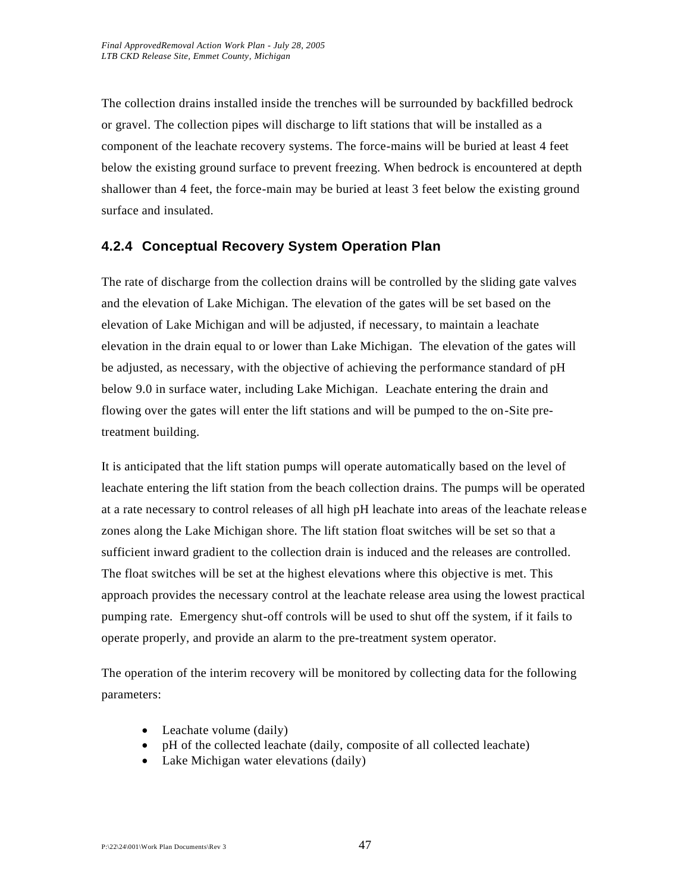The collection drains installed inside the trenches will be surrounded by backfilled bedrock or gravel. The collection pipes will discharge to lift stations that will be installed as a component of the leachate recovery systems. The force-mains will be buried at least 4 feet below the existing ground surface to prevent freezing. When bedrock is encountered at depth shallower than 4 feet, the force-main may be buried at least 3 feet below the existing ground surface and insulated.

# **4.2.4 Conceptual Recovery System Operation Plan**

The rate of discharge from the collection drains will be controlled by the sliding gate valves and the elevation of Lake Michigan. The elevation of the gates will be set based on the elevation of Lake Michigan and will be adjusted, if necessary, to maintain a leachate elevation in the drain equal to or lower than Lake Michigan. The elevation of the gates will be adjusted, as necessary, with the objective of achieving the performance standard of pH below 9.0 in surface water, including Lake Michigan. Leachate entering the drain and flowing over the gates will enter the lift stations and will be pumped to the on-Site pretreatment building.

It is anticipated that the lift station pumps will operate automatically based on the level of leachate entering the lift station from the beach collection drains. The pumps will be operated at a rate necessary to control releases of all high pH leachate into areas of the leachate release zones along the Lake Michigan shore. The lift station float switches will be set so that a sufficient inward gradient to the collection drain is induced and the releases are controlled. The float switches will be set at the highest elevations where this objective is met. This approach provides the necessary control at the leachate release area using the lowest practical pumping rate. Emergency shut-off controls will be used to shut off the system, if it fails to operate properly, and provide an alarm to the pre-treatment system operator.

The operation of the interim recovery will be monitored by collecting data for the following parameters:

- Leachate volume (daily)
- pH of the collected leachate (daily, composite of all collected leachate)
- Lake Michigan water elevations (daily)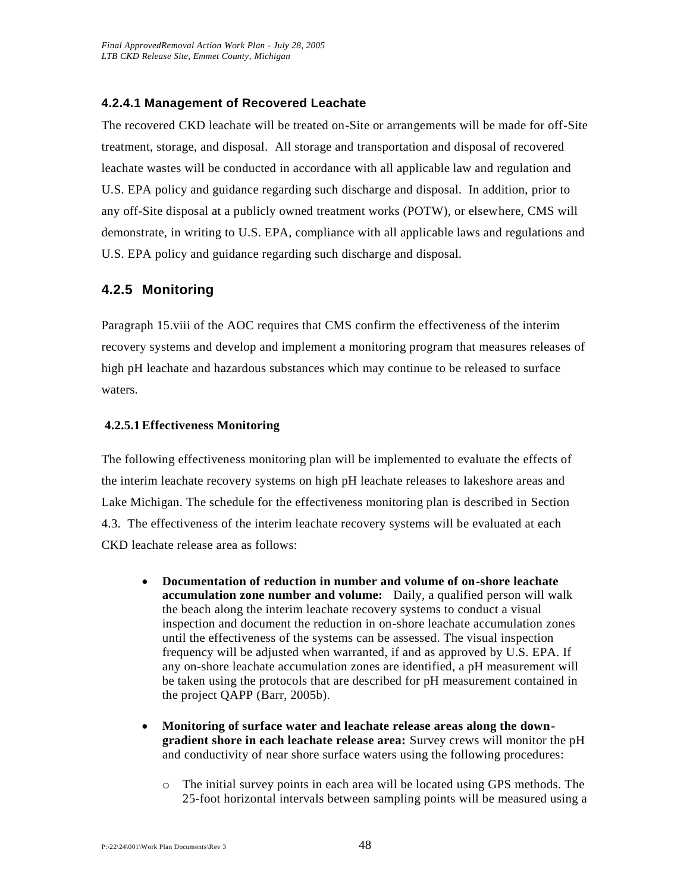#### **4.2.4.1 Management of Recovered Leachate**

The recovered CKD leachate will be treated on-Site or arrangements will be made for off-Site treatment, storage, and disposal. All storage and transportation and disposal of recovered leachate wastes will be conducted in accordance with all applicable law and regulation and U.S. EPA policy and guidance regarding such discharge and disposal. In addition, prior to any off-Site disposal at a publicly owned treatment works (POTW), or elsewhere, CMS will demonstrate, in writing to U.S. EPA, compliance with all applicable laws and regulations and U.S. EPA policy and guidance regarding such discharge and disposal.

# **4.2.5 Monitoring**

Paragraph 15.viii of the AOC requires that CMS confirm the effectiveness of the interim recovery systems and develop and implement a monitoring program that measures releases of high pH leachate and hazardous substances which may continue to be released to surface waters.

#### **4.2.5.1Effectiveness Monitoring**

The following effectiveness monitoring plan will be implemented to evaluate the effects of the interim leachate recovery systems on high pH leachate releases to lakeshore areas and Lake Michigan. The schedule for the effectiveness monitoring plan is described in Section 4.3. The effectiveness of the interim leachate recovery systems will be evaluated at each CKD leachate release area as follows:

- **Documentation of reduction in number and volume of on-shore leachate accumulation zone number and volume:** Daily, a qualified person will walk the beach along the interim leachate recovery systems to conduct a visual inspection and document the reduction in on-shore leachate accumulation zones until the effectiveness of the systems can be assessed. The visual inspection frequency will be adjusted when warranted, if and as approved by U.S. EPA. If any on-shore leachate accumulation zones are identified, a pH measurement will be taken using the protocols that are described for pH measurement contained in the project QAPP (Barr, 2005b).
- **Monitoring of surface water and leachate release areas along the downgradient shore in each leachate release area:** Survey crews will monitor the pH and conductivity of near shore surface waters using the following procedures:
	- o The initial survey points in each area will be located using GPS methods. The 25-foot horizontal intervals between sampling points will be measured using a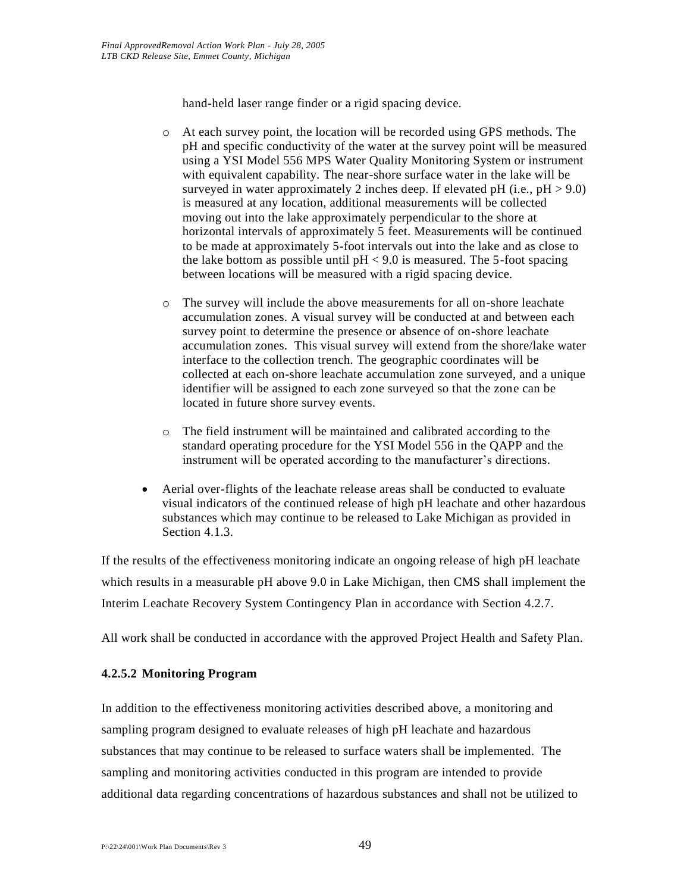hand-held laser range finder or a rigid spacing device.

- o At each survey point, the location will be recorded using GPS methods. The pH and specific conductivity of the water at the survey point will be measured using a YSI Model 556 MPS Water Quality Monitoring System or instrument with equivalent capability. The near-shore surface water in the lake will be surveyed in water approximately 2 inches deep. If elevated pH (i.e.,  $pH > 9.0$ ) is measured at any location, additional measurements will be collected moving out into the lake approximately perpendicular to the shore at horizontal intervals of approximately 5 feet. Measurements will be continued to be made at approximately 5-foot intervals out into the lake and as close to the lake bottom as possible until  $pH < 9.0$  is measured. The 5-foot spacing between locations will be measured with a rigid spacing device.
- o The survey will include the above measurements for all on-shore leachate accumulation zones. A visual survey will be conducted at and between each survey point to determine the presence or absence of on-shore leachate accumulation zones. This visual survey will extend from the shore/lake water interface to the collection trench. The geographic coordinates will be collected at each on-shore leachate accumulation zone surveyed, and a unique identifier will be assigned to each zone surveyed so that the zone can be located in future shore survey events.
- o The field instrument will be maintained and calibrated according to the standard operating procedure for the YSI Model 556 in the QAPP and the instrument will be operated according to the manufacturer's directions.
- Aerial over-flights of the leachate release areas shall be conducted to evaluate visual indicators of the continued release of high pH leachate and other hazardous substances which may continue to be released to Lake Michigan as provided in Section 4.1.3.

If the results of the effectiveness monitoring indicate an ongoing release of high pH leachate which results in a measurable pH above 9.0 in Lake Michigan, then CMS shall implement the Interim Leachate Recovery System Contingency Plan in accordance with Section 4.2.7.

All work shall be conducted in accordance with the approved Project Health and Safety Plan.

#### **4.2.5.2 Monitoring Program**

In addition to the effectiveness monitoring activities described above, a monitoring and sampling program designed to evaluate releases of high pH leachate and hazardous substances that may continue to be released to surface waters shall be implemented. The sampling and monitoring activities conducted in this program are intended to provide additional data regarding concentrations of hazardous substances and shall not be utilized to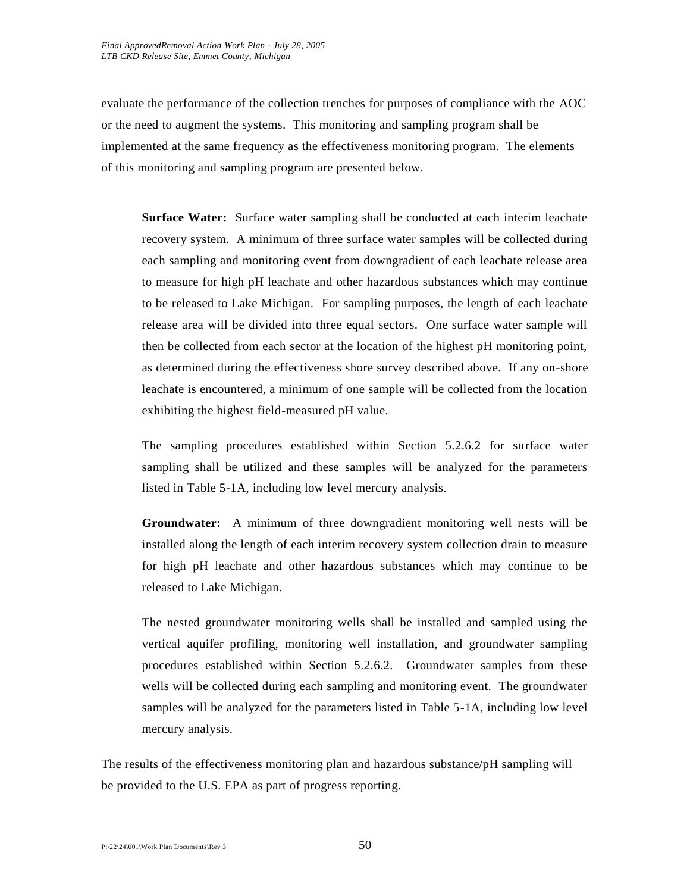evaluate the performance of the collection trenches for purposes of compliance with the AOC or the need to augment the systems. This monitoring and sampling program shall be implemented at the same frequency as the effectiveness monitoring program. The elements of this monitoring and sampling program are presented below.

**Surface Water:** Surface water sampling shall be conducted at each interim leachate recovery system. A minimum of three surface water samples will be collected during each sampling and monitoring event from downgradient of each leachate release area to measure for high pH leachate and other hazardous substances which may continue to be released to Lake Michigan. For sampling purposes, the length of each leachate release area will be divided into three equal sectors. One surface water sample will then be collected from each sector at the location of the highest pH monitoring point, as determined during the effectiveness shore survey described above. If any on-shore leachate is encountered, a minimum of one sample will be collected from the location exhibiting the highest field-measured pH value.

The sampling procedures established within Section 5.2.6.2 for surface water sampling shall be utilized and these samples will be analyzed for the parameters listed in Table 5-1A, including low level mercury analysis.

**Groundwater:** A minimum of three downgradient monitoring well nests will be installed along the length of each interim recovery system collection drain to measure for high pH leachate and other hazardous substances which may continue to be released to Lake Michigan.

The nested groundwater monitoring wells shall be installed and sampled using the vertical aquifer profiling, monitoring well installation, and groundwater sampling procedures established within Section 5.2.6.2. Groundwater samples from these wells will be collected during each sampling and monitoring event. The groundwater samples will be analyzed for the parameters listed in Table 5-1A, including low level mercury analysis.

The results of the effectiveness monitoring plan and hazardous substance/pH sampling will be provided to the U.S. EPA as part of progress reporting.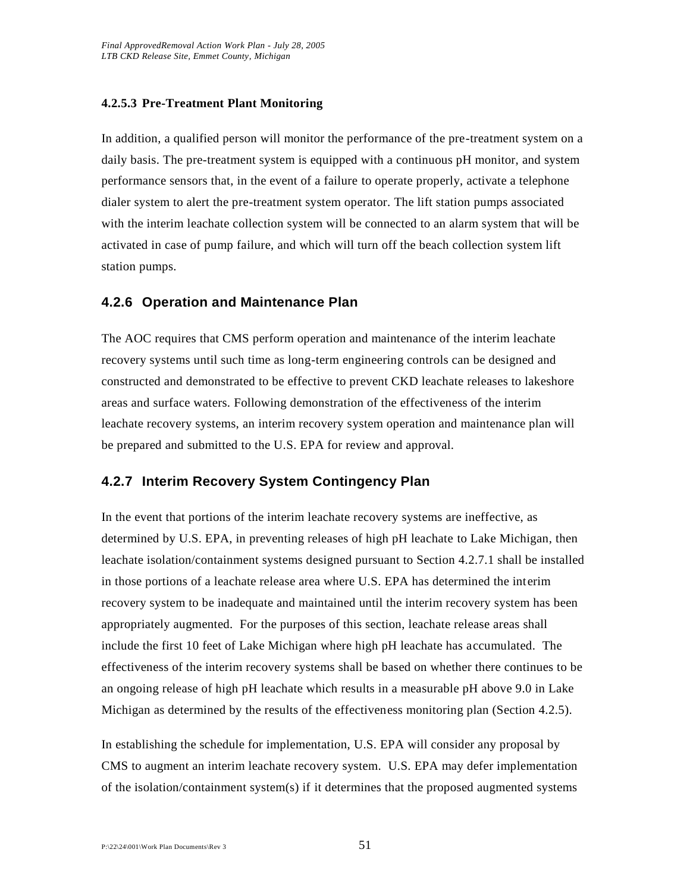#### **4.2.5.3 Pre-Treatment Plant Monitoring**

In addition, a qualified person will monitor the performance of the pre-treatment system on a daily basis. The pre-treatment system is equipped with a continuous pH monitor, and system performance sensors that, in the event of a failure to operate properly, activate a telephone dialer system to alert the pre-treatment system operator. The lift station pumps associated with the interim leachate collection system will be connected to an alarm system that will be activated in case of pump failure, and which will turn off the beach collection system lift station pumps.

### **4.2.6 Operation and Maintenance Plan**

The AOC requires that CMS perform operation and maintenance of the interim leachate recovery systems until such time as long-term engineering controls can be designed and constructed and demonstrated to be effective to prevent CKD leachate releases to lakeshore areas and surface waters. Following demonstration of the effectiveness of the interim leachate recovery systems, an interim recovery system operation and maintenance plan will be prepared and submitted to the U.S. EPA for review and approval.

#### **4.2.7 Interim Recovery System Contingency Plan**

In the event that portions of the interim leachate recovery systems are ineffective, as determined by U.S. EPA, in preventing releases of high pH leachate to Lake Michigan, then leachate isolation/containment systems designed pursuant to Section 4.2.7.1 shall be installed in those portions of a leachate release area where U.S. EPA has determined the interim recovery system to be inadequate and maintained until the interim recovery system has been appropriately augmented. For the purposes of this section, leachate release areas shall include the first 10 feet of Lake Michigan where high pH leachate has accumulated. The effectiveness of the interim recovery systems shall be based on whether there continues to be an ongoing release of high pH leachate which results in a measurable pH above 9.0 in Lake Michigan as determined by the results of the effectiveness monitoring plan (Section 4.2.5).

In establishing the schedule for implementation, U.S. EPA will consider any proposal by CMS to augment an interim leachate recovery system. U.S. EPA may defer implementation of the isolation/containment system(s) if it determines that the proposed augmented systems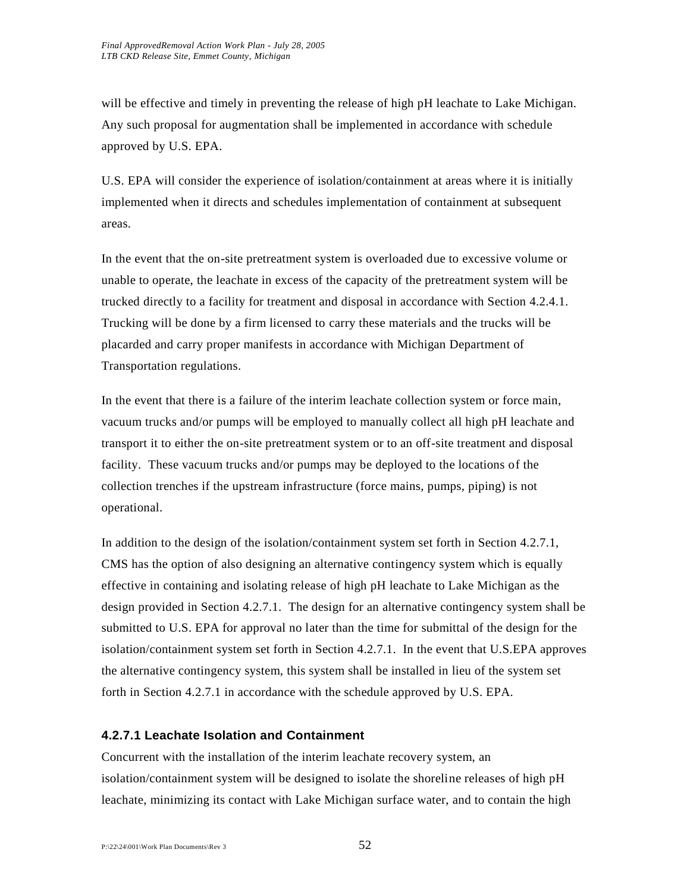will be effective and timely in preventing the release of high pH leachate to Lake Michigan. Any such proposal for augmentation shall be implemented in accordance with schedule approved by U.S. EPA.

U.S. EPA will consider the experience of isolation/containment at areas where it is initially implemented when it directs and schedules implementation of containment at subsequent areas.

In the event that the on-site pretreatment system is overloaded due to excessive volume or unable to operate, the leachate in excess of the capacity of the pretreatment system will be trucked directly to a facility for treatment and disposal in accordance with Section 4.2.4.1. Trucking will be done by a firm licensed to carry these materials and the trucks will be placarded and carry proper manifests in accordance with Michigan Department of Transportation regulations.

In the event that there is a failure of the interim leachate collection system or force main, vacuum trucks and/or pumps will be employed to manually collect all high pH leachate and transport it to either the on-site pretreatment system or to an off-site treatment and disposal facility. These vacuum trucks and/or pumps may be deployed to the locations of the collection trenches if the upstream infrastructure (force mains, pumps, piping) is not operational.

In addition to the design of the isolation/containment system set forth in Section 4.2.7.1, CMS has the option of also designing an alternative contingency system which is equally effective in containing and isolating release of high pH leachate to Lake Michigan as the design provided in Section 4.2.7.1. The design for an alternative contingency system shall be submitted to U.S. EPA for approval no later than the time for submittal of the design for the isolation/containment system set forth in Section 4.2.7.1. In the event that U.S.EPA approves the alternative contingency system, this system shall be installed in lieu of the system set forth in Section 4.2.7.1 in accordance with the schedule approved by U.S. EPA.

#### **4.2.7.1 Leachate Isolation and Containment**

Concurrent with the installation of the interim leachate recovery system, an isolation/containment system will be designed to isolate the shoreline releases of high pH leachate, minimizing its contact with Lake Michigan surface water, and to contain the high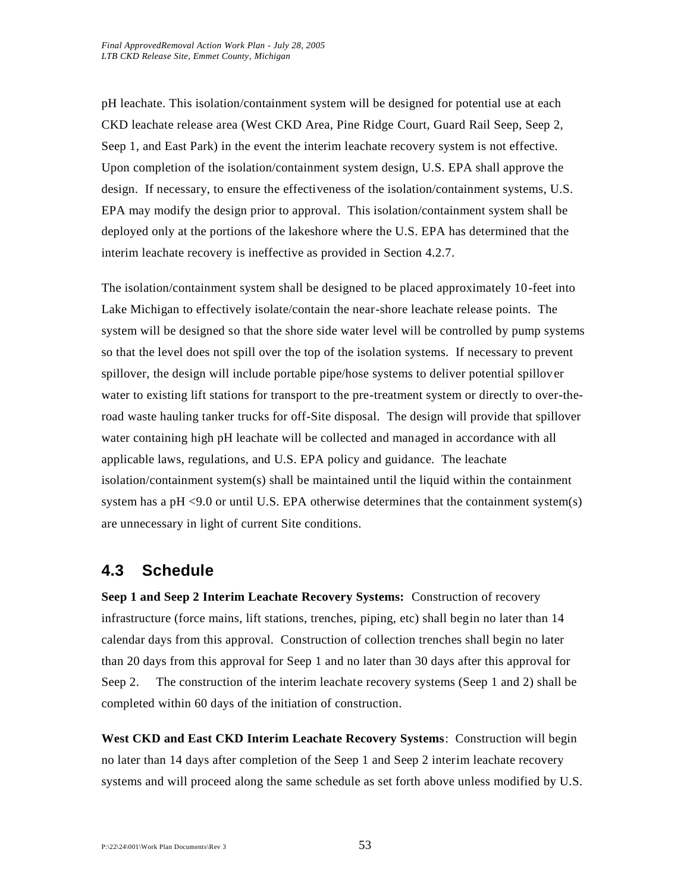pH leachate. This isolation/containment system will be designed for potential use at each CKD leachate release area (West CKD Area, Pine Ridge Court, Guard Rail Seep, Seep 2, Seep 1, and East Park) in the event the interim leachate recovery system is not effective. Upon completion of the isolation/containment system design, U.S. EPA shall approve the design. If necessary, to ensure the effectiveness of the isolation/containment systems, U.S. EPA may modify the design prior to approval. This isolation/containment system shall be deployed only at the portions of the lakeshore where the U.S. EPA has determined that the interim leachate recovery is ineffective as provided in Section 4.2.7.

The isolation/containment system shall be designed to be placed approximately 10-feet into Lake Michigan to effectively isolate/contain the near-shore leachate release points. The system will be designed so that the shore side water level will be controlled by pump systems so that the level does not spill over the top of the isolation systems. If necessary to prevent spillover, the design will include portable pipe/hose systems to deliver potential spillover water to existing lift stations for transport to the pre-treatment system or directly to over-theroad waste hauling tanker trucks for off-Site disposal. The design will provide that spillover water containing high pH leachate will be collected and managed in accordance with all applicable laws, regulations, and U.S. EPA policy and guidance. The leachate isolation/containment system(s) shall be maintained until the liquid within the containment system has a pH <9.0 or until U.S. EPA otherwise determines that the containment system(s) are unnecessary in light of current Site conditions.

# **4.3 Schedule**

**Seep 1 and Seep 2 Interim Leachate Recovery Systems:** Construction of recovery infrastructure (force mains, lift stations, trenches, piping, etc) shall begin no later than 14 calendar days from this approval. Construction of collection trenches shall begin no later than 20 days from this approval for Seep 1 and no later than 30 days after this approval for Seep 2. The construction of the interim leachate recovery systems (Seep 1 and 2) shall be completed within 60 days of the initiation of construction.

**West CKD and East CKD Interim Leachate Recovery Systems**: Construction will begin no later than 14 days after completion of the Seep 1 and Seep 2 interim leachate recovery systems and will proceed along the same schedule as set forth above unless modified by U.S.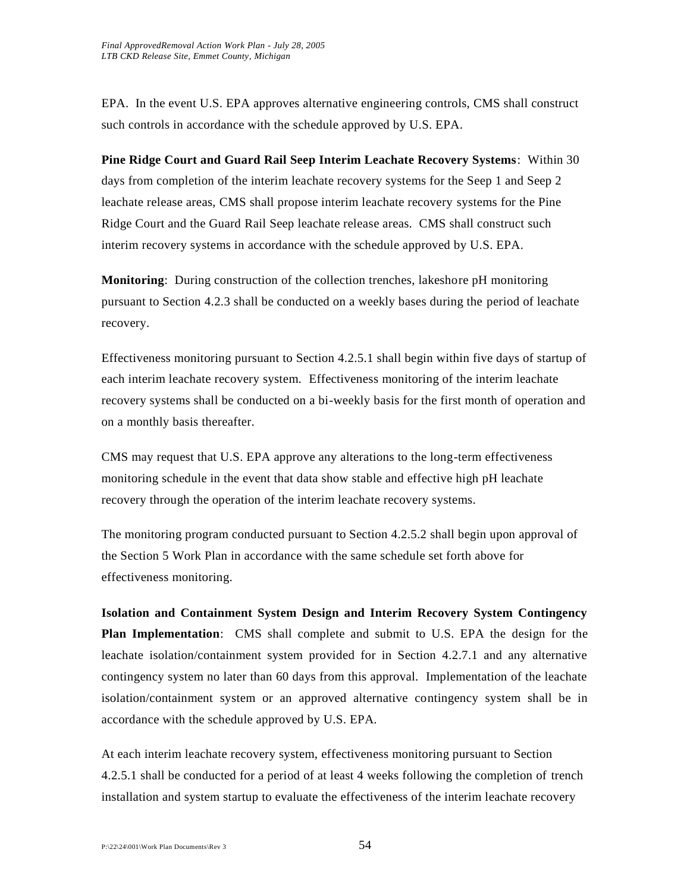EPA. In the event U.S. EPA approves alternative engineering controls, CMS shall construct such controls in accordance with the schedule approved by U.S. EPA.

**Pine Ridge Court and Guard Rail Seep Interim Leachate Recovery Systems**: Within 30 days from completion of the interim leachate recovery systems for the Seep 1 and Seep 2 leachate release areas, CMS shall propose interim leachate recovery systems for the Pine Ridge Court and the Guard Rail Seep leachate release areas. CMS shall construct such interim recovery systems in accordance with the schedule approved by U.S. EPA.

**Monitoring**: During construction of the collection trenches, lakeshore pH monitoring pursuant to Section 4.2.3 shall be conducted on a weekly bases during the period of leachate recovery.

Effectiveness monitoring pursuant to Section 4.2.5.1 shall begin within five days of startup of each interim leachate recovery system. Effectiveness monitoring of the interim leachate recovery systems shall be conducted on a bi-weekly basis for the first month of operation and on a monthly basis thereafter.

CMS may request that U.S. EPA approve any alterations to the long-term effectiveness monitoring schedule in the event that data show stable and effective high pH leachate recovery through the operation of the interim leachate recovery systems.

The monitoring program conducted pursuant to Section 4.2.5.2 shall begin upon approval of the Section 5 Work Plan in accordance with the same schedule set forth above for effectiveness monitoring.

**Isolation and Containment System Design and Interim Recovery System Contingency Plan Implementation**: CMS shall complete and submit to U.S. EPA the design for the leachate isolation/containment system provided for in Section 4.2.7.1 and any alternative contingency system no later than 60 days from this approval. Implementation of the leachate isolation/containment system or an approved alternative contingency system shall be in accordance with the schedule approved by U.S. EPA.

At each interim leachate recovery system, effectiveness monitoring pursuant to Section 4.2.5.1 shall be conducted for a period of at least 4 weeks following the completion of trench installation and system startup to evaluate the effectiveness of the interim leachate recovery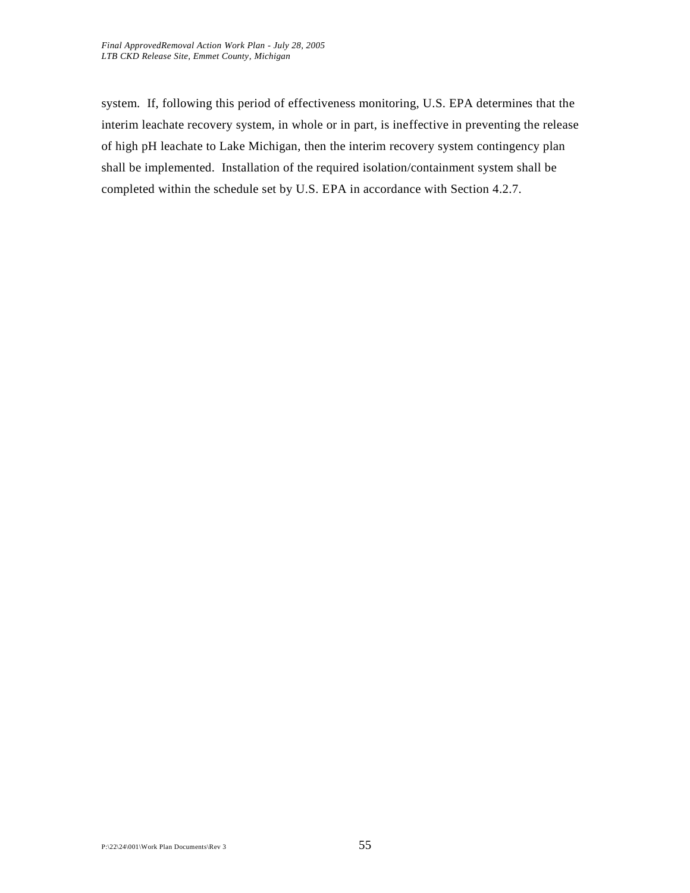system. If, following this period of effectiveness monitoring, U.S. EPA determines that the interim leachate recovery system, in whole or in part, is ineffective in preventing the release of high pH leachate to Lake Michigan, then the interim recovery system contingency plan shall be implemented. Installation of the required isolation/containment system shall be completed within the schedule set by U.S. EPA in accordance with Section 4.2.7.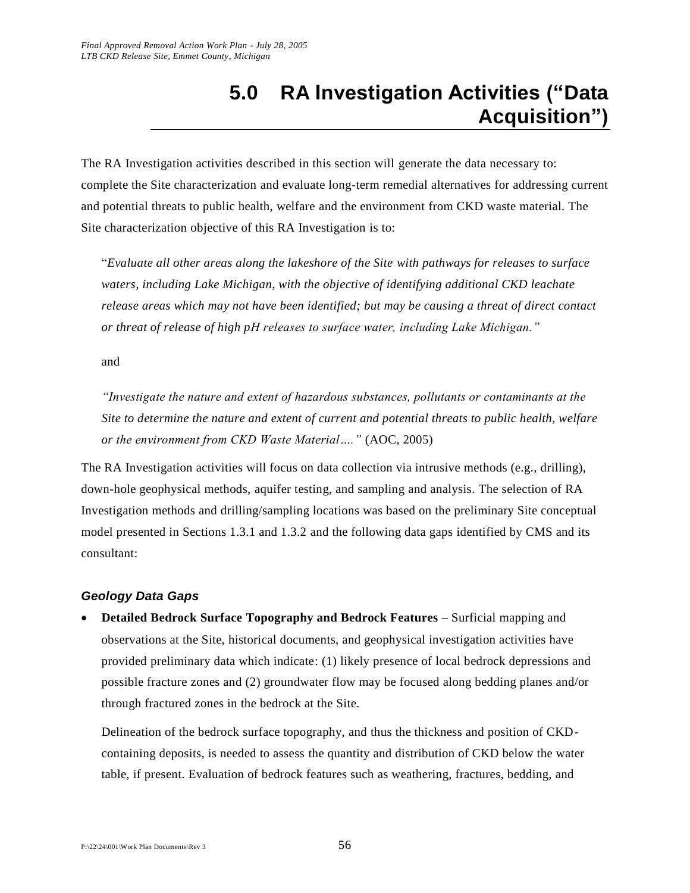# **5.0 RA Investigation Activities ("Data Acquisition")**

The RA Investigation activities described in this section will generate the data necessary to: complete the Site characterization and evaluate long-term remedial alternatives for addressing current and potential threats to public health, welfare and the environment from CKD waste material. The Site characterization objective of this RA Investigation is to:

"*Evaluate all other areas along the lakeshore of the Site with pathways for releases to surface waters, including Lake Michigan, with the objective of identifying additional CKD leachate release areas which may not have been identified; but may be causing a threat of direct contact or threat of release of high pH releases to surface water, including Lake Michigan."*

and

*"Investigate the nature and extent of hazardous substances, pollutants or contaminants at the Site to determine the nature and extent of current and potential threats to public health, welfare or the environment from CKD Waste Material…."* (AOC, 2005)

The RA Investigation activities will focus on data collection via intrusive methods (e.g., drilling), down-hole geophysical methods, aquifer testing, and sampling and analysis. The selection of RA Investigation methods and drilling/sampling locations was based on the preliminary Site conceptual model presented in Sections 1.3.1 and 1.3.2 and the following data gaps identified by CMS and its consultant:

#### *Geology Data Gaps*

 **Detailed Bedrock Surface Topography and Bedrock Features –** Surficial mapping and observations at the Site, historical documents, and geophysical investigation activities have provided preliminary data which indicate: (1) likely presence of local bedrock depressions and possible fracture zones and (2) groundwater flow may be focused along bedding planes and/or through fractured zones in the bedrock at the Site.

Delineation of the bedrock surface topography, and thus the thickness and position of CKDcontaining deposits, is needed to assess the quantity and distribution of CKD below the water table, if present. Evaluation of bedrock features such as weathering, fractures, bedding, and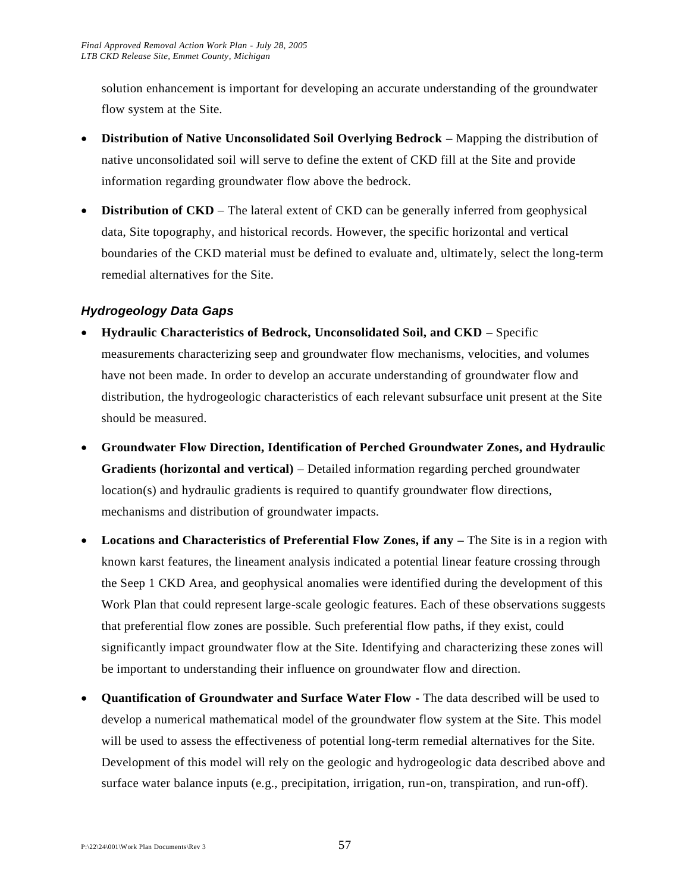solution enhancement is important for developing an accurate understanding of the groundwater flow system at the Site.

- **Distribution of Native Unconsolidated Soil Overlying Bedrock –** Mapping the distribution of native unconsolidated soil will serve to define the extent of CKD fill at the Site and provide information regarding groundwater flow above the bedrock.
- **Distribution of CKD** The lateral extent of CKD can be generally inferred from geophysical data, Site topography, and historical records. However, the specific horizontal and vertical boundaries of the CKD material must be defined to evaluate and, ultimately, select the long-term remedial alternatives for the Site.

# *Hydrogeology Data Gaps*

- **Hydraulic Characteristics of Bedrock, Unconsolidated Soil, and CKD –** Specific measurements characterizing seep and groundwater flow mechanisms, velocities, and volumes have not been made. In order to develop an accurate understanding of groundwater flow and distribution, the hydrogeologic characteristics of each relevant subsurface unit present at the Site should be measured.
- **Groundwater Flow Direction, Identification of Perched Groundwater Zones, and Hydraulic Gradients (horizontal and vertical)** – Detailed information regarding perched groundwater location(s) and hydraulic gradients is required to quantify groundwater flow directions, mechanisms and distribution of groundwater impacts.
- **Locations and Characteristics of Preferential Flow Zones, if any –** The Site is in a region with known karst features, the lineament analysis indicated a potential linear feature crossing through the Seep 1 CKD Area, and geophysical anomalies were identified during the development of this Work Plan that could represent large-scale geologic features. Each of these observations suggests that preferential flow zones are possible. Such preferential flow paths, if they exist, could significantly impact groundwater flow at the Site. Identifying and characterizing these zones will be important to understanding their influence on groundwater flow and direction.
- **Quantification of Groundwater and Surface Water Flow -** The data described will be used to develop a numerical mathematical model of the groundwater flow system at the Site. This model will be used to assess the effectiveness of potential long-term remedial alternatives for the Site. Development of this model will rely on the geologic and hydrogeologic data described above and surface water balance inputs (e.g., precipitation, irrigation, run-on, transpiration, and run-off).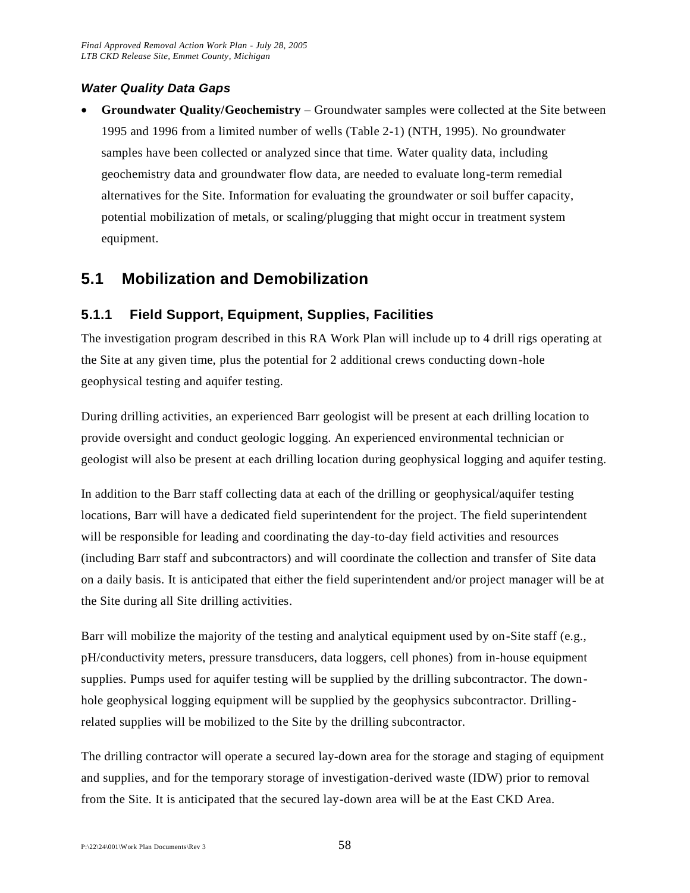#### *Water Quality Data Gaps*

 **Groundwater Quality/Geochemistry** – Groundwater samples were collected at the Site between 1995 and 1996 from a limited number of wells (Table 2-1) (NTH, 1995). No groundwater samples have been collected or analyzed since that time. Water quality data, including geochemistry data and groundwater flow data, are needed to evaluate long-term remedial alternatives for the Site. Information for evaluating the groundwater or soil buffer capacity, potential mobilization of metals, or scaling/plugging that might occur in treatment system equipment.

# **5.1 Mobilization and Demobilization**

# **5.1.1 Field Support, Equipment, Supplies, Facilities**

The investigation program described in this RA Work Plan will include up to 4 drill rigs operating at the Site at any given time, plus the potential for 2 additional crews conducting down-hole geophysical testing and aquifer testing.

During drilling activities, an experienced Barr geologist will be present at each drilling location to provide oversight and conduct geologic logging. An experienced environmental technician or geologist will also be present at each drilling location during geophysical logging and aquifer testing.

In addition to the Barr staff collecting data at each of the drilling or geophysical/aquifer testing locations, Barr will have a dedicated field superintendent for the project. The field superintendent will be responsible for leading and coordinating the day-to-day field activities and resources (including Barr staff and subcontractors) and will coordinate the collection and transfer of Site data on a daily basis. It is anticipated that either the field superintendent and/or project manager will be at the Site during all Site drilling activities.

Barr will mobilize the majority of the testing and analytical equipment used by on-Site staff (e.g., pH/conductivity meters, pressure transducers, data loggers, cell phones) from in-house equipment supplies. Pumps used for aquifer testing will be supplied by the drilling subcontractor. The downhole geophysical logging equipment will be supplied by the geophysics subcontractor. Drillingrelated supplies will be mobilized to the Site by the drilling subcontractor.

The drilling contractor will operate a secured lay-down area for the storage and staging of equipment and supplies, and for the temporary storage of investigation-derived waste (IDW) prior to removal from the Site. It is anticipated that the secured lay-down area will be at the East CKD Area.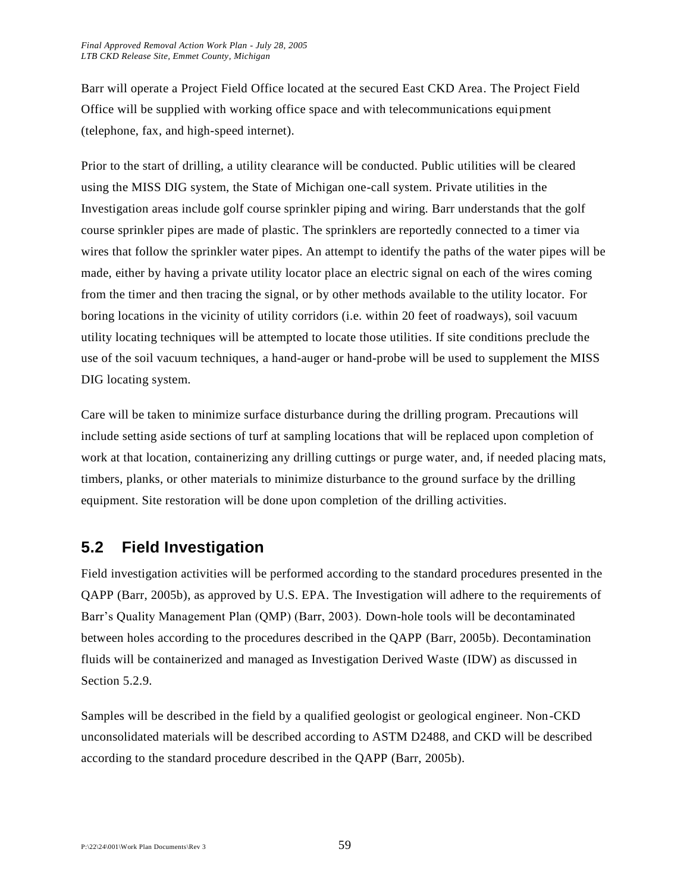Barr will operate a Project Field Office located at the secured East CKD Area. The Project Field Office will be supplied with working office space and with telecommunications equipment (telephone, fax, and high-speed internet).

Prior to the start of drilling, a utility clearance will be conducted. Public utilities will be cleared using the MISS DIG system, the State of Michigan one-call system. Private utilities in the Investigation areas include golf course sprinkler piping and wiring. Barr understands that the golf course sprinkler pipes are made of plastic. The sprinklers are reportedly connected to a timer via wires that follow the sprinkler water pipes. An attempt to identify the paths of the water pipes will be made, either by having a private utility locator place an electric signal on each of the wires coming from the timer and then tracing the signal, or by other methods available to the utility locator. For boring locations in the vicinity of utility corridors (i.e. within 20 feet of roadways), soil vacuum utility locating techniques will be attempted to locate those utilities. If site conditions preclude the use of the soil vacuum techniques, a hand-auger or hand-probe will be used to supplement the MISS DIG locating system.

Care will be taken to minimize surface disturbance during the drilling program. Precautions will include setting aside sections of turf at sampling locations that will be replaced upon completion of work at that location, containerizing any drilling cuttings or purge water, and, if needed placing mats, timbers, planks, or other materials to minimize disturbance to the ground surface by the drilling equipment. Site restoration will be done upon completion of the drilling activities.

# **5.2 Field Investigation**

Field investigation activities will be performed according to the standard procedures presented in the QAPP (Barr, 2005b), as approved by U.S. EPA. The Investigation will adhere to the requirements of Barr's Quality Management Plan (QMP) (Barr, 2003). Down-hole tools will be decontaminated between holes according to the procedures described in the QAPP (Barr, 2005b). Decontamination fluids will be containerized and managed as Investigation Derived Waste (IDW) as discussed in Section 5.2.9.

Samples will be described in the field by a qualified geologist or geological engineer. Non-CKD unconsolidated materials will be described according to ASTM D2488, and CKD will be described according to the standard procedure described in the QAPP (Barr, 2005b).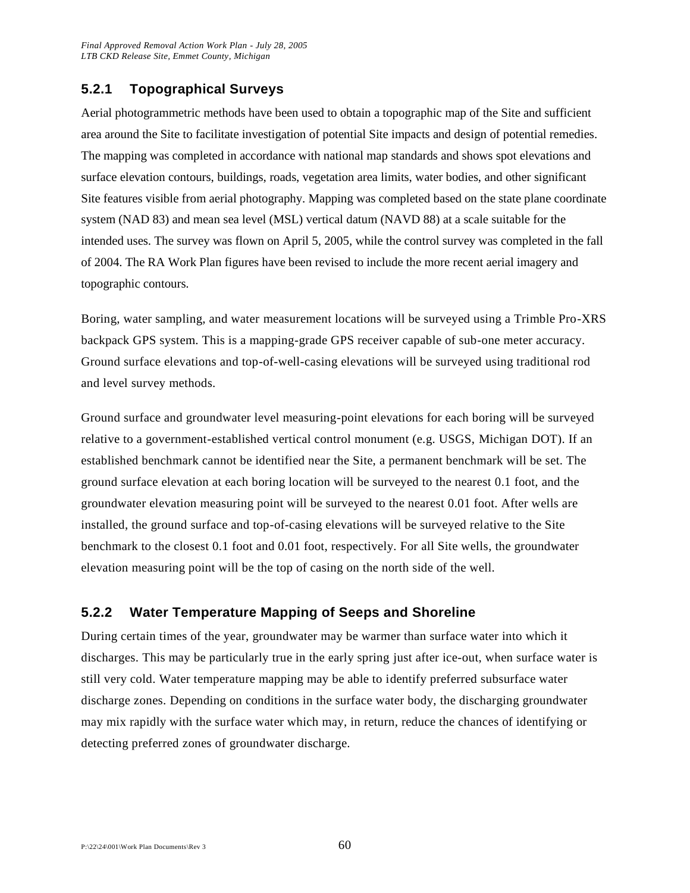# **5.2.1 Topographical Surveys**

Aerial photogrammetric methods have been used to obtain a topographic map of the Site and sufficient area around the Site to facilitate investigation of potential Site impacts and design of potential remedies. The mapping was completed in accordance with national map standards and shows spot elevations and surface elevation contours, buildings, roads, vegetation area limits, water bodies, and other significant Site features visible from aerial photography. Mapping was completed based on the state plane coordinate system (NAD 83) and mean sea level (MSL) vertical datum (NAVD 88) at a scale suitable for the intended uses. The survey was flown on April 5, 2005, while the control survey was completed in the fall of 2004. The RA Work Plan figures have been revised to include the more recent aerial imagery and topographic contours.

Boring, water sampling, and water measurement locations will be surveyed using a Trimble Pro-XRS backpack GPS system. This is a mapping-grade GPS receiver capable of sub-one meter accuracy. Ground surface elevations and top-of-well-casing elevations will be surveyed using traditional rod and level survey methods.

Ground surface and groundwater level measuring-point elevations for each boring will be surveyed relative to a government-established vertical control monument (e.g. USGS, Michigan DOT). If an established benchmark cannot be identified near the Site, a permanent benchmark will be set. The ground surface elevation at each boring location will be surveyed to the nearest 0.1 foot, and the groundwater elevation measuring point will be surveyed to the nearest 0.01 foot. After wells are installed, the ground surface and top-of-casing elevations will be surveyed relative to the Site benchmark to the closest 0.1 foot and 0.01 foot, respectively. For all Site wells, the groundwater elevation measuring point will be the top of casing on the north side of the well.

# **5.2.2 Water Temperature Mapping of Seeps and Shoreline**

During certain times of the year, groundwater may be warmer than surface water into which it discharges. This may be particularly true in the early spring just after ice-out, when surface water is still very cold. Water temperature mapping may be able to identify preferred subsurface water discharge zones. Depending on conditions in the surface water body, the discharging groundwater may mix rapidly with the surface water which may, in return, reduce the chances of identifying or detecting preferred zones of groundwater discharge.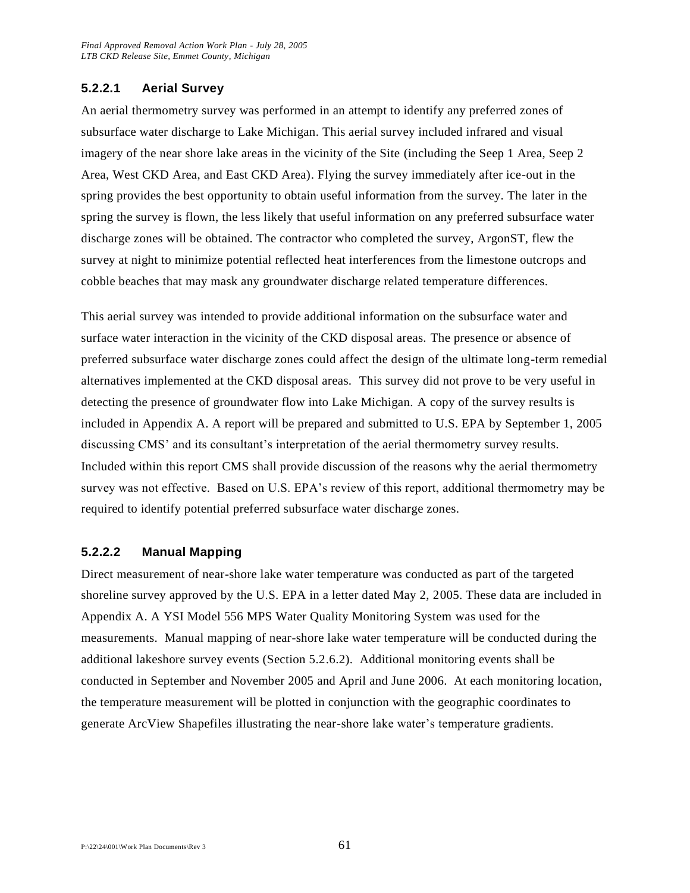#### **5.2.2.1 Aerial Survey**

An aerial thermometry survey was performed in an attempt to identify any preferred zones of subsurface water discharge to Lake Michigan. This aerial survey included infrared and visual imagery of the near shore lake areas in the vicinity of the Site (including the Seep 1 Area, Seep 2 Area, West CKD Area, and East CKD Area). Flying the survey immediately after ice-out in the spring provides the best opportunity to obtain useful information from the survey. The later in the spring the survey is flown, the less likely that useful information on any preferred subsurface water discharge zones will be obtained. The contractor who completed the survey, ArgonST, flew the survey at night to minimize potential reflected heat interferences from the limestone outcrops and cobble beaches that may mask any groundwater discharge related temperature differences.

This aerial survey was intended to provide additional information on the subsurface water and surface water interaction in the vicinity of the CKD disposal areas. The presence or absence of preferred subsurface water discharge zones could affect the design of the ultimate long-term remedial alternatives implemented at the CKD disposal areas. This survey did not prove to be very useful in detecting the presence of groundwater flow into Lake Michigan. A copy of the survey results is included in Appendix A. A report will be prepared and submitted to U.S. EPA by September 1, 2005 discussing CMS' and its consultant's interpretation of the aerial thermometry survey results. Included within this report CMS shall provide discussion of the reasons why the aerial thermometry survey was not effective. Based on U.S. EPA's review of this report, additional thermometry may be required to identify potential preferred subsurface water discharge zones.

#### **5.2.2.2 Manual Mapping**

Direct measurement of near-shore lake water temperature was conducted as part of the targeted shoreline survey approved by the U.S. EPA in a letter dated May 2, 2005. These data are included in Appendix A. A YSI Model 556 MPS Water Quality Monitoring System was used for the measurements. Manual mapping of near-shore lake water temperature will be conducted during the additional lakeshore survey events (Section 5.2.6.2). Additional monitoring events shall be conducted in September and November 2005 and April and June 2006. At each monitoring location, the temperature measurement will be plotted in conjunction with the geographic coordinates to generate ArcView Shapefiles illustrating the near-shore lake water's temperature gradients.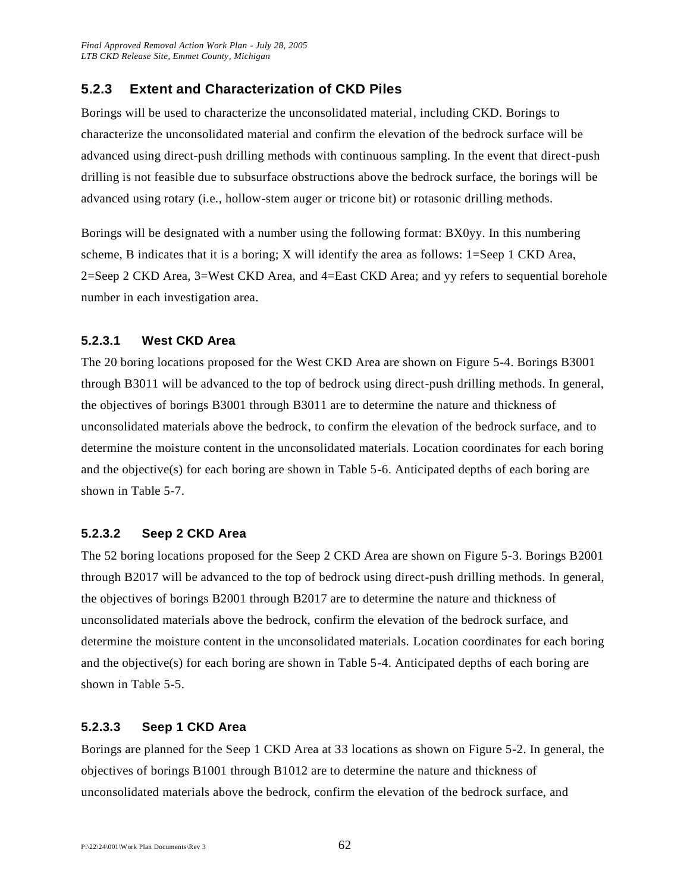# **5.2.3 Extent and Characterization of CKD Piles**

Borings will be used to characterize the unconsolidated material, including CKD. Borings to characterize the unconsolidated material and confirm the elevation of the bedrock surface will be advanced using direct-push drilling methods with continuous sampling. In the event that direct-push drilling is not feasible due to subsurface obstructions above the bedrock surface, the borings will be advanced using rotary (i.e., hollow-stem auger or tricone bit) or rotasonic drilling methods.

Borings will be designated with a number using the following format: BX0yy. In this numbering scheme, B indicates that it is a boring; X will identify the area as follows:  $1 =$ Seep 1 CKD Area, 2=Seep 2 CKD Area, 3=West CKD Area, and 4=East CKD Area; and yy refers to sequential borehole number in each investigation area.

#### **5.2.3.1 West CKD Area**

The 20 boring locations proposed for the West CKD Area are shown on Figure 5-4. Borings B3001 through B3011 will be advanced to the top of bedrock using direct-push drilling methods. In general, the objectives of borings B3001 through B3011 are to determine the nature and thickness of unconsolidated materials above the bedrock, to confirm the elevation of the bedrock surface, and to determine the moisture content in the unconsolidated materials. Location coordinates for each boring and the objective(s) for each boring are shown in Table 5-6. Anticipated depths of each boring are shown in Table 5-7.

#### **5.2.3.2 Seep 2 CKD Area**

The 52 boring locations proposed for the Seep 2 CKD Area are shown on Figure 5-3. Borings B2001 through B2017 will be advanced to the top of bedrock using direct-push drilling methods. In general, the objectives of borings B2001 through B2017 are to determine the nature and thickness of unconsolidated materials above the bedrock, confirm the elevation of the bedrock surface, and determine the moisture content in the unconsolidated materials. Location coordinates for each boring and the objective(s) for each boring are shown in Table 5-4. Anticipated depths of each boring are shown in Table 5-5.

#### **5.2.3.3 Seep 1 CKD Area**

Borings are planned for the Seep 1 CKD Area at 33 locations as shown on Figure 5-2. In general, the objectives of borings B1001 through B1012 are to determine the nature and thickness of unconsolidated materials above the bedrock, confirm the elevation of the bedrock surface, and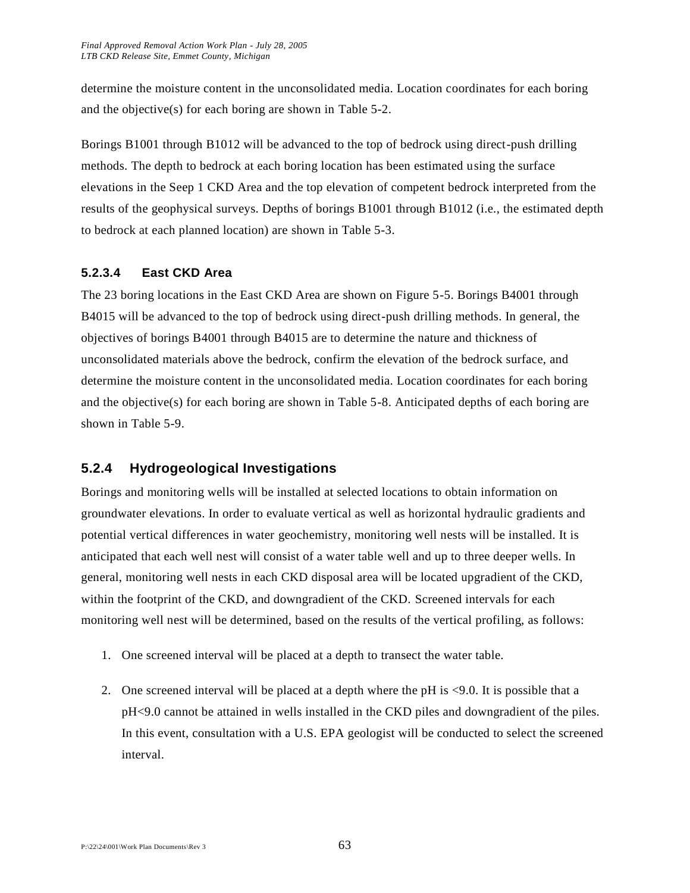determine the moisture content in the unconsolidated media. Location coordinates for each boring and the objective(s) for each boring are shown in Table 5-2.

Borings B1001 through B1012 will be advanced to the top of bedrock using direct-push drilling methods. The depth to bedrock at each boring location has been estimated using the surface elevations in the Seep 1 CKD Area and the top elevation of competent bedrock interpreted from the results of the geophysical surveys. Depths of borings B1001 through B1012 (i.e., the estimated depth to bedrock at each planned location) are shown in Table 5-3.

### **5.2.3.4 East CKD Area**

The 23 boring locations in the East CKD Area are shown on Figure 5-5. Borings B4001 through B4015 will be advanced to the top of bedrock using direct-push drilling methods. In general, the objectives of borings B4001 through B4015 are to determine the nature and thickness of unconsolidated materials above the bedrock, confirm the elevation of the bedrock surface, and determine the moisture content in the unconsolidated media. Location coordinates for each boring and the objective(s) for each boring are shown in Table 5-8. Anticipated depths of each boring are shown in Table 5-9.

# **5.2.4 Hydrogeological Investigations**

Borings and monitoring wells will be installed at selected locations to obtain information on groundwater elevations. In order to evaluate vertical as well as horizontal hydraulic gradients and potential vertical differences in water geochemistry, monitoring well nests will be installed. It is anticipated that each well nest will consist of a water table well and up to three deeper wells. In general, monitoring well nests in each CKD disposal area will be located upgradient of the CKD, within the footprint of the CKD, and downgradient of the CKD. Screened intervals for each monitoring well nest will be determined, based on the results of the vertical profiling, as follows:

- 1. One screened interval will be placed at a depth to transect the water table.
- 2. One screened interval will be placed at a depth where the pH is <9.0. It is possible that a pH<9.0 cannot be attained in wells installed in the CKD piles and downgradient of the piles. In this event, consultation with a U.S. EPA geologist will be conducted to select the screened interval.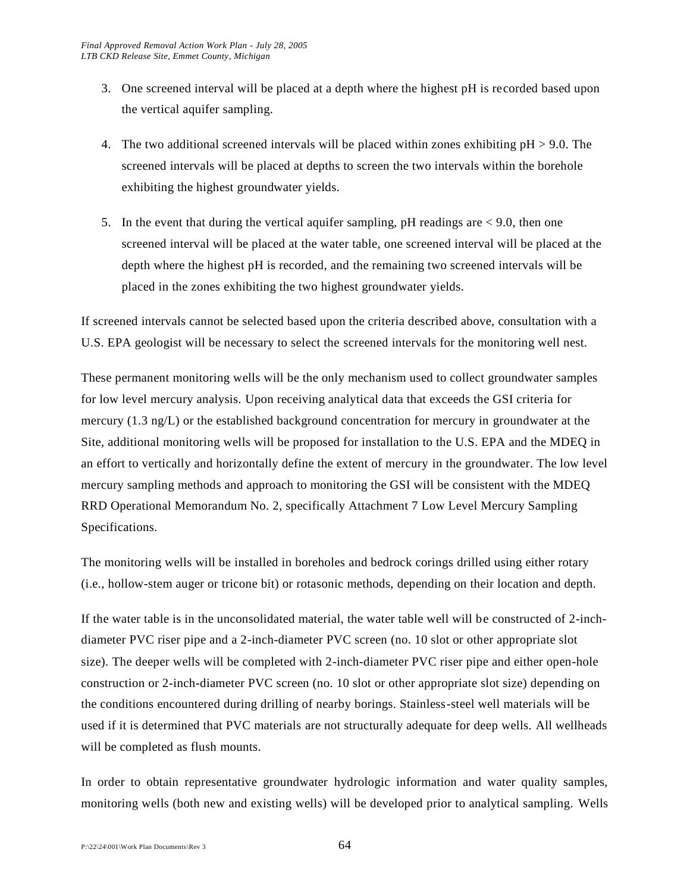- 3. One screened interval will be placed at a depth where the highest pH is recorded based upon the vertical aquifer sampling.
- 4. The two additional screened intervals will be placed within zones exhibiting  $pH > 9.0$ . The screened intervals will be placed at depths to screen the two intervals within the borehole exhibiting the highest groundwater yields.
- 5. In the event that during the vertical aquifer sampling, pH readings are < 9.0, then one screened interval will be placed at the water table, one screened interval will be placed at the depth where the highest pH is recorded, and the remaining two screened intervals will be placed in the zones exhibiting the two highest groundwater yields.

If screened intervals cannot be selected based upon the criteria described above, consultation with a U.S. EPA geologist will be necessary to select the screened intervals for the monitoring well nest.

These permanent monitoring wells will be the only mechanism used to collect groundwater samples for low level mercury analysis. Upon receiving analytical data that exceeds the GSI criteria for mercury (1.3 ng/L) or the established background concentration for mercury in groundwater at the Site, additional monitoring wells will be proposed for installation to the U.S. EPA and the MDEQ in an effort to vertically and horizontally define the extent of mercury in the groundwater. The low level mercury sampling methods and approach to monitoring the GSI will be consistent with the MDEQ RRD Operational Memorandum No. 2, specifically Attachment 7 Low Level Mercury Sampling Specifications.

The monitoring wells will be installed in boreholes and bedrock corings drilled using either rotary (i.e., hollow-stem auger or tricone bit) or rotasonic methods, depending on their location and depth.

If the water table is in the unconsolidated material, the water table well will be constructed of 2-inchdiameter PVC riser pipe and a 2-inch-diameter PVC screen (no. 10 slot or other appropriate slot size). The deeper wells will be completed with 2-inch-diameter PVC riser pipe and either open-hole construction or 2-inch-diameter PVC screen (no. 10 slot or other appropriate slot size) depending on the conditions encountered during drilling of nearby borings. Stainless-steel well materials will be used if it is determined that PVC materials are not structurally adequate for deep wells. All wellheads will be completed as flush mounts.

In order to obtain representative groundwater hydrologic information and water quality samples, monitoring wells (both new and existing wells) will be developed prior to analytical sampling. Wells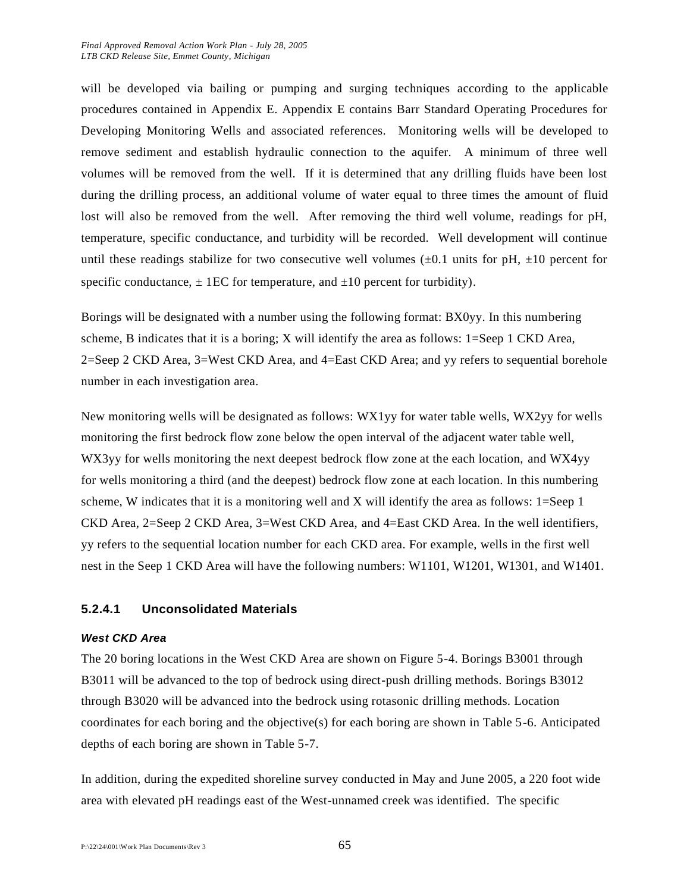will be developed via bailing or pumping and surging techniques according to the applicable procedures contained in Appendix E. Appendix E contains Barr Standard Operating Procedures for Developing Monitoring Wells and associated references. Monitoring wells will be developed to remove sediment and establish hydraulic connection to the aquifer. A minimum of three well volumes will be removed from the well. If it is determined that any drilling fluids have been lost during the drilling process, an additional volume of water equal to three times the amount of fluid lost will also be removed from the well. After removing the third well volume, readings for pH, temperature, specific conductance, and turbidity will be recorded. Well development will continue until these readings stabilize for two consecutive well volumes  $(\pm 0.1$  units for pH,  $\pm 10$  percent for specific conductance,  $\pm$  1EC for temperature, and  $\pm$ 10 percent for turbidity).

Borings will be designated with a number using the following format: BX0yy. In this numbering scheme, B indicates that it is a boring; X will identify the area as follows: 1=Seep 1 CKD Area, 2=Seep 2 CKD Area, 3=West CKD Area, and 4=East CKD Area; and yy refers to sequential borehole number in each investigation area.

New monitoring wells will be designated as follows: WX1yy for water table wells, WX2yy for wells monitoring the first bedrock flow zone below the open interval of the adjacent water table well, WX3yy for wells monitoring the next deepest bedrock flow zone at the each location, and WX4yy for wells monitoring a third (and the deepest) bedrock flow zone at each location. In this numbering scheme, W indicates that it is a monitoring well and X will identify the area as follows: 1=Seep 1 CKD Area, 2=Seep 2 CKD Area, 3=West CKD Area, and 4=East CKD Area. In the well identifiers, yy refers to the sequential location number for each CKD area. For example, wells in the first well nest in the Seep 1 CKD Area will have the following numbers: W1101, W1201, W1301, and W1401.

#### **5.2.4.1 Unconsolidated Materials**

#### *West CKD Area*

The 20 boring locations in the West CKD Area are shown on Figure 5-4. Borings B3001 through B3011 will be advanced to the top of bedrock using direct-push drilling methods. Borings B3012 through B3020 will be advanced into the bedrock using rotasonic drilling methods. Location coordinates for each boring and the objective(s) for each boring are shown in Table 5-6. Anticipated depths of each boring are shown in Table 5-7.

In addition, during the expedited shoreline survey conducted in May and June 2005, a 220 foot wide area with elevated pH readings east of the West-unnamed creek was identified. The specific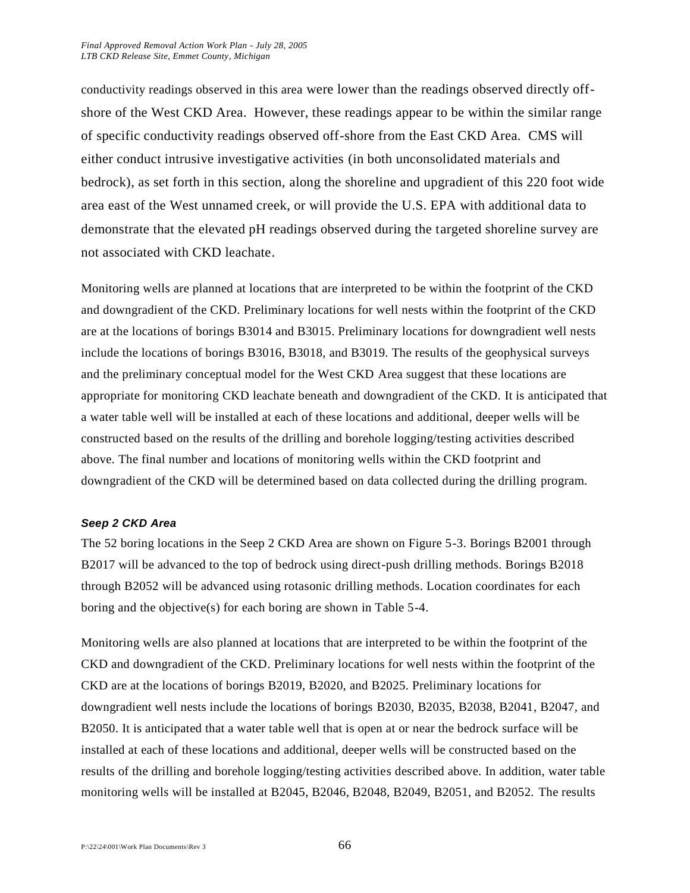conductivity readings observed in this area were lower than the readings observed directly offshore of the West CKD Area. However, these readings appear to be within the similar range of specific conductivity readings observed off-shore from the East CKD Area. CMS will either conduct intrusive investigative activities (in both unconsolidated materials and bedrock), as set forth in this section, along the shoreline and upgradient of this 220 foot wide area east of the West unnamed creek, or will provide the U.S. EPA with additional data to demonstrate that the elevated pH readings observed during the targeted shoreline survey are not associated with CKD leachate.

Monitoring wells are planned at locations that are interpreted to be within the footprint of the CKD and downgradient of the CKD. Preliminary locations for well nests within the footprint of the CKD are at the locations of borings B3014 and B3015. Preliminary locations for downgradient well nests include the locations of borings B3016, B3018, and B3019. The results of the geophysical surveys and the preliminary conceptual model for the West CKD Area suggest that these locations are appropriate for monitoring CKD leachate beneath and downgradient of the CKD. It is anticipated that a water table well will be installed at each of these locations and additional, deeper wells will be constructed based on the results of the drilling and borehole logging/testing activities described above. The final number and locations of monitoring wells within the CKD footprint and downgradient of the CKD will be determined based on data collected during the drilling program.

#### *Seep 2 CKD Area*

The 52 boring locations in the Seep 2 CKD Area are shown on Figure 5-3. Borings B2001 through B2017 will be advanced to the top of bedrock using direct-push drilling methods. Borings B2018 through B2052 will be advanced using rotasonic drilling methods. Location coordinates for each boring and the objective(s) for each boring are shown in Table 5-4.

Monitoring wells are also planned at locations that are interpreted to be within the footprint of the CKD and downgradient of the CKD. Preliminary locations for well nests within the footprint of the CKD are at the locations of borings B2019, B2020, and B2025. Preliminary locations for downgradient well nests include the locations of borings B2030, B2035, B2038, B2041, B2047, and B2050. It is anticipated that a water table well that is open at or near the bedrock surface will be installed at each of these locations and additional, deeper wells will be constructed based on the results of the drilling and borehole logging/testing activities described above. In addition, water table monitoring wells will be installed at B2045, B2046, B2048, B2049, B2051, and B2052. The results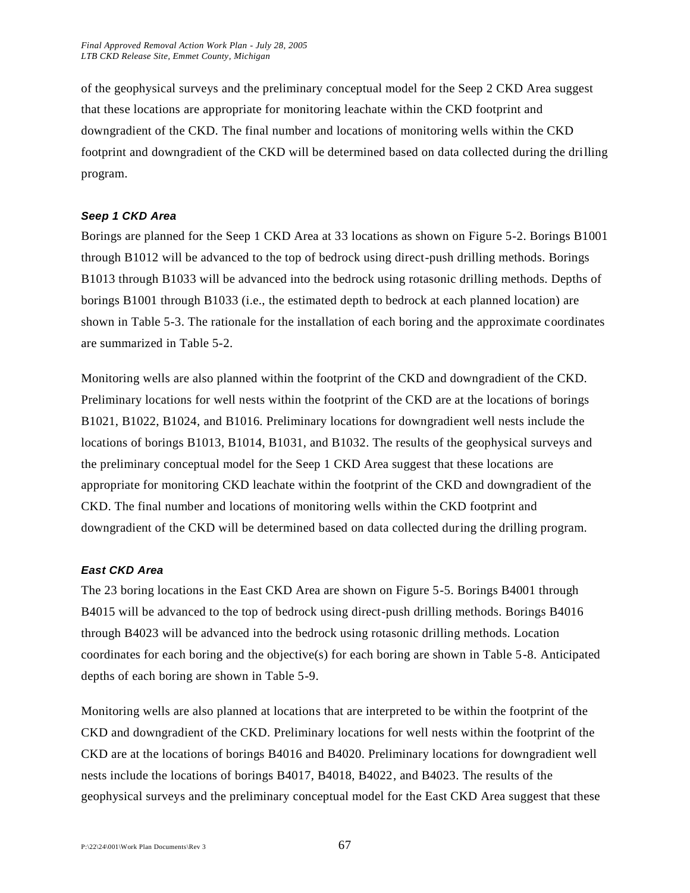of the geophysical surveys and the preliminary conceptual model for the Seep 2 CKD Area suggest that these locations are appropriate for monitoring leachate within the CKD footprint and downgradient of the CKD. The final number and locations of monitoring wells within the CKD footprint and downgradient of the CKD will be determined based on data collected during the drilling program.

#### *Seep 1 CKD Area*

Borings are planned for the Seep 1 CKD Area at 33 locations as shown on Figure 5-2. Borings B1001 through B1012 will be advanced to the top of bedrock using direct-push drilling methods. Borings B1013 through B1033 will be advanced into the bedrock using rotasonic drilling methods. Depths of borings B1001 through B1033 (i.e., the estimated depth to bedrock at each planned location) are shown in Table 5-3. The rationale for the installation of each boring and the approximate coordinates are summarized in Table 5-2.

Monitoring wells are also planned within the footprint of the CKD and downgradient of the CKD. Preliminary locations for well nests within the footprint of the CKD are at the locations of borings B1021, B1022, B1024, and B1016. Preliminary locations for downgradient well nests include the locations of borings B1013, B1014, B1031, and B1032. The results of the geophysical surveys and the preliminary conceptual model for the Seep 1 CKD Area suggest that these locations are appropriate for monitoring CKD leachate within the footprint of the CKD and downgradient of the CKD. The final number and locations of monitoring wells within the CKD footprint and downgradient of the CKD will be determined based on data collected during the drilling program.

#### *East CKD Area*

The 23 boring locations in the East CKD Area are shown on Figure 5-5. Borings B4001 through B4015 will be advanced to the top of bedrock using direct-push drilling methods. Borings B4016 through B4023 will be advanced into the bedrock using rotasonic drilling methods. Location coordinates for each boring and the objective(s) for each boring are shown in Table 5-8. Anticipated depths of each boring are shown in Table 5-9.

Monitoring wells are also planned at locations that are interpreted to be within the footprint of the CKD and downgradient of the CKD. Preliminary locations for well nests within the footprint of the CKD are at the locations of borings B4016 and B4020. Preliminary locations for downgradient well nests include the locations of borings B4017, B4018, B4022, and B4023. The results of the geophysical surveys and the preliminary conceptual model for the East CKD Area suggest that these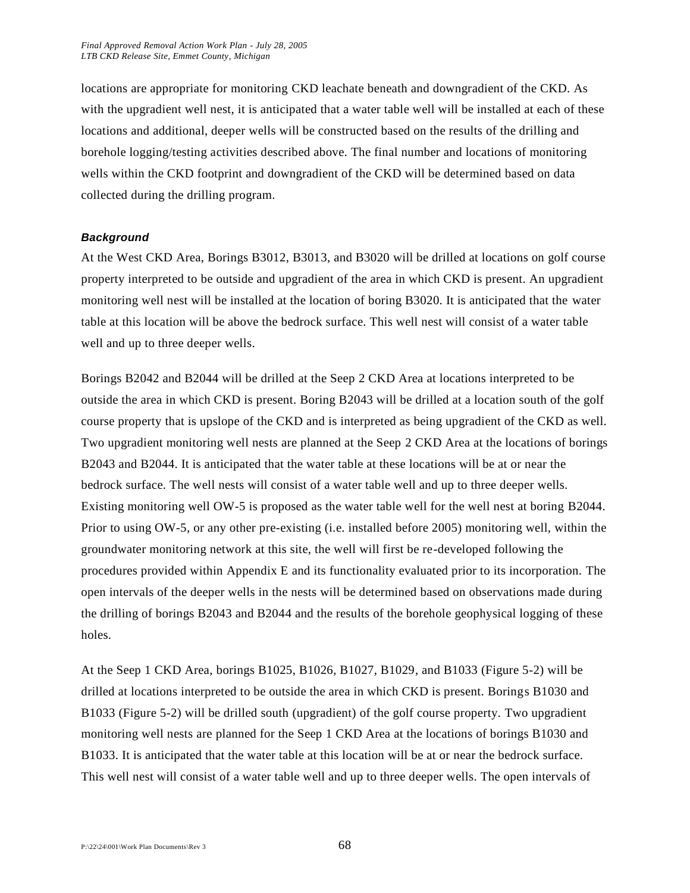locations are appropriate for monitoring CKD leachate beneath and downgradient of the CKD. As with the upgradient well nest, it is anticipated that a water table well will be installed at each of these locations and additional, deeper wells will be constructed based on the results of the drilling and borehole logging/testing activities described above. The final number and locations of monitoring wells within the CKD footprint and downgradient of the CKD will be determined based on data collected during the drilling program.

#### *Background*

At the West CKD Area, Borings B3012, B3013, and B3020 will be drilled at locations on golf course property interpreted to be outside and upgradient of the area in which CKD is present. An upgradient monitoring well nest will be installed at the location of boring B3020. It is anticipated that the water table at this location will be above the bedrock surface. This well nest will consist of a water table well and up to three deeper wells.

Borings B2042 and B2044 will be drilled at the Seep 2 CKD Area at locations interpreted to be outside the area in which CKD is present. Boring B2043 will be drilled at a location south of the golf course property that is upslope of the CKD and is interpreted as being upgradient of the CKD as well. Two upgradient monitoring well nests are planned at the Seep 2 CKD Area at the locations of borings B2043 and B2044. It is anticipated that the water table at these locations will be at or near the bedrock surface. The well nests will consist of a water table well and up to three deeper wells. Existing monitoring well OW-5 is proposed as the water table well for the well nest at boring B2044. Prior to using OW-5, or any other pre-existing (i.e. installed before 2005) monitoring well, within the groundwater monitoring network at this site, the well will first be re-developed following the procedures provided within Appendix E and its functionality evaluated prior to its incorporation. The open intervals of the deeper wells in the nests will be determined based on observations made during the drilling of borings B2043 and B2044 and the results of the borehole geophysical logging of these holes.

At the Seep 1 CKD Area, borings B1025, B1026, B1027, B1029, and B1033 (Figure 5-2) will be drilled at locations interpreted to be outside the area in which CKD is present. Borings B1030 and B1033 (Figure 5-2) will be drilled south (upgradient) of the golf course property. Two upgradient monitoring well nests are planned for the Seep 1 CKD Area at the locations of borings B1030 and B1033. It is anticipated that the water table at this location will be at or near the bedrock surface. This well nest will consist of a water table well and up to three deeper wells. The open intervals of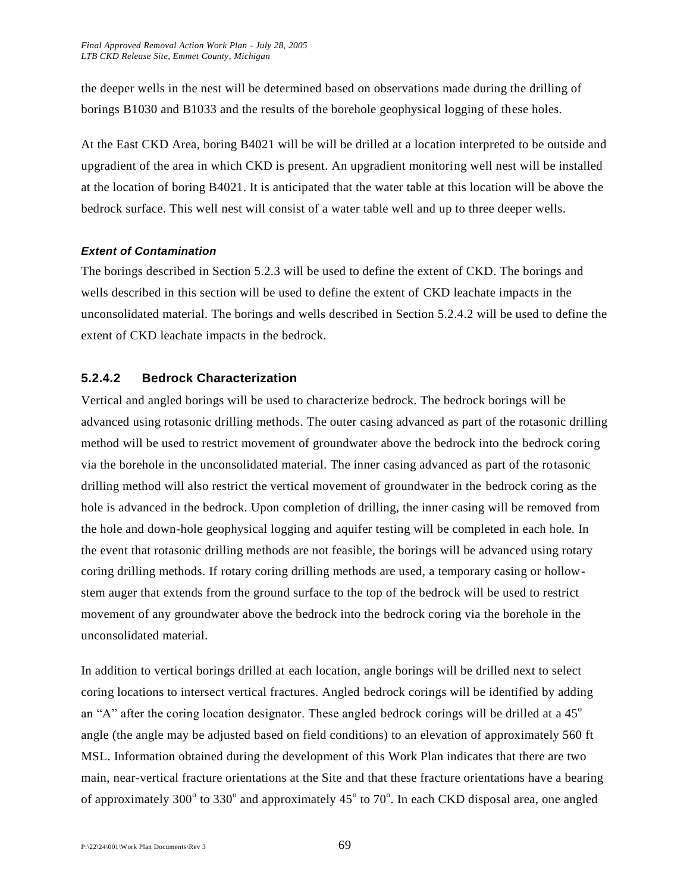the deeper wells in the nest will be determined based on observations made during the drilling of borings B1030 and B1033 and the results of the borehole geophysical logging of these holes.

At the East CKD Area, boring B4021 will be will be drilled at a location interpreted to be outside and upgradient of the area in which CKD is present. An upgradient monitoring well nest will be installed at the location of boring B4021. It is anticipated that the water table at this location will be above the bedrock surface. This well nest will consist of a water table well and up to three deeper wells.

#### *Extent of Contamination*

The borings described in Section 5.2.3 will be used to define the extent of CKD. The borings and wells described in this section will be used to define the extent of CKD leachate impacts in the unconsolidated material. The borings and wells described in Section 5.2.4.2 will be used to define the extent of CKD leachate impacts in the bedrock.

#### **5.2.4.2 Bedrock Characterization**

Vertical and angled borings will be used to characterize bedrock. The bedrock borings will be advanced using rotasonic drilling methods. The outer casing advanced as part of the rotasonic drilling method will be used to restrict movement of groundwater above the bedrock into the bedrock coring via the borehole in the unconsolidated material. The inner casing advanced as part of the rotasonic drilling method will also restrict the vertical movement of groundwater in the bedrock coring as the hole is advanced in the bedrock. Upon completion of drilling, the inner casing will be removed from the hole and down-hole geophysical logging and aquifer testing will be completed in each hole. In the event that rotasonic drilling methods are not feasible, the borings will be advanced using rotary coring drilling methods. If rotary coring drilling methods are used, a temporary casing or hollowstem auger that extends from the ground surface to the top of the bedrock will be used to restrict movement of any groundwater above the bedrock into the bedrock coring via the borehole in the unconsolidated material.

In addition to vertical borings drilled at each location, angle borings will be drilled next to select coring locations to intersect vertical fractures. Angled bedrock corings will be identified by adding an "A" after the coring location designator. These angled bedrock corings will be drilled at a  $45^\circ$ angle (the angle may be adjusted based on field conditions) to an elevation of approximately 560 ft MSL. Information obtained during the development of this Work Plan indicates that there are two main, near-vertical fracture orientations at the Site and that these fracture orientations have a bearing of approximately 300° to 330° and approximately 45° to 70°. In each CKD disposal area, one angled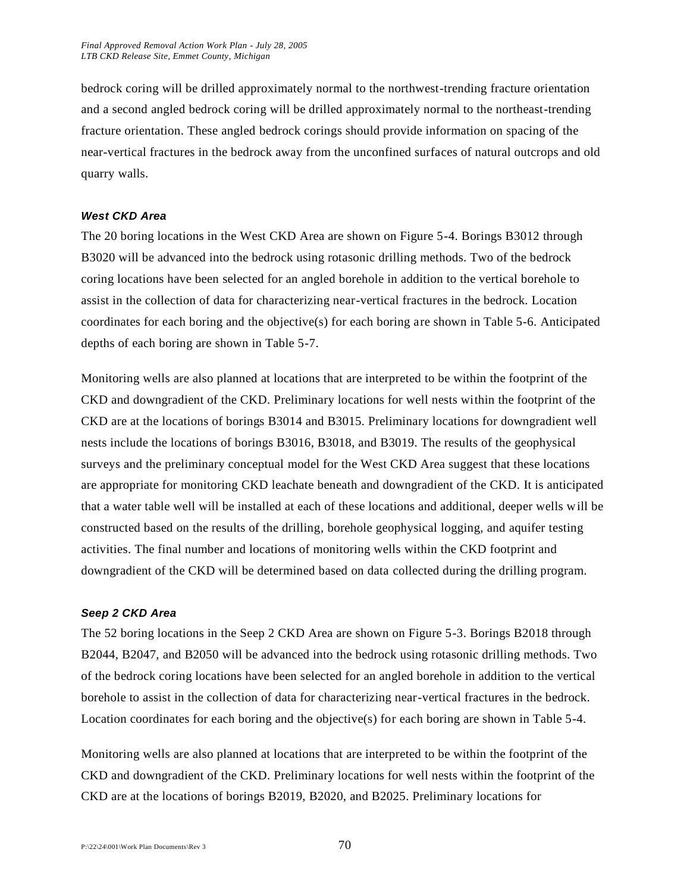bedrock coring will be drilled approximately normal to the northwest-trending fracture orientation and a second angled bedrock coring will be drilled approximately normal to the northeast-trending fracture orientation. These angled bedrock corings should provide information on spacing of the near-vertical fractures in the bedrock away from the unconfined surfaces of natural outcrops and old quarry walls.

#### *West CKD Area*

The 20 boring locations in the West CKD Area are shown on Figure 5-4. Borings B3012 through B3020 will be advanced into the bedrock using rotasonic drilling methods. Two of the bedrock coring locations have been selected for an angled borehole in addition to the vertical borehole to assist in the collection of data for characterizing near-vertical fractures in the bedrock. Location coordinates for each boring and the objective(s) for each boring are shown in Table 5-6. Anticipated depths of each boring are shown in Table 5-7.

Monitoring wells are also planned at locations that are interpreted to be within the footprint of the CKD and downgradient of the CKD. Preliminary locations for well nests within the footprint of the CKD are at the locations of borings B3014 and B3015. Preliminary locations for downgradient well nests include the locations of borings B3016, B3018, and B3019. The results of the geophysical surveys and the preliminary conceptual model for the West CKD Area suggest that these locations are appropriate for monitoring CKD leachate beneath and downgradient of the CKD. It is anticipated that a water table well will be installed at each of these locations and additional, deeper wells will be constructed based on the results of the drilling, borehole geophysical logging, and aquifer testing activities. The final number and locations of monitoring wells within the CKD footprint and downgradient of the CKD will be determined based on data collected during the drilling program.

#### *Seep 2 CKD Area*

The 52 boring locations in the Seep 2 CKD Area are shown on Figure 5-3. Borings B2018 through B2044, B2047, and B2050 will be advanced into the bedrock using rotasonic drilling methods. Two of the bedrock coring locations have been selected for an angled borehole in addition to the vertical borehole to assist in the collection of data for characterizing near-vertical fractures in the bedrock. Location coordinates for each boring and the objective(s) for each boring are shown in Table 5-4.

Monitoring wells are also planned at locations that are interpreted to be within the footprint of the CKD and downgradient of the CKD. Preliminary locations for well nests within the footprint of the CKD are at the locations of borings B2019, B2020, and B2025. Preliminary locations for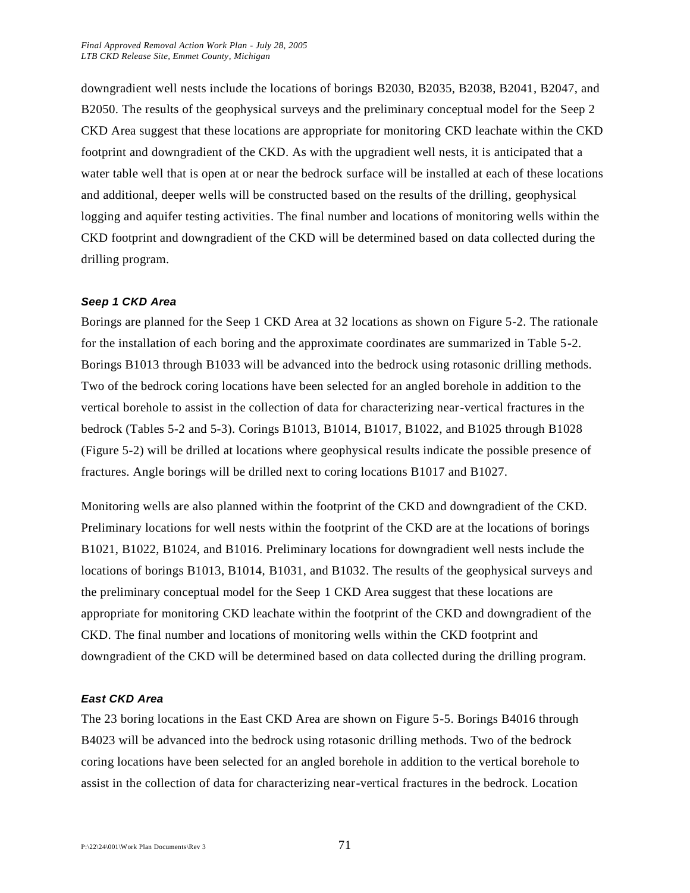downgradient well nests include the locations of borings B2030, B2035, B2038, B2041, B2047, and B2050. The results of the geophysical surveys and the preliminary conceptual model for the Seep 2 CKD Area suggest that these locations are appropriate for monitoring CKD leachate within the CKD footprint and downgradient of the CKD. As with the upgradient well nests, it is anticipated that a water table well that is open at or near the bedrock surface will be installed at each of these locations and additional, deeper wells will be constructed based on the results of the drilling, geophysical logging and aquifer testing activities. The final number and locations of monitoring wells within the CKD footprint and downgradient of the CKD will be determined based on data collected during the drilling program.

#### *Seep 1 CKD Area*

Borings are planned for the Seep 1 CKD Area at 32 locations as shown on Figure 5-2. The rationale for the installation of each boring and the approximate coordinates are summarized in Table 5-2. Borings B1013 through B1033 will be advanced into the bedrock using rotasonic drilling methods. Two of the bedrock coring locations have been selected for an angled borehole in addition to the vertical borehole to assist in the collection of data for characterizing near-vertical fractures in the bedrock (Tables 5-2 and 5-3). Corings B1013, B1014, B1017, B1022, and B1025 through B1028 (Figure 5-2) will be drilled at locations where geophysical results indicate the possible presence of fractures. Angle borings will be drilled next to coring locations B1017 and B1027.

Monitoring wells are also planned within the footprint of the CKD and downgradient of the CKD. Preliminary locations for well nests within the footprint of the CKD are at the locations of borings B1021, B1022, B1024, and B1016. Preliminary locations for downgradient well nests include the locations of borings B1013, B1014, B1031, and B1032. The results of the geophysical surveys and the preliminary conceptual model for the Seep 1 CKD Area suggest that these locations are appropriate for monitoring CKD leachate within the footprint of the CKD and downgradient of the CKD. The final number and locations of monitoring wells within the CKD footprint and downgradient of the CKD will be determined based on data collected during the drilling program.

#### *East CKD Area*

The 23 boring locations in the East CKD Area are shown on Figure 5-5. Borings B4016 through B4023 will be advanced into the bedrock using rotasonic drilling methods. Two of the bedrock coring locations have been selected for an angled borehole in addition to the vertical borehole to assist in the collection of data for characterizing near-vertical fractures in the bedrock. Location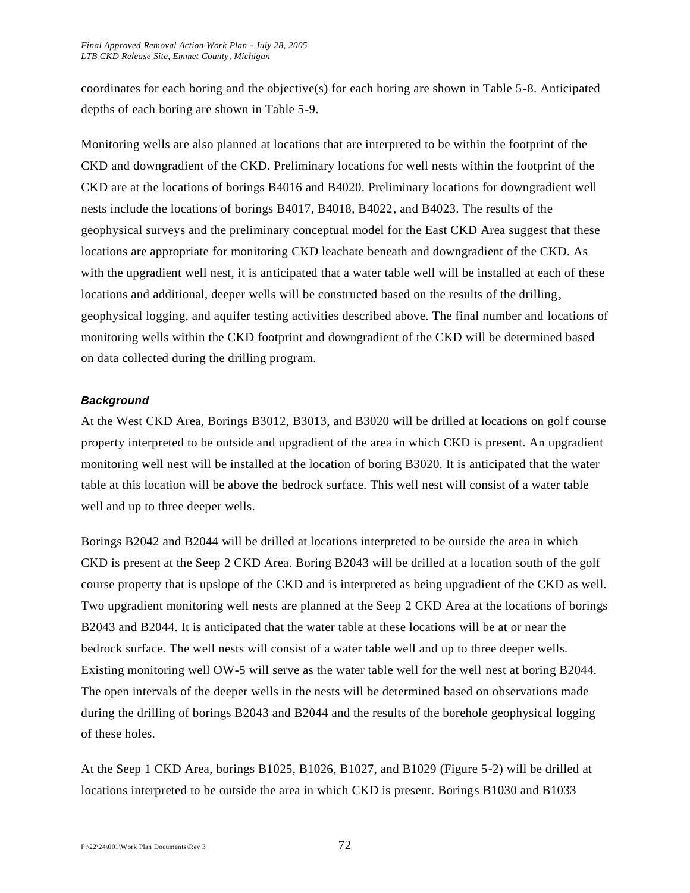coordinates for each boring and the objective(s) for each boring are shown in Table 5-8. Anticipated depths of each boring are shown in Table 5-9.

Monitoring wells are also planned at locations that are interpreted to be within the footprint of the CKD and downgradient of the CKD. Preliminary locations for well nests within the footprint of the CKD are at the locations of borings B4016 and B4020. Preliminary locations for downgradient well nests include the locations of borings B4017, B4018, B4022, and B4023. The results of the geophysical surveys and the preliminary conceptual model for the East CKD Area suggest that these locations are appropriate for monitoring CKD leachate beneath and downgradient of the CKD. As with the upgradient well nest, it is anticipated that a water table well will be installed at each of these locations and additional, deeper wells will be constructed based on the results of the drilling, geophysical logging, and aquifer testing activities described above. The final number and locations of monitoring wells within the CKD footprint and downgradient of the CKD will be determined based on data collected during the drilling program.

#### *Background*

At the West CKD Area, Borings B3012, B3013, and B3020 will be drilled at locations on golf course property interpreted to be outside and upgradient of the area in which CKD is present. An upgradient monitoring well nest will be installed at the location of boring B3020. It is anticipated that the water table at this location will be above the bedrock surface. This well nest will consist of a water table well and up to three deeper wells.

Borings B2042 and B2044 will be drilled at locations interpreted to be outside the area in which CKD is present at the Seep 2 CKD Area. Boring B2043 will be drilled at a location south of the golf course property that is upslope of the CKD and is interpreted as being upgradient of the CKD as well. Two upgradient monitoring well nests are planned at the Seep 2 CKD Area at the locations of borings B2043 and B2044. It is anticipated that the water table at these locations will be at or near the bedrock surface. The well nests will consist of a water table well and up to three deeper wells. Existing monitoring well OW-5 will serve as the water table well for the well nest at boring B2044. The open intervals of the deeper wells in the nests will be determined based on observations made during the drilling of borings B2043 and B2044 and the results of the borehole geophysical logging of these holes.

At the Seep 1 CKD Area, borings B1025, B1026, B1027, and B1029 (Figure 5-2) will be drilled at locations interpreted to be outside the area in which CKD is present. Borings B1030 and B1033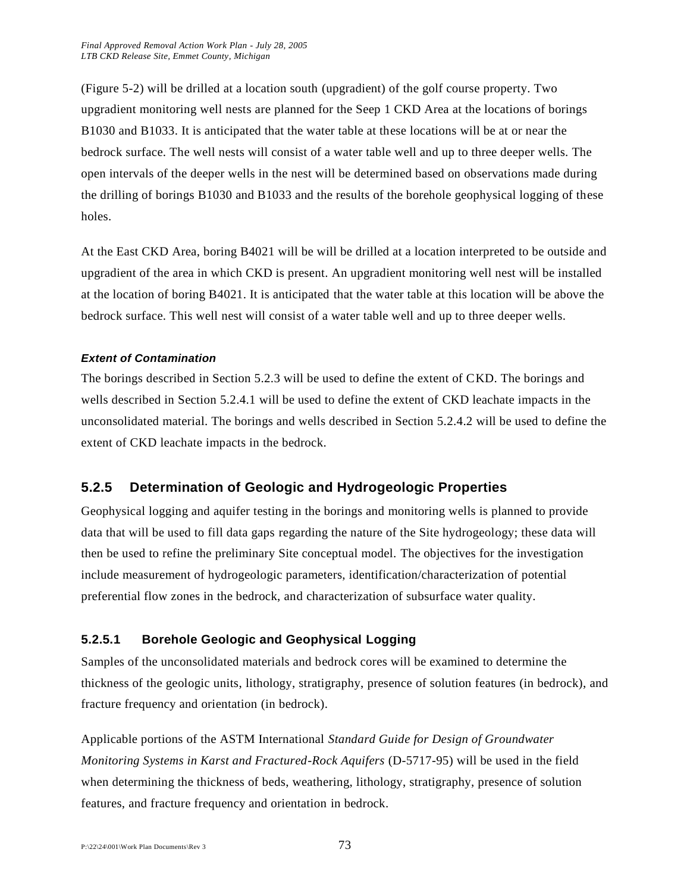(Figure 5-2) will be drilled at a location south (upgradient) of the golf course property. Two upgradient monitoring well nests are planned for the Seep 1 CKD Area at the locations of borings B1030 and B1033. It is anticipated that the water table at these locations will be at or near the bedrock surface. The well nests will consist of a water table well and up to three deeper wells. The open intervals of the deeper wells in the nest will be determined based on observations made during the drilling of borings B1030 and B1033 and the results of the borehole geophysical logging of these holes.

At the East CKD Area, boring B4021 will be will be drilled at a location interpreted to be outside and upgradient of the area in which CKD is present. An upgradient monitoring well nest will be installed at the location of boring B4021. It is anticipated that the water table at this location will be above the bedrock surface. This well nest will consist of a water table well and up to three deeper wells.

#### *Extent of Contamination*

The borings described in Section 5.2.3 will be used to define the extent of CKD. The borings and wells described in Section 5.2.4.1 will be used to define the extent of CKD leachate impacts in the unconsolidated material. The borings and wells described in Section 5.2.4.2 will be used to define the extent of CKD leachate impacts in the bedrock.

## **5.2.5 Determination of Geologic and Hydrogeologic Properties**

Geophysical logging and aquifer testing in the borings and monitoring wells is planned to provide data that will be used to fill data gaps regarding the nature of the Site hydrogeology; these data will then be used to refine the preliminary Site conceptual model. The objectives for the investigation include measurement of hydrogeologic parameters, identification/characterization of potential preferential flow zones in the bedrock, and characterization of subsurface water quality.

## **5.2.5.1 Borehole Geologic and Geophysical Logging**

Samples of the unconsolidated materials and bedrock cores will be examined to determine the thickness of the geologic units, lithology, stratigraphy, presence of solution features (in bedrock), and fracture frequency and orientation (in bedrock).

Applicable portions of the ASTM International *Standard Guide for Design of Groundwater Monitoring Systems in Karst and Fractured-Rock Aquifers* (D-5717-95) will be used in the field when determining the thickness of beds, weathering, lithology, stratigraphy, presence of solution features, and fracture frequency and orientation in bedrock.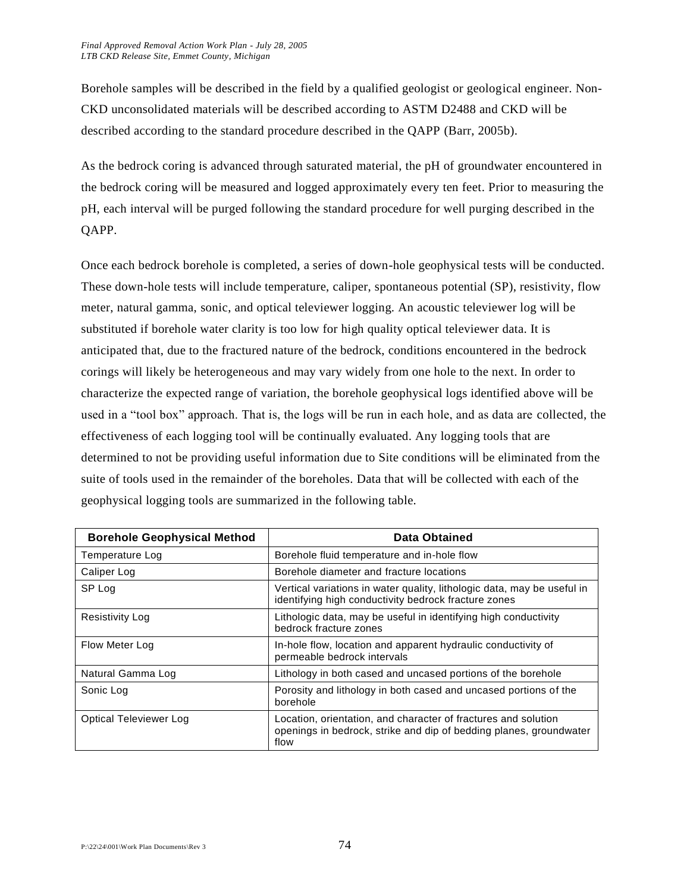Borehole samples will be described in the field by a qualified geologist or geological engineer. Non-CKD unconsolidated materials will be described according to ASTM D2488 and CKD will be described according to the standard procedure described in the QAPP (Barr, 2005b).

As the bedrock coring is advanced through saturated material, the pH of groundwater encountered in the bedrock coring will be measured and logged approximately every ten feet. Prior to measuring the pH, each interval will be purged following the standard procedure for well purging described in the QAPP.

Once each bedrock borehole is completed, a series of down-hole geophysical tests will be conducted. These down-hole tests will include temperature, caliper, spontaneous potential (SP), resistivity, flow meter, natural gamma, sonic, and optical televiewer logging. An acoustic televiewer log will be substituted if borehole water clarity is too low for high quality optical televiewer data. It is anticipated that, due to the fractured nature of the bedrock, conditions encountered in the bedrock corings will likely be heterogeneous and may vary widely from one hole to the next. In order to characterize the expected range of variation, the borehole geophysical logs identified above will be used in a "tool box" approach. That is, the logs will be run in each hole, and as data are collected, the effectiveness of each logging tool will be continually evaluated. Any logging tools that are determined to not be providing useful information due to Site conditions will be eliminated from the suite of tools used in the remainder of the boreholes. Data that will be collected with each of the geophysical logging tools are summarized in the following table.

| <b>Borehole Geophysical Method</b> | Data Obtained                                                                                                                                |
|------------------------------------|----------------------------------------------------------------------------------------------------------------------------------------------|
| Temperature Log                    | Borehole fluid temperature and in-hole flow                                                                                                  |
| Caliper Log                        | Borehole diameter and fracture locations                                                                                                     |
| SP Log                             | Vertical variations in water quality, lithologic data, may be useful in<br>identifying high conductivity bedrock fracture zones              |
| <b>Resistivity Log</b>             | Lithologic data, may be useful in identifying high conductivity<br>bedrock fracture zones                                                    |
| Flow Meter Log                     | In-hole flow, location and apparent hydraulic conductivity of<br>permeable bedrock intervals                                                 |
| Natural Gamma Log                  | Lithology in both cased and uncased portions of the borehole                                                                                 |
| Sonic Log                          | Porosity and lithology in both cased and uncased portions of the<br>borehole                                                                 |
| Optical Televiewer Log             | Location, orientation, and character of fractures and solution<br>openings in bedrock, strike and dip of bedding planes, groundwater<br>flow |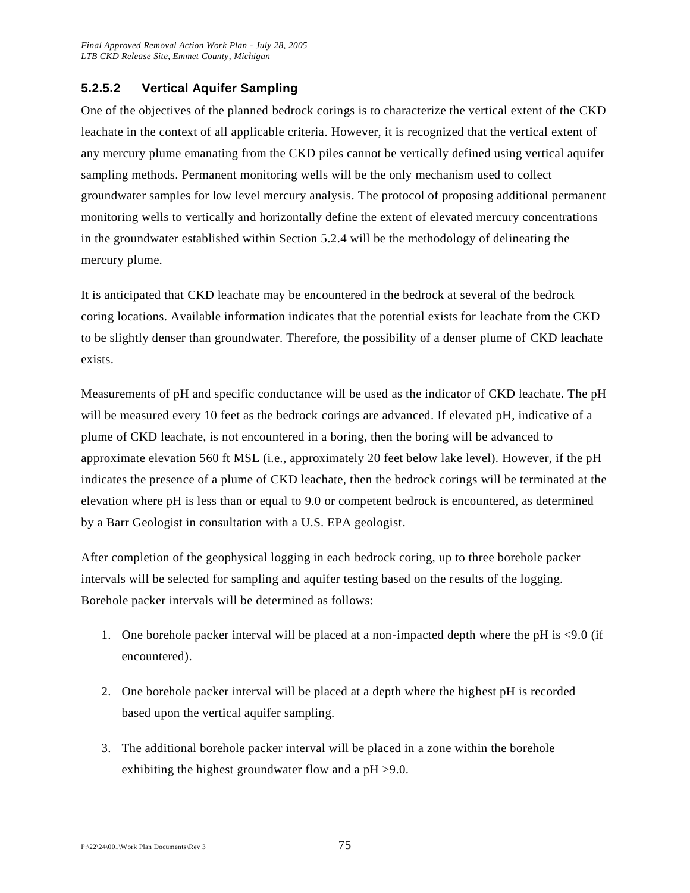### **5.2.5.2 Vertical Aquifer Sampling**

One of the objectives of the planned bedrock corings is to characterize the vertical extent of the CKD leachate in the context of all applicable criteria. However, it is recognized that the vertical extent of any mercury plume emanating from the CKD piles cannot be vertically defined using vertical aquifer sampling methods. Permanent monitoring wells will be the only mechanism used to collect groundwater samples for low level mercury analysis. The protocol of proposing additional permanent monitoring wells to vertically and horizontally define the extent of elevated mercury concentrations in the groundwater established within Section 5.2.4 will be the methodology of delineating the mercury plume.

It is anticipated that CKD leachate may be encountered in the bedrock at several of the bedrock coring locations. Available information indicates that the potential exists for leachate from the CKD to be slightly denser than groundwater. Therefore, the possibility of a denser plume of CKD leachate exists.

Measurements of pH and specific conductance will be used as the indicator of CKD leachate. The pH will be measured every 10 feet as the bedrock corings are advanced. If elevated pH, indicative of a plume of CKD leachate, is not encountered in a boring, then the boring will be advanced to approximate elevation 560 ft MSL (i.e., approximately 20 feet below lake level). However, if the pH indicates the presence of a plume of CKD leachate, then the bedrock corings will be terminated at the elevation where pH is less than or equal to 9.0 or competent bedrock is encountered, as determined by a Barr Geologist in consultation with a U.S. EPA geologist.

After completion of the geophysical logging in each bedrock coring, up to three borehole packer intervals will be selected for sampling and aquifer testing based on the results of the logging. Borehole packer intervals will be determined as follows:

- 1. One borehole packer interval will be placed at a non-impacted depth where the pH is <9.0 (if encountered).
- 2. One borehole packer interval will be placed at a depth where the highest pH is recorded based upon the vertical aquifer sampling.
- 3. The additional borehole packer interval will be placed in a zone within the borehole exhibiting the highest groundwater flow and a pH >9.0.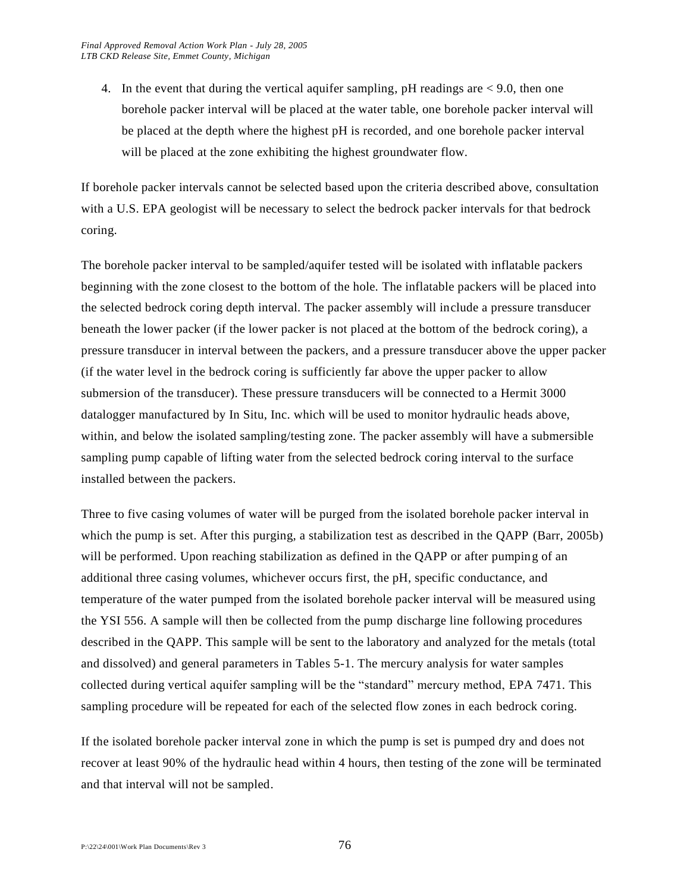4. In the event that during the vertical aquifer sampling,  $pH$  readings are  $\lt 9.0$ , then one borehole packer interval will be placed at the water table, one borehole packer interval will be placed at the depth where the highest pH is recorded, and one borehole packer interval will be placed at the zone exhibiting the highest groundwater flow.

If borehole packer intervals cannot be selected based upon the criteria described above, consultation with a U.S. EPA geologist will be necessary to select the bedrock packer intervals for that bedrock coring.

The borehole packer interval to be sampled/aquifer tested will be isolated with inflatable packers beginning with the zone closest to the bottom of the hole. The inflatable packers will be placed into the selected bedrock coring depth interval. The packer assembly will include a pressure transducer beneath the lower packer (if the lower packer is not placed at the bottom of the bedrock coring), a pressure transducer in interval between the packers, and a pressure transducer above the upper packer (if the water level in the bedrock coring is sufficiently far above the upper packer to allow submersion of the transducer). These pressure transducers will be connected to a Hermit 3000 datalogger manufactured by In Situ, Inc. which will be used to monitor hydraulic heads above, within, and below the isolated sampling/testing zone. The packer assembly will have a submersible sampling pump capable of lifting water from the selected bedrock coring interval to the surface installed between the packers.

Three to five casing volumes of water will be purged from the isolated borehole packer interval in which the pump is set. After this purging, a stabilization test as described in the QAPP (Barr, 2005b) will be performed. Upon reaching stabilization as defined in the QAPP or after pumping of an additional three casing volumes, whichever occurs first, the pH, specific conductance, and temperature of the water pumped from the isolated borehole packer interval will be measured using the YSI 556. A sample will then be collected from the pump discharge line following procedures described in the QAPP. This sample will be sent to the laboratory and analyzed for the metals (total and dissolved) and general parameters in Tables 5-1. The mercury analysis for water samples collected during vertical aquifer sampling will be the "standard" mercury method, EPA 7471. This sampling procedure will be repeated for each of the selected flow zones in each bedrock coring.

If the isolated borehole packer interval zone in which the pump is set is pumped dry and does not recover at least 90% of the hydraulic head within 4 hours, then testing of the zone will be terminated and that interval will not be sampled.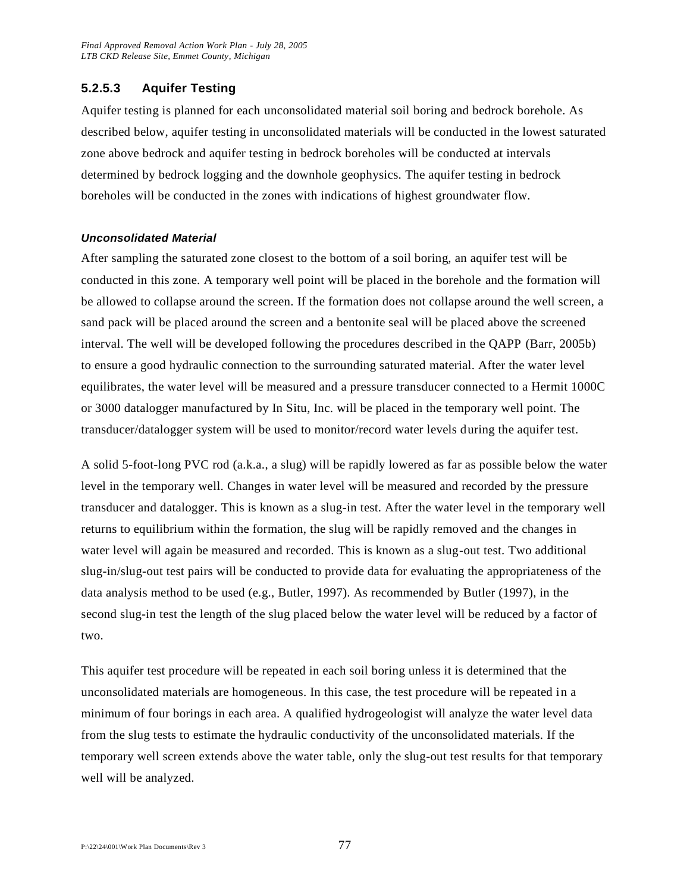#### **5.2.5.3 Aquifer Testing**

Aquifer testing is planned for each unconsolidated material soil boring and bedrock borehole. As described below, aquifer testing in unconsolidated materials will be conducted in the lowest saturated zone above bedrock and aquifer testing in bedrock boreholes will be conducted at intervals determined by bedrock logging and the downhole geophysics. The aquifer testing in bedrock boreholes will be conducted in the zones with indications of highest groundwater flow.

#### *Unconsolidated Material*

After sampling the saturated zone closest to the bottom of a soil boring, an aquifer test will be conducted in this zone. A temporary well point will be placed in the borehole and the formation will be allowed to collapse around the screen. If the formation does not collapse around the well screen, a sand pack will be placed around the screen and a bentonite seal will be placed above the screened interval. The well will be developed following the procedures described in the QAPP (Barr, 2005b) to ensure a good hydraulic connection to the surrounding saturated material. After the water level equilibrates, the water level will be measured and a pressure transducer connected to a Hermit 1000C or 3000 datalogger manufactured by In Situ, Inc. will be placed in the temporary well point. The transducer/datalogger system will be used to monitor/record water levels during the aquifer test.

A solid 5-foot-long PVC rod (a.k.a., a slug) will be rapidly lowered as far as possible below the water level in the temporary well. Changes in water level will be measured and recorded by the pressure transducer and datalogger. This is known as a slug-in test. After the water level in the temporary well returns to equilibrium within the formation, the slug will be rapidly removed and the changes in water level will again be measured and recorded. This is known as a slug-out test. Two additional slug-in/slug-out test pairs will be conducted to provide data for evaluating the appropriateness of the data analysis method to be used (e.g., Butler, 1997). As recommended by Butler (1997), in the second slug-in test the length of the slug placed below the water level will be reduced by a factor of two.

This aquifer test procedure will be repeated in each soil boring unless it is determined that the unconsolidated materials are homogeneous. In this case, the test procedure will be repeated in a minimum of four borings in each area. A qualified hydrogeologist will analyze the water level data from the slug tests to estimate the hydraulic conductivity of the unconsolidated materials. If the temporary well screen extends above the water table, only the slug-out test results for that temporary well will be analyzed.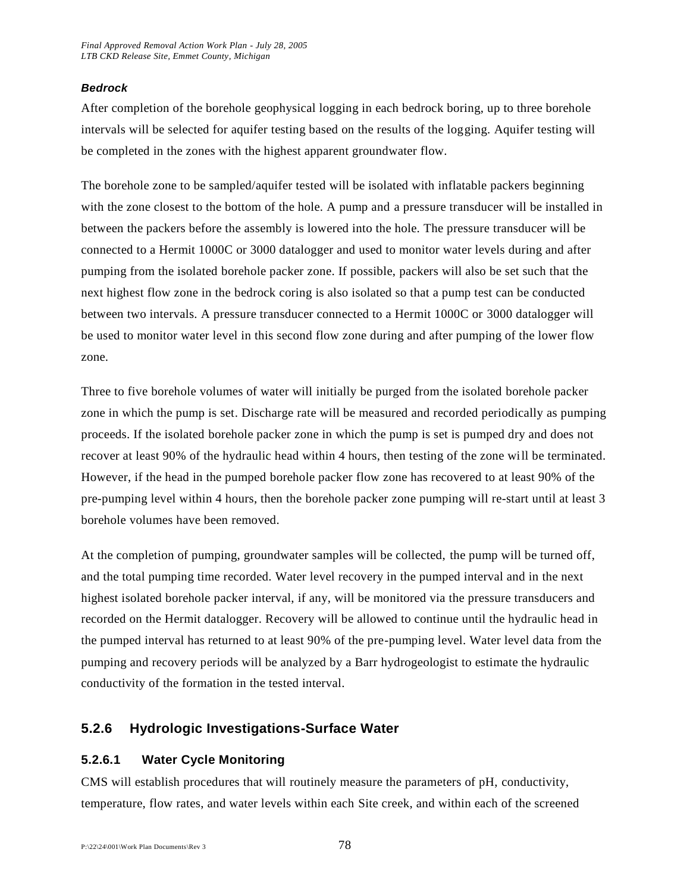#### *Bedrock*

After completion of the borehole geophysical logging in each bedrock boring, up to three borehole intervals will be selected for aquifer testing based on the results of the logging. Aquifer testing will be completed in the zones with the highest apparent groundwater flow.

The borehole zone to be sampled/aquifer tested will be isolated with inflatable packers beginning with the zone closest to the bottom of the hole. A pump and a pressure transducer will be installed in between the packers before the assembly is lowered into the hole. The pressure transducer will be connected to a Hermit 1000C or 3000 datalogger and used to monitor water levels during and after pumping from the isolated borehole packer zone. If possible, packers will also be set such that the next highest flow zone in the bedrock coring is also isolated so that a pump test can be conducted between two intervals. A pressure transducer connected to a Hermit 1000C or 3000 datalogger will be used to monitor water level in this second flow zone during and after pumping of the lower flow zone.

Three to five borehole volumes of water will initially be purged from the isolated borehole packer zone in which the pump is set. Discharge rate will be measured and recorded periodically as pumping proceeds. If the isolated borehole packer zone in which the pump is set is pumped dry and does not recover at least 90% of the hydraulic head within 4 hours, then testing of the zone will be terminated. However, if the head in the pumped borehole packer flow zone has recovered to at least 90% of the pre-pumping level within 4 hours, then the borehole packer zone pumping will re-start until at least 3 borehole volumes have been removed.

At the completion of pumping, groundwater samples will be collected, the pump will be turned off, and the total pumping time recorded. Water level recovery in the pumped interval and in the next highest isolated borehole packer interval, if any, will be monitored via the pressure transducers and recorded on the Hermit datalogger. Recovery will be allowed to continue until the hydraulic head in the pumped interval has returned to at least 90% of the pre-pumping level. Water level data from the pumping and recovery periods will be analyzed by a Barr hydrogeologist to estimate the hydraulic conductivity of the formation in the tested interval.

## **5.2.6 Hydrologic Investigations-Surface Water**

## **5.2.6.1 Water Cycle Monitoring**

CMS will establish procedures that will routinely measure the parameters of pH, conductivity, temperature, flow rates, and water levels within each Site creek, and within each of the screened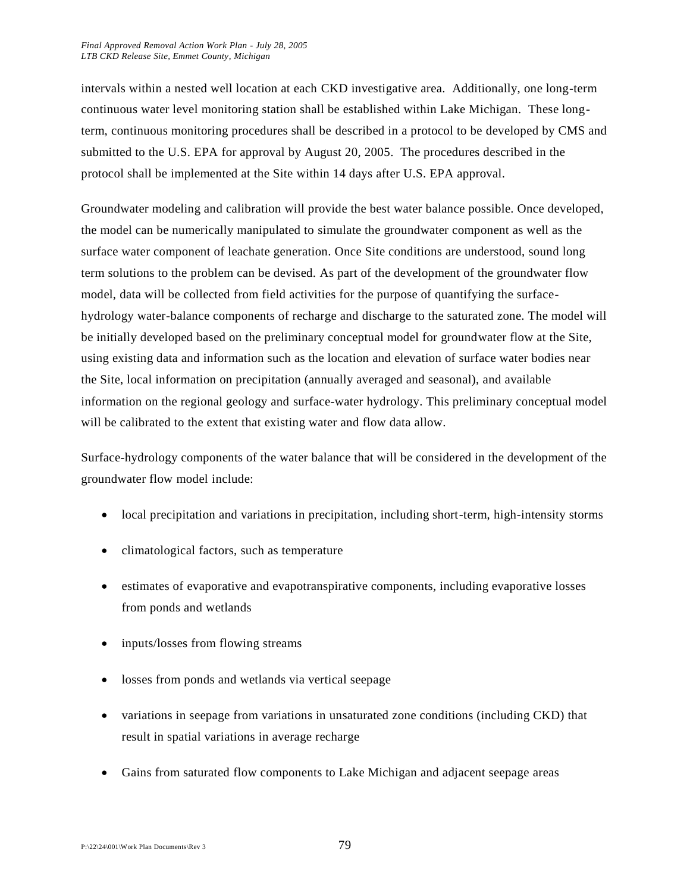intervals within a nested well location at each CKD investigative area. Additionally, one long-term continuous water level monitoring station shall be established within Lake Michigan. These longterm, continuous monitoring procedures shall be described in a protocol to be developed by CMS and submitted to the U.S. EPA for approval by August 20, 2005. The procedures described in the protocol shall be implemented at the Site within 14 days after U.S. EPA approval.

Groundwater modeling and calibration will provide the best water balance possible. Once developed, the model can be numerically manipulated to simulate the groundwater component as well as the surface water component of leachate generation. Once Site conditions are understood, sound long term solutions to the problem can be devised. As part of the development of the groundwater flow model, data will be collected from field activities for the purpose of quantifying the surfacehydrology water-balance components of recharge and discharge to the saturated zone. The model will be initially developed based on the preliminary conceptual model for groundwater flow at the Site, using existing data and information such as the location and elevation of surface water bodies near the Site, local information on precipitation (annually averaged and seasonal), and available information on the regional geology and surface-water hydrology. This preliminary conceptual model will be calibrated to the extent that existing water and flow data allow.

Surface-hydrology components of the water balance that will be considered in the development of the groundwater flow model include:

- local precipitation and variations in precipitation, including short-term, high-intensity storms
- climatological factors, such as temperature
- estimates of evaporative and evapotranspirative components, including evaporative losses from ponds and wetlands
- inputs/losses from flowing streams
- losses from ponds and wetlands via vertical seepage
- variations in seepage from variations in unsaturated zone conditions (including CKD) that result in spatial variations in average recharge
- Gains from saturated flow components to Lake Michigan and adjacent seepage areas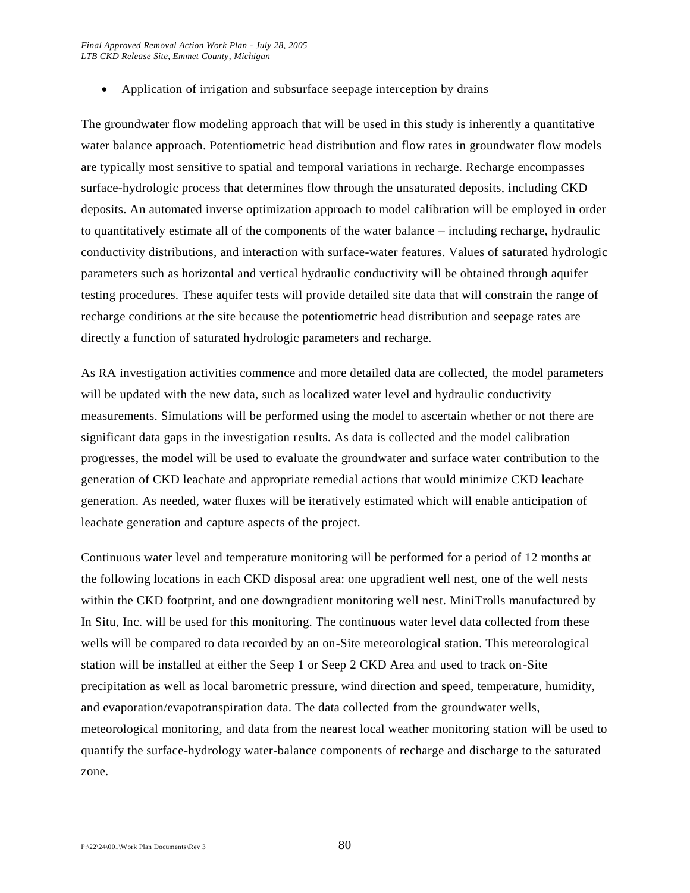• Application of irrigation and subsurface seepage interception by drains

The groundwater flow modeling approach that will be used in this study is inherently a quantitative water balance approach. Potentiometric head distribution and flow rates in groundwater flow models are typically most sensitive to spatial and temporal variations in recharge. Recharge encompasses surface-hydrologic process that determines flow through the unsaturated deposits, including CKD deposits. An automated inverse optimization approach to model calibration will be employed in order to quantitatively estimate all of the components of the water balance – including recharge, hydraulic conductivity distributions, and interaction with surface-water features. Values of saturated hydrologic parameters such as horizontal and vertical hydraulic conductivity will be obtained through aquifer testing procedures. These aquifer tests will provide detailed site data that will constrain the range of recharge conditions at the site because the potentiometric head distribution and seepage rates are directly a function of saturated hydrologic parameters and recharge.

As RA investigation activities commence and more detailed data are collected, the model parameters will be updated with the new data, such as localized water level and hydraulic conductivity measurements. Simulations will be performed using the model to ascertain whether or not there are significant data gaps in the investigation results. As data is collected and the model calibration progresses, the model will be used to evaluate the groundwater and surface water contribution to the generation of CKD leachate and appropriate remedial actions that would minimize CKD leachate generation. As needed, water fluxes will be iteratively estimated which will enable anticipation of leachate generation and capture aspects of the project.

Continuous water level and temperature monitoring will be performed for a period of 12 months at the following locations in each CKD disposal area: one upgradient well nest, one of the well nests within the CKD footprint, and one downgradient monitoring well nest. MiniTrolls manufactured by In Situ, Inc. will be used for this monitoring. The continuous water level data collected from these wells will be compared to data recorded by an on-Site meteorological station. This meteorological station will be installed at either the Seep 1 or Seep 2 CKD Area and used to track on-Site precipitation as well as local barometric pressure, wind direction and speed, temperature, humidity, and evaporation/evapotranspiration data. The data collected from the groundwater wells, meteorological monitoring, and data from the nearest local weather monitoring station will be used to quantify the surface-hydrology water-balance components of recharge and discharge to the saturated zone.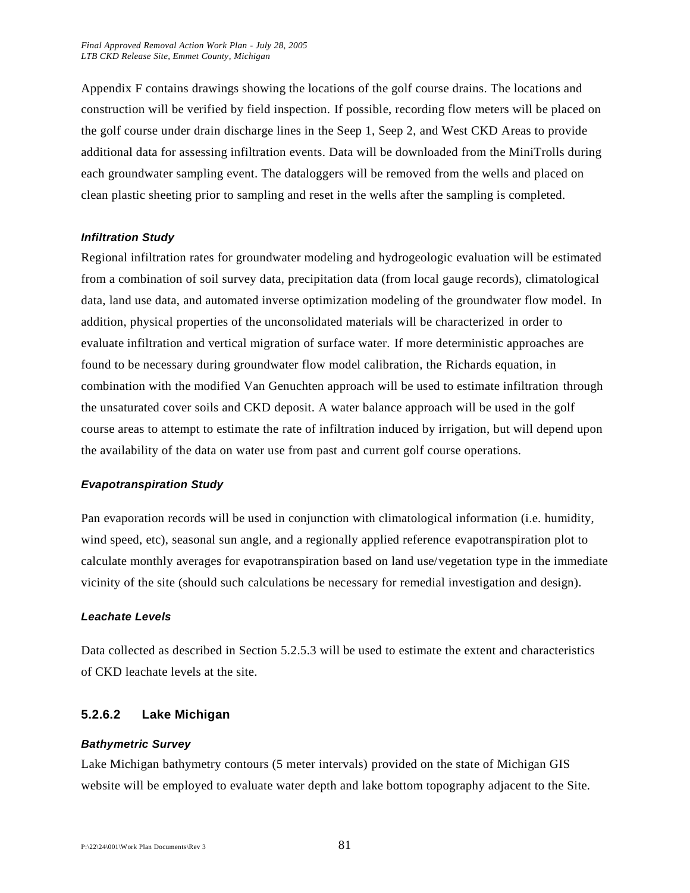Appendix F contains drawings showing the locations of the golf course drains. The locations and construction will be verified by field inspection. If possible, recording flow meters will be placed on the golf course under drain discharge lines in the Seep 1, Seep 2, and West CKD Areas to provide additional data for assessing infiltration events. Data will be downloaded from the MiniTrolls during each groundwater sampling event. The dataloggers will be removed from the wells and placed on clean plastic sheeting prior to sampling and reset in the wells after the sampling is completed.

#### *Infiltration Study*

Regional infiltration rates for groundwater modeling and hydrogeologic evaluation will be estimated from a combination of soil survey data, precipitation data (from local gauge records), climatological data, land use data, and automated inverse optimization modeling of the groundwater flow model. In addition, physical properties of the unconsolidated materials will be characterized in order to evaluate infiltration and vertical migration of surface water. If more deterministic approaches are found to be necessary during groundwater flow model calibration, the Richards equation, in combination with the modified Van Genuchten approach will be used to estimate infiltration through the unsaturated cover soils and CKD deposit. A water balance approach will be used in the golf course areas to attempt to estimate the rate of infiltration induced by irrigation, but will depend upon the availability of the data on water use from past and current golf course operations.

#### *Evapotranspiration Study*

Pan evaporation records will be used in conjunction with climatological information (i.e. humidity, wind speed, etc), seasonal sun angle, and a regionally applied reference evapotranspiration plot to calculate monthly averages for evapotranspiration based on land use/vegetation type in the immediate vicinity of the site (should such calculations be necessary for remedial investigation and design).

#### *Leachate Levels*

Data collected as described in Section 5.2.5.3 will be used to estimate the extent and characteristics of CKD leachate levels at the site.

#### **5.2.6.2 Lake Michigan**

#### *Bathymetric Survey*

Lake Michigan bathymetry contours (5 meter intervals) provided on the state of Michigan GIS website will be employed to evaluate water depth and lake bottom topography adjacent to the Site.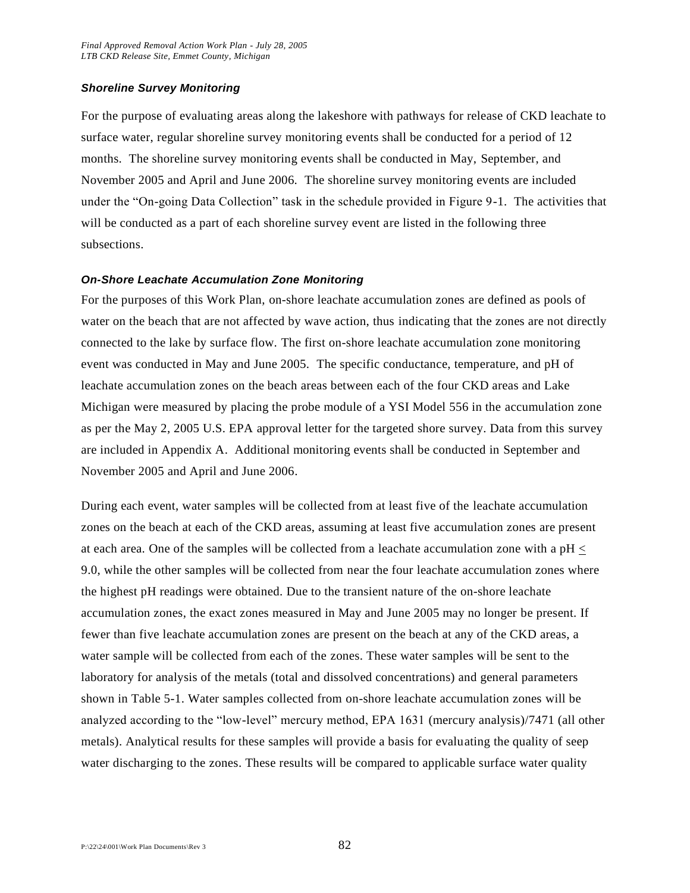#### *Shoreline Survey Monitoring*

For the purpose of evaluating areas along the lakeshore with pathways for release of CKD leachate to surface water, regular shoreline survey monitoring events shall be conducted for a period of 12 months. The shoreline survey monitoring events shall be conducted in May, September, and November 2005 and April and June 2006. The shoreline survey monitoring events are included under the "On-going Data Collection" task in the schedule provided in Figure 9-1. The activities that will be conducted as a part of each shoreline survey event are listed in the following three subsections.

#### *On-Shore Leachate Accumulation Zone Monitoring*

For the purposes of this Work Plan, on-shore leachate accumulation zones are defined as pools of water on the beach that are not affected by wave action, thus indicating that the zones are not directly connected to the lake by surface flow. The first on-shore leachate accumulation zone monitoring event was conducted in May and June 2005. The specific conductance, temperature, and pH of leachate accumulation zones on the beach areas between each of the four CKD areas and Lake Michigan were measured by placing the probe module of a YSI Model 556 in the accumulation zone as per the May 2, 2005 U.S. EPA approval letter for the targeted shore survey. Data from this survey are included in Appendix A. Additional monitoring events shall be conducted in September and November 2005 and April and June 2006.

During each event, water samples will be collected from at least five of the leachate accumulation zones on the beach at each of the CKD areas, assuming at least five accumulation zones are present at each area. One of the samples will be collected from a leachate accumulation zone with a  $pH \leq$ 9.0, while the other samples will be collected from near the four leachate accumulation zones where the highest pH readings were obtained. Due to the transient nature of the on-shore leachate accumulation zones, the exact zones measured in May and June 2005 may no longer be present. If fewer than five leachate accumulation zones are present on the beach at any of the CKD areas, a water sample will be collected from each of the zones. These water samples will be sent to the laboratory for analysis of the metals (total and dissolved concentrations) and general parameters shown in Table 5-1. Water samples collected from on-shore leachate accumulation zones will be analyzed according to the "low-level" mercury method, EPA 1631 (mercury analysis)/7471 (all other metals). Analytical results for these samples will provide a basis for evaluating the quality of seep water discharging to the zones. These results will be compared to applicable surface water quality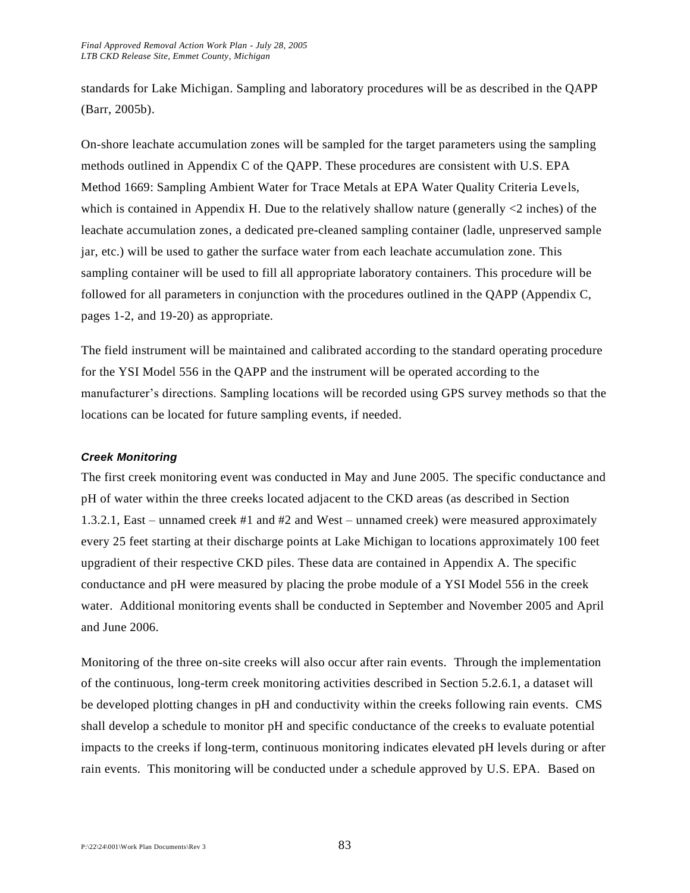standards for Lake Michigan. Sampling and laboratory procedures will be as described in the QAPP (Barr, 2005b).

On-shore leachate accumulation zones will be sampled for the target parameters using the sampling methods outlined in Appendix C of the QAPP. These procedures are consistent with U.S. EPA Method 1669: Sampling Ambient Water for Trace Metals at EPA Water Quality Criteria Levels, which is contained in Appendix H. Due to the relatively shallow nature (generally  $\langle 2 \rangle$  inches) of the leachate accumulation zones, a dedicated pre-cleaned sampling container (ladle, unpreserved sample jar, etc.) will be used to gather the surface water from each leachate accumulation zone. This sampling container will be used to fill all appropriate laboratory containers. This procedure will be followed for all parameters in conjunction with the procedures outlined in the QAPP (Appendix C, pages 1-2, and 19-20) as appropriate.

The field instrument will be maintained and calibrated according to the standard operating procedure for the YSI Model 556 in the QAPP and the instrument will be operated according to the manufacturer's directions. Sampling locations will be recorded using GPS survey methods so that the locations can be located for future sampling events, if needed.

#### *Creek Monitoring*

The first creek monitoring event was conducted in May and June 2005. The specific conductance and pH of water within the three creeks located adjacent to the CKD areas (as described in Section 1.3.2.1, East – unnamed creek #1 and #2 and West – unnamed creek) were measured approximately every 25 feet starting at their discharge points at Lake Michigan to locations approximately 100 feet upgradient of their respective CKD piles. These data are contained in Appendix A. The specific conductance and pH were measured by placing the probe module of a YSI Model 556 in the creek water. Additional monitoring events shall be conducted in September and November 2005 and April and June 2006.

Monitoring of the three on-site creeks will also occur after rain events. Through the implementation of the continuous, long-term creek monitoring activities described in Section 5.2.6.1, a dataset will be developed plotting changes in pH and conductivity within the creeks following rain events. CMS shall develop a schedule to monitor pH and specific conductance of the creeks to evaluate potential impacts to the creeks if long-term, continuous monitoring indicates elevated pH levels during or after rain events. This monitoring will be conducted under a schedule approved by U.S. EPA. Based on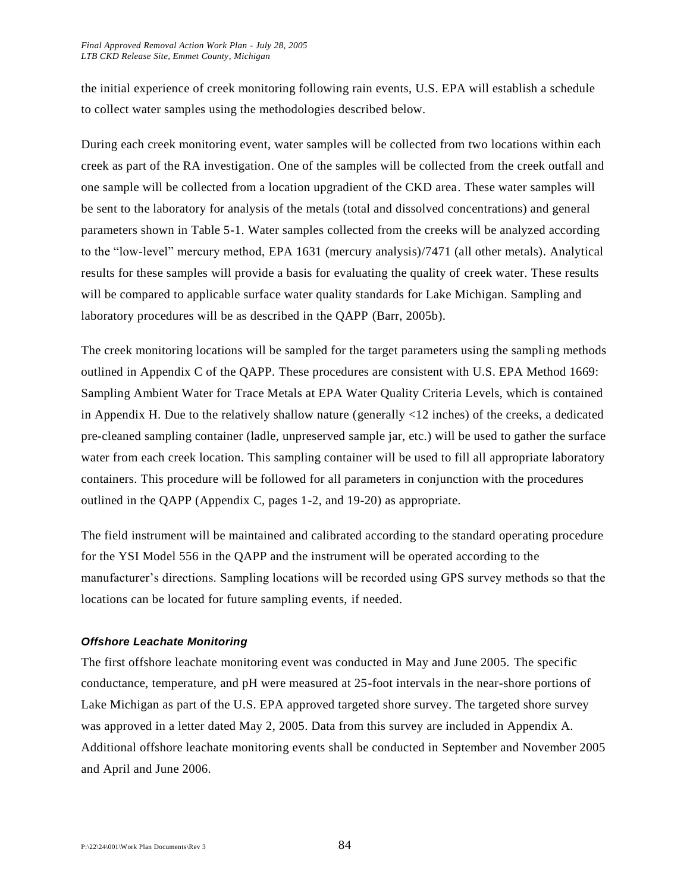the initial experience of creek monitoring following rain events, U.S. EPA will establish a schedule to collect water samples using the methodologies described below.

During each creek monitoring event, water samples will be collected from two locations within each creek as part of the RA investigation. One of the samples will be collected from the creek outfall and one sample will be collected from a location upgradient of the CKD area. These water samples will be sent to the laboratory for analysis of the metals (total and dissolved concentrations) and general parameters shown in Table 5-1. Water samples collected from the creeks will be analyzed according to the "low-level" mercury method, EPA 1631 (mercury analysis)/7471 (all other metals). Analytical results for these samples will provide a basis for evaluating the quality of creek water. These results will be compared to applicable surface water quality standards for Lake Michigan. Sampling and laboratory procedures will be as described in the QAPP (Barr, 2005b).

The creek monitoring locations will be sampled for the target parameters using the sampling methods outlined in Appendix C of the QAPP. These procedures are consistent with U.S. EPA Method 1669: Sampling Ambient Water for Trace Metals at EPA Water Quality Criteria Levels, which is contained in Appendix H. Due to the relatively shallow nature (generally <12 inches) of the creeks, a dedicated pre-cleaned sampling container (ladle, unpreserved sample jar, etc.) will be used to gather the surface water from each creek location. This sampling container will be used to fill all appropriate laboratory containers. This procedure will be followed for all parameters in conjunction with the procedures outlined in the QAPP (Appendix C, pages 1-2, and 19-20) as appropriate.

The field instrument will be maintained and calibrated according to the standard operating procedure for the YSI Model 556 in the QAPP and the instrument will be operated according to the manufacturer's directions. Sampling locations will be recorded using GPS survey methods so that the locations can be located for future sampling events, if needed.

#### *Offshore Leachate Monitoring*

The first offshore leachate monitoring event was conducted in May and June 2005. The specific conductance, temperature, and pH were measured at 25-foot intervals in the near-shore portions of Lake Michigan as part of the U.S. EPA approved targeted shore survey. The targeted shore survey was approved in a letter dated May 2, 2005. Data from this survey are included in Appendix A. Additional offshore leachate monitoring events shall be conducted in September and November 2005 and April and June 2006.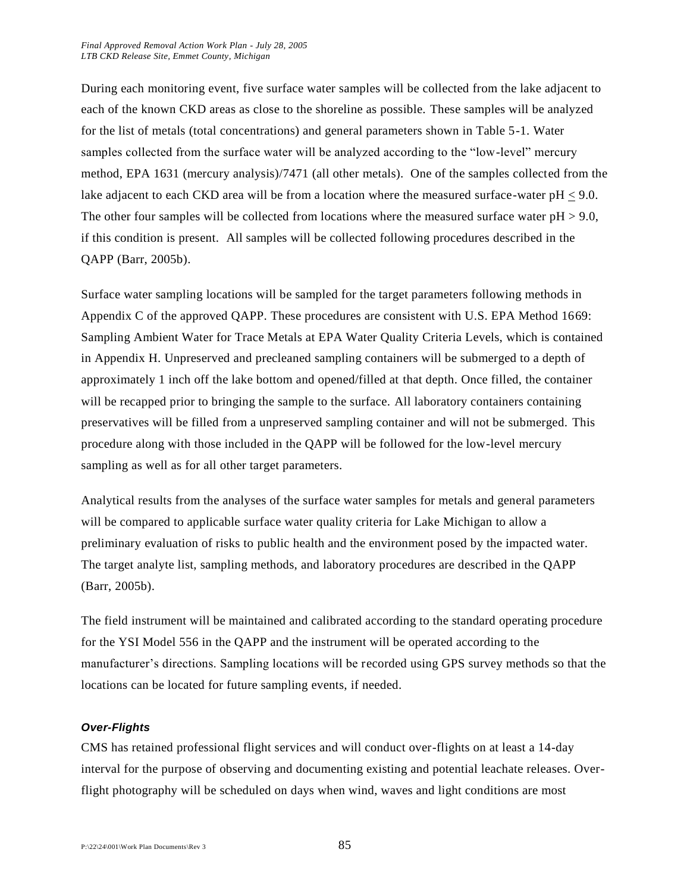During each monitoring event, five surface water samples will be collected from the lake adjacent to each of the known CKD areas as close to the shoreline as possible. These samples will be analyzed for the list of metals (total concentrations) and general parameters shown in Table 5-1. Water samples collected from the surface water will be analyzed according to the "low-level" mercury method, EPA 1631 (mercury analysis)/7471 (all other metals). One of the samples collected from the lake adjacent to each CKD area will be from a location where the measured surface-water pH < 9.0. The other four samples will be collected from locations where the measured surface water  $pH > 9.0$ , if this condition is present. All samples will be collected following procedures described in the QAPP (Barr, 2005b).

Surface water sampling locations will be sampled for the target parameters following methods in Appendix C of the approved QAPP. These procedures are consistent with U.S. EPA Method 1669: Sampling Ambient Water for Trace Metals at EPA Water Quality Criteria Levels, which is contained in Appendix H. Unpreserved and precleaned sampling containers will be submerged to a depth of approximately 1 inch off the lake bottom and opened/filled at that depth. Once filled, the container will be recapped prior to bringing the sample to the surface. All laboratory containers containing preservatives will be filled from a unpreserved sampling container and will not be submerged. This procedure along with those included in the QAPP will be followed for the low-level mercury sampling as well as for all other target parameters.

Analytical results from the analyses of the surface water samples for metals and general parameters will be compared to applicable surface water quality criteria for Lake Michigan to allow a preliminary evaluation of risks to public health and the environment posed by the impacted water. The target analyte list, sampling methods, and laboratory procedures are described in the QAPP (Barr, 2005b).

The field instrument will be maintained and calibrated according to the standard operating procedure for the YSI Model 556 in the QAPP and the instrument will be operated according to the manufacturer's directions. Sampling locations will be recorded using GPS survey methods so that the locations can be located for future sampling events, if needed.

#### *Over-Flights*

CMS has retained professional flight services and will conduct over-flights on at least a 14-day interval for the purpose of observing and documenting existing and potential leachate releases. Overflight photography will be scheduled on days when wind, waves and light conditions are most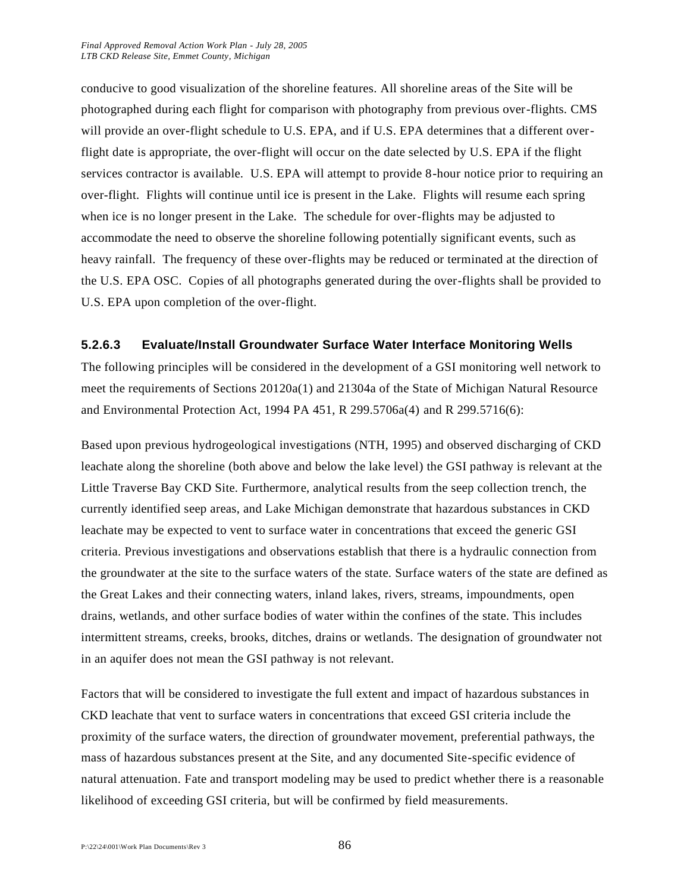conducive to good visualization of the shoreline features. All shoreline areas of the Site will be photographed during each flight for comparison with photography from previous over-flights. CMS will provide an over-flight schedule to U.S. EPA, and if U.S. EPA determines that a different overflight date is appropriate, the over-flight will occur on the date selected by U.S. EPA if the flight services contractor is available. U.S. EPA will attempt to provide 8-hour notice prior to requiring an over-flight. Flights will continue until ice is present in the Lake. Flights will resume each spring when ice is no longer present in the Lake. The schedule for over-flights may be adjusted to accommodate the need to observe the shoreline following potentially significant events, such as heavy rainfall. The frequency of these over-flights may be reduced or terminated at the direction of the U.S. EPA OSC. Copies of all photographs generated during the over-flights shall be provided to U.S. EPA upon completion of the over-flight.

#### **5.2.6.3 Evaluate/Install Groundwater Surface Water Interface Monitoring Wells**

The following principles will be considered in the development of a GSI monitoring well network to meet the requirements of Sections 20120a(1) and 21304a of the State of Michigan Natural Resource and Environmental Protection Act, 1994 PA 451, R 299.5706a(4) and R 299.5716(6):

Based upon previous hydrogeological investigations (NTH, 1995) and observed discharging of CKD leachate along the shoreline (both above and below the lake level) the GSI pathway is relevant at the Little Traverse Bay CKD Site. Furthermore, analytical results from the seep collection trench, the currently identified seep areas, and Lake Michigan demonstrate that hazardous substances in CKD leachate may be expected to vent to surface water in concentrations that exceed the generic GSI criteria. Previous investigations and observations establish that there is a hydraulic connection from the groundwater at the site to the surface waters of the state. Surface waters of the state are defined as the Great Lakes and their connecting waters, inland lakes, rivers, streams, impoundments, open drains, wetlands, and other surface bodies of water within the confines of the state. This includes intermittent streams, creeks, brooks, ditches, drains or wetlands. The designation of groundwater not in an aquifer does not mean the GSI pathway is not relevant.

Factors that will be considered to investigate the full extent and impact of hazardous substances in CKD leachate that vent to surface waters in concentrations that exceed GSI criteria include the proximity of the surface waters, the direction of groundwater movement, preferential pathways, the mass of hazardous substances present at the Site, and any documented Site-specific evidence of natural attenuation. Fate and transport modeling may be used to predict whether there is a reasonable likelihood of exceeding GSI criteria, but will be confirmed by field measurements.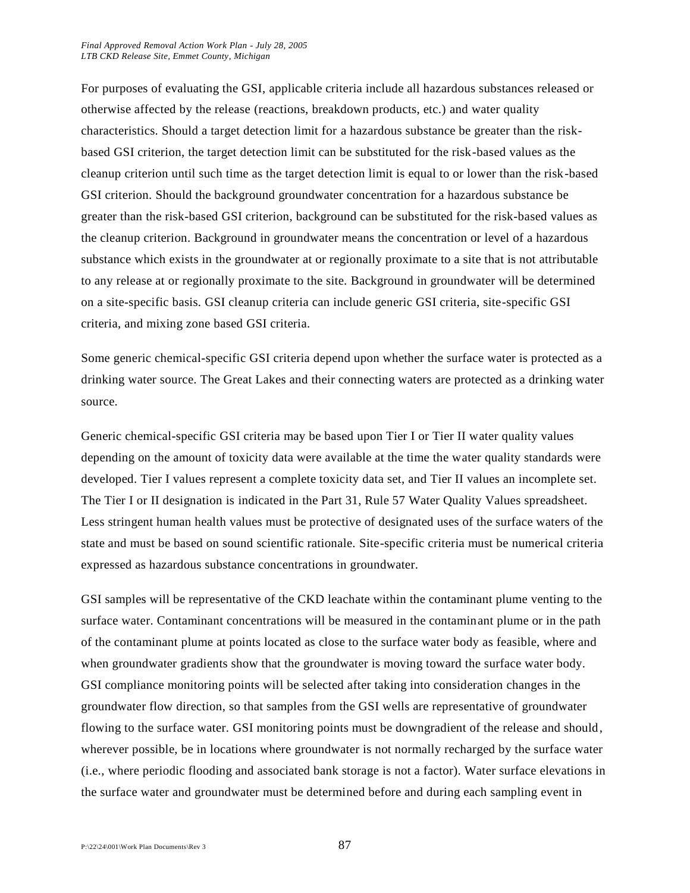For purposes of evaluating the GSI, applicable criteria include all hazardous substances released or otherwise affected by the release (reactions, breakdown products, etc.) and water quality characteristics. Should a target detection limit for a hazardous substance be greater than the riskbased GSI criterion, the target detection limit can be substituted for the risk-based values as the cleanup criterion until such time as the target detection limit is equal to or lower than the risk-based GSI criterion. Should the background groundwater concentration for a hazardous substance be greater than the risk-based GSI criterion, background can be substituted for the risk-based values as the cleanup criterion. Background in groundwater means the concentration or level of a hazardous substance which exists in the groundwater at or regionally proximate to a site that is not attributable to any release at or regionally proximate to the site. Background in groundwater will be determined on a site-specific basis. GSI cleanup criteria can include generic GSI criteria, site-specific GSI criteria, and mixing zone based GSI criteria.

Some generic chemical-specific GSI criteria depend upon whether the surface water is protected as a drinking water source. The Great Lakes and their connecting waters are protected as a drinking water source.

Generic chemical-specific GSI criteria may be based upon Tier I or Tier II water quality values depending on the amount of toxicity data were available at the time the water quality standards were developed. Tier I values represent a complete toxicity data set, and Tier II values an incomplete set. The Tier I or II designation is indicated in the Part 31, Rule 57 Water Quality Values spreadsheet. Less stringent human health values must be protective of designated uses of the surface waters of the state and must be based on sound scientific rationale. Site-specific criteria must be numerical criteria expressed as hazardous substance concentrations in groundwater.

GSI samples will be representative of the CKD leachate within the contaminant plume venting to the surface water. Contaminant concentrations will be measured in the contaminant plume or in the path of the contaminant plume at points located as close to the surface water body as feasible, where and when groundwater gradients show that the groundwater is moving toward the surface water body. GSI compliance monitoring points will be selected after taking into consideration changes in the groundwater flow direction, so that samples from the GSI wells are representative of groundwater flowing to the surface water. GSI monitoring points must be downgradient of the release and should, wherever possible, be in locations where groundwater is not normally recharged by the surface water (i.e., where periodic flooding and associated bank storage is not a factor). Water surface elevations in the surface water and groundwater must be determined before and during each sampling event in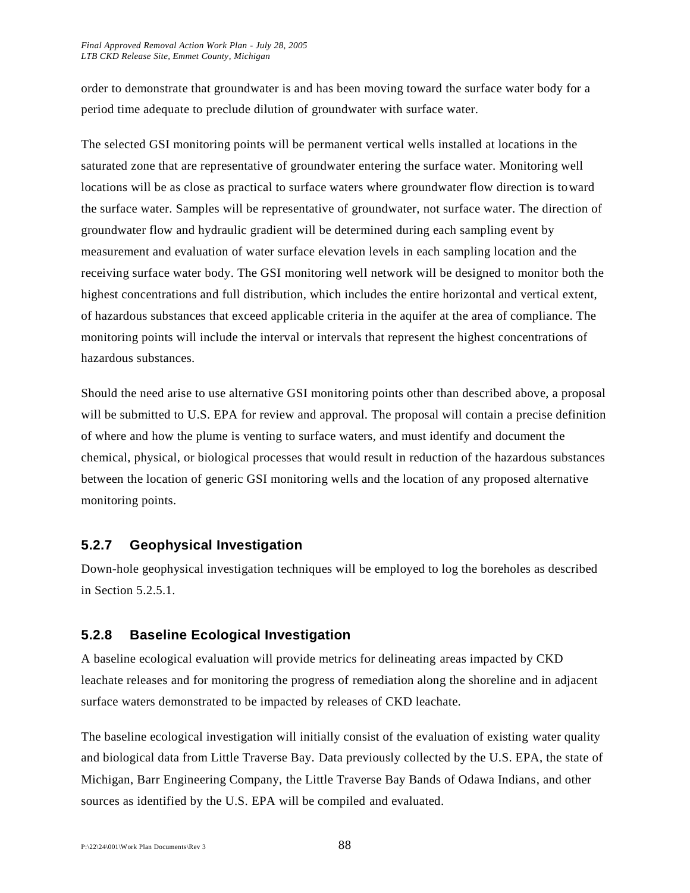order to demonstrate that groundwater is and has been moving toward the surface water body for a period time adequate to preclude dilution of groundwater with surface water.

The selected GSI monitoring points will be permanent vertical wells installed at locations in the saturated zone that are representative of groundwater entering the surface water. Monitoring well locations will be as close as practical to surface waters where groundwater flow direction is toward the surface water. Samples will be representative of groundwater, not surface water. The direction of groundwater flow and hydraulic gradient will be determined during each sampling event by measurement and evaluation of water surface elevation levels in each sampling location and the receiving surface water body. The GSI monitoring well network will be designed to monitor both the highest concentrations and full distribution, which includes the entire horizontal and vertical extent, of hazardous substances that exceed applicable criteria in the aquifer at the area of compliance. The monitoring points will include the interval or intervals that represent the highest concentrations of hazardous substances.

Should the need arise to use alternative GSI monitoring points other than described above, a proposal will be submitted to U.S. EPA for review and approval. The proposal will contain a precise definition of where and how the plume is venting to surface waters, and must identify and document the chemical, physical, or biological processes that would result in reduction of the hazardous substances between the location of generic GSI monitoring wells and the location of any proposed alternative monitoring points.

## **5.2.7 Geophysical Investigation**

Down-hole geophysical investigation techniques will be employed to log the boreholes as described in Section 5.2.5.1.

## **5.2.8 Baseline Ecological Investigation**

A baseline ecological evaluation will provide metrics for delineating areas impacted by CKD leachate releases and for monitoring the progress of remediation along the shoreline and in adjacent surface waters demonstrated to be impacted by releases of CKD leachate.

The baseline ecological investigation will initially consist of the evaluation of existing water quality and biological data from Little Traverse Bay. Data previously collected by the U.S. EPA, the state of Michigan, Barr Engineering Company, the Little Traverse Bay Bands of Odawa Indians, and other sources as identified by the U.S. EPA will be compiled and evaluated.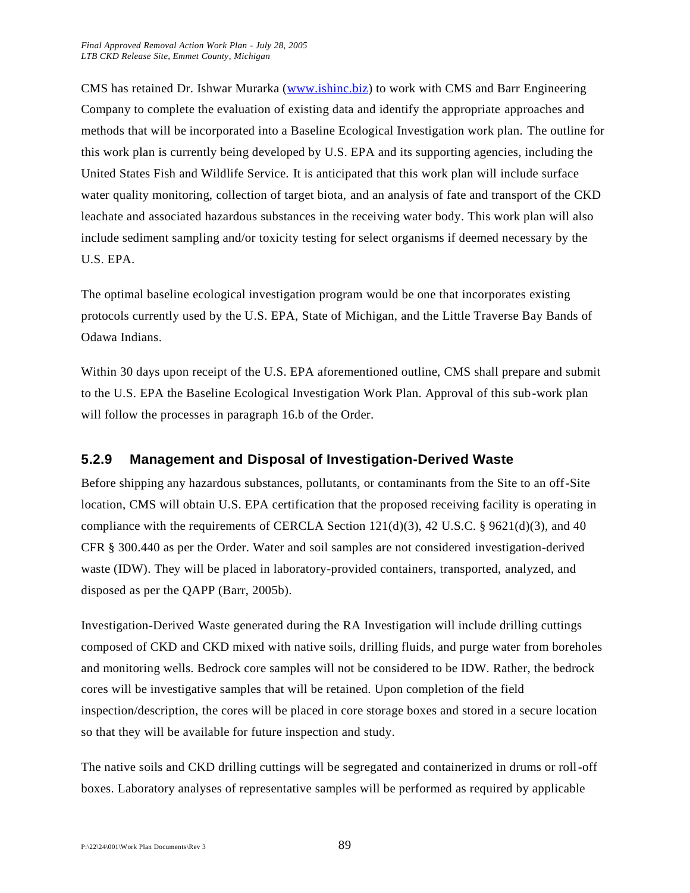CMS has retained Dr. Ishwar Murarka [\(www.ishinc.biz\)](http://www.ishinc.biz/) to work with CMS and Barr Engineering Company to complete the evaluation of existing data and identify the appropriate approaches and methods that will be incorporated into a Baseline Ecological Investigation work plan. The outline for this work plan is currently being developed by U.S. EPA and its supporting agencies, including the United States Fish and Wildlife Service. It is anticipated that this work plan will include surface water quality monitoring, collection of target biota, and an analysis of fate and transport of the CKD leachate and associated hazardous substances in the receiving water body. This work plan will also include sediment sampling and/or toxicity testing for select organisms if deemed necessary by the U.S. EPA.

The optimal baseline ecological investigation program would be one that incorporates existing protocols currently used by the U.S. EPA, State of Michigan, and the Little Traverse Bay Bands of Odawa Indians.

Within 30 days upon receipt of the U.S. EPA aforementioned outline, CMS shall prepare and submit to the U.S. EPA the Baseline Ecological Investigation Work Plan. Approval of this sub-work plan will follow the processes in paragraph 16.b of the Order.

## **5.2.9 Management and Disposal of Investigation-Derived Waste**

Before shipping any hazardous substances, pollutants, or contaminants from the Site to an off-Site location, CMS will obtain U.S. EPA certification that the proposed receiving facility is operating in compliance with the requirements of CERCLA Section  $121(d)(3)$ , 42 U.S.C. § 9621(d)(3), and 40 CFR § 300.440 as per the Order. Water and soil samples are not considered investigation-derived waste (IDW). They will be placed in laboratory-provided containers, transported, analyzed, and disposed as per the QAPP (Barr, 2005b).

Investigation-Derived Waste generated during the RA Investigation will include drilling cuttings composed of CKD and CKD mixed with native soils, drilling fluids, and purge water from boreholes and monitoring wells. Bedrock core samples will not be considered to be IDW. Rather, the bedrock cores will be investigative samples that will be retained. Upon completion of the field inspection/description, the cores will be placed in core storage boxes and stored in a secure location so that they will be available for future inspection and study.

The native soils and CKD drilling cuttings will be segregated and containerized in drums or roll-off boxes. Laboratory analyses of representative samples will be performed as required by applicable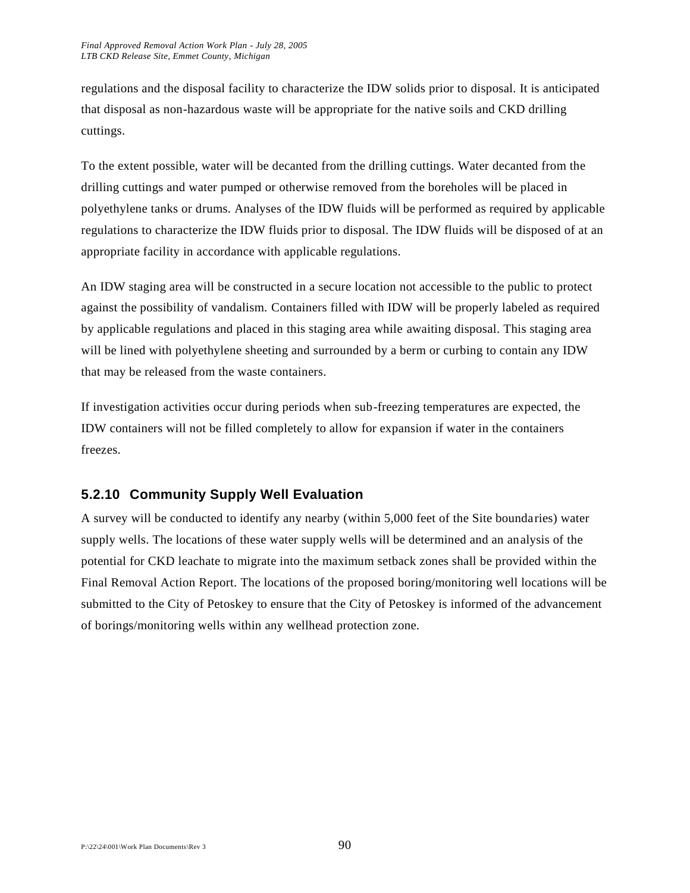regulations and the disposal facility to characterize the IDW solids prior to disposal. It is anticipated that disposal as non-hazardous waste will be appropriate for the native soils and CKD drilling cuttings.

To the extent possible, water will be decanted from the drilling cuttings. Water decanted from the drilling cuttings and water pumped or otherwise removed from the boreholes will be placed in polyethylene tanks or drums. Analyses of the IDW fluids will be performed as required by applicable regulations to characterize the IDW fluids prior to disposal. The IDW fluids will be disposed of at an appropriate facility in accordance with applicable regulations.

An IDW staging area will be constructed in a secure location not accessible to the public to protect against the possibility of vandalism. Containers filled with IDW will be properly labeled as required by applicable regulations and placed in this staging area while awaiting disposal. This staging area will be lined with polyethylene sheeting and surrounded by a berm or curbing to contain any IDW that may be released from the waste containers.

If investigation activities occur during periods when sub-freezing temperatures are expected, the IDW containers will not be filled completely to allow for expansion if water in the containers freezes.

## **5.2.10 Community Supply Well Evaluation**

A survey will be conducted to identify any nearby (within 5,000 feet of the Site boundaries) water supply wells. The locations of these water supply wells will be determined and an analysis of the potential for CKD leachate to migrate into the maximum setback zones shall be provided within the Final Removal Action Report. The locations of the proposed boring/monitoring well locations will be submitted to the City of Petoskey to ensure that the City of Petoskey is informed of the advancement of borings/monitoring wells within any wellhead protection zone.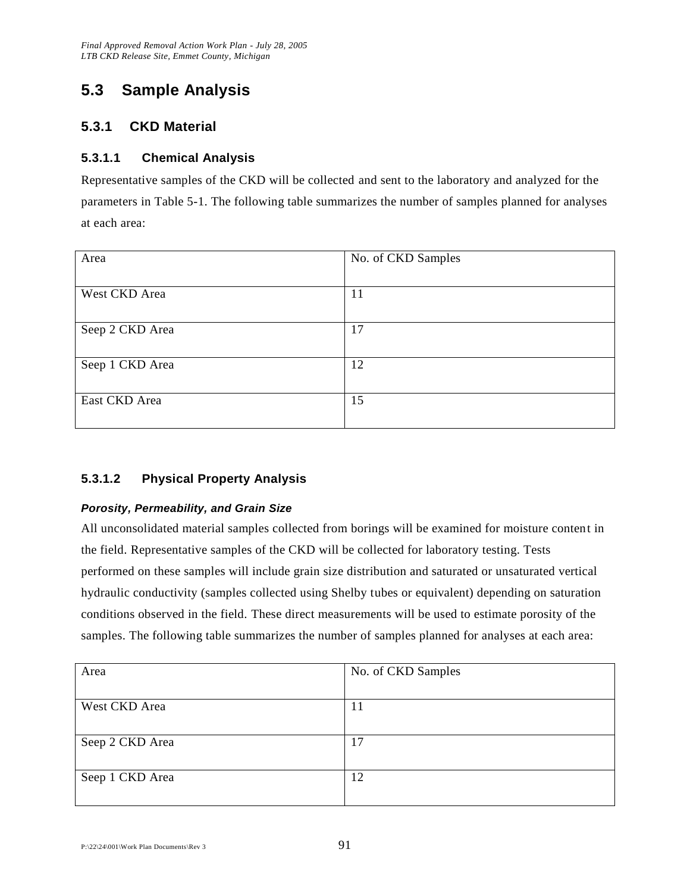## **5.3 Sample Analysis**

## **5.3.1 CKD Material**

## **5.3.1.1 Chemical Analysis**

Representative samples of the CKD will be collected and sent to the laboratory and analyzed for the parameters in Table 5-1. The following table summarizes the number of samples planned for analyses at each area:

| Area            | No. of CKD Samples |
|-----------------|--------------------|
|                 |                    |
| West CKD Area   | 11                 |
|                 |                    |
| Seep 2 CKD Area | 17                 |
|                 |                    |
| Seep 1 CKD Area | 12                 |
|                 |                    |
| East CKD Area   | 15                 |
|                 |                    |

## **5.3.1.2 Physical Property Analysis**

#### *Porosity, Permeability, and Grain Size*

All unconsolidated material samples collected from borings will be examined for moisture content in the field. Representative samples of the CKD will be collected for laboratory testing. Tests performed on these samples will include grain size distribution and saturated or unsaturated vertical hydraulic conductivity (samples collected using Shelby tubes or equivalent) depending on saturation conditions observed in the field. These direct measurements will be used to estimate porosity of the samples. The following table summarizes the number of samples planned for analyses at each area:

| Area            | No. of CKD Samples |
|-----------------|--------------------|
|                 |                    |
| West CKD Area   | 11                 |
|                 |                    |
| Seep 2 CKD Area | 17                 |
|                 |                    |
| Seep 1 CKD Area | 12                 |
|                 |                    |

 $P: \frac{22\frac{24}{001}}{W \cdot R}$  Plan Documents\Rev 3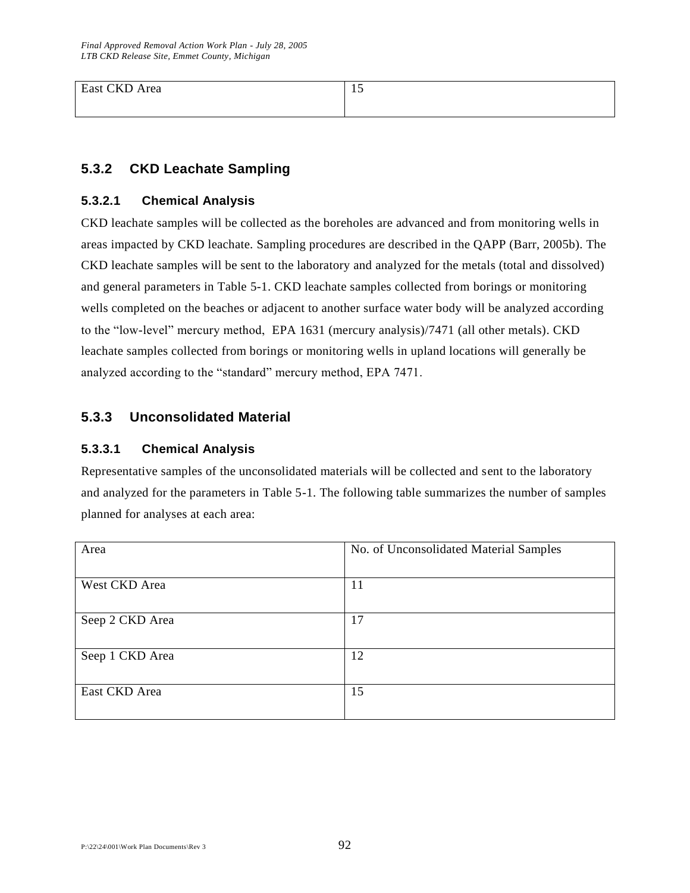East CKD Area 15

## **5.3.2 CKD Leachate Sampling**

#### **5.3.2.1 Chemical Analysis**

CKD leachate samples will be collected as the boreholes are advanced and from monitoring wells in areas impacted by CKD leachate. Sampling procedures are described in the QAPP (Barr, 2005b). The CKD leachate samples will be sent to the laboratory and analyzed for the metals (total and dissolved) and general parameters in Table 5-1. CKD leachate samples collected from borings or monitoring wells completed on the beaches or adjacent to another surface water body will be analyzed according to the "low-level" mercury method, EPA 1631 (mercury analysis)/7471 (all other metals). CKD leachate samples collected from borings or monitoring wells in upland locations will generally be analyzed according to the "standard" mercury method, EPA 7471.

## **5.3.3 Unconsolidated Material**

#### **5.3.3.1 Chemical Analysis**

Representative samples of the unconsolidated materials will be collected and sent to the laboratory and analyzed for the parameters in Table 5-1. The following table summarizes the number of samples planned for analyses at each area:

| Area            | No. of Unconsolidated Material Samples |
|-----------------|----------------------------------------|
| West CKD Area   | 11                                     |
| Seep 2 CKD Area | 17                                     |
| Seep 1 CKD Area | 12                                     |
| East CKD Area   | 15                                     |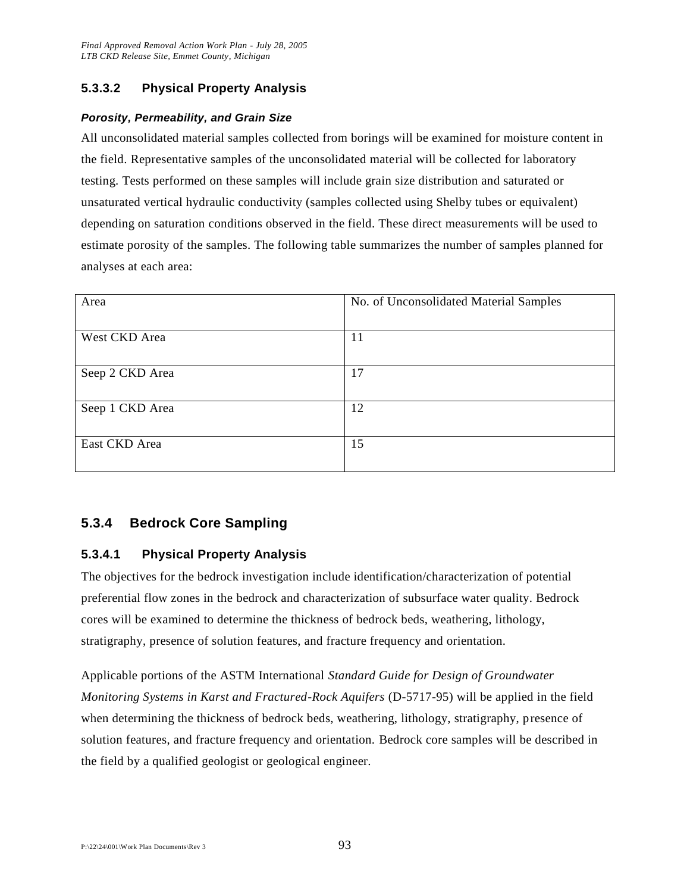## **5.3.3.2 Physical Property Analysis**

#### *Porosity, Permeability, and Grain Size*

All unconsolidated material samples collected from borings will be examined for moisture content in the field. Representative samples of the unconsolidated material will be collected for laboratory testing. Tests performed on these samples will include grain size distribution and saturated or unsaturated vertical hydraulic conductivity (samples collected using Shelby tubes or equivalent) depending on saturation conditions observed in the field. These direct measurements will be used to estimate porosity of the samples. The following table summarizes the number of samples planned for analyses at each area:

| Area            | No. of Unconsolidated Material Samples |
|-----------------|----------------------------------------|
| West CKD Area   | 11                                     |
| Seep 2 CKD Area | 17                                     |
| Seep 1 CKD Area | 12                                     |
| East CKD Area   | 15                                     |
|                 |                                        |

## **5.3.4 Bedrock Core Sampling**

#### **5.3.4.1 Physical Property Analysis**

The objectives for the bedrock investigation include identification/characterization of potential preferential flow zones in the bedrock and characterization of subsurface water quality. Bedrock cores will be examined to determine the thickness of bedrock beds, weathering, lithology, stratigraphy, presence of solution features, and fracture frequency and orientation.

Applicable portions of the ASTM International *Standard Guide for Design of Groundwater Monitoring Systems in Karst and Fractured-Rock Aquifers* (D-5717-95) will be applied in the field when determining the thickness of bedrock beds, weathering, lithology, stratigraphy, presence of solution features, and fracture frequency and orientation. Bedrock core samples will be described in the field by a qualified geologist or geological engineer.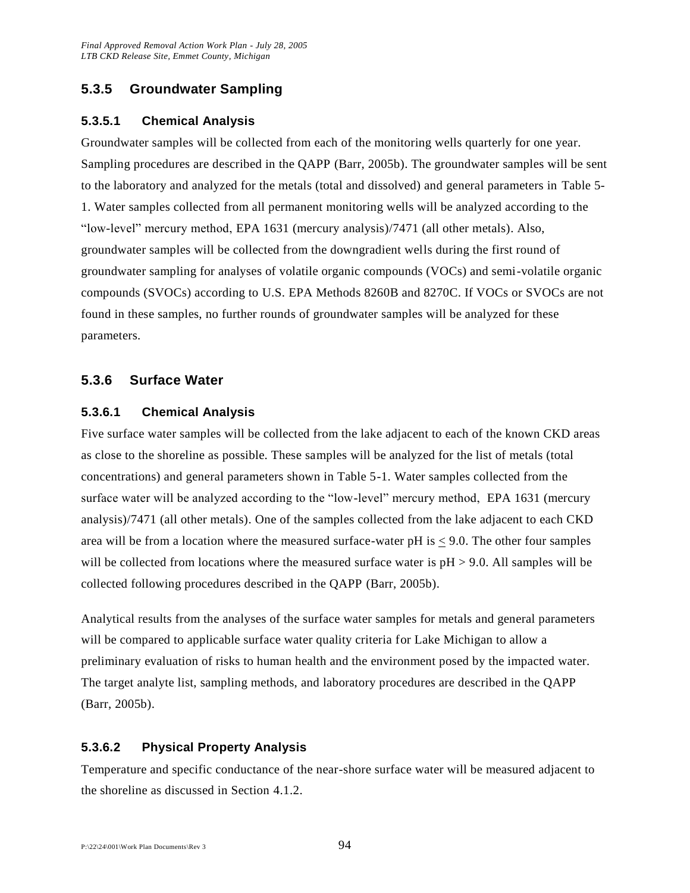## **5.3.5 Groundwater Sampling**

### **5.3.5.1 Chemical Analysis**

Groundwater samples will be collected from each of the monitoring wells quarterly for one year. Sampling procedures are described in the QAPP (Barr, 2005b). The groundwater samples will be sent to the laboratory and analyzed for the metals (total and dissolved) and general parameters in Table 5- 1. Water samples collected from all permanent monitoring wells will be analyzed according to the "low-level" mercury method, EPA 1631 (mercury analysis)/7471 (all other metals). Also, groundwater samples will be collected from the downgradient wells during the first round of groundwater sampling for analyses of volatile organic compounds (VOCs) and semi-volatile organic compounds (SVOCs) according to U.S. EPA Methods 8260B and 8270C. If VOCs or SVOCs are not found in these samples, no further rounds of groundwater samples will be analyzed for these parameters.

### **5.3.6 Surface Water**

#### **5.3.6.1 Chemical Analysis**

Five surface water samples will be collected from the lake adjacent to each of the known CKD areas as close to the shoreline as possible. These samples will be analyzed for the list of metals (total concentrations) and general parameters shown in Table 5-1. Water samples collected from the surface water will be analyzed according to the "low-level" mercury method, EPA 1631 (mercury analysis)/7471 (all other metals). One of the samples collected from the lake adjacent to each CKD area will be from a location where the measured surface-water pH is < 9.0. The other four samples will be collected from locations where the measured surface water is  $pH > 9.0$ . All samples will be collected following procedures described in the QAPP (Barr, 2005b).

Analytical results from the analyses of the surface water samples for metals and general parameters will be compared to applicable surface water quality criteria for Lake Michigan to allow a preliminary evaluation of risks to human health and the environment posed by the impacted water. The target analyte list, sampling methods, and laboratory procedures are described in the QAPP (Barr, 2005b).

#### **5.3.6.2 Physical Property Analysis**

Temperature and specific conductance of the near-shore surface water will be measured adjacent to the shoreline as discussed in Section 4.1.2.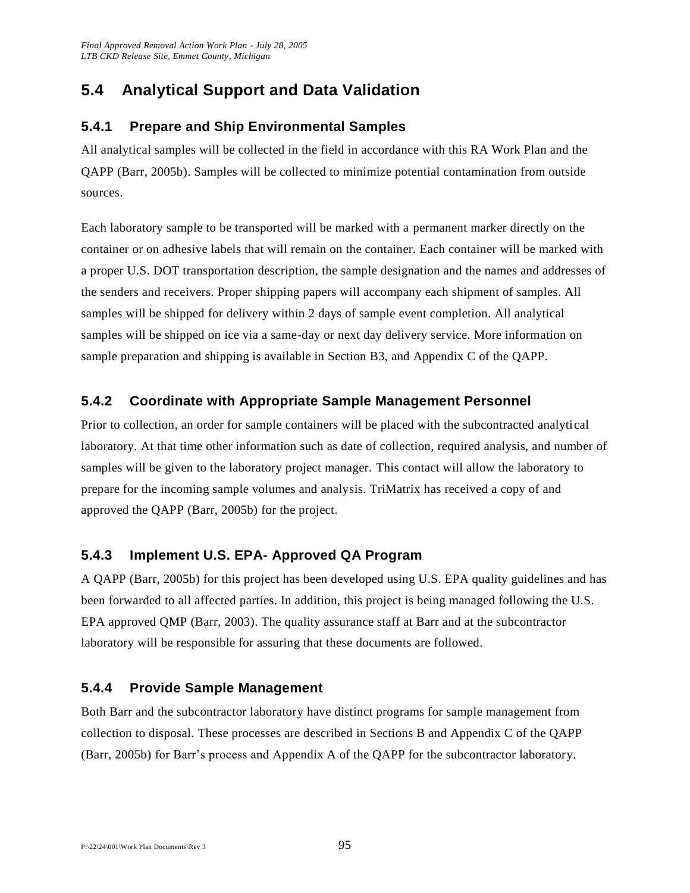## **5.4 Analytical Support and Data Validation**

## **5.4.1 Prepare and Ship Environmental Samples**

All analytical samples will be collected in the field in accordance with this RA Work Plan and the QAPP (Barr, 2005b). Samples will be collected to minimize potential contamination from outside sources.

Each laboratory sample to be transported will be marked with a permanent marker directly on the container or on adhesive labels that will remain on the container. Each container will be marked with a proper U.S. DOT transportation description, the sample designation and the names and addresses of the senders and receivers. Proper shipping papers will accompany each shipment of samples. All samples will be shipped for delivery within 2 days of sample event completion. All analytical samples will be shipped on ice via a same-day or next day delivery service. More information on sample preparation and shipping is available in Section B3, and Appendix C of the QAPP.

## **5.4.2 Coordinate with Appropriate Sample Management Personnel**

Prior to collection, an order for sample containers will be placed with the subcontracted analytical laboratory. At that time other information such as date of collection, required analysis, and number of samples will be given to the laboratory project manager. This contact will allow the laboratory to prepare for the incoming sample volumes and analysis. TriMatrix has received a copy of and approved the QAPP (Barr, 2005b) for the project.

## **5.4.3 Implement U.S. EPA- Approved QA Program**

A QAPP (Barr, 2005b) for this project has been developed using U.S. EPA quality guidelines and has been forwarded to all affected parties. In addition, this project is being managed following the U.S. EPA approved QMP (Barr, 2003). The quality assurance staff at Barr and at the subcontractor laboratory will be responsible for assuring that these documents are followed.

## **5.4.4 Provide Sample Management**

Both Barr and the subcontractor laboratory have distinct programs for sample management from collection to disposal. These processes are described in Sections B and Appendix C of the QAPP (Barr, 2005b) for Barr's process and Appendix A of the QAPP for the subcontractor laboratory.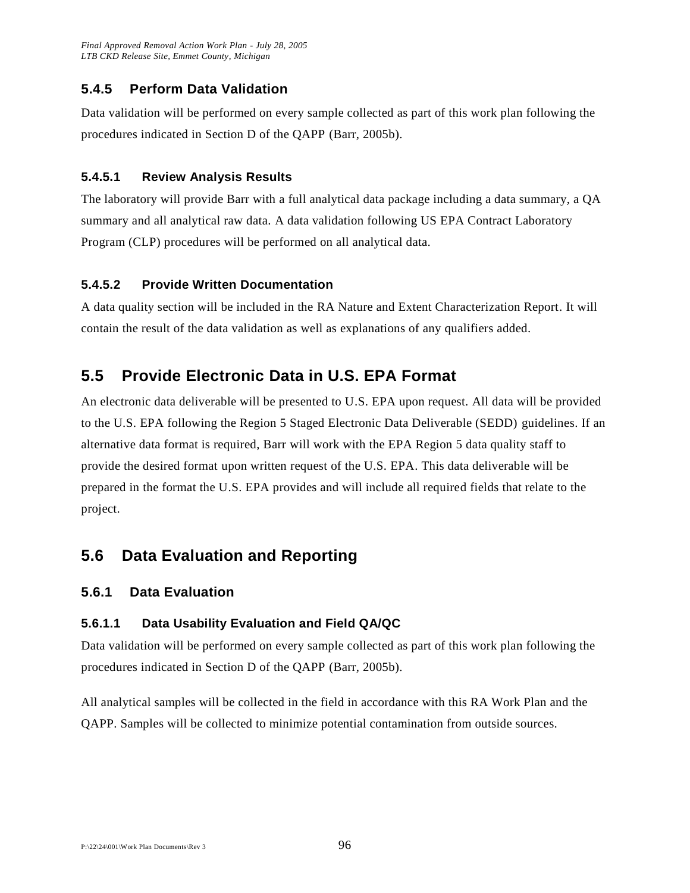## **5.4.5 Perform Data Validation**

Data validation will be performed on every sample collected as part of this work plan following the procedures indicated in Section D of the QAPP (Barr, 2005b).

### **5.4.5.1 Review Analysis Results**

The laboratory will provide Barr with a full analytical data package including a data summary, a QA summary and all analytical raw data. A data validation following US EPA Contract Laboratory Program (CLP) procedures will be performed on all analytical data.

### **5.4.5.2 Provide Written Documentation**

A data quality section will be included in the RA Nature and Extent Characterization Report. It will contain the result of the data validation as well as explanations of any qualifiers added.

## **5.5 Provide Electronic Data in U.S. EPA Format**

An electronic data deliverable will be presented to U.S. EPA upon request. All data will be provided to the U.S. EPA following the Region 5 Staged Electronic Data Deliverable (SEDD) guidelines. If an alternative data format is required, Barr will work with the EPA Region 5 data quality staff to provide the desired format upon written request of the U.S. EPA. This data deliverable will be prepared in the format the U.S. EPA provides and will include all required fields that relate to the project.

## **5.6 Data Evaluation and Reporting**

## **5.6.1 Data Evaluation**

## **5.6.1.1 Data Usability Evaluation and Field QA/QC**

Data validation will be performed on every sample collected as part of this work plan following the procedures indicated in Section D of the QAPP (Barr, 2005b).

All analytical samples will be collected in the field in accordance with this RA Work Plan and the QAPP. Samples will be collected to minimize potential contamination from outside sources.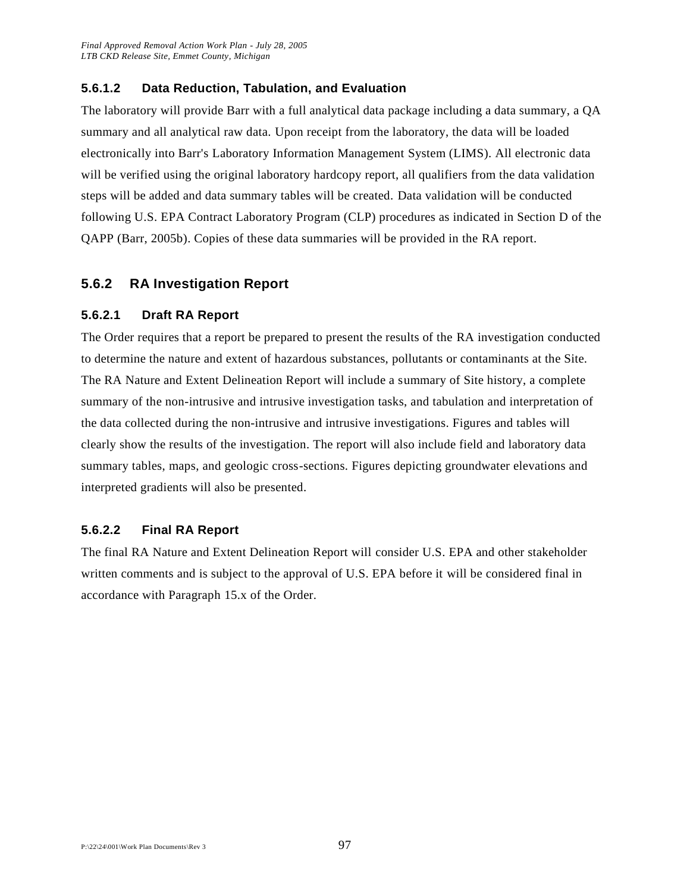#### **5.6.1.2 Data Reduction, Tabulation, and Evaluation**

The laboratory will provide Barr with a full analytical data package including a data summary, a QA summary and all analytical raw data. Upon receipt from the laboratory, the data will be loaded electronically into Barr's Laboratory Information Management System (LIMS). All electronic data will be verified using the original laboratory hardcopy report, all qualifiers from the data validation steps will be added and data summary tables will be created. Data validation will be conducted following U.S. EPA Contract Laboratory Program (CLP) procedures as indicated in Section D of the QAPP (Barr, 2005b). Copies of these data summaries will be provided in the RA report.

### **5.6.2 RA Investigation Report**

#### **5.6.2.1 Draft RA Report**

The Order requires that a report be prepared to present the results of the RA investigation conducted to determine the nature and extent of hazardous substances, pollutants or contaminants at the Site. The RA Nature and Extent Delineation Report will include a summary of Site history, a complete summary of the non-intrusive and intrusive investigation tasks, and tabulation and interpretation of the data collected during the non-intrusive and intrusive investigations. Figures and tables will clearly show the results of the investigation. The report will also include field and laboratory data summary tables, maps, and geologic cross-sections. Figures depicting groundwater elevations and interpreted gradients will also be presented.

#### **5.6.2.2 Final RA Report**

The final RA Nature and Extent Delineation Report will consider U.S. EPA and other stakeholder written comments and is subject to the approval of U.S. EPA before it will be considered final in accordance with Paragraph 15.x of the Order.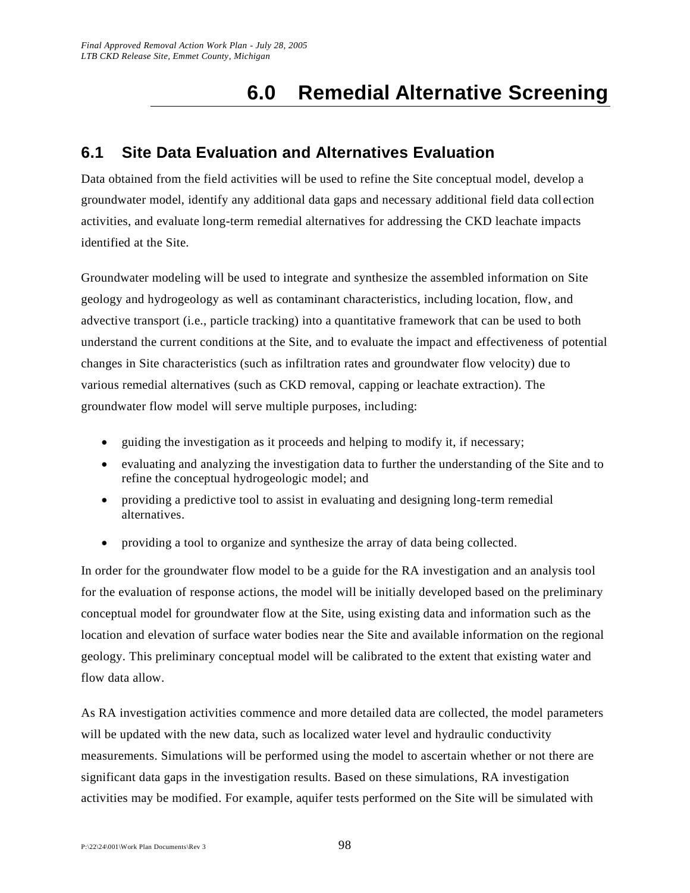# **6.0 Remedial Alternative Screening**

## **6.1 Site Data Evaluation and Alternatives Evaluation**

Data obtained from the field activities will be used to refine the Site conceptual model, develop a groundwater model, identify any additional data gaps and necessary additional field data coll ection activities, and evaluate long-term remedial alternatives for addressing the CKD leachate impacts identified at the Site.

Groundwater modeling will be used to integrate and synthesize the assembled information on Site geology and hydrogeology as well as contaminant characteristics, including location, flow, and advective transport (i.e., particle tracking) into a quantitative framework that can be used to both understand the current conditions at the Site, and to evaluate the impact and effectiveness of potential changes in Site characteristics (such as infiltration rates and groundwater flow velocity) due to various remedial alternatives (such as CKD removal, capping or leachate extraction). The groundwater flow model will serve multiple purposes, including:

- guiding the investigation as it proceeds and helping to modify it, if necessary;
- evaluating and analyzing the investigation data to further the understanding of the Site and to refine the conceptual hydrogeologic model; and
- providing a predictive tool to assist in evaluating and designing long-term remedial alternatives.
- providing a tool to organize and synthesize the array of data being collected.

In order for the groundwater flow model to be a guide for the RA investigation and an analysis tool for the evaluation of response actions, the model will be initially developed based on the preliminary conceptual model for groundwater flow at the Site, using existing data and information such as the location and elevation of surface water bodies near the Site and available information on the regional geology. This preliminary conceptual model will be calibrated to the extent that existing water and flow data allow.

As RA investigation activities commence and more detailed data are collected, the model parameters will be updated with the new data, such as localized water level and hydraulic conductivity measurements. Simulations will be performed using the model to ascertain whether or not there are significant data gaps in the investigation results. Based on these simulations, RA investigation activities may be modified. For example, aquifer tests performed on the Site will be simulated with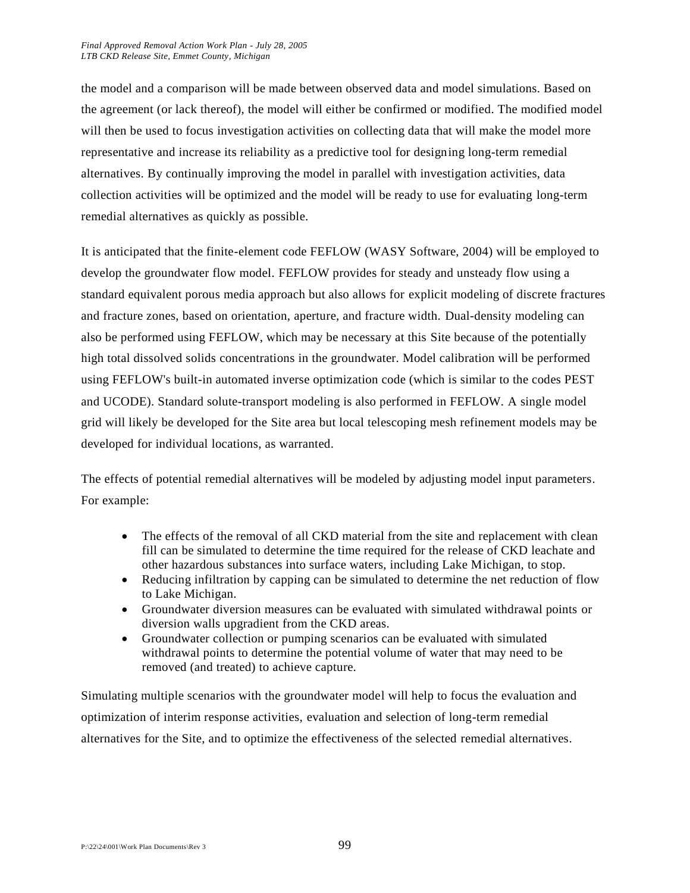the model and a comparison will be made between observed data and model simulations. Based on the agreement (or lack thereof), the model will either be confirmed or modified. The modified model will then be used to focus investigation activities on collecting data that will make the model more representative and increase its reliability as a predictive tool for designing long-term remedial alternatives. By continually improving the model in parallel with investigation activities, data collection activities will be optimized and the model will be ready to use for evaluating long-term remedial alternatives as quickly as possible.

It is anticipated that the finite-element code FEFLOW (WASY Software, 2004) will be employed to develop the groundwater flow model. FEFLOW provides for steady and unsteady flow using a standard equivalent porous media approach but also allows for explicit modeling of discrete fractures and fracture zones, based on orientation, aperture, and fracture width. Dual-density modeling can also be performed using FEFLOW, which may be necessary at this Site because of the potentially high total dissolved solids concentrations in the groundwater. Model calibration will be performed using FEFLOW's built-in automated inverse optimization code (which is similar to the codes PEST and UCODE). Standard solute-transport modeling is also performed in FEFLOW. A single model grid will likely be developed for the Site area but local telescoping mesh refinement models may be developed for individual locations, as warranted.

The effects of potential remedial alternatives will be modeled by adjusting model input parameters. For example:

- The effects of the removal of all CKD material from the site and replacement with clean fill can be simulated to determine the time required for the release of CKD leachate and other hazardous substances into surface waters, including Lake Michigan, to stop.
- Reducing infiltration by capping can be simulated to determine the net reduction of flow to Lake Michigan.
- Groundwater diversion measures can be evaluated with simulated withdrawal points or diversion walls upgradient from the CKD areas.
- Groundwater collection or pumping scenarios can be evaluated with simulated withdrawal points to determine the potential volume of water that may need to be removed (and treated) to achieve capture.

Simulating multiple scenarios with the groundwater model will help to focus the evaluation and optimization of interim response activities, evaluation and selection of long-term remedial alternatives for the Site, and to optimize the effectiveness of the selected remedial alternatives.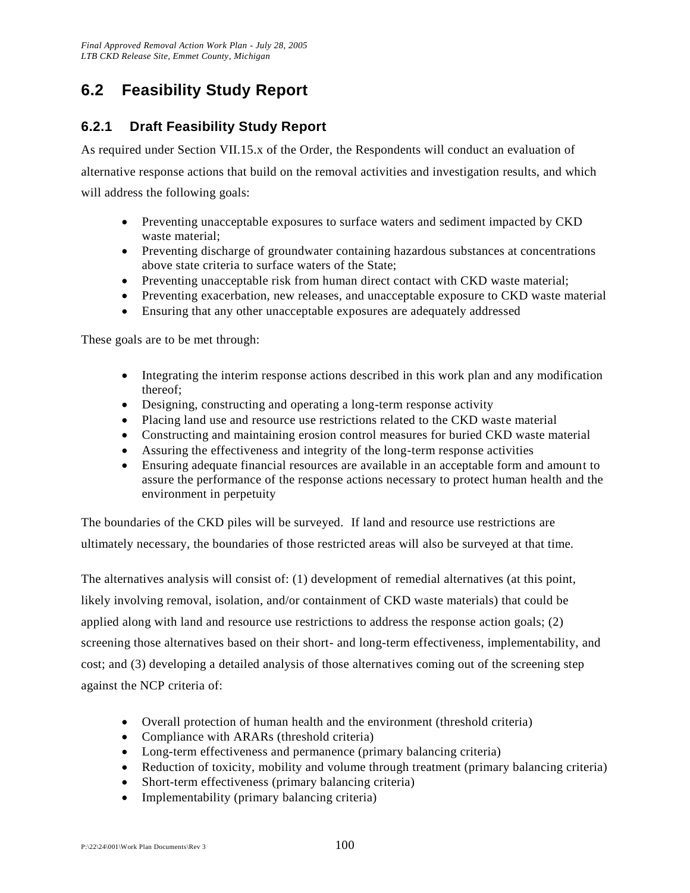## **6.2 Feasibility Study Report**

## **6.2.1 Draft Feasibility Study Report**

As required under Section VII.15.x of the Order, the Respondents will conduct an evaluation of alternative response actions that build on the removal activities and investigation results, and which will address the following goals:

- Preventing unacceptable exposures to surface waters and sediment impacted by CKD waste material;
- Preventing discharge of groundwater containing hazardous substances at concentrations above state criteria to surface waters of the State;
- Preventing unacceptable risk from human direct contact with CKD waste material;
- Preventing exacerbation, new releases, and unacceptable exposure to CKD waste material
- Ensuring that any other unacceptable exposures are adequately addressed

These goals are to be met through:

- Integrating the interim response actions described in this work plan and any modification thereof;
- Designing, constructing and operating a long-term response activity
- Placing land use and resource use restrictions related to the CKD waste material
- Constructing and maintaining erosion control measures for buried CKD waste material
- Assuring the effectiveness and integrity of the long-term response activities
- Ensuring adequate financial resources are available in an acceptable form and amount to assure the performance of the response actions necessary to protect human health and the environment in perpetuity

The boundaries of the CKD piles will be surveyed. If land and resource use restrictions are ultimately necessary, the boundaries of those restricted areas will also be surveyed at that time.

The alternatives analysis will consist of: (1) development of remedial alternatives (at this point, likely involving removal, isolation, and/or containment of CKD waste materials) that could be applied along with land and resource use restrictions to address the response action goals; (2) screening those alternatives based on their short- and long-term effectiveness, implementability, and cost; and (3) developing a detailed analysis of those alternatives coming out of the screening step against the NCP criteria of:

- Overall protection of human health and the environment (threshold criteria)
- Compliance with ARARs (threshold criteria)
- Long-term effectiveness and permanence (primary balancing criteria)
- Reduction of toxicity, mobility and volume through treatment (primary balancing criteria)
- Short-term effectiveness (primary balancing criteria)
- Implementability (primary balancing criteria)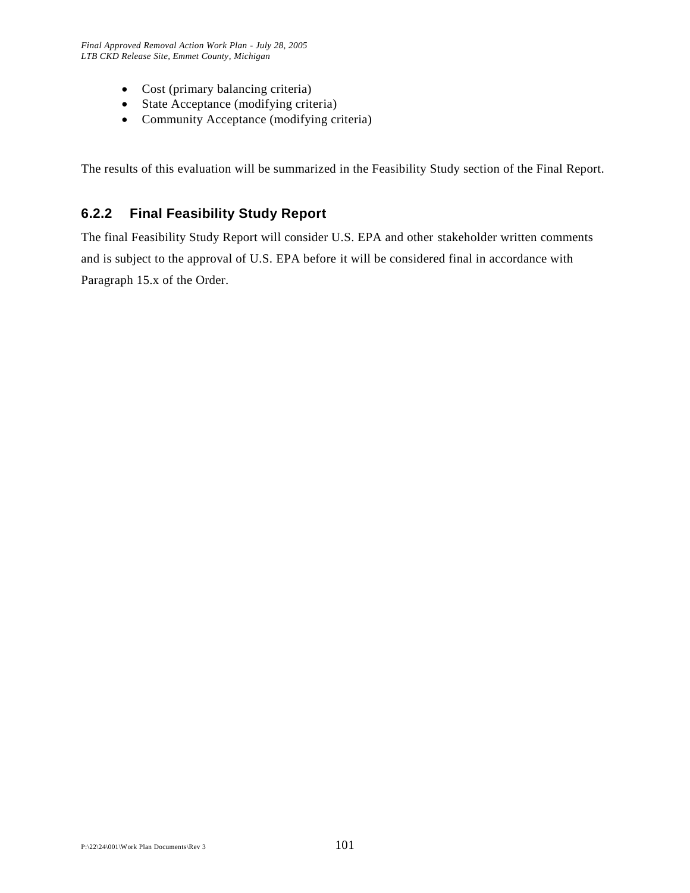- Cost (primary balancing criteria)
- State Acceptance (modifying criteria)
- Community Acceptance (modifying criteria)

The results of this evaluation will be summarized in the Feasibility Study section of the Final Report.

## **6.2.2 Final Feasibility Study Report**

The final Feasibility Study Report will consider U.S. EPA and other stakeholder written comments and is subject to the approval of U.S. EPA before it will be considered final in accordance with Paragraph 15.x of the Order.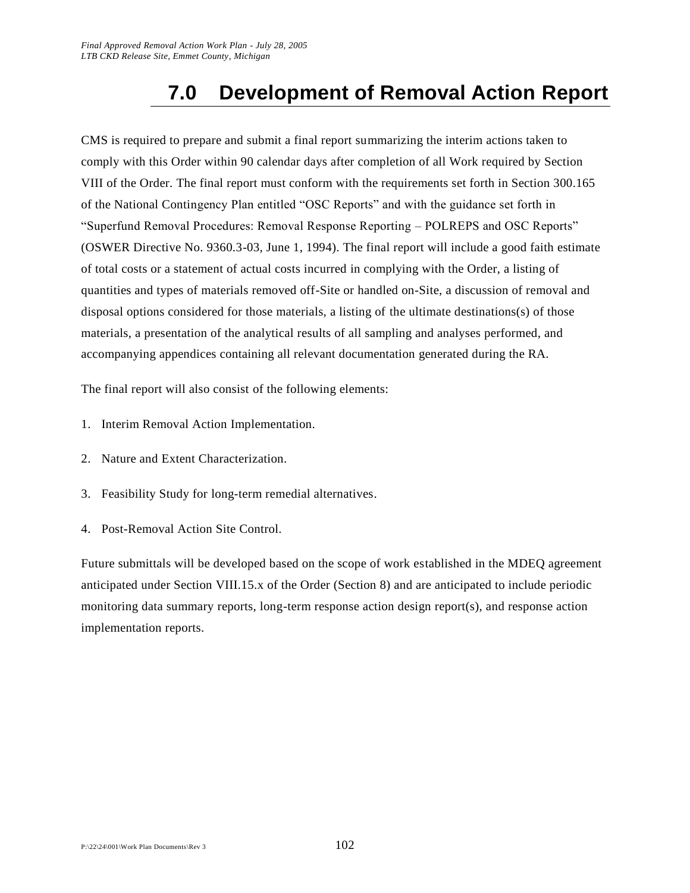# **7.0 Development of Removal Action Report**

CMS is required to prepare and submit a final report summarizing the interim actions taken to comply with this Order within 90 calendar days after completion of all Work required by Section VIII of the Order. The final report must conform with the requirements set forth in Section 300.165 of the National Contingency Plan entitled "OSC Reports" and with the guidance set forth in "Superfund Removal Procedures: Removal Response Reporting – POLREPS and OSC Reports" (OSWER Directive No. 9360.3-03, June 1, 1994). The final report will include a good faith estimate of total costs or a statement of actual costs incurred in complying with the Order, a listing of quantities and types of materials removed off-Site or handled on-Site, a discussion of removal and disposal options considered for those materials, a listing of the ultimate destinations(s) of those materials, a presentation of the analytical results of all sampling and analyses performed, and accompanying appendices containing all relevant documentation generated during the RA.

The final report will also consist of the following elements:

- 1. Interim Removal Action Implementation.
- 2. Nature and Extent Characterization.
- 3. Feasibility Study for long-term remedial alternatives.
- 4. Post-Removal Action Site Control.

Future submittals will be developed based on the scope of work established in the MDEQ agreement anticipated under Section VIII.15.x of the Order (Section 8) and are anticipated to include periodic monitoring data summary reports, long-term response action design report(s), and response action implementation reports.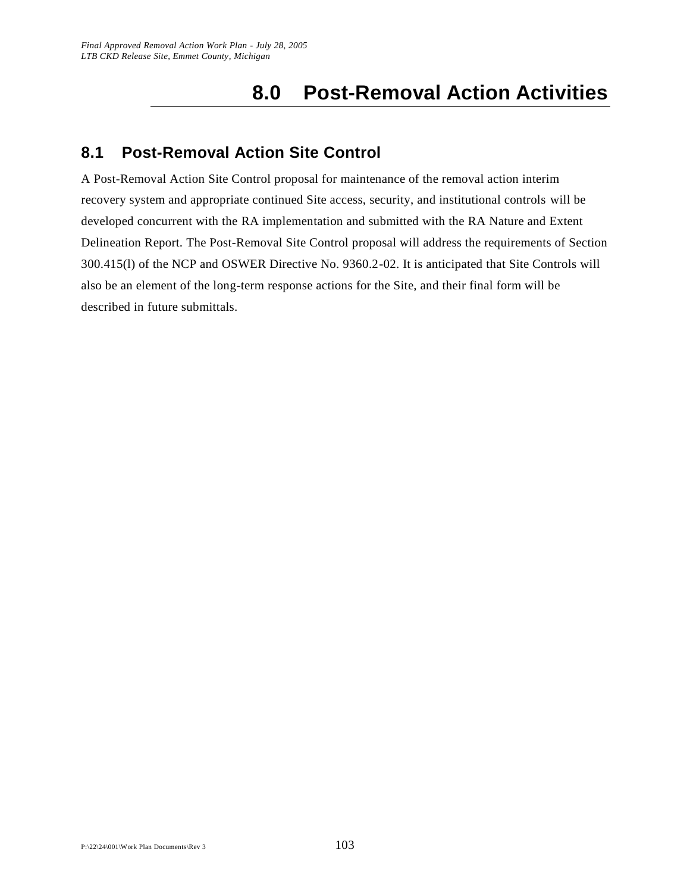# **8.0 Post-Removal Action Activities**

### **8.1 Post-Removal Action Site Control**

A Post-Removal Action Site Control proposal for maintenance of the removal action interim recovery system and appropriate continued Site access, security, and institutional controls will be developed concurrent with the RA implementation and submitted with the RA Nature and Extent Delineation Report. The Post-Removal Site Control proposal will address the requirements of Section 300.415(l) of the NCP and OSWER Directive No. 9360.2-02. It is anticipated that Site Controls will also be an element of the long-term response actions for the Site, and their final form will be described in future submittals.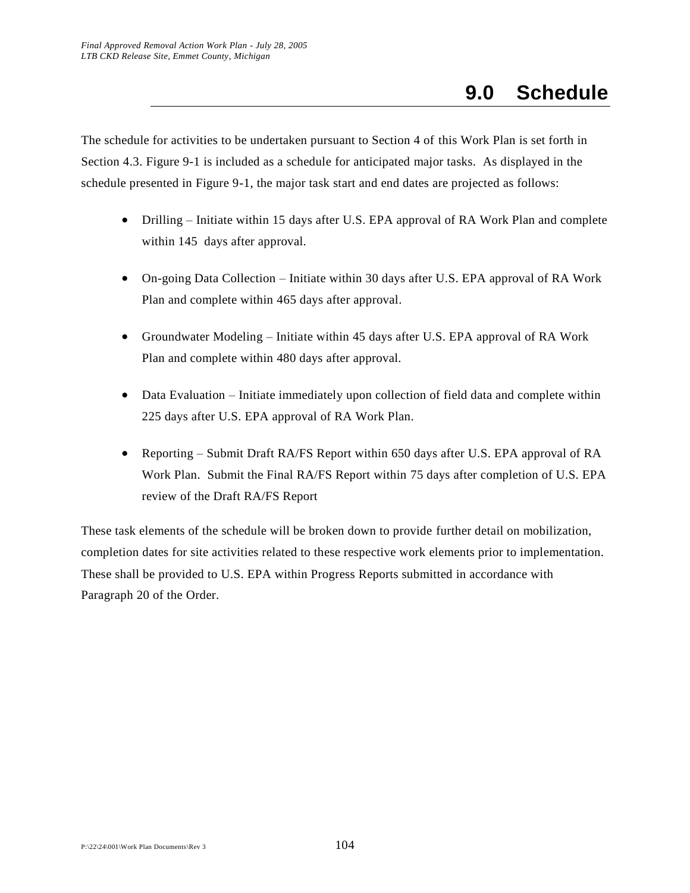The schedule for activities to be undertaken pursuant to Section 4 of this Work Plan is set forth in Section 4.3. Figure 9-1 is included as a schedule for anticipated major tasks. As displayed in the schedule presented in Figure 9-1, the major task start and end dates are projected as follows:

- Drilling Initiate within 15 days after U.S. EPA approval of RA Work Plan and complete within 145 days after approval.
- On-going Data Collection Initiate within 30 days after U.S. EPA approval of RA Work Plan and complete within 465 days after approval.
- Groundwater Modeling Initiate within 45 days after U.S. EPA approval of RA Work Plan and complete within 480 days after approval.
- Data Evaluation Initiate immediately upon collection of field data and complete within 225 days after U.S. EPA approval of RA Work Plan.
- Reporting Submit Draft RA/FS Report within 650 days after U.S. EPA approval of RA Work Plan. Submit the Final RA/FS Report within 75 days after completion of U.S. EPA review of the Draft RA/FS Report

These task elements of the schedule will be broken down to provide further detail on mobilization, completion dates for site activities related to these respective work elements prior to implementation. These shall be provided to U.S. EPA within Progress Reports submitted in accordance with Paragraph 20 of the Order.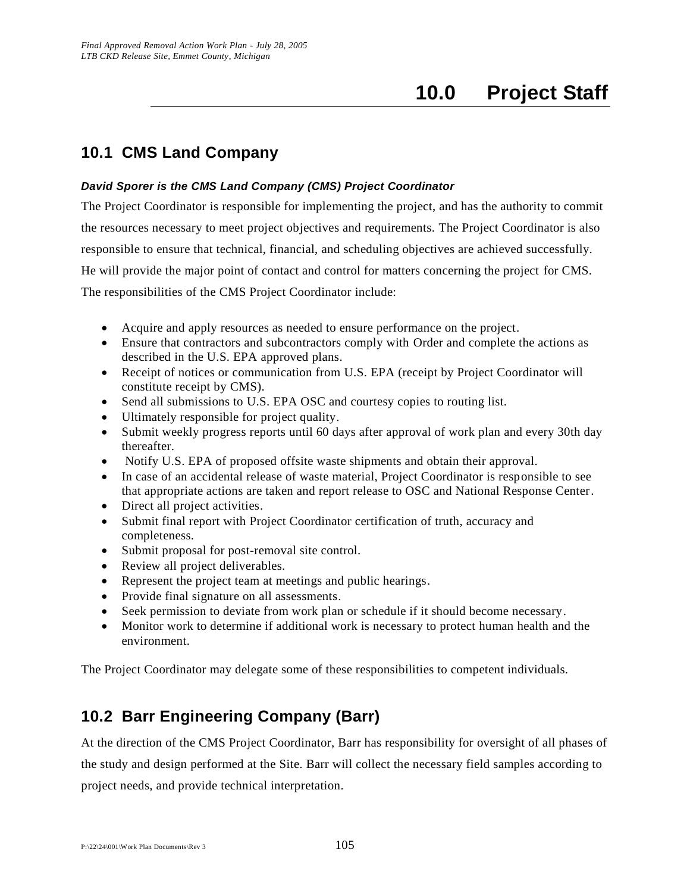# **10.0 Project Staff**

### **10.1 CMS Land Company**

#### *David Sporer is the CMS Land Company (CMS) Project Coordinator*

The Project Coordinator is responsible for implementing the project, and has the authority to commit the resources necessary to meet project objectives and requirements. The Project Coordinator is also responsible to ensure that technical, financial, and scheduling objectives are achieved successfully. He will provide the major point of contact and control for matters concerning the project for CMS. The responsibilities of the CMS Project Coordinator include:

- Acquire and apply resources as needed to ensure performance on the project.
- Ensure that contractors and subcontractors comply with Order and complete the actions as described in the U.S. EPA approved plans.
- Receipt of notices or communication from U.S. EPA (receipt by Project Coordinator will constitute receipt by CMS).
- Send all submissions to U.S. EPA OSC and courtesy copies to routing list.
- Ultimately responsible for project quality.
- Submit weekly progress reports until 60 days after approval of work plan and every 30th day thereafter.
- Notify U.S. EPA of proposed offsite waste shipments and obtain their approval.
- In case of an accidental release of waste material, Project Coordinator is responsible to see that appropriate actions are taken and report release to OSC and National Response Center.
- Direct all project activities.
- Submit final report with Project Coordinator certification of truth, accuracy and completeness.
- Submit proposal for post-removal site control.
- Review all project deliverables.
- Represent the project team at meetings and public hearings.
- Provide final signature on all assessments.
- Seek permission to deviate from work plan or schedule if it should become necessary.
- Monitor work to determine if additional work is necessary to protect human health and the environment.

The Project Coordinator may delegate some of these responsibilities to competent individuals.

### **10.2 Barr Engineering Company (Barr)**

At the direction of the CMS Project Coordinator, Barr has responsibility for oversight of all phases of the study and design performed at the Site. Barr will collect the necessary field samples according to project needs, and provide technical interpretation.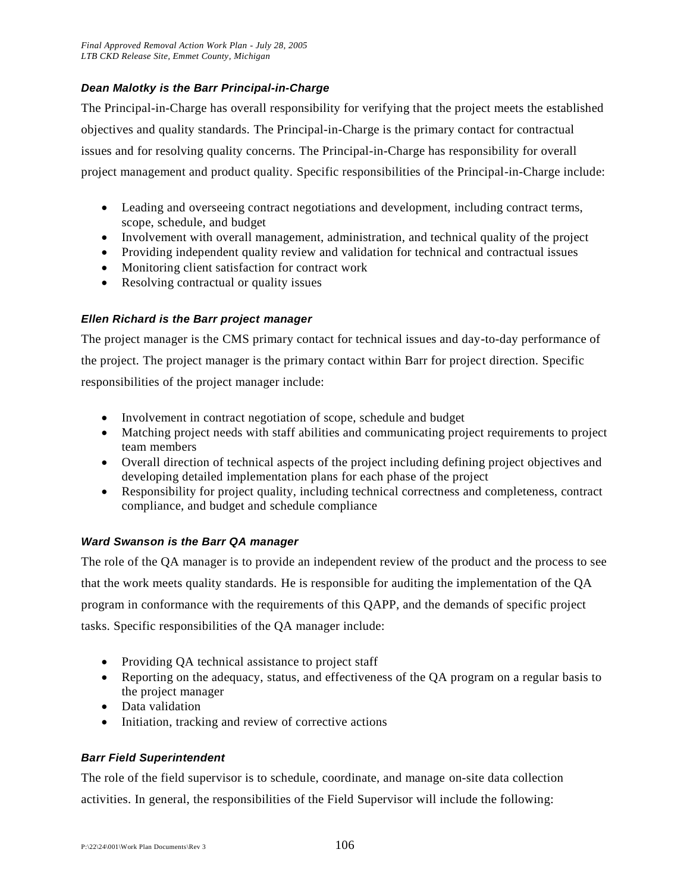#### *Dean Malotky is the Barr Principal-in-Charge*

The Principal-in-Charge has overall responsibility for verifying that the project meets the established objectives and quality standards. The Principal-in-Charge is the primary contact for contractual issues and for resolving quality concerns. The Principal-in-Charge has responsibility for overall project management and product quality. Specific responsibilities of the Principal-in-Charge include:

- Leading and overseeing contract negotiations and development, including contract terms, scope, schedule, and budget
- Involvement with overall management, administration, and technical quality of the project
- Providing independent quality review and validation for technical and contractual issues
- Monitoring client satisfaction for contract work
- Resolving contractual or quality issues

#### *Ellen Richard is the Barr project manager*

The project manager is the CMS primary contact for technical issues and day-to-day performance of the project. The project manager is the primary contact within Barr for project direction. Specific responsibilities of the project manager include:

- Involvement in contract negotiation of scope, schedule and budget
- Matching project needs with staff abilities and communicating project requirements to project team members
- Overall direction of technical aspects of the project including defining project objectives and developing detailed implementation plans for each phase of the project
- Responsibility for project quality, including technical correctness and completeness, contract compliance, and budget and schedule compliance

#### *Ward Swanson is the Barr QA manager*

The role of the QA manager is to provide an independent review of the product and the process to see that the work meets quality standards. He is responsible for auditing the implementation of the QA program in conformance with the requirements of this QAPP, and the demands of specific project tasks. Specific responsibilities of the QA manager include:

- Providing QA technical assistance to project staff
- Reporting on the adequacy, status, and effectiveness of the QA program on a regular basis to the project manager
- Data validation
- Initiation, tracking and review of corrective actions

#### *Barr Field Superintendent*

The role of the field supervisor is to schedule, coordinate, and manage on-site data collection activities. In general, the responsibilities of the Field Supervisor will include the following: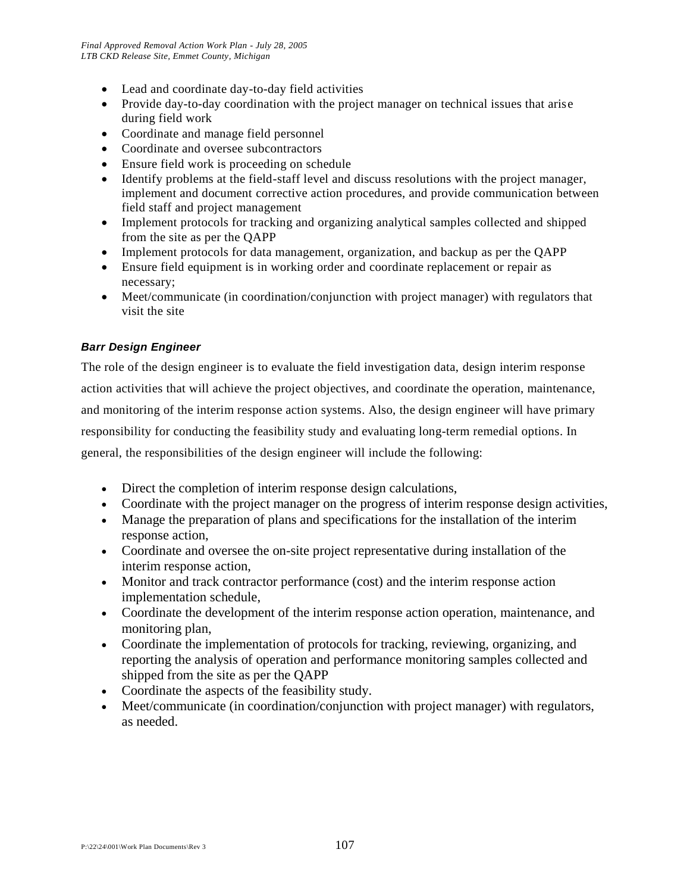- Lead and coordinate day-to-day field activities
- Provide day-to-day coordination with the project manager on technical issues that arise during field work
- Coordinate and manage field personnel
- Coordinate and oversee subcontractors
- Ensure field work is proceeding on schedule
- Identify problems at the field-staff level and discuss resolutions with the project manager, implement and document corrective action procedures, and provide communication between field staff and project management
- Implement protocols for tracking and organizing analytical samples collected and shipped from the site as per the QAPP
- Implement protocols for data management, organization, and backup as per the QAPP
- Ensure field equipment is in working order and coordinate replacement or repair as necessary;
- Meet/communicate (in coordination/conjunction with project manager) with regulators that visit the site

#### *Barr Design Engineer*

The role of the design engineer is to evaluate the field investigation data, design interim response action activities that will achieve the project objectives, and coordinate the operation, maintenance, and monitoring of the interim response action systems. Also, the design engineer will have primary responsibility for conducting the feasibility study and evaluating long-term remedial options. In general, the responsibilities of the design engineer will include the following:

- Direct the completion of interim response design calculations,
- Coordinate with the project manager on the progress of interim response design activities,
- Manage the preparation of plans and specifications for the installation of the interim response action,
- Coordinate and oversee the on-site project representative during installation of the interim response action,
- Monitor and track contractor performance (cost) and the interim response action implementation schedule,
- Coordinate the development of the interim response action operation, maintenance, and monitoring plan,
- Coordinate the implementation of protocols for tracking, reviewing, organizing, and reporting the analysis of operation and performance monitoring samples collected and shipped from the site as per the QAPP
- Coordinate the aspects of the feasibility study.
- Meet/communicate (in coordination/conjunction with project manager) with regulators, as needed.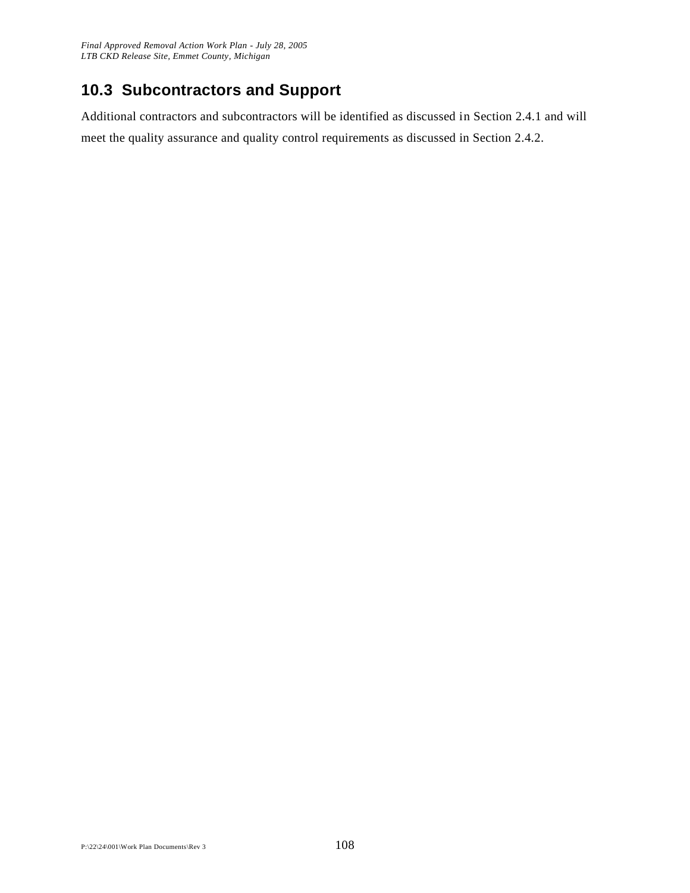## **10.3 Subcontractors and Support**

Additional contractors and subcontractors will be identified as discussed in Section 2.4.1 and will meet the quality assurance and quality control requirements as discussed in Section 2.4.2.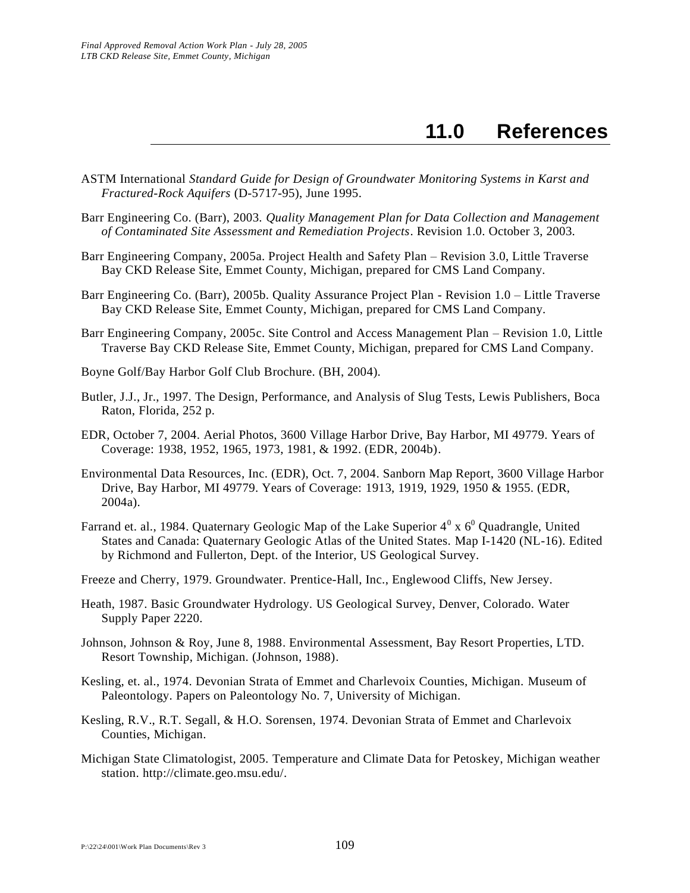## **11.0 References**

- ASTM International *Standard Guide for Design of Groundwater Monitoring Systems in Karst and Fractured-Rock Aquifers* (D-5717-95), June 1995.
- Barr Engineering Co. (Barr), 2003. *Quality Management Plan for Data Collection and Management of Contaminated Site Assessment and Remediation Projects*. Revision 1.0. October 3, 2003.
- Barr Engineering Company, 2005a. Project Health and Safety Plan Revision 3.0, Little Traverse Bay CKD Release Site, Emmet County, Michigan, prepared for CMS Land Company.
- Barr Engineering Co. (Barr), 2005b. Quality Assurance Project Plan Revision 1.0 Little Traverse Bay CKD Release Site, Emmet County, Michigan, prepared for CMS Land Company.
- Barr Engineering Company, 2005c. Site Control and Access Management Plan Revision 1.0, Little Traverse Bay CKD Release Site, Emmet County, Michigan, prepared for CMS Land Company.
- Boyne Golf/Bay Harbor Golf Club Brochure. (BH, 2004).
- Butler, J.J., Jr., 1997. The Design, Performance, and Analysis of Slug Tests, Lewis Publishers, Boca Raton, Florida, 252 p.
- EDR, October 7, 2004. Aerial Photos, 3600 Village Harbor Drive, Bay Harbor, MI 49779. Years of Coverage: 1938, 1952, 1965, 1973, 1981, & 1992. (EDR, 2004b).
- Environmental Data Resources, Inc. (EDR), Oct. 7, 2004. Sanborn Map Report, 3600 Village Harbor Drive, Bay Harbor, MI 49779. Years of Coverage: 1913, 1919, 1929, 1950 & 1955. (EDR, 2004a).
- Farrand et. al., 1984. Quaternary Geologic Map of the Lake Superior  $4^0$  x  $6^0$  Quadrangle, United States and Canada: Quaternary Geologic Atlas of the United States. Map I-1420 (NL-16). Edited by Richmond and Fullerton, Dept. of the Interior, US Geological Survey.
- Freeze and Cherry, 1979. Groundwater. Prentice-Hall, Inc., Englewood Cliffs, New Jersey.
- Heath, 1987. Basic Groundwater Hydrology. US Geological Survey, Denver, Colorado. Water Supply Paper 2220.
- Johnson, Johnson & Roy, June 8, 1988. Environmental Assessment, Bay Resort Properties, LTD. Resort Township, Michigan. (Johnson, 1988).
- Kesling, et. al., 1974. Devonian Strata of Emmet and Charlevoix Counties, Michigan. Museum of Paleontology. Papers on Paleontology No. 7, University of Michigan.
- Kesling, R.V., R.T. Segall, & H.O. Sorensen, 1974. Devonian Strata of Emmet and Charlevoix Counties, Michigan.
- Michigan State Climatologist, 2005. Temperature and Climate Data for Petoskey, Michigan weather station. http://climate.geo.msu.edu/.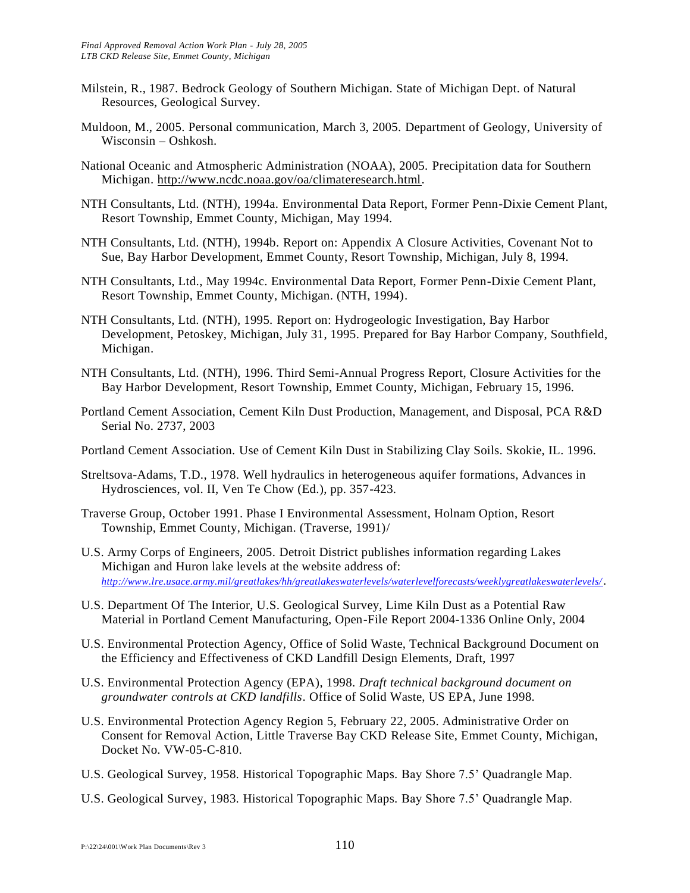- Milstein, R., 1987. Bedrock Geology of Southern Michigan. State of Michigan Dept. of Natural Resources, Geological Survey.
- Muldoon, M., 2005. Personal communication, March 3, 2005. Department of Geology, University of Wisconsin – Oshkosh.
- National Oceanic and Atmospheric Administration (NOAA), 2005. Precipitation data for Southern Michigan. [http://www.ncdc.noaa.gov/oa/climateresearch.html.](http://www.ncdc.noaa.gov/oa/climateresearch.html)
- NTH Consultants, Ltd. (NTH), 1994a. Environmental Data Report, Former Penn-Dixie Cement Plant, Resort Township, Emmet County, Michigan, May 1994.
- NTH Consultants, Ltd. (NTH), 1994b. Report on: Appendix A Closure Activities, Covenant Not to Sue, Bay Harbor Development, Emmet County, Resort Township, Michigan, July 8, 1994.
- NTH Consultants, Ltd., May 1994c. Environmental Data Report, Former Penn-Dixie Cement Plant, Resort Township, Emmet County, Michigan. (NTH, 1994).
- NTH Consultants, Ltd. (NTH), 1995. Report on: Hydrogeologic Investigation, Bay Harbor Development, Petoskey, Michigan, July 31, 1995. Prepared for Bay Harbor Company, Southfield, Michigan.
- NTH Consultants, Ltd. (NTH), 1996. Third Semi-Annual Progress Report, Closure Activities for the Bay Harbor Development, Resort Township, Emmet County, Michigan, February 15, 1996.
- Portland Cement Association, Cement Kiln Dust Production, Management, and Disposal, PCA R&D Serial No. 2737, 2003
- Portland Cement Association. Use of Cement Kiln Dust in Stabilizing Clay Soils. Skokie, IL. 1996.
- Streltsova-Adams, T.D., 1978. Well hydraulics in heterogeneous aquifer formations, Advances in Hydrosciences, vol. II, Ven Te Chow (Ed.), pp. 357-423.
- Traverse Group, October 1991. Phase I Environmental Assessment, Holnam Option, Resort Township, Emmet County, Michigan. (Traverse, 1991)/
- U.S. Army Corps of Engineers, 2005. Detroit District publishes information regarding Lakes Michigan and Huron lake levels at the website address of: *<http://www.lre.usace.army.mil/greatlakes/hh/greatlakeswaterlevels/waterlevelforecasts/weeklygreatlakeswaterlevels/>*.
- U.S. Department Of The Interior, U.S. Geological Survey, Lime Kiln Dust as a Potential Raw Material in Portland Cement Manufacturing, Open-File Report 2004-1336 Online Only, 2004
- U.S. Environmental Protection Agency, Office of Solid Waste, Technical Background Document on the Efficiency and Effectiveness of CKD Landfill Design Elements, Draft, 1997
- U.S. Environmental Protection Agency (EPA), 1998. *Draft technical background document on groundwater controls at CKD landfills*. Office of Solid Waste, US EPA, June 1998.
- U.S. Environmental Protection Agency Region 5, February 22, 2005. Administrative Order on Consent for Removal Action, Little Traverse Bay CKD Release Site, Emmet County, Michigan, Docket No. VW-05-C-810.
- U.S. Geological Survey, 1958. Historical Topographic Maps. Bay Shore 7.5' Quadrangle Map.
- U.S. Geological Survey, 1983. Historical Topographic Maps. Bay Shore 7.5' Quadrangle Map.